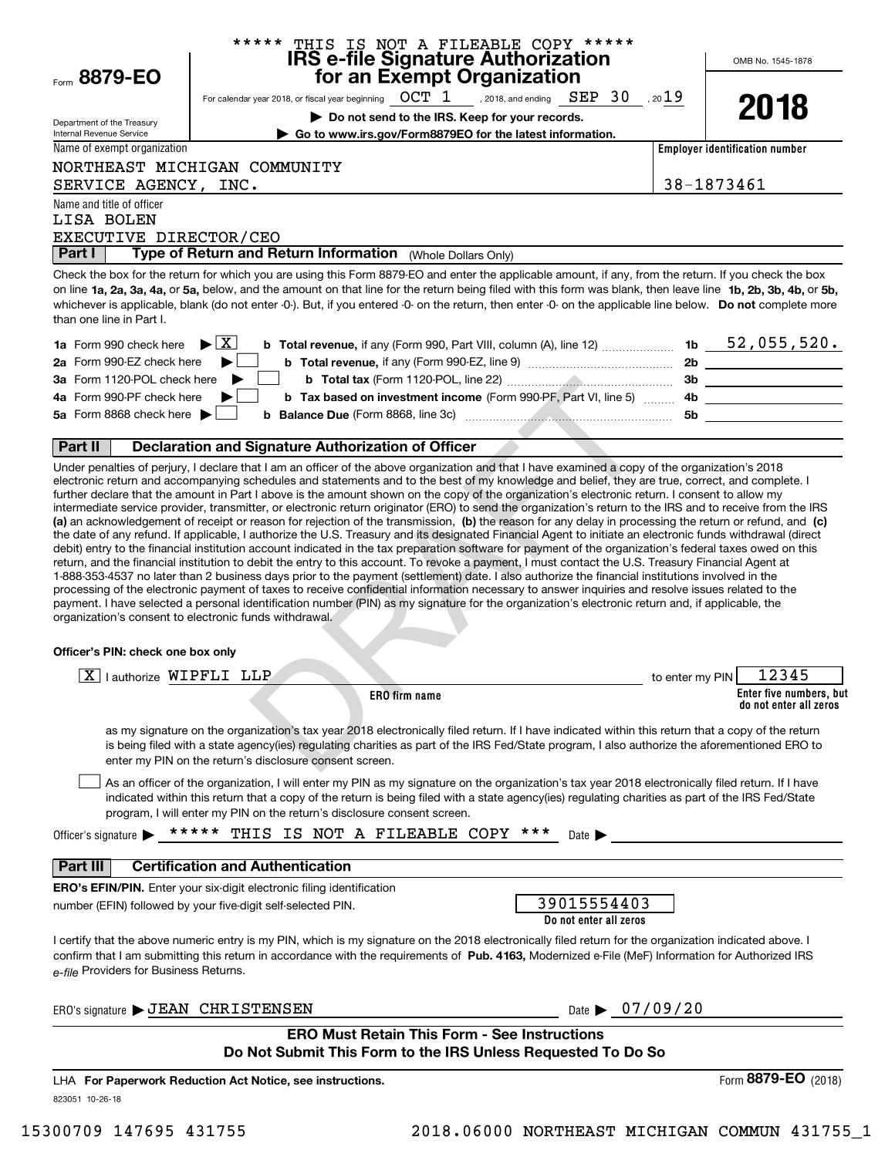|                                                                   | ***** THIS IS NOT A FILEABLE COPY *****<br><b>IRS e-file Signature Authorization</b>                                                                                                                                                                                                                                                                                                                                                                                                                                                                                                                                                                                                                                                                                                                                                                                                                                                                                                                                                                                                                                                                                                                                                                                                                                                                                                                                                                                                                                                                                                                                                                                                                                                                                                 |                 | OMB No. 1545-1878                                 |
|-------------------------------------------------------------------|--------------------------------------------------------------------------------------------------------------------------------------------------------------------------------------------------------------------------------------------------------------------------------------------------------------------------------------------------------------------------------------------------------------------------------------------------------------------------------------------------------------------------------------------------------------------------------------------------------------------------------------------------------------------------------------------------------------------------------------------------------------------------------------------------------------------------------------------------------------------------------------------------------------------------------------------------------------------------------------------------------------------------------------------------------------------------------------------------------------------------------------------------------------------------------------------------------------------------------------------------------------------------------------------------------------------------------------------------------------------------------------------------------------------------------------------------------------------------------------------------------------------------------------------------------------------------------------------------------------------------------------------------------------------------------------------------------------------------------------------------------------------------------------|-----------------|---------------------------------------------------|
| Form $8879 - EO$                                                  | for an Exempt Organization                                                                                                                                                                                                                                                                                                                                                                                                                                                                                                                                                                                                                                                                                                                                                                                                                                                                                                                                                                                                                                                                                                                                                                                                                                                                                                                                                                                                                                                                                                                                                                                                                                                                                                                                                           |                 |                                                   |
|                                                                   | For calendar year 2018, or fiscal year beginning $OCT$ 1, 2018, and ending $SEP$ 30, 2019                                                                                                                                                                                                                                                                                                                                                                                                                                                                                                                                                                                                                                                                                                                                                                                                                                                                                                                                                                                                                                                                                                                                                                                                                                                                                                                                                                                                                                                                                                                                                                                                                                                                                            |                 | 2018                                              |
| Department of the Treasury                                        | Do not send to the IRS. Keep for your records.                                                                                                                                                                                                                                                                                                                                                                                                                                                                                                                                                                                                                                                                                                                                                                                                                                                                                                                                                                                                                                                                                                                                                                                                                                                                                                                                                                                                                                                                                                                                                                                                                                                                                                                                       |                 |                                                   |
| <b>Internal Revenue Service</b><br>Name of exempt organization    | Go to www.irs.gov/Form8879EO for the latest information.                                                                                                                                                                                                                                                                                                                                                                                                                                                                                                                                                                                                                                                                                                                                                                                                                                                                                                                                                                                                                                                                                                                                                                                                                                                                                                                                                                                                                                                                                                                                                                                                                                                                                                                             |                 | <b>Employer identification number</b>             |
|                                                                   | NORTHEAST MICHIGAN COMMUNITY                                                                                                                                                                                                                                                                                                                                                                                                                                                                                                                                                                                                                                                                                                                                                                                                                                                                                                                                                                                                                                                                                                                                                                                                                                                                                                                                                                                                                                                                                                                                                                                                                                                                                                                                                         |                 |                                                   |
| SERVICE AGENCY, INC.                                              |                                                                                                                                                                                                                                                                                                                                                                                                                                                                                                                                                                                                                                                                                                                                                                                                                                                                                                                                                                                                                                                                                                                                                                                                                                                                                                                                                                                                                                                                                                                                                                                                                                                                                                                                                                                      | 38-1873461      |                                                   |
| Name and title of officer<br>LISA BOLEN<br>EXECUTIVE DIRECTOR/CEO |                                                                                                                                                                                                                                                                                                                                                                                                                                                                                                                                                                                                                                                                                                                                                                                                                                                                                                                                                                                                                                                                                                                                                                                                                                                                                                                                                                                                                                                                                                                                                                                                                                                                                                                                                                                      |                 |                                                   |
| Part I                                                            | Type of Return and Return Information (Whole Dollars Only)                                                                                                                                                                                                                                                                                                                                                                                                                                                                                                                                                                                                                                                                                                                                                                                                                                                                                                                                                                                                                                                                                                                                                                                                                                                                                                                                                                                                                                                                                                                                                                                                                                                                                                                           |                 |                                                   |
| than one line in Part I.                                          | Check the box for the return for which you are using this Form 8879-EO and enter the applicable amount, if any, from the return. If you check the box<br>on line 1a, 2a, 3a, 4a, or 5a, below, and the amount on that line for the return being filed with this form was blank, then leave line 1b, 2b, 3b, 4b, or 5b,<br>whichever is applicable, blank (do not enter -0-). But, if you entered -0- on the return, then enter -0- on the applicable line below. Do not complete more                                                                                                                                                                                                                                                                                                                                                                                                                                                                                                                                                                                                                                                                                                                                                                                                                                                                                                                                                                                                                                                                                                                                                                                                                                                                                                |                 |                                                   |
| 1a Form 990 check here                                            | <b>b</b> Total revenue, if any (Form 990, Part VIII, column (A), line 12)  1b $\ 52,055,520.$<br>$\blacktriangleright$ $\mid$ X $\mid$                                                                                                                                                                                                                                                                                                                                                                                                                                                                                                                                                                                                                                                                                                                                                                                                                                                                                                                                                                                                                                                                                                                                                                                                                                                                                                                                                                                                                                                                                                                                                                                                                                               |                 |                                                   |
| 2a Form 990-EZ check here                                         |                                                                                                                                                                                                                                                                                                                                                                                                                                                                                                                                                                                                                                                                                                                                                                                                                                                                                                                                                                                                                                                                                                                                                                                                                                                                                                                                                                                                                                                                                                                                                                                                                                                                                                                                                                                      |                 |                                                   |
| 3a Form 1120-POL check here                                       |                                                                                                                                                                                                                                                                                                                                                                                                                                                                                                                                                                                                                                                                                                                                                                                                                                                                                                                                                                                                                                                                                                                                                                                                                                                                                                                                                                                                                                                                                                                                                                                                                                                                                                                                                                                      |                 | 3b                                                |
| 4a Form 990-PF check here                                         | <b>b</b> Tax based on investment income (Form 990-PF, Part VI, line 5)  4b                                                                                                                                                                                                                                                                                                                                                                                                                                                                                                                                                                                                                                                                                                                                                                                                                                                                                                                                                                                                                                                                                                                                                                                                                                                                                                                                                                                                                                                                                                                                                                                                                                                                                                           |                 |                                                   |
| 5a Form 8868 check here $\blacktriangleright$                     |                                                                                                                                                                                                                                                                                                                                                                                                                                                                                                                                                                                                                                                                                                                                                                                                                                                                                                                                                                                                                                                                                                                                                                                                                                                                                                                                                                                                                                                                                                                                                                                                                                                                                                                                                                                      |                 |                                                   |
| Part II                                                           | <b>Declaration and Signature Authorization of Officer</b>                                                                                                                                                                                                                                                                                                                                                                                                                                                                                                                                                                                                                                                                                                                                                                                                                                                                                                                                                                                                                                                                                                                                                                                                                                                                                                                                                                                                                                                                                                                                                                                                                                                                                                                            |                 |                                                   |
| Officer's PIN: check one box only                                 | Under penalties of perjury, I declare that I am an officer of the above organization and that I have examined a copy of the organization's 2018<br>electronic return and accompanying schedules and statements and to the best of my knowledge and belief, they are true, correct, and complete. I<br>further declare that the amount in Part I above is the amount shown on the copy of the organization's electronic return. I consent to allow my<br>intermediate service provider, transmitter, or electronic return originator (ERO) to send the organization's return to the IRS and to receive from the IRS<br>(a) an acknowledgement of receipt or reason for rejection of the transmission, (b) the reason for any delay in processing the return or refund, and (c)<br>the date of any refund. If applicable, I authorize the U.S. Treasury and its designated Financial Agent to initiate an electronic funds withdrawal (direct<br>debit) entry to the financial institution account indicated in the tax preparation software for payment of the organization's federal taxes owed on this<br>return, and the financial institution to debit the entry to this account. To revoke a payment, I must contact the U.S. Treasury Financial Agent at<br>1-888-353-4537 no later than 2 business days prior to the payment (settlement) date. I also authorize the financial institutions involved in the<br>processing of the electronic payment of taxes to receive confidential information necessary to answer inquiries and resolve issues related to the<br>payment. I have selected a personal identification number (PIN) as my signature for the organization's electronic return and, if applicable, the<br>organization's consent to electronic funds withdrawal. |                 |                                                   |
| $\boxed{\text{X}}$   authorize WIPFLI LLP                         |                                                                                                                                                                                                                                                                                                                                                                                                                                                                                                                                                                                                                                                                                                                                                                                                                                                                                                                                                                                                                                                                                                                                                                                                                                                                                                                                                                                                                                                                                                                                                                                                                                                                                                                                                                                      | to enter my PIN | 12345                                             |
|                                                                   | <b>ERO</b> firm name                                                                                                                                                                                                                                                                                                                                                                                                                                                                                                                                                                                                                                                                                                                                                                                                                                                                                                                                                                                                                                                                                                                                                                                                                                                                                                                                                                                                                                                                                                                                                                                                                                                                                                                                                                 |                 | Enter five numbers, but<br>do not enter all zeros |
|                                                                   | as my signature on the organization's tax year 2018 electronically filed return. If I have indicated within this return that a copy of the return<br>is being filed with a state agency(ies) regulating charities as part of the IRS Fed/State program, I also authorize the aforementioned ERO to<br>enter my PIN on the return's disclosure consent screen.                                                                                                                                                                                                                                                                                                                                                                                                                                                                                                                                                                                                                                                                                                                                                                                                                                                                                                                                                                                                                                                                                                                                                                                                                                                                                                                                                                                                                        |                 |                                                   |

#### **Officer's PIN: check one box only**

| lauthorize WIPFLI LLP                                                                                                                                                                                                                                                                                                                                                            | 12345<br>to enter my PIN                          |
|----------------------------------------------------------------------------------------------------------------------------------------------------------------------------------------------------------------------------------------------------------------------------------------------------------------------------------------------------------------------------------|---------------------------------------------------|
| ERO firm name                                                                                                                                                                                                                                                                                                                                                                    | Enter five numbers, but<br>do not enter all zeros |
| as my signature on the organization's tax year 2018 electronically filed return. If I have indicated within this return that a copy of the return<br>is being filed with a state agency(ies) regulating charities as part of the IRS Fed/State program, I also authorize the aforementioned ERO to<br>enter my PIN on the return's disclosure consent screen.                    |                                                   |
| As an officer of the organization, I will enter my PIN as my signature on the organization's tax year 2018 electronically filed return. If I have<br>indicated within this return that a copy of the return is being filed with a state agency(ies) regulating charities as part of the IRS Fed/State<br>program, I will enter my PIN on the return's disclosure consent screen. |                                                   |
| ***** THIS IS NOT A FILEABLE COPY<br>Officer's signature $\blacktriangleright$                                                                                                                                                                                                                                                                                                   | ***<br>Date $\blacktriangleright$                 |
| <b>Certification and Authentication</b><br>Part III                                                                                                                                                                                                                                                                                                                              |                                                   |
| <b>ERO's EFIN/PIN.</b> Enter your six-digit electronic filing identification<br>number (EFIN) followed by your five-digit self-selected PIN.                                                                                                                                                                                                                                     | 39015554403<br>Do not enter all zeros             |
| I certify that the above numeric entry is my PIN, which is my signature on the 2018 electronically filed return for the organization indicated above. I<br>confirm that I am submitting this return in accordance with the requirements of Pub. 4163, Modernized e-File (MeF) Information for Authorized IRS<br>e-file Providers for Business Returns.                           |                                                   |
| ERO's signature $\blacktriangleright$ JEAN CHRISTENSEN                                                                                                                                                                                                                                                                                                                           | Date $\triangleright$ 07/09/20                    |
| <b>ERO Must Retain This Form - See Instructions</b><br>Do Not Submit This Form to the IRS Unless Requested To Do So                                                                                                                                                                                                                                                              |                                                   |
| LHA For Paperwork Reduction Act Notice, see instructions.                                                                                                                                                                                                                                                                                                                        | Form 8879-EO (2018)                               |

823051 10-26-18 LHA For Paperwork Reduction Act Notice, see instructions.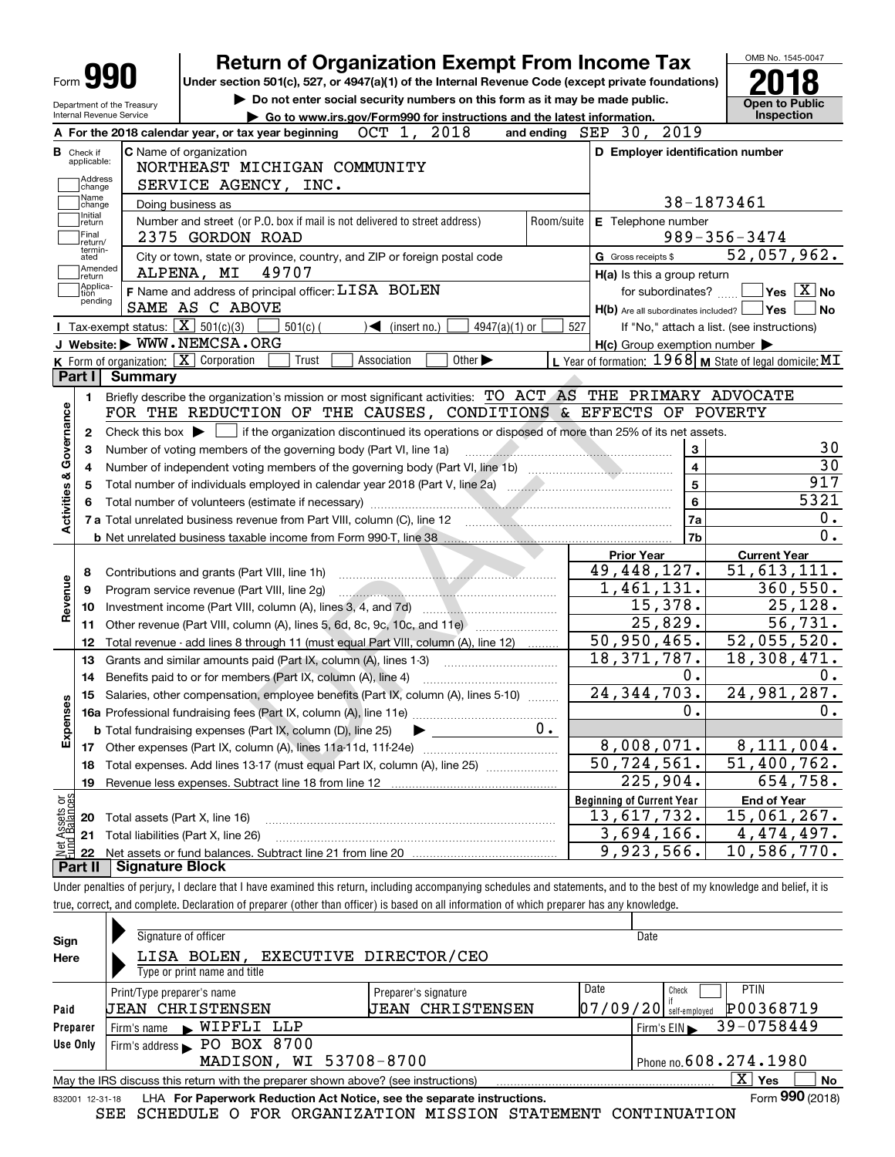| Form <b>Y'S</b>                                                                             |                                                   | <b>Return of Organization Exempt From Income Tax</b>                                                                                                |               |     |                                                           | OMB No. 1545-0047                         |
|---------------------------------------------------------------------------------------------|---------------------------------------------------|-----------------------------------------------------------------------------------------------------------------------------------------------------|---------------|-----|-----------------------------------------------------------|-------------------------------------------|
|                                                                                             |                                                   | Under section 501(c), 527, or 4947(a)(1) of the Internal Revenue Code (except private foundations)                                                  |               |     |                                                           |                                           |
| Department of the Treasury                                                                  |                                                   | Do not enter social security numbers on this form as it may be made public.                                                                         |               |     |                                                           | <b>Open to Public</b>                     |
| Internal Revenue Service                                                                    |                                                   | Go to www.irs.gov/Form990 for instructions and the latest information.                                                                              |               |     |                                                           | <b>Inspection</b>                         |
|                                                                                             |                                                   | A For the 2018 calendar year, or tax year beginning $OCT$ 1, $2018$                                                                                 | and ending    |     | 2019<br>SEP 30,                                           |                                           |
| <b>B</b> Check if<br>applicable:                                                            |                                                   | <b>C</b> Name of organization                                                                                                                       |               |     | D Employer identification number                          |                                           |
| Address                                                                                     |                                                   | NORTHEAST MICHIGAN COMMUNITY                                                                                                                        |               |     |                                                           |                                           |
| change<br>Name                                                                              |                                                   | SERVICE AGENCY, INC.                                                                                                                                |               |     | 38-1873461                                                |                                           |
| change<br>Initial<br>return                                                                 |                                                   | Doing business as<br>Number and street (or P.O. box if mail is not delivered to street address)                                                     | Room/suite    |     | E Telephone number                                        |                                           |
| Final                                                                                       |                                                   | 2375 GORDON ROAD                                                                                                                                    |               |     |                                                           | $989 - 356 - 3474$                        |
| return/<br>termin-<br>ated                                                                  |                                                   | City or town, state or province, country, and ZIP or foreign postal code                                                                            |               |     | G Gross receipts \$                                       | 52,057,962.                               |
| Amended<br>∣return                                                                          |                                                   | 49707<br>ALPENA, MI                                                                                                                                 |               |     | H(a) Is this a group return                               |                                           |
| Applica-<br>tion                                                                            |                                                   | F Name and address of principal officer: LISA BOLEN                                                                                                 |               |     | for subordinates?                                         | $\sqrt{}$ Yes $\sqrt{}$ X $\sqrt{}$ No    |
| pending                                                                                     |                                                   | SAME AS C ABOVE                                                                                                                                     |               |     | H(b) Are all subordinates included?   Yes                 | No                                        |
|                                                                                             | Tax-exempt status: $\boxed{\mathbf{X}}$ 501(c)(3) | $501(c)$ (<br>$\sqrt{\phantom{a}}$ (insert no.)                                                                                                     | 4947(a)(1) or | 527 | If "No," attach a list. (see instructions)                |                                           |
|                                                                                             |                                                   | J Website: WWW.NEMCSA.ORG                                                                                                                           |               |     | $H(c)$ Group exemption number $\blacktriangleright$       |                                           |
|                                                                                             |                                                   | K Form of organization: X Corporation<br>Other $\blacktriangleright$<br>Association<br>Trust                                                        |               |     | L Year of formation: $1968$ M State of legal domicile: MT |                                           |
| Part I I                                                                                    | <b>Summary</b>                                    |                                                                                                                                                     |               |     |                                                           |                                           |
| 1.                                                                                          |                                                   | Briefly describe the organization's mission or most significant activities: TO ACT AS THE PRIMARY ADVOCATE                                          |               |     |                                                           |                                           |
|                                                                                             |                                                   | FOR THE REDUCTION OF THE CAUSES, CONDITIONS & EFFECTS OF POVERTY                                                                                    |               |     |                                                           |                                           |
| 2                                                                                           |                                                   | Check this box $\blacktriangleright$ $\blacksquare$ if the organization discontinued its operations or disposed of more than 25% of its net assets. |               |     |                                                           |                                           |
| З                                                                                           |                                                   | Number of voting members of the governing body (Part VI, line 1a)                                                                                   |               |     | 3                                                         | 30<br>$\overline{30}$                     |
| 4                                                                                           |                                                   |                                                                                                                                                     |               |     | $\overline{4}$                                            |                                           |
| 5                                                                                           |                                                   |                                                                                                                                                     |               |     |                                                           |                                           |
|                                                                                             |                                                   |                                                                                                                                                     |               |     | $\overline{5}$                                            | 917                                       |
| 6                                                                                           |                                                   |                                                                                                                                                     |               |     | 6                                                         | 5321                                      |
|                                                                                             |                                                   |                                                                                                                                                     |               |     | 7a                                                        | 0.                                        |
|                                                                                             |                                                   |                                                                                                                                                     |               |     | 7b                                                        | 0.                                        |
|                                                                                             |                                                   |                                                                                                                                                     |               |     | <b>Prior Year</b>                                         | <b>Current Year</b>                       |
| 8                                                                                           |                                                   | Contributions and grants (Part VIII, line 1h)                                                                                                       |               |     | 49,448,127.                                               | $\overline{51}$ , 613, 111.               |
| 9<br>10                                                                                     |                                                   | Program service revenue (Part VIII, line 2g)                                                                                                        |               |     | 1,461,131.<br>15,378.                                     | 360,550.<br>25,128.                       |
| 11                                                                                          |                                                   |                                                                                                                                                     |               |     | 25,829.                                                   | 56,731.                                   |
| 12                                                                                          |                                                   | Total revenue - add lines 8 through 11 (must equal Part VIII, column (A), line 12)                                                                  |               |     | 50, 950, 465.                                             | $\overline{52}$ , 055, 520.               |
| 13                                                                                          |                                                   | Grants and similar amounts paid (Part IX, column (A), lines 1-3)                                                                                    |               |     | 18, 371, 787.                                             | 18,308,471.                               |
| 14                                                                                          |                                                   | Benefits paid to or for members (Part IX, column (A), line 4)                                                                                       |               |     | 0.                                                        | υ.                                        |
|                                                                                             |                                                   | 15 Salaries, other compensation, employee benefits (Part IX, column (A), lines 5-10)                                                                |               |     | 24, 344, 703.                                             | 24,981,287.                               |
|                                                                                             |                                                   |                                                                                                                                                     |               |     | 0.                                                        | 0.                                        |
|                                                                                             |                                                   | <b>b</b> Total fundraising expenses (Part IX, column (D), line 25)                                                                                  | $0 \cdot$     |     |                                                           |                                           |
| 17                                                                                          |                                                   |                                                                                                                                                     |               |     | 8,008,071.                                                | 8,111,004.                                |
| 18                                                                                          |                                                   | Total expenses. Add lines 13-17 (must equal Part IX, column (A), line 25) [                                                                         |               |     | $\overline{50}$ , 724, 561.                               | $\overline{51}$ , 400, 762.               |
| 19                                                                                          |                                                   |                                                                                                                                                     |               |     | 225,904.                                                  | 654,758.                                  |
|                                                                                             |                                                   |                                                                                                                                                     |               |     | <b>Beginning of Current Year</b>                          | <b>End of Year</b>                        |
| 20                                                                                          |                                                   | Total assets (Part X, line 16)                                                                                                                      |               |     | 13,617,732.                                               | 15,061,267.                               |
| Activities & Governance<br>Revenue<br>ŵ<br>Expense<br>t Assets or<br>d Balances<br>21<br>22 |                                                   | Total liabilities (Part X, line 26)                                                                                                                 |               |     | 3,694,166.<br>9,923,566.                                  | 4,474,497.<br>$\overline{10}$ , 586, 770. |

true, correct, and complete. Declaration of preparer (other than officer) is based on all information of which preparer has any knowledge.

| Sign            | Signature of officer                                                                              |                         | Date                                     |  |  |  |  |
|-----------------|---------------------------------------------------------------------------------------------------|-------------------------|------------------------------------------|--|--|--|--|
| Here            | LISA BOLEN, EXECUTIVE DIRECTOR/CEO                                                                |                         |                                          |  |  |  |  |
|                 | Type or print name and title                                                                      |                         |                                          |  |  |  |  |
|                 | Print/Type preparer's name                                                                        | Preparer's signature    | Date<br><b>PTIN</b><br>Check             |  |  |  |  |
| Paid            | UEAN CHRISTENSEN                                                                                  | <b>JEAN CHRISTENSEN</b> | P00368719<br> 07/09/20 <br>self-emploved |  |  |  |  |
| Preparer        | Firm's name WIPFLI LLP                                                                            |                         | 39-0758449<br>Firm's $EIN$               |  |  |  |  |
| Use Only        | Firm's address PO BOX 8700                                                                        |                         |                                          |  |  |  |  |
|                 | MADISON, WI 53708-8700                                                                            |                         | Phone no. 608.274.1980                   |  |  |  |  |
|                 | $\mathbf{X}$<br>May the IRS discuss this return with the preparer shown above? (see instructions) |                         |                                          |  |  |  |  |
| 832001 12-31-18 | LHA For Paperwork Reduction Act Notice, see the separate instructions.                            |                         | Form 990 (2018)                          |  |  |  |  |
|                 | SEE SCHEDULE O FOR ORGANIZATION MISSION STATEMENT                                                 |                         | CONTINUATION                             |  |  |  |  |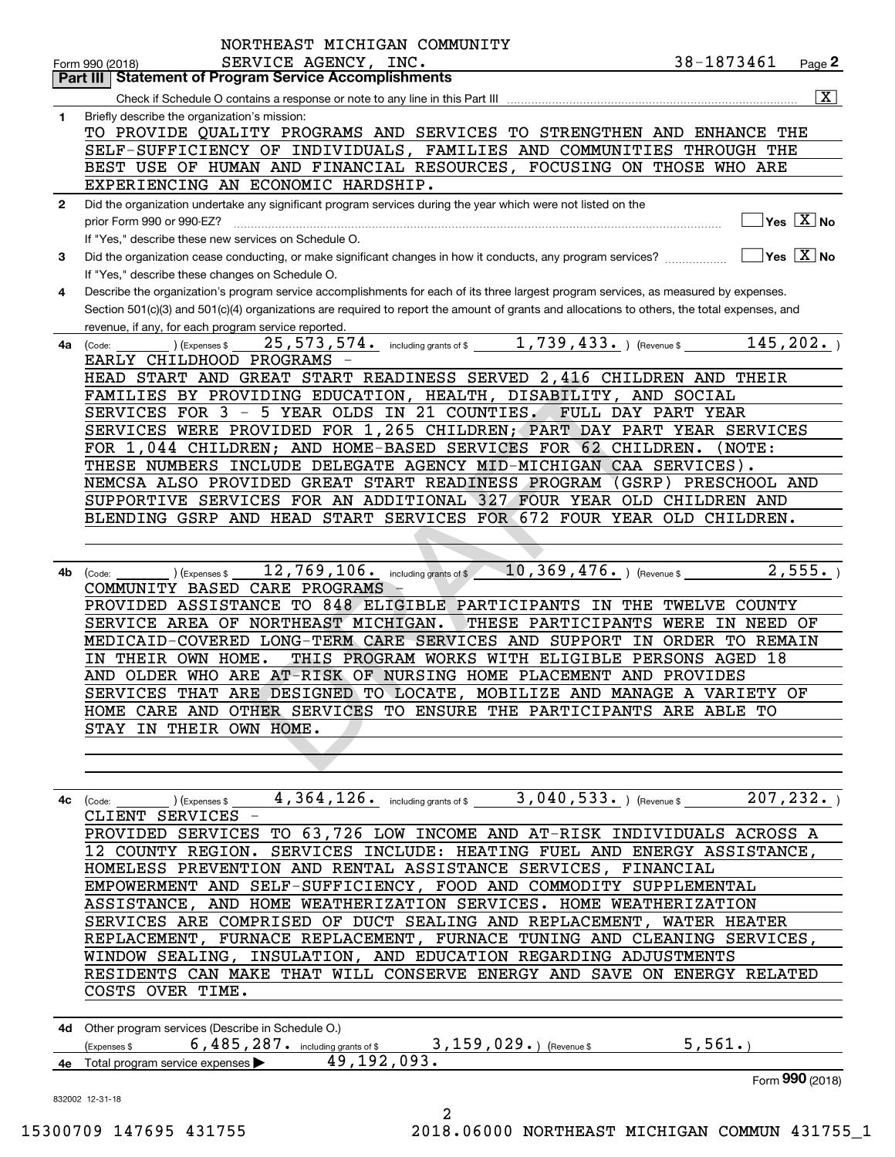|              | NORTHEAST MICHIGAN COMMUNITY                                                                                                                 |               |                                                 |
|--------------|----------------------------------------------------------------------------------------------------------------------------------------------|---------------|-------------------------------------------------|
|              | SERVICE AGENCY, INC.<br>Form 990 (2018)                                                                                                      | 38-1873461    | Page 2                                          |
|              | <b>Statement of Program Service Accomplishments</b><br>Part III                                                                              |               |                                                 |
|              |                                                                                                                                              |               | $\overline{\mathbf{x}}$                         |
| 1            | Briefly describe the organization's mission:<br>TO PROVIDE QUALITY PROGRAMS AND SERVICES TO STRENGTHEN AND ENHANCE THE                       |               |                                                 |
|              | SELF-SUFFICIENCY OF INDIVIDUALS, FAMILIES AND COMMUNITIES THROUGH THE                                                                        |               |                                                 |
|              | BEST USE OF HUMAN AND FINANCIAL RESOURCES, FOCUSING ON THOSE WHO ARE                                                                         |               |                                                 |
|              | EXPERIENCING AN ECONOMIC HARDSHIP.                                                                                                           |               |                                                 |
| $\mathbf{2}$ | Did the organization undertake any significant program services during the year which were not listed on the                                 |               |                                                 |
|              | prior Form 990 or 990-EZ?                                                                                                                    |               | $\overline{\ }$ Yes $\overline{\phantom{X}}$ No |
|              | If "Yes," describe these new services on Schedule O.                                                                                         |               |                                                 |
| 3            | Did the organization cease conducting, or make significant changes in how it conducts, any program services?                                 |               | $\overline{\ }$ Yes $\overline{\ \ X}$ No       |
|              | If "Yes," describe these changes on Schedule O.                                                                                              |               |                                                 |
| 4            | Describe the organization's program service accomplishments for each of its three largest program services, as measured by expenses.         |               |                                                 |
|              | Section 501(c)(3) and 501(c)(4) organizations are required to report the amount of grants and allocations to others, the total expenses, and |               |                                                 |
|              | revenue, if any, for each program service reported.                                                                                          |               |                                                 |
|              | 25, 573, 574. including grants of \$ 1, 739, 433. ) (Revenue \$                                                                              |               | 145, 202.                                       |
| 4a           | ) (Expenses \$<br>(Code:<br>EARLY CHILDHOOD PROGRAMS                                                                                         |               |                                                 |
|              | HEAD START AND GREAT START READINESS SERVED 2,416 CHILDREN AND THEIR                                                                         |               |                                                 |
|              | FAMILIES BY PROVIDING EDUCATION, HEALTH, DISABILITY, AND SOCIAL                                                                              |               |                                                 |
|              | SERVICES FOR 3 - 5 YEAR OLDS IN 21 COUNTIES.<br>FULL DAY PART YEAR                                                                           |               |                                                 |
|              | SERVICES WERE PROVIDED FOR 1,265 CHILDREN; PART DAY PART YEAR SERVICES                                                                       |               |                                                 |
|              | FOR 1,044 CHILDREN; AND HOME-BASED SERVICES FOR 62 CHILDREN.                                                                                 | (NOTE:        |                                                 |
|              | THESE NUMBERS INCLUDE DELEGATE AGENCY MID-MICHIGAN CAA SERVICES).                                                                            |               |                                                 |
|              |                                                                                                                                              |               |                                                 |
|              | NEMCSA ALSO PROVIDED GREAT START READINESS PROGRAM (GSRP)                                                                                    | PRESCHOOL AND |                                                 |
|              | SUPPORTIVE SERVICES FOR AN ADDITIONAL 327 FOUR YEAR OLD CHILDREN AND                                                                         |               |                                                 |
|              | BLENDING GSRP AND HEAD START SERVICES FOR 672 FOUR YEAR OLD CHILDREN.                                                                        |               |                                                 |
|              |                                                                                                                                              |               |                                                 |
|              | $10, 369, 476.$ ) (Revenue \$                                                                                                                |               | 2,555.                                          |
| 4b           | 12,769,106.<br>including grants of \$<br>(Expenses \$<br>(Code:<br>COMMUNITY BASED CARE PROGRAMS                                             |               |                                                 |
|              |                                                                                                                                              |               |                                                 |
|              | PROVIDED ASSISTANCE TO 848 ELIGIBLE PARTICIPANTS IN THE                                                                                      | TWELVE COUNTY |                                                 |
|              | SERVICE AREA OF NORTHEAST MICHIGAN.<br>THESE PARTICIPANTS                                                                                    | WERE          | IN NEED OF                                      |
|              | MEDICAID-COVERED LONG-TERM CARE SERVICES AND SUPPORT IN ORDER TO REMAIN                                                                      |               |                                                 |
|              | IN THEIR OWN HOME.<br>THIS PROGRAM WORKS WITH ELIGIBLE PERSONS AGED 18<br>AND OLDER WHO ARE AT-RISK OF NURSING HOME PLACEMENT AND PROVIDES   |               |                                                 |
|              |                                                                                                                                              |               |                                                 |
|              | SERVICES THAT ARE DESIGNED TO LOCATE, MOBILIZE AND MANAGE A VARIETY OF                                                                       |               |                                                 |
|              | HOME CARE AND OTHER SERVICES TO ENSURE THE PARTICIPANTS ARE ABLE TO                                                                          |               |                                                 |
|              | STAY IN THEIR OWN HOME.                                                                                                                      |               |                                                 |
|              |                                                                                                                                              |               |                                                 |
|              |                                                                                                                                              |               |                                                 |
|              | 4, 364, 126. including grants of \$ 3, 040, 533. Fevenue \$ 207, 232.                                                                        |               |                                                 |
|              | CLIENT SERVICES -                                                                                                                            |               |                                                 |
|              | PROVIDED SERVICES TO 63,726 LOW INCOME AND AT-RISK INDIVIDUALS ACROSS A                                                                      |               |                                                 |
|              | 12 COUNTY REGION. SERVICES INCLUDE: HEATING FUEL AND ENERGY ASSISTANCE,                                                                      |               |                                                 |
|              | HOMELESS PREVENTION AND RENTAL ASSISTANCE SERVICES, FINANCIAL                                                                                |               |                                                 |
|              | EMPOWERMENT AND SELF-SUFFICIENCY, FOOD AND COMMODITY SUPPLEMENTAL                                                                            |               |                                                 |
|              | ASSISTANCE, AND HOME WEATHERIZATION SERVICES. HOME WEATHERIZATION                                                                            |               |                                                 |
|              |                                                                                                                                              |               |                                                 |
|              | SERVICES ARE COMPRISED OF DUCT SEALING AND REPLACEMENT, WATER HEATER                                                                         |               |                                                 |
|              | REPLACEMENT, FURNACE REPLACEMENT, FURNACE TUNING AND CLEANING SERVICES,                                                                      |               |                                                 |
|              | WINDOW SEALING, INSULATION, AND EDUCATION REGARDING ADJUSTMENTS                                                                              |               |                                                 |
|              | RESIDENTS CAN MAKE THAT WILL CONSERVE ENERGY AND SAVE ON ENERGY RELATED                                                                      |               |                                                 |
|              | COSTS OVER TIME.                                                                                                                             |               |                                                 |
|              |                                                                                                                                              |               |                                                 |
|              | 4d Other program services (Describe in Schedule O.)                                                                                          |               |                                                 |
|              | $3,159,029.$ (Revenue \$<br>$6$ , $485$ , $287$ $\cdot$ including grants of \$<br>Expenses \$                                                | 5,561.        |                                                 |
|              | $\overline{49,192,093}$<br>4e Total program service expenses                                                                                 |               |                                                 |
|              |                                                                                                                                              |               | Form 990 (2018)                                 |
|              | 832002 12-31-18<br>2                                                                                                                         |               |                                                 |
|              |                                                                                                                                              |               |                                                 |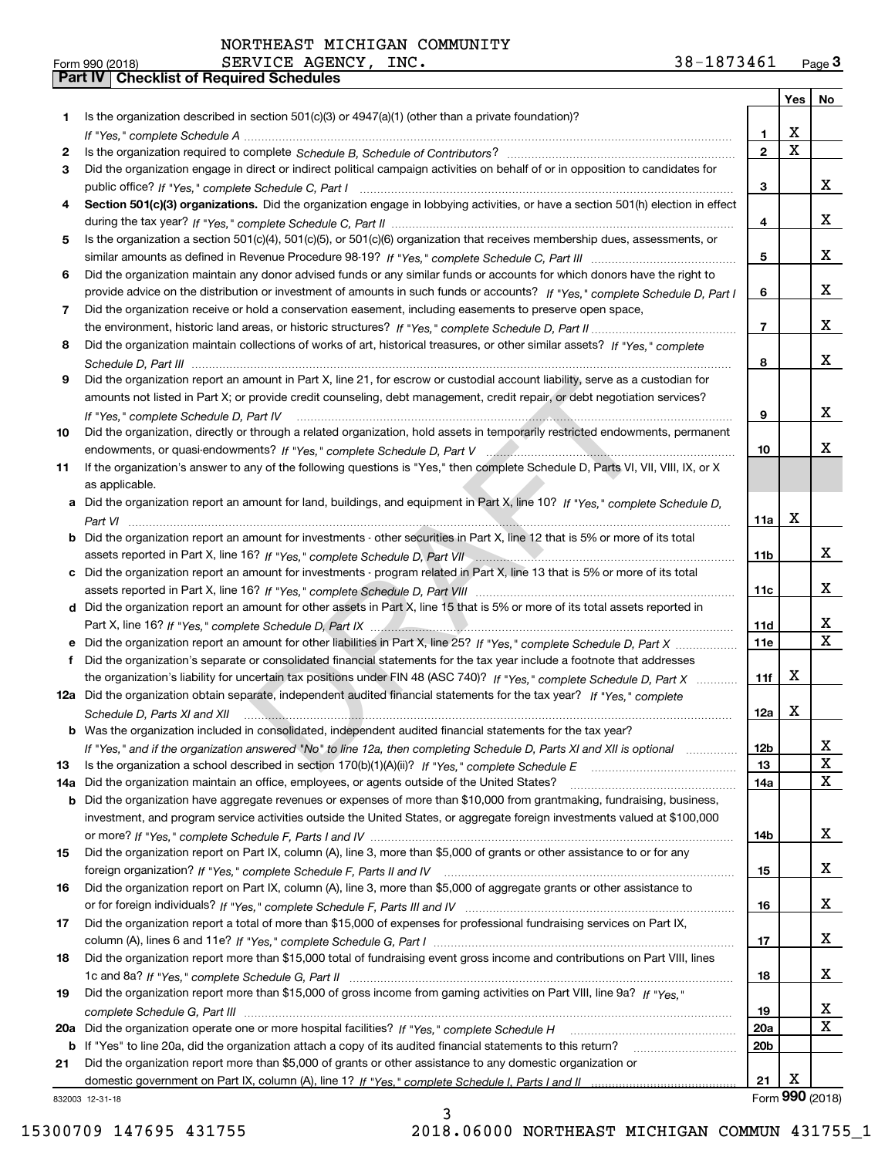| Form 990 (2018) |                                                  | SERVICE AGENCY, | INC. | 38-1873461 | Page $3$ |
|-----------------|--------------------------------------------------|-----------------|------|------------|----------|
|                 | <b>Part IV   Checklist of Required Schedules</b> |                 |      |            |          |

| Is the organization described in section $501(c)(3)$ or $4947(a)(1)$ (other than a private foundation)?<br>х<br>1<br>$\overline{\mathbf{x}}$<br>$\overline{2}$<br>2<br>Did the organization engage in direct or indirect political campaign activities on behalf of or in opposition to candidates for<br>3<br>x<br>3<br>Section 501(c)(3) organizations. Did the organization engage in lobbying activities, or have a section 501(h) election in effect<br>x<br>4<br>Is the organization a section 501(c)(4), 501(c)(5), or 501(c)(6) organization that receives membership dues, assessments, or<br>5<br>x<br>5<br>Did the organization maintain any donor advised funds or any similar funds or accounts for which donors have the right to<br>6<br>x<br>provide advice on the distribution or investment of amounts in such funds or accounts? If "Yes," complete Schedule D, Part I<br>6<br>Did the organization receive or hold a conservation easement, including easements to preserve open space,<br>7<br>x<br>$\overline{7}$<br>Did the organization maintain collections of works of art, historical treasures, or other similar assets? If "Yes," complete<br>8<br>x<br>8<br>Did the organization report an amount in Part X, line 21, for escrow or custodial account liability, serve as a custodian for<br>9<br>amounts not listed in Part X; or provide credit counseling, debt management, credit repair, or debt negotiation services?<br>х<br>9<br>If "Yes," complete Schedule D, Part IV<br>Did the organization, directly or through a related organization, hold assets in temporarily restricted endowments, permanent<br>10<br>x<br>10<br>If the organization's answer to any of the following questions is "Yes," then complete Schedule D, Parts VI, VII, VIII, IX, or X<br>11<br>as applicable.<br>a Did the organization report an amount for land, buildings, and equipment in Part X, line 10? If "Yes," complete Schedule D,<br>Χ<br>11a<br>Did the organization report an amount for investments - other securities in Part X, line 12 that is 5% or more of its total<br>x<br>11 <sub>b</sub><br>Did the organization report an amount for investments - program related in Part X, line 13 that is 5% or more of its total<br>x<br>11c<br>Did the organization report an amount for other assets in Part X, line 15 that is 5% or more of its total assets reported in<br>d<br>х<br>11d<br>$\mathbf{x}$<br>11e<br>Did the organization's separate or consolidated financial statements for the tax year include a footnote that addresses<br>f<br>х<br>the organization's liability for uncertain tax positions under FIN 48 (ASC 740)? If "Yes," complete Schedule D, Part X<br>11f<br>12a Did the organization obtain separate, independent audited financial statements for the tax year? If "Yes," complete<br>x<br>12a<br>Schedule D, Parts XI and XII<br><b>b</b> Was the organization included in consolidated, independent audited financial statements for the tax year?<br>If "Yes," and if the organization answered "No" to line 12a, then completing Schedule D, Parts XI and XII is optional<br>12b<br>Δ.<br>X<br>13<br>13<br>X<br>Did the organization maintain an office, employees, or agents outside of the United States?<br>14a<br>14a<br>Did the organization have aggregate revenues or expenses of more than \$10,000 from grantmaking, fundraising, business,<br>b<br>investment, and program service activities outside the United States, or aggregate foreign investments valued at \$100,000<br>x<br>14b<br>Did the organization report on Part IX, column (A), line 3, more than \$5,000 of grants or other assistance to or for any<br>15<br>x<br>15<br>Did the organization report on Part IX, column (A), line 3, more than \$5,000 of aggregate grants or other assistance to<br>16<br>x<br>16<br>Did the organization report a total of more than \$15,000 of expenses for professional fundraising services on Part IX,<br>17<br>x<br>17<br>Did the organization report more than \$15,000 total of fundraising event gross income and contributions on Part VIII, lines<br>18<br>x<br>18<br>Did the organization report more than \$15,000 of gross income from gaming activities on Part VIII, line 9a? If "Yes."<br>19<br>x<br>19<br>х<br>20a<br>20a<br>20 <sub>b</sub><br>If "Yes" to line 20a, did the organization attach a copy of its audited financial statements to this return?<br>b<br>Did the organization report more than \$5,000 of grants or other assistance to any domestic organization or<br>21<br>х<br>21<br>Form 990 (2018)<br>832003 12-31-18<br>ર |  | Yes | No |
|--------------------------------------------------------------------------------------------------------------------------------------------------------------------------------------------------------------------------------------------------------------------------------------------------------------------------------------------------------------------------------------------------------------------------------------------------------------------------------------------------------------------------------------------------------------------------------------------------------------------------------------------------------------------------------------------------------------------------------------------------------------------------------------------------------------------------------------------------------------------------------------------------------------------------------------------------------------------------------------------------------------------------------------------------------------------------------------------------------------------------------------------------------------------------------------------------------------------------------------------------------------------------------------------------------------------------------------------------------------------------------------------------------------------------------------------------------------------------------------------------------------------------------------------------------------------------------------------------------------------------------------------------------------------------------------------------------------------------------------------------------------------------------------------------------------------------------------------------------------------------------------------------------------------------------------------------------------------------------------------------------------------------------------------------------------------------------------------------------------------------------------------------------------------------------------------------------------------------------------------------------------------------------------------------------------------------------------------------------------------------------------------------------------------------------------------------------------------------------------------------------------------------------------------------------------------------------------------------------------------------------------------------------------------------------------------------------------------------------------------------------------------------------------------------------------------------------------------------------------------------------------------------------------------------------------------------------------------------------------------------------------------------------------------------------------------------------------------------------------------------------------------------------------------------------------------------------------------------------------------------------------------------------------------------------------------------------------------------------------------------------------------------------------------------------------------------------------------------------------------------------------------------------------------------------------------------------------------------------------------------------------------------------------------------------------------------------------------------------------------------------------------------------------------------------------------------------------------------------------------------------------------------------------------------------------------------------------------------------------------------------------------------------------------------------------------------------------------------------------------------------------------------------------------------------------------------------------------------------------------------------------------------------------------------------------------------------------------------------------------------------------------------------------------------------------------------------------------------------------------------------------------------------------------------------------------------------------------------------------------------------------------------|--|-----|----|
|                                                                                                                                                                                                                                                                                                                                                                                                                                                                                                                                                                                                                                                                                                                                                                                                                                                                                                                                                                                                                                                                                                                                                                                                                                                                                                                                                                                                                                                                                                                                                                                                                                                                                                                                                                                                                                                                                                                                                                                                                                                                                                                                                                                                                                                                                                                                                                                                                                                                                                                                                                                                                                                                                                                                                                                                                                                                                                                                                                                                                                                                                                                                                                                                                                                                                                                                                                                                                                                                                                                                                                                                                                                                                                                                                                                                                                                                                                                                                                                                                                                                                                                                                                                                                                                                                                                                                                                                                                                                                                                                                                                                                                                  |  |     |    |
|                                                                                                                                                                                                                                                                                                                                                                                                                                                                                                                                                                                                                                                                                                                                                                                                                                                                                                                                                                                                                                                                                                                                                                                                                                                                                                                                                                                                                                                                                                                                                                                                                                                                                                                                                                                                                                                                                                                                                                                                                                                                                                                                                                                                                                                                                                                                                                                                                                                                                                                                                                                                                                                                                                                                                                                                                                                                                                                                                                                                                                                                                                                                                                                                                                                                                                                                                                                                                                                                                                                                                                                                                                                                                                                                                                                                                                                                                                                                                                                                                                                                                                                                                                                                                                                                                                                                                                                                                                                                                                                                                                                                                                                  |  |     |    |
|                                                                                                                                                                                                                                                                                                                                                                                                                                                                                                                                                                                                                                                                                                                                                                                                                                                                                                                                                                                                                                                                                                                                                                                                                                                                                                                                                                                                                                                                                                                                                                                                                                                                                                                                                                                                                                                                                                                                                                                                                                                                                                                                                                                                                                                                                                                                                                                                                                                                                                                                                                                                                                                                                                                                                                                                                                                                                                                                                                                                                                                                                                                                                                                                                                                                                                                                                                                                                                                                                                                                                                                                                                                                                                                                                                                                                                                                                                                                                                                                                                                                                                                                                                                                                                                                                                                                                                                                                                                                                                                                                                                                                                                  |  |     |    |
|                                                                                                                                                                                                                                                                                                                                                                                                                                                                                                                                                                                                                                                                                                                                                                                                                                                                                                                                                                                                                                                                                                                                                                                                                                                                                                                                                                                                                                                                                                                                                                                                                                                                                                                                                                                                                                                                                                                                                                                                                                                                                                                                                                                                                                                                                                                                                                                                                                                                                                                                                                                                                                                                                                                                                                                                                                                                                                                                                                                                                                                                                                                                                                                                                                                                                                                                                                                                                                                                                                                                                                                                                                                                                                                                                                                                                                                                                                                                                                                                                                                                                                                                                                                                                                                                                                                                                                                                                                                                                                                                                                                                                                                  |  |     |    |
|                                                                                                                                                                                                                                                                                                                                                                                                                                                                                                                                                                                                                                                                                                                                                                                                                                                                                                                                                                                                                                                                                                                                                                                                                                                                                                                                                                                                                                                                                                                                                                                                                                                                                                                                                                                                                                                                                                                                                                                                                                                                                                                                                                                                                                                                                                                                                                                                                                                                                                                                                                                                                                                                                                                                                                                                                                                                                                                                                                                                                                                                                                                                                                                                                                                                                                                                                                                                                                                                                                                                                                                                                                                                                                                                                                                                                                                                                                                                                                                                                                                                                                                                                                                                                                                                                                                                                                                                                                                                                                                                                                                                                                                  |  |     |    |
|                                                                                                                                                                                                                                                                                                                                                                                                                                                                                                                                                                                                                                                                                                                                                                                                                                                                                                                                                                                                                                                                                                                                                                                                                                                                                                                                                                                                                                                                                                                                                                                                                                                                                                                                                                                                                                                                                                                                                                                                                                                                                                                                                                                                                                                                                                                                                                                                                                                                                                                                                                                                                                                                                                                                                                                                                                                                                                                                                                                                                                                                                                                                                                                                                                                                                                                                                                                                                                                                                                                                                                                                                                                                                                                                                                                                                                                                                                                                                                                                                                                                                                                                                                                                                                                                                                                                                                                                                                                                                                                                                                                                                                                  |  |     |    |
|                                                                                                                                                                                                                                                                                                                                                                                                                                                                                                                                                                                                                                                                                                                                                                                                                                                                                                                                                                                                                                                                                                                                                                                                                                                                                                                                                                                                                                                                                                                                                                                                                                                                                                                                                                                                                                                                                                                                                                                                                                                                                                                                                                                                                                                                                                                                                                                                                                                                                                                                                                                                                                                                                                                                                                                                                                                                                                                                                                                                                                                                                                                                                                                                                                                                                                                                                                                                                                                                                                                                                                                                                                                                                                                                                                                                                                                                                                                                                                                                                                                                                                                                                                                                                                                                                                                                                                                                                                                                                                                                                                                                                                                  |  |     |    |
|                                                                                                                                                                                                                                                                                                                                                                                                                                                                                                                                                                                                                                                                                                                                                                                                                                                                                                                                                                                                                                                                                                                                                                                                                                                                                                                                                                                                                                                                                                                                                                                                                                                                                                                                                                                                                                                                                                                                                                                                                                                                                                                                                                                                                                                                                                                                                                                                                                                                                                                                                                                                                                                                                                                                                                                                                                                                                                                                                                                                                                                                                                                                                                                                                                                                                                                                                                                                                                                                                                                                                                                                                                                                                                                                                                                                                                                                                                                                                                                                                                                                                                                                                                                                                                                                                                                                                                                                                                                                                                                                                                                                                                                  |  |     |    |
|                                                                                                                                                                                                                                                                                                                                                                                                                                                                                                                                                                                                                                                                                                                                                                                                                                                                                                                                                                                                                                                                                                                                                                                                                                                                                                                                                                                                                                                                                                                                                                                                                                                                                                                                                                                                                                                                                                                                                                                                                                                                                                                                                                                                                                                                                                                                                                                                                                                                                                                                                                                                                                                                                                                                                                                                                                                                                                                                                                                                                                                                                                                                                                                                                                                                                                                                                                                                                                                                                                                                                                                                                                                                                                                                                                                                                                                                                                                                                                                                                                                                                                                                                                                                                                                                                                                                                                                                                                                                                                                                                                                                                                                  |  |     |    |
|                                                                                                                                                                                                                                                                                                                                                                                                                                                                                                                                                                                                                                                                                                                                                                                                                                                                                                                                                                                                                                                                                                                                                                                                                                                                                                                                                                                                                                                                                                                                                                                                                                                                                                                                                                                                                                                                                                                                                                                                                                                                                                                                                                                                                                                                                                                                                                                                                                                                                                                                                                                                                                                                                                                                                                                                                                                                                                                                                                                                                                                                                                                                                                                                                                                                                                                                                                                                                                                                                                                                                                                                                                                                                                                                                                                                                                                                                                                                                                                                                                                                                                                                                                                                                                                                                                                                                                                                                                                                                                                                                                                                                                                  |  |     |    |
|                                                                                                                                                                                                                                                                                                                                                                                                                                                                                                                                                                                                                                                                                                                                                                                                                                                                                                                                                                                                                                                                                                                                                                                                                                                                                                                                                                                                                                                                                                                                                                                                                                                                                                                                                                                                                                                                                                                                                                                                                                                                                                                                                                                                                                                                                                                                                                                                                                                                                                                                                                                                                                                                                                                                                                                                                                                                                                                                                                                                                                                                                                                                                                                                                                                                                                                                                                                                                                                                                                                                                                                                                                                                                                                                                                                                                                                                                                                                                                                                                                                                                                                                                                                                                                                                                                                                                                                                                                                                                                                                                                                                                                                  |  |     |    |
|                                                                                                                                                                                                                                                                                                                                                                                                                                                                                                                                                                                                                                                                                                                                                                                                                                                                                                                                                                                                                                                                                                                                                                                                                                                                                                                                                                                                                                                                                                                                                                                                                                                                                                                                                                                                                                                                                                                                                                                                                                                                                                                                                                                                                                                                                                                                                                                                                                                                                                                                                                                                                                                                                                                                                                                                                                                                                                                                                                                                                                                                                                                                                                                                                                                                                                                                                                                                                                                                                                                                                                                                                                                                                                                                                                                                                                                                                                                                                                                                                                                                                                                                                                                                                                                                                                                                                                                                                                                                                                                                                                                                                                                  |  |     |    |
|                                                                                                                                                                                                                                                                                                                                                                                                                                                                                                                                                                                                                                                                                                                                                                                                                                                                                                                                                                                                                                                                                                                                                                                                                                                                                                                                                                                                                                                                                                                                                                                                                                                                                                                                                                                                                                                                                                                                                                                                                                                                                                                                                                                                                                                                                                                                                                                                                                                                                                                                                                                                                                                                                                                                                                                                                                                                                                                                                                                                                                                                                                                                                                                                                                                                                                                                                                                                                                                                                                                                                                                                                                                                                                                                                                                                                                                                                                                                                                                                                                                                                                                                                                                                                                                                                                                                                                                                                                                                                                                                                                                                                                                  |  |     |    |
|                                                                                                                                                                                                                                                                                                                                                                                                                                                                                                                                                                                                                                                                                                                                                                                                                                                                                                                                                                                                                                                                                                                                                                                                                                                                                                                                                                                                                                                                                                                                                                                                                                                                                                                                                                                                                                                                                                                                                                                                                                                                                                                                                                                                                                                                                                                                                                                                                                                                                                                                                                                                                                                                                                                                                                                                                                                                                                                                                                                                                                                                                                                                                                                                                                                                                                                                                                                                                                                                                                                                                                                                                                                                                                                                                                                                                                                                                                                                                                                                                                                                                                                                                                                                                                                                                                                                                                                                                                                                                                                                                                                                                                                  |  |     |    |
|                                                                                                                                                                                                                                                                                                                                                                                                                                                                                                                                                                                                                                                                                                                                                                                                                                                                                                                                                                                                                                                                                                                                                                                                                                                                                                                                                                                                                                                                                                                                                                                                                                                                                                                                                                                                                                                                                                                                                                                                                                                                                                                                                                                                                                                                                                                                                                                                                                                                                                                                                                                                                                                                                                                                                                                                                                                                                                                                                                                                                                                                                                                                                                                                                                                                                                                                                                                                                                                                                                                                                                                                                                                                                                                                                                                                                                                                                                                                                                                                                                                                                                                                                                                                                                                                                                                                                                                                                                                                                                                                                                                                                                                  |  |     |    |
|                                                                                                                                                                                                                                                                                                                                                                                                                                                                                                                                                                                                                                                                                                                                                                                                                                                                                                                                                                                                                                                                                                                                                                                                                                                                                                                                                                                                                                                                                                                                                                                                                                                                                                                                                                                                                                                                                                                                                                                                                                                                                                                                                                                                                                                                                                                                                                                                                                                                                                                                                                                                                                                                                                                                                                                                                                                                                                                                                                                                                                                                                                                                                                                                                                                                                                                                                                                                                                                                                                                                                                                                                                                                                                                                                                                                                                                                                                                                                                                                                                                                                                                                                                                                                                                                                                                                                                                                                                                                                                                                                                                                                                                  |  |     |    |
|                                                                                                                                                                                                                                                                                                                                                                                                                                                                                                                                                                                                                                                                                                                                                                                                                                                                                                                                                                                                                                                                                                                                                                                                                                                                                                                                                                                                                                                                                                                                                                                                                                                                                                                                                                                                                                                                                                                                                                                                                                                                                                                                                                                                                                                                                                                                                                                                                                                                                                                                                                                                                                                                                                                                                                                                                                                                                                                                                                                                                                                                                                                                                                                                                                                                                                                                                                                                                                                                                                                                                                                                                                                                                                                                                                                                                                                                                                                                                                                                                                                                                                                                                                                                                                                                                                                                                                                                                                                                                                                                                                                                                                                  |  |     |    |
|                                                                                                                                                                                                                                                                                                                                                                                                                                                                                                                                                                                                                                                                                                                                                                                                                                                                                                                                                                                                                                                                                                                                                                                                                                                                                                                                                                                                                                                                                                                                                                                                                                                                                                                                                                                                                                                                                                                                                                                                                                                                                                                                                                                                                                                                                                                                                                                                                                                                                                                                                                                                                                                                                                                                                                                                                                                                                                                                                                                                                                                                                                                                                                                                                                                                                                                                                                                                                                                                                                                                                                                                                                                                                                                                                                                                                                                                                                                                                                                                                                                                                                                                                                                                                                                                                                                                                                                                                                                                                                                                                                                                                                                  |  |     |    |
|                                                                                                                                                                                                                                                                                                                                                                                                                                                                                                                                                                                                                                                                                                                                                                                                                                                                                                                                                                                                                                                                                                                                                                                                                                                                                                                                                                                                                                                                                                                                                                                                                                                                                                                                                                                                                                                                                                                                                                                                                                                                                                                                                                                                                                                                                                                                                                                                                                                                                                                                                                                                                                                                                                                                                                                                                                                                                                                                                                                                                                                                                                                                                                                                                                                                                                                                                                                                                                                                                                                                                                                                                                                                                                                                                                                                                                                                                                                                                                                                                                                                                                                                                                                                                                                                                                                                                                                                                                                                                                                                                                                                                                                  |  |     |    |
|                                                                                                                                                                                                                                                                                                                                                                                                                                                                                                                                                                                                                                                                                                                                                                                                                                                                                                                                                                                                                                                                                                                                                                                                                                                                                                                                                                                                                                                                                                                                                                                                                                                                                                                                                                                                                                                                                                                                                                                                                                                                                                                                                                                                                                                                                                                                                                                                                                                                                                                                                                                                                                                                                                                                                                                                                                                                                                                                                                                                                                                                                                                                                                                                                                                                                                                                                                                                                                                                                                                                                                                                                                                                                                                                                                                                                                                                                                                                                                                                                                                                                                                                                                                                                                                                                                                                                                                                                                                                                                                                                                                                                                                  |  |     |    |
|                                                                                                                                                                                                                                                                                                                                                                                                                                                                                                                                                                                                                                                                                                                                                                                                                                                                                                                                                                                                                                                                                                                                                                                                                                                                                                                                                                                                                                                                                                                                                                                                                                                                                                                                                                                                                                                                                                                                                                                                                                                                                                                                                                                                                                                                                                                                                                                                                                                                                                                                                                                                                                                                                                                                                                                                                                                                                                                                                                                                                                                                                                                                                                                                                                                                                                                                                                                                                                                                                                                                                                                                                                                                                                                                                                                                                                                                                                                                                                                                                                                                                                                                                                                                                                                                                                                                                                                                                                                                                                                                                                                                                                                  |  |     |    |
|                                                                                                                                                                                                                                                                                                                                                                                                                                                                                                                                                                                                                                                                                                                                                                                                                                                                                                                                                                                                                                                                                                                                                                                                                                                                                                                                                                                                                                                                                                                                                                                                                                                                                                                                                                                                                                                                                                                                                                                                                                                                                                                                                                                                                                                                                                                                                                                                                                                                                                                                                                                                                                                                                                                                                                                                                                                                                                                                                                                                                                                                                                                                                                                                                                                                                                                                                                                                                                                                                                                                                                                                                                                                                                                                                                                                                                                                                                                                                                                                                                                                                                                                                                                                                                                                                                                                                                                                                                                                                                                                                                                                                                                  |  |     |    |
|                                                                                                                                                                                                                                                                                                                                                                                                                                                                                                                                                                                                                                                                                                                                                                                                                                                                                                                                                                                                                                                                                                                                                                                                                                                                                                                                                                                                                                                                                                                                                                                                                                                                                                                                                                                                                                                                                                                                                                                                                                                                                                                                                                                                                                                                                                                                                                                                                                                                                                                                                                                                                                                                                                                                                                                                                                                                                                                                                                                                                                                                                                                                                                                                                                                                                                                                                                                                                                                                                                                                                                                                                                                                                                                                                                                                                                                                                                                                                                                                                                                                                                                                                                                                                                                                                                                                                                                                                                                                                                                                                                                                                                                  |  |     |    |
|                                                                                                                                                                                                                                                                                                                                                                                                                                                                                                                                                                                                                                                                                                                                                                                                                                                                                                                                                                                                                                                                                                                                                                                                                                                                                                                                                                                                                                                                                                                                                                                                                                                                                                                                                                                                                                                                                                                                                                                                                                                                                                                                                                                                                                                                                                                                                                                                                                                                                                                                                                                                                                                                                                                                                                                                                                                                                                                                                                                                                                                                                                                                                                                                                                                                                                                                                                                                                                                                                                                                                                                                                                                                                                                                                                                                                                                                                                                                                                                                                                                                                                                                                                                                                                                                                                                                                                                                                                                                                                                                                                                                                                                  |  |     |    |
|                                                                                                                                                                                                                                                                                                                                                                                                                                                                                                                                                                                                                                                                                                                                                                                                                                                                                                                                                                                                                                                                                                                                                                                                                                                                                                                                                                                                                                                                                                                                                                                                                                                                                                                                                                                                                                                                                                                                                                                                                                                                                                                                                                                                                                                                                                                                                                                                                                                                                                                                                                                                                                                                                                                                                                                                                                                                                                                                                                                                                                                                                                                                                                                                                                                                                                                                                                                                                                                                                                                                                                                                                                                                                                                                                                                                                                                                                                                                                                                                                                                                                                                                                                                                                                                                                                                                                                                                                                                                                                                                                                                                                                                  |  |     |    |
|                                                                                                                                                                                                                                                                                                                                                                                                                                                                                                                                                                                                                                                                                                                                                                                                                                                                                                                                                                                                                                                                                                                                                                                                                                                                                                                                                                                                                                                                                                                                                                                                                                                                                                                                                                                                                                                                                                                                                                                                                                                                                                                                                                                                                                                                                                                                                                                                                                                                                                                                                                                                                                                                                                                                                                                                                                                                                                                                                                                                                                                                                                                                                                                                                                                                                                                                                                                                                                                                                                                                                                                                                                                                                                                                                                                                                                                                                                                                                                                                                                                                                                                                                                                                                                                                                                                                                                                                                                                                                                                                                                                                                                                  |  |     |    |
|                                                                                                                                                                                                                                                                                                                                                                                                                                                                                                                                                                                                                                                                                                                                                                                                                                                                                                                                                                                                                                                                                                                                                                                                                                                                                                                                                                                                                                                                                                                                                                                                                                                                                                                                                                                                                                                                                                                                                                                                                                                                                                                                                                                                                                                                                                                                                                                                                                                                                                                                                                                                                                                                                                                                                                                                                                                                                                                                                                                                                                                                                                                                                                                                                                                                                                                                                                                                                                                                                                                                                                                                                                                                                                                                                                                                                                                                                                                                                                                                                                                                                                                                                                                                                                                                                                                                                                                                                                                                                                                                                                                                                                                  |  |     |    |
|                                                                                                                                                                                                                                                                                                                                                                                                                                                                                                                                                                                                                                                                                                                                                                                                                                                                                                                                                                                                                                                                                                                                                                                                                                                                                                                                                                                                                                                                                                                                                                                                                                                                                                                                                                                                                                                                                                                                                                                                                                                                                                                                                                                                                                                                                                                                                                                                                                                                                                                                                                                                                                                                                                                                                                                                                                                                                                                                                                                                                                                                                                                                                                                                                                                                                                                                                                                                                                                                                                                                                                                                                                                                                                                                                                                                                                                                                                                                                                                                                                                                                                                                                                                                                                                                                                                                                                                                                                                                                                                                                                                                                                                  |  |     |    |
|                                                                                                                                                                                                                                                                                                                                                                                                                                                                                                                                                                                                                                                                                                                                                                                                                                                                                                                                                                                                                                                                                                                                                                                                                                                                                                                                                                                                                                                                                                                                                                                                                                                                                                                                                                                                                                                                                                                                                                                                                                                                                                                                                                                                                                                                                                                                                                                                                                                                                                                                                                                                                                                                                                                                                                                                                                                                                                                                                                                                                                                                                                                                                                                                                                                                                                                                                                                                                                                                                                                                                                                                                                                                                                                                                                                                                                                                                                                                                                                                                                                                                                                                                                                                                                                                                                                                                                                                                                                                                                                                                                                                                                                  |  |     |    |
|                                                                                                                                                                                                                                                                                                                                                                                                                                                                                                                                                                                                                                                                                                                                                                                                                                                                                                                                                                                                                                                                                                                                                                                                                                                                                                                                                                                                                                                                                                                                                                                                                                                                                                                                                                                                                                                                                                                                                                                                                                                                                                                                                                                                                                                                                                                                                                                                                                                                                                                                                                                                                                                                                                                                                                                                                                                                                                                                                                                                                                                                                                                                                                                                                                                                                                                                                                                                                                                                                                                                                                                                                                                                                                                                                                                                                                                                                                                                                                                                                                                                                                                                                                                                                                                                                                                                                                                                                                                                                                                                                                                                                                                  |  |     |    |
|                                                                                                                                                                                                                                                                                                                                                                                                                                                                                                                                                                                                                                                                                                                                                                                                                                                                                                                                                                                                                                                                                                                                                                                                                                                                                                                                                                                                                                                                                                                                                                                                                                                                                                                                                                                                                                                                                                                                                                                                                                                                                                                                                                                                                                                                                                                                                                                                                                                                                                                                                                                                                                                                                                                                                                                                                                                                                                                                                                                                                                                                                                                                                                                                                                                                                                                                                                                                                                                                                                                                                                                                                                                                                                                                                                                                                                                                                                                                                                                                                                                                                                                                                                                                                                                                                                                                                                                                                                                                                                                                                                                                                                                  |  |     |    |
|                                                                                                                                                                                                                                                                                                                                                                                                                                                                                                                                                                                                                                                                                                                                                                                                                                                                                                                                                                                                                                                                                                                                                                                                                                                                                                                                                                                                                                                                                                                                                                                                                                                                                                                                                                                                                                                                                                                                                                                                                                                                                                                                                                                                                                                                                                                                                                                                                                                                                                                                                                                                                                                                                                                                                                                                                                                                                                                                                                                                                                                                                                                                                                                                                                                                                                                                                                                                                                                                                                                                                                                                                                                                                                                                                                                                                                                                                                                                                                                                                                                                                                                                                                                                                                                                                                                                                                                                                                                                                                                                                                                                                                                  |  |     |    |
|                                                                                                                                                                                                                                                                                                                                                                                                                                                                                                                                                                                                                                                                                                                                                                                                                                                                                                                                                                                                                                                                                                                                                                                                                                                                                                                                                                                                                                                                                                                                                                                                                                                                                                                                                                                                                                                                                                                                                                                                                                                                                                                                                                                                                                                                                                                                                                                                                                                                                                                                                                                                                                                                                                                                                                                                                                                                                                                                                                                                                                                                                                                                                                                                                                                                                                                                                                                                                                                                                                                                                                                                                                                                                                                                                                                                                                                                                                                                                                                                                                                                                                                                                                                                                                                                                                                                                                                                                                                                                                                                                                                                                                                  |  |     |    |
|                                                                                                                                                                                                                                                                                                                                                                                                                                                                                                                                                                                                                                                                                                                                                                                                                                                                                                                                                                                                                                                                                                                                                                                                                                                                                                                                                                                                                                                                                                                                                                                                                                                                                                                                                                                                                                                                                                                                                                                                                                                                                                                                                                                                                                                                                                                                                                                                                                                                                                                                                                                                                                                                                                                                                                                                                                                                                                                                                                                                                                                                                                                                                                                                                                                                                                                                                                                                                                                                                                                                                                                                                                                                                                                                                                                                                                                                                                                                                                                                                                                                                                                                                                                                                                                                                                                                                                                                                                                                                                                                                                                                                                                  |  |     |    |
|                                                                                                                                                                                                                                                                                                                                                                                                                                                                                                                                                                                                                                                                                                                                                                                                                                                                                                                                                                                                                                                                                                                                                                                                                                                                                                                                                                                                                                                                                                                                                                                                                                                                                                                                                                                                                                                                                                                                                                                                                                                                                                                                                                                                                                                                                                                                                                                                                                                                                                                                                                                                                                                                                                                                                                                                                                                                                                                                                                                                                                                                                                                                                                                                                                                                                                                                                                                                                                                                                                                                                                                                                                                                                                                                                                                                                                                                                                                                                                                                                                                                                                                                                                                                                                                                                                                                                                                                                                                                                                                                                                                                                                                  |  |     |    |
|                                                                                                                                                                                                                                                                                                                                                                                                                                                                                                                                                                                                                                                                                                                                                                                                                                                                                                                                                                                                                                                                                                                                                                                                                                                                                                                                                                                                                                                                                                                                                                                                                                                                                                                                                                                                                                                                                                                                                                                                                                                                                                                                                                                                                                                                                                                                                                                                                                                                                                                                                                                                                                                                                                                                                                                                                                                                                                                                                                                                                                                                                                                                                                                                                                                                                                                                                                                                                                                                                                                                                                                                                                                                                                                                                                                                                                                                                                                                                                                                                                                                                                                                                                                                                                                                                                                                                                                                                                                                                                                                                                                                                                                  |  |     |    |
|                                                                                                                                                                                                                                                                                                                                                                                                                                                                                                                                                                                                                                                                                                                                                                                                                                                                                                                                                                                                                                                                                                                                                                                                                                                                                                                                                                                                                                                                                                                                                                                                                                                                                                                                                                                                                                                                                                                                                                                                                                                                                                                                                                                                                                                                                                                                                                                                                                                                                                                                                                                                                                                                                                                                                                                                                                                                                                                                                                                                                                                                                                                                                                                                                                                                                                                                                                                                                                                                                                                                                                                                                                                                                                                                                                                                                                                                                                                                                                                                                                                                                                                                                                                                                                                                                                                                                                                                                                                                                                                                                                                                                                                  |  |     |    |
|                                                                                                                                                                                                                                                                                                                                                                                                                                                                                                                                                                                                                                                                                                                                                                                                                                                                                                                                                                                                                                                                                                                                                                                                                                                                                                                                                                                                                                                                                                                                                                                                                                                                                                                                                                                                                                                                                                                                                                                                                                                                                                                                                                                                                                                                                                                                                                                                                                                                                                                                                                                                                                                                                                                                                                                                                                                                                                                                                                                                                                                                                                                                                                                                                                                                                                                                                                                                                                                                                                                                                                                                                                                                                                                                                                                                                                                                                                                                                                                                                                                                                                                                                                                                                                                                                                                                                                                                                                                                                                                                                                                                                                                  |  |     |    |
|                                                                                                                                                                                                                                                                                                                                                                                                                                                                                                                                                                                                                                                                                                                                                                                                                                                                                                                                                                                                                                                                                                                                                                                                                                                                                                                                                                                                                                                                                                                                                                                                                                                                                                                                                                                                                                                                                                                                                                                                                                                                                                                                                                                                                                                                                                                                                                                                                                                                                                                                                                                                                                                                                                                                                                                                                                                                                                                                                                                                                                                                                                                                                                                                                                                                                                                                                                                                                                                                                                                                                                                                                                                                                                                                                                                                                                                                                                                                                                                                                                                                                                                                                                                                                                                                                                                                                                                                                                                                                                                                                                                                                                                  |  |     |    |
|                                                                                                                                                                                                                                                                                                                                                                                                                                                                                                                                                                                                                                                                                                                                                                                                                                                                                                                                                                                                                                                                                                                                                                                                                                                                                                                                                                                                                                                                                                                                                                                                                                                                                                                                                                                                                                                                                                                                                                                                                                                                                                                                                                                                                                                                                                                                                                                                                                                                                                                                                                                                                                                                                                                                                                                                                                                                                                                                                                                                                                                                                                                                                                                                                                                                                                                                                                                                                                                                                                                                                                                                                                                                                                                                                                                                                                                                                                                                                                                                                                                                                                                                                                                                                                                                                                                                                                                                                                                                                                                                                                                                                                                  |  |     |    |
|                                                                                                                                                                                                                                                                                                                                                                                                                                                                                                                                                                                                                                                                                                                                                                                                                                                                                                                                                                                                                                                                                                                                                                                                                                                                                                                                                                                                                                                                                                                                                                                                                                                                                                                                                                                                                                                                                                                                                                                                                                                                                                                                                                                                                                                                                                                                                                                                                                                                                                                                                                                                                                                                                                                                                                                                                                                                                                                                                                                                                                                                                                                                                                                                                                                                                                                                                                                                                                                                                                                                                                                                                                                                                                                                                                                                                                                                                                                                                                                                                                                                                                                                                                                                                                                                                                                                                                                                                                                                                                                                                                                                                                                  |  |     |    |
|                                                                                                                                                                                                                                                                                                                                                                                                                                                                                                                                                                                                                                                                                                                                                                                                                                                                                                                                                                                                                                                                                                                                                                                                                                                                                                                                                                                                                                                                                                                                                                                                                                                                                                                                                                                                                                                                                                                                                                                                                                                                                                                                                                                                                                                                                                                                                                                                                                                                                                                                                                                                                                                                                                                                                                                                                                                                                                                                                                                                                                                                                                                                                                                                                                                                                                                                                                                                                                                                                                                                                                                                                                                                                                                                                                                                                                                                                                                                                                                                                                                                                                                                                                                                                                                                                                                                                                                                                                                                                                                                                                                                                                                  |  |     |    |
|                                                                                                                                                                                                                                                                                                                                                                                                                                                                                                                                                                                                                                                                                                                                                                                                                                                                                                                                                                                                                                                                                                                                                                                                                                                                                                                                                                                                                                                                                                                                                                                                                                                                                                                                                                                                                                                                                                                                                                                                                                                                                                                                                                                                                                                                                                                                                                                                                                                                                                                                                                                                                                                                                                                                                                                                                                                                                                                                                                                                                                                                                                                                                                                                                                                                                                                                                                                                                                                                                                                                                                                                                                                                                                                                                                                                                                                                                                                                                                                                                                                                                                                                                                                                                                                                                                                                                                                                                                                                                                                                                                                                                                                  |  |     |    |
|                                                                                                                                                                                                                                                                                                                                                                                                                                                                                                                                                                                                                                                                                                                                                                                                                                                                                                                                                                                                                                                                                                                                                                                                                                                                                                                                                                                                                                                                                                                                                                                                                                                                                                                                                                                                                                                                                                                                                                                                                                                                                                                                                                                                                                                                                                                                                                                                                                                                                                                                                                                                                                                                                                                                                                                                                                                                                                                                                                                                                                                                                                                                                                                                                                                                                                                                                                                                                                                                                                                                                                                                                                                                                                                                                                                                                                                                                                                                                                                                                                                                                                                                                                                                                                                                                                                                                                                                                                                                                                                                                                                                                                                  |  |     |    |
|                                                                                                                                                                                                                                                                                                                                                                                                                                                                                                                                                                                                                                                                                                                                                                                                                                                                                                                                                                                                                                                                                                                                                                                                                                                                                                                                                                                                                                                                                                                                                                                                                                                                                                                                                                                                                                                                                                                                                                                                                                                                                                                                                                                                                                                                                                                                                                                                                                                                                                                                                                                                                                                                                                                                                                                                                                                                                                                                                                                                                                                                                                                                                                                                                                                                                                                                                                                                                                                                                                                                                                                                                                                                                                                                                                                                                                                                                                                                                                                                                                                                                                                                                                                                                                                                                                                                                                                                                                                                                                                                                                                                                                                  |  |     |    |
|                                                                                                                                                                                                                                                                                                                                                                                                                                                                                                                                                                                                                                                                                                                                                                                                                                                                                                                                                                                                                                                                                                                                                                                                                                                                                                                                                                                                                                                                                                                                                                                                                                                                                                                                                                                                                                                                                                                                                                                                                                                                                                                                                                                                                                                                                                                                                                                                                                                                                                                                                                                                                                                                                                                                                                                                                                                                                                                                                                                                                                                                                                                                                                                                                                                                                                                                                                                                                                                                                                                                                                                                                                                                                                                                                                                                                                                                                                                                                                                                                                                                                                                                                                                                                                                                                                                                                                                                                                                                                                                                                                                                                                                  |  |     |    |
|                                                                                                                                                                                                                                                                                                                                                                                                                                                                                                                                                                                                                                                                                                                                                                                                                                                                                                                                                                                                                                                                                                                                                                                                                                                                                                                                                                                                                                                                                                                                                                                                                                                                                                                                                                                                                                                                                                                                                                                                                                                                                                                                                                                                                                                                                                                                                                                                                                                                                                                                                                                                                                                                                                                                                                                                                                                                                                                                                                                                                                                                                                                                                                                                                                                                                                                                                                                                                                                                                                                                                                                                                                                                                                                                                                                                                                                                                                                                                                                                                                                                                                                                                                                                                                                                                                                                                                                                                                                                                                                                                                                                                                                  |  |     |    |
|                                                                                                                                                                                                                                                                                                                                                                                                                                                                                                                                                                                                                                                                                                                                                                                                                                                                                                                                                                                                                                                                                                                                                                                                                                                                                                                                                                                                                                                                                                                                                                                                                                                                                                                                                                                                                                                                                                                                                                                                                                                                                                                                                                                                                                                                                                                                                                                                                                                                                                                                                                                                                                                                                                                                                                                                                                                                                                                                                                                                                                                                                                                                                                                                                                                                                                                                                                                                                                                                                                                                                                                                                                                                                                                                                                                                                                                                                                                                                                                                                                                                                                                                                                                                                                                                                                                                                                                                                                                                                                                                                                                                                                                  |  |     |    |
|                                                                                                                                                                                                                                                                                                                                                                                                                                                                                                                                                                                                                                                                                                                                                                                                                                                                                                                                                                                                                                                                                                                                                                                                                                                                                                                                                                                                                                                                                                                                                                                                                                                                                                                                                                                                                                                                                                                                                                                                                                                                                                                                                                                                                                                                                                                                                                                                                                                                                                                                                                                                                                                                                                                                                                                                                                                                                                                                                                                                                                                                                                                                                                                                                                                                                                                                                                                                                                                                                                                                                                                                                                                                                                                                                                                                                                                                                                                                                                                                                                                                                                                                                                                                                                                                                                                                                                                                                                                                                                                                                                                                                                                  |  |     |    |
|                                                                                                                                                                                                                                                                                                                                                                                                                                                                                                                                                                                                                                                                                                                                                                                                                                                                                                                                                                                                                                                                                                                                                                                                                                                                                                                                                                                                                                                                                                                                                                                                                                                                                                                                                                                                                                                                                                                                                                                                                                                                                                                                                                                                                                                                                                                                                                                                                                                                                                                                                                                                                                                                                                                                                                                                                                                                                                                                                                                                                                                                                                                                                                                                                                                                                                                                                                                                                                                                                                                                                                                                                                                                                                                                                                                                                                                                                                                                                                                                                                                                                                                                                                                                                                                                                                                                                                                                                                                                                                                                                                                                                                                  |  |     |    |
|                                                                                                                                                                                                                                                                                                                                                                                                                                                                                                                                                                                                                                                                                                                                                                                                                                                                                                                                                                                                                                                                                                                                                                                                                                                                                                                                                                                                                                                                                                                                                                                                                                                                                                                                                                                                                                                                                                                                                                                                                                                                                                                                                                                                                                                                                                                                                                                                                                                                                                                                                                                                                                                                                                                                                                                                                                                                                                                                                                                                                                                                                                                                                                                                                                                                                                                                                                                                                                                                                                                                                                                                                                                                                                                                                                                                                                                                                                                                                                                                                                                                                                                                                                                                                                                                                                                                                                                                                                                                                                                                                                                                                                                  |  |     |    |
|                                                                                                                                                                                                                                                                                                                                                                                                                                                                                                                                                                                                                                                                                                                                                                                                                                                                                                                                                                                                                                                                                                                                                                                                                                                                                                                                                                                                                                                                                                                                                                                                                                                                                                                                                                                                                                                                                                                                                                                                                                                                                                                                                                                                                                                                                                                                                                                                                                                                                                                                                                                                                                                                                                                                                                                                                                                                                                                                                                                                                                                                                                                                                                                                                                                                                                                                                                                                                                                                                                                                                                                                                                                                                                                                                                                                                                                                                                                                                                                                                                                                                                                                                                                                                                                                                                                                                                                                                                                                                                                                                                                                                                                  |  |     |    |
|                                                                                                                                                                                                                                                                                                                                                                                                                                                                                                                                                                                                                                                                                                                                                                                                                                                                                                                                                                                                                                                                                                                                                                                                                                                                                                                                                                                                                                                                                                                                                                                                                                                                                                                                                                                                                                                                                                                                                                                                                                                                                                                                                                                                                                                                                                                                                                                                                                                                                                                                                                                                                                                                                                                                                                                                                                                                                                                                                                                                                                                                                                                                                                                                                                                                                                                                                                                                                                                                                                                                                                                                                                                                                                                                                                                                                                                                                                                                                                                                                                                                                                                                                                                                                                                                                                                                                                                                                                                                                                                                                                                                                                                  |  |     |    |
|                                                                                                                                                                                                                                                                                                                                                                                                                                                                                                                                                                                                                                                                                                                                                                                                                                                                                                                                                                                                                                                                                                                                                                                                                                                                                                                                                                                                                                                                                                                                                                                                                                                                                                                                                                                                                                                                                                                                                                                                                                                                                                                                                                                                                                                                                                                                                                                                                                                                                                                                                                                                                                                                                                                                                                                                                                                                                                                                                                                                                                                                                                                                                                                                                                                                                                                                                                                                                                                                                                                                                                                                                                                                                                                                                                                                                                                                                                                                                                                                                                                                                                                                                                                                                                                                                                                                                                                                                                                                                                                                                                                                                                                  |  |     |    |
|                                                                                                                                                                                                                                                                                                                                                                                                                                                                                                                                                                                                                                                                                                                                                                                                                                                                                                                                                                                                                                                                                                                                                                                                                                                                                                                                                                                                                                                                                                                                                                                                                                                                                                                                                                                                                                                                                                                                                                                                                                                                                                                                                                                                                                                                                                                                                                                                                                                                                                                                                                                                                                                                                                                                                                                                                                                                                                                                                                                                                                                                                                                                                                                                                                                                                                                                                                                                                                                                                                                                                                                                                                                                                                                                                                                                                                                                                                                                                                                                                                                                                                                                                                                                                                                                                                                                                                                                                                                                                                                                                                                                                                                  |  |     |    |
|                                                                                                                                                                                                                                                                                                                                                                                                                                                                                                                                                                                                                                                                                                                                                                                                                                                                                                                                                                                                                                                                                                                                                                                                                                                                                                                                                                                                                                                                                                                                                                                                                                                                                                                                                                                                                                                                                                                                                                                                                                                                                                                                                                                                                                                                                                                                                                                                                                                                                                                                                                                                                                                                                                                                                                                                                                                                                                                                                                                                                                                                                                                                                                                                                                                                                                                                                                                                                                                                                                                                                                                                                                                                                                                                                                                                                                                                                                                                                                                                                                                                                                                                                                                                                                                                                                                                                                                                                                                                                                                                                                                                                                                  |  |     |    |

3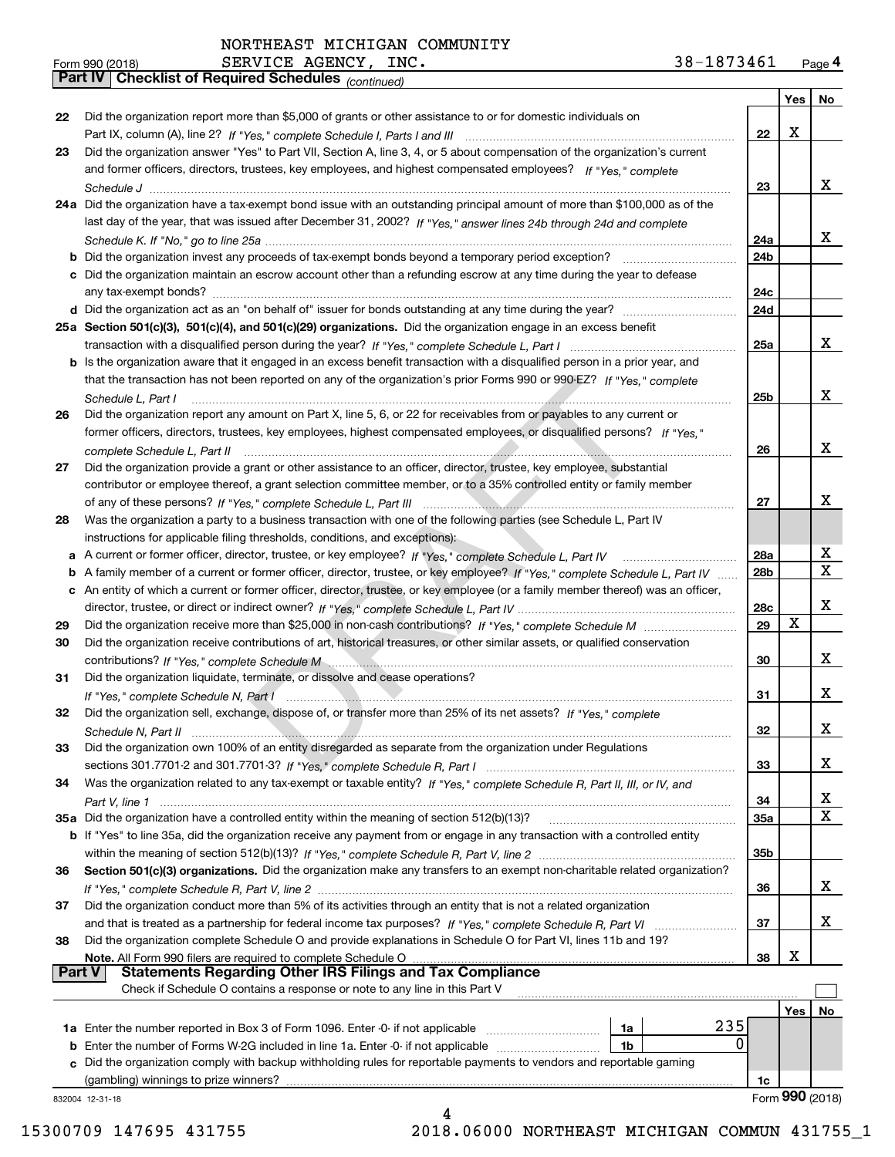*(continued)*

|    |                                                                                                                                                    |                 | Yes | No              |
|----|----------------------------------------------------------------------------------------------------------------------------------------------------|-----------------|-----|-----------------|
| 22 | Did the organization report more than \$5,000 of grants or other assistance to or for domestic individuals on                                      |                 |     |                 |
|    |                                                                                                                                                    | 22              | X   |                 |
| 23 | Did the organization answer "Yes" to Part VII, Section A, line 3, 4, or 5 about compensation of the organization's current                         |                 |     |                 |
|    | and former officers, directors, trustees, key employees, and highest compensated employees? If "Yes," complete                                     |                 |     |                 |
|    |                                                                                                                                                    | 23              |     | X.              |
|    | 24a Did the organization have a tax-exempt bond issue with an outstanding principal amount of more than \$100,000 as of the                        |                 |     |                 |
|    | last day of the year, that was issued after December 31, 2002? If "Yes," answer lines 24b through 24d and complete                                 |                 |     |                 |
|    |                                                                                                                                                    | 24a             |     | x               |
|    | <b>b</b> Did the organization invest any proceeds of tax-exempt bonds beyond a temporary period exception?                                         | 24b             |     |                 |
|    | c Did the organization maintain an escrow account other than a refunding escrow at any time during the year to defease                             |                 |     |                 |
|    |                                                                                                                                                    | 24c             |     |                 |
|    |                                                                                                                                                    | 24d             |     |                 |
|    | 25a Section 501(c)(3), 501(c)(4), and 501(c)(29) organizations. Did the organization engage in an excess benefit                                   |                 |     |                 |
|    |                                                                                                                                                    |                 |     | x               |
|    |                                                                                                                                                    | 25a             |     |                 |
|    | b Is the organization aware that it engaged in an excess benefit transaction with a disqualified person in a prior year, and                       |                 |     |                 |
|    | that the transaction has not been reported on any of the organization's prior Forms 990 or 990-EZ? If "Yes," complete                              |                 |     |                 |
|    | Schedule L. Part I                                                                                                                                 | 25b             |     | x               |
| 26 | Did the organization report any amount on Part X, line 5, 6, or 22 for receivables from or payables to any current or                              |                 |     |                 |
|    | former officers, directors, trustees, key employees, highest compensated employees, or disqualified persons? If "Yes."                             |                 |     |                 |
|    |                                                                                                                                                    | 26              |     | x               |
| 27 | Did the organization provide a grant or other assistance to an officer, director, trustee, key employee, substantial                               |                 |     |                 |
|    | contributor or employee thereof, a grant selection committee member, or to a 35% controlled entity or family member                                |                 |     |                 |
|    |                                                                                                                                                    | 27              |     | х               |
| 28 | Was the organization a party to a business transaction with one of the following parties (see Schedule L, Part IV                                  |                 |     |                 |
|    | instructions for applicable filing thresholds, conditions, and exceptions):                                                                        |                 |     |                 |
|    | a A current or former officer, director, trustee, or key employee? If "Yes," complete Schedule L, Part IV                                          | 28a             |     | x               |
|    | b A family member of a current or former officer, director, trustee, or key employee? If "Yes," complete Schedule L, Part IV                       | 28 <sub>b</sub> |     | X               |
|    | c An entity of which a current or former officer, director, trustee, or key employee (or a family member thereof) was an officer,                  |                 |     |                 |
|    |                                                                                                                                                    | 28c             |     | x               |
| 29 |                                                                                                                                                    | 29              | X   |                 |
| 30 | Did the organization receive contributions of art, historical treasures, or other similar assets, or qualified conservation                        |                 |     |                 |
|    |                                                                                                                                                    | 30              |     | x               |
| 31 | Did the organization liquidate, terminate, or dissolve and cease operations?                                                                       |                 |     |                 |
|    |                                                                                                                                                    | 31              |     | x               |
| 32 | Did the organization sell, exchange, dispose of, or transfer more than 25% of its net assets? If "Yes," complete                                   |                 |     |                 |
|    |                                                                                                                                                    | 32              |     | x               |
| 33 | Did the organization own 100% of an entity disregarded as separate from the organization under Regulations                                         |                 |     |                 |
|    |                                                                                                                                                    | 33              |     | x               |
| 34 | Was the organization related to any tax-exempt or taxable entity? If "Yes," complete Schedule R, Part II, III, or IV, and                          |                 |     |                 |
|    |                                                                                                                                                    | 34              |     | x               |
|    | 35a Did the organization have a controlled entity within the meaning of section 512(b)(13)?                                                        | <b>35a</b>      |     | X               |
|    | <b>b</b> If "Yes" to line 35a, did the organization receive any payment from or engage in any transaction with a controlled entity                 |                 |     |                 |
|    |                                                                                                                                                    | 35 <sub>b</sub> |     |                 |
| 36 | Section 501(c)(3) organizations. Did the organization make any transfers to an exempt non-charitable related organization?                         |                 |     |                 |
|    |                                                                                                                                                    |                 |     | X.              |
|    | Did the organization conduct more than 5% of its activities through an entity that is not a related organization                                   | 36              |     |                 |
| 37 |                                                                                                                                                    |                 |     | x               |
|    |                                                                                                                                                    | 37              |     |                 |
| 38 | Did the organization complete Schedule O and provide explanations in Schedule O for Part VI, lines 11b and 19?                                     |                 | X   |                 |
|    | Note. All Form 990 filers are required to complete Schedule O<br><b>Statements Regarding Other IRS Filings and Tax Compliance</b><br><b>Part V</b> | 38              |     |                 |
|    | Check if Schedule O contains a response or note to any line in this Part V                                                                         |                 |     |                 |
|    |                                                                                                                                                    |                 |     |                 |
|    | 235                                                                                                                                                |                 | Yes | No.             |
|    | <b>1a</b> Enter the number reported in Box 3 of Form 1096. Enter -0- if not applicable <i>manumumumum</i><br>1a<br>0                               |                 |     |                 |
|    | 1b                                                                                                                                                 |                 |     |                 |
|    | c Did the organization comply with backup withholding rules for reportable payments to vendors and reportable gaming                               |                 |     |                 |
|    | (gambling) winnings to prize winners?                                                                                                              | 1c              |     |                 |
|    | 832004 12-31-18                                                                                                                                    |                 |     | Form 990 (2018) |
|    | 4                                                                                                                                                  |                 |     |                 |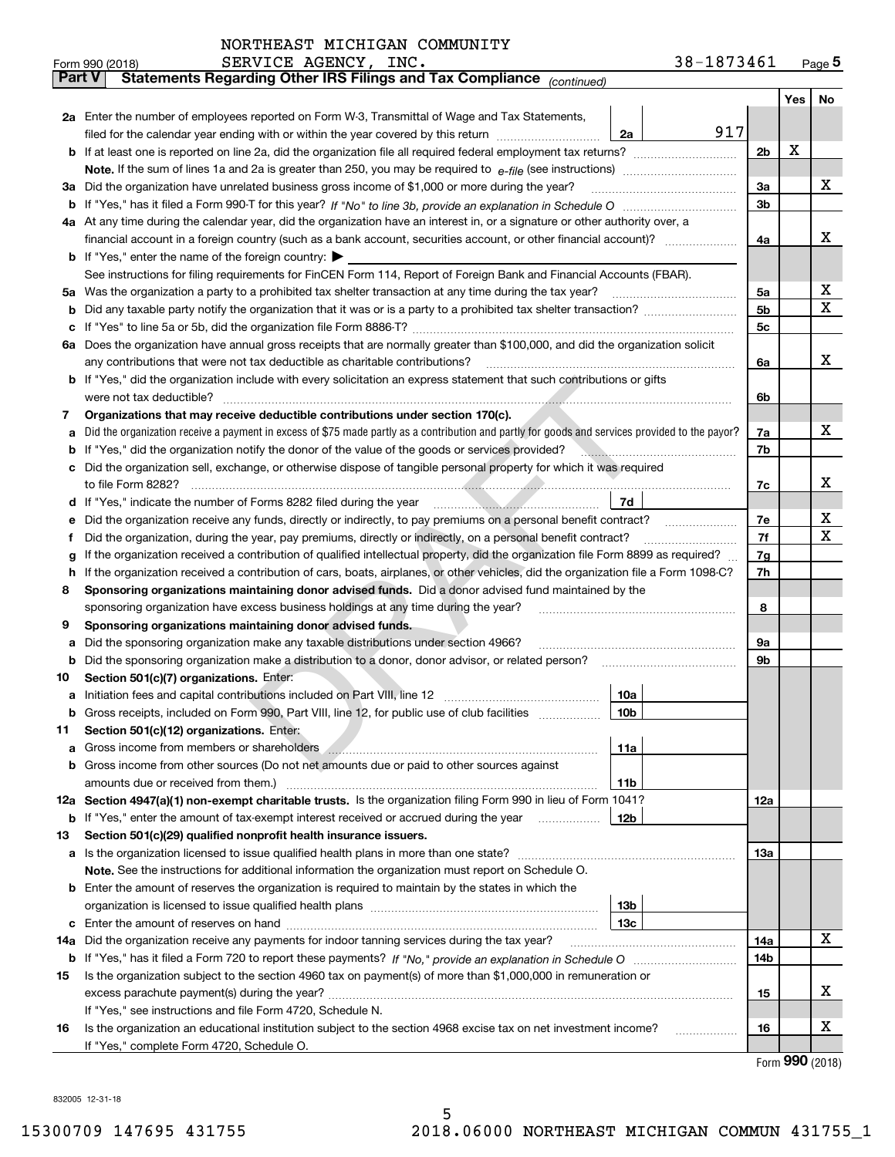| NORTHEAST MICHIGAN COMMUNITY |  |
|------------------------------|--|
|------------------------------|--|

|               | SERVICE AGENCY, INC.<br>38-1873461<br>Form 990 (2018)                                                                                                                                                                                |                |     | $Page$ <sup>5</sup> |
|---------------|--------------------------------------------------------------------------------------------------------------------------------------------------------------------------------------------------------------------------------------|----------------|-----|---------------------|
| <b>Part V</b> | Statements Regarding Other IRS Filings and Tax Compliance (continued)                                                                                                                                                                |                |     |                     |
|               |                                                                                                                                                                                                                                      |                | Yes | No                  |
|               | 2a Enter the number of employees reported on Form W-3, Transmittal of Wage and Tax Statements,                                                                                                                                       |                |     |                     |
|               | 917<br>filed for the calendar year ending with or within the year covered by this return<br>2a                                                                                                                                       |                |     |                     |
|               |                                                                                                                                                                                                                                      | 2 <sub>b</sub> | х   |                     |
|               |                                                                                                                                                                                                                                      |                |     |                     |
|               | 3a Did the organization have unrelated business gross income of \$1,000 or more during the year?                                                                                                                                     | 3a             |     | х                   |
|               |                                                                                                                                                                                                                                      | 3b             |     |                     |
|               | 4a At any time during the calendar year, did the organization have an interest in, or a signature or other authority over, a                                                                                                         |                |     |                     |
|               |                                                                                                                                                                                                                                      | 4a             |     | х                   |
|               | <b>b</b> If "Yes," enter the name of the foreign country: $\blacktriangleright$                                                                                                                                                      |                |     |                     |
|               | See instructions for filing requirements for FinCEN Form 114, Report of Foreign Bank and Financial Accounts (FBAR).                                                                                                                  |                |     |                     |
|               | 5a Was the organization a party to a prohibited tax shelter transaction at any time during the tax year?                                                                                                                             | 5a             |     | x                   |
| b             |                                                                                                                                                                                                                                      | 5b             |     | X                   |
| c             |                                                                                                                                                                                                                                      | 5c             |     |                     |
|               | 6a Does the organization have annual gross receipts that are normally greater than \$100,000, and did the organization solicit                                                                                                       |                |     |                     |
|               | any contributions that were not tax deductible as charitable contributions?                                                                                                                                                          | 6a             |     | x                   |
|               | <b>b</b> If "Yes," did the organization include with every solicitation an express statement that such contributions or gifts                                                                                                        |                |     |                     |
|               | were not tax deductible?                                                                                                                                                                                                             | 6b             |     |                     |
| 7             | Organizations that may receive deductible contributions under section 170(c).                                                                                                                                                        |                |     |                     |
| а             | Did the organization receive a payment in excess of \$75 made partly as a contribution and partly for goods and services provided to the payor?                                                                                      | 7a             |     | х                   |
|               | <b>b</b> If "Yes," did the organization notify the donor of the value of the goods or services provided?                                                                                                                             | 7b             |     |                     |
|               | c Did the organization sell, exchange, or otherwise dispose of tangible personal property for which it was required                                                                                                                  |                |     |                     |
|               |                                                                                                                                                                                                                                      | 7c             |     | х                   |
|               | 7d                                                                                                                                                                                                                                   |                |     |                     |
| е             | Did the organization receive any funds, directly or indirectly, to pay premiums on a personal benefit contract?                                                                                                                      | 7е             |     | х                   |
| f             | Did the organization, during the year, pay premiums, directly or indirectly, on a personal benefit contract?                                                                                                                         | 7f             |     | х                   |
| g             | If the organization received a contribution of qualified intellectual property, did the organization file Form 8899 as required?                                                                                                     | 7g             |     |                     |
| h.            | If the organization received a contribution of cars, boats, airplanes, or other vehicles, did the organization file a Form 1098-C?                                                                                                   | 7h             |     |                     |
| 8             | Sponsoring organizations maintaining donor advised funds. Did a donor advised fund maintained by the                                                                                                                                 |                |     |                     |
|               | sponsoring organization have excess business holdings at any time during the year?                                                                                                                                                   | 8              |     |                     |
| 9             | Sponsoring organizations maintaining donor advised funds.                                                                                                                                                                            |                |     |                     |
| а             | Did the sponsoring organization make any taxable distributions under section 4966?                                                                                                                                                   | 9а             |     |                     |
| b             | Did the sponsoring organization make a distribution to a donor, donor advisor, or related person?                                                                                                                                    | 9b             |     |                     |
| 10            | Section 501(c)(7) organizations. Enter:                                                                                                                                                                                              |                |     |                     |
|               | 10a                                                                                                                                                                                                                                  |                |     |                     |
|               | 10b <br>Gross receipts, included on Form 990, Part VIII, line 12, for public use of club facilities                                                                                                                                  |                |     |                     |
| 11            | Section 501(c)(12) organizations. Enter:                                                                                                                                                                                             |                |     |                     |
| a             | Gross income from members or shareholders Anthrodynamia and the control of the state of the state of the state of the state of the state of the state of the state of the state of the state of the state of the state of the<br>11a |                |     |                     |
|               | b Gross income from other sources (Do not net amounts due or paid to other sources against                                                                                                                                           |                |     |                     |
|               | 11b<br>12a Section 4947(a)(1) non-exempt charitable trusts. Is the organization filing Form 990 in lieu of Form 1041?                                                                                                                |                |     |                     |
|               |                                                                                                                                                                                                                                      | 12a            |     |                     |
|               | 12b<br><b>b</b> If "Yes," enter the amount of tax-exempt interest received or accrued during the year                                                                                                                                |                |     |                     |
| 13            | Section 501(c)(29) qualified nonprofit health insurance issuers.                                                                                                                                                                     | 13а            |     |                     |
| a             | Is the organization licensed to issue qualified health plans in more than one state?<br>Note. See the instructions for additional information the organization must report on Schedule O.                                            |                |     |                     |
|               | <b>b</b> Enter the amount of reserves the organization is required to maintain by the states in which the                                                                                                                            |                |     |                     |
|               | 13b                                                                                                                                                                                                                                  |                |     |                     |
|               | 13с                                                                                                                                                                                                                                  |                |     |                     |
|               | 14a Did the organization receive any payments for indoor tanning services during the tax year?                                                                                                                                       | 14a            |     | х                   |
|               |                                                                                                                                                                                                                                      | 14b            |     |                     |
| 15            | Is the organization subject to the section 4960 tax on payment(s) of more than \$1,000,000 in remuneration or                                                                                                                        |                |     |                     |
|               |                                                                                                                                                                                                                                      | 15             |     | x                   |
|               | If "Yes," see instructions and file Form 4720, Schedule N.                                                                                                                                                                           |                |     |                     |
| 16            | Is the organization an educational institution subject to the section 4968 excise tax on net investment income?                                                                                                                      | 16             |     | X                   |
|               | If "Yes," complete Form 4720, Schedule O.                                                                                                                                                                                            |                |     |                     |
|               |                                                                                                                                                                                                                                      |                |     |                     |

Form (2018) **990**

832005 12-31-18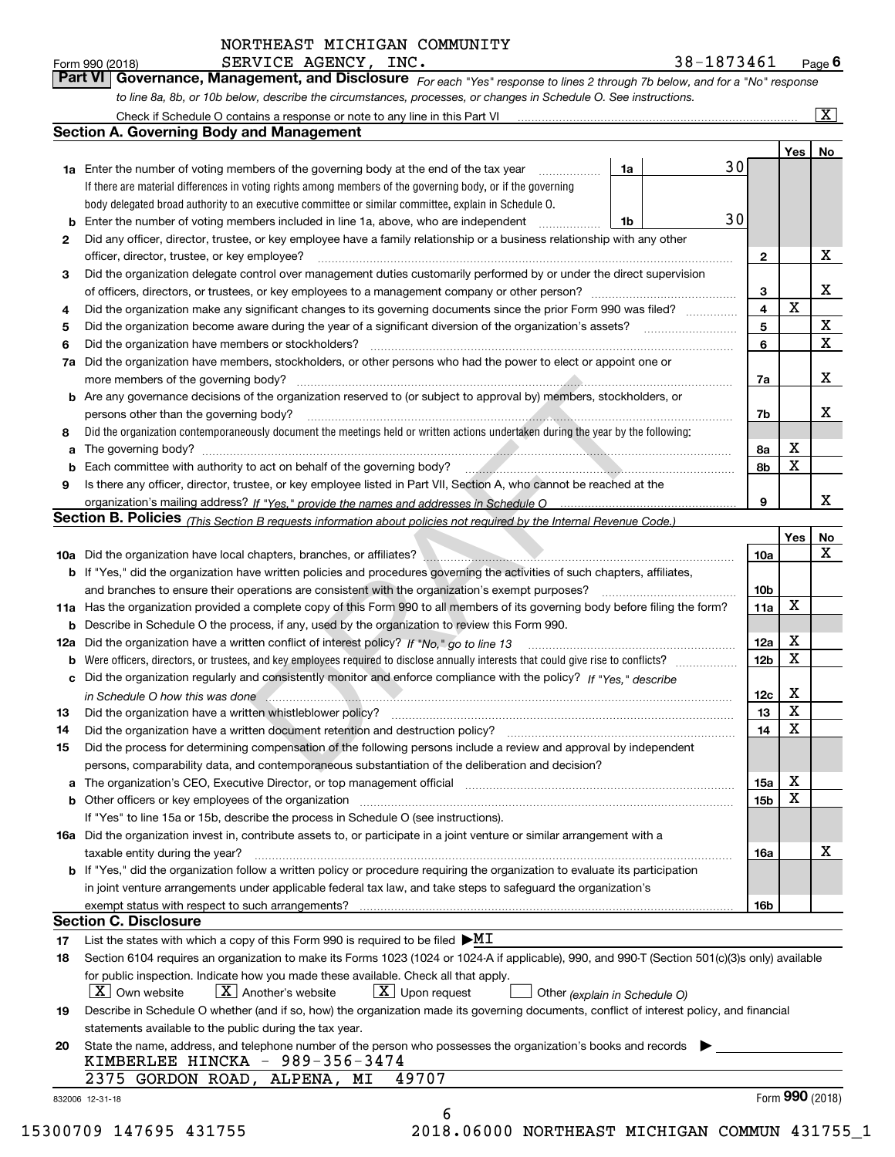*For each "Yes" response to lines 2 through 7b below, and for a "No" response to line 8a, 8b, or 10b below, describe the circumstances, processes, or changes in Schedule O. See instructions.* Form 990 (2018) **COMBING BERVICE AGENCY, INC.** The Section of the Same of the Same of Section of Section of the S<br>**Part VI Governance, Management, and Disclosure** For each "Yes" response to lines 2 through 7b below, and

|     | Check if Schedule O contains a response or note to any line in this Part VI                                                                                                                                                    |    |    |                         |        | $\mathbf{x}$    |
|-----|--------------------------------------------------------------------------------------------------------------------------------------------------------------------------------------------------------------------------------|----|----|-------------------------|--------|-----------------|
|     | <b>Section A. Governing Body and Management</b>                                                                                                                                                                                |    |    |                         |        |                 |
|     |                                                                                                                                                                                                                                |    |    |                         | Yes    | No              |
|     | <b>1a</b> Enter the number of voting members of the governing body at the end of the tax year                                                                                                                                  | 1a | 30 |                         |        |                 |
|     | If there are material differences in voting rights among members of the governing body, or if the governing                                                                                                                    |    |    |                         |        |                 |
|     | body delegated broad authority to an executive committee or similar committee, explain in Schedule O.                                                                                                                          |    |    |                         |        |                 |
| b   | Enter the number of voting members included in line 1a, above, who are independent                                                                                                                                             | 1b | 30 |                         |        |                 |
| 2   | Did any officer, director, trustee, or key employee have a family relationship or a business relationship with any other                                                                                                       |    |    |                         |        |                 |
|     | officer, director, trustee, or key employee?                                                                                                                                                                                   |    |    | 2                       |        | X               |
| 3   | Did the organization delegate control over management duties customarily performed by or under the direct supervision                                                                                                          |    |    |                         |        |                 |
|     |                                                                                                                                                                                                                                |    |    | 3                       |        | x               |
| 4   | Did the organization make any significant changes to its governing documents since the prior Form 990 was filed?                                                                                                               |    |    | $\overline{\mathbf{4}}$ | X      |                 |
| 5   |                                                                                                                                                                                                                                |    |    | 5                       |        | X               |
| 6   | Did the organization have members or stockholders?                                                                                                                                                                             |    |    | 6                       |        | $\mathbf x$     |
| 7a  | Did the organization have members, stockholders, or other persons who had the power to elect or appoint one or                                                                                                                 |    |    |                         |        |                 |
|     | more members of the governing body?                                                                                                                                                                                            |    |    | 7a                      |        | x               |
|     | <b>b</b> Are any governance decisions of the organization reserved to (or subject to approval by) members, stockholders, or                                                                                                    |    |    |                         |        |                 |
|     |                                                                                                                                                                                                                                |    |    |                         |        | х               |
|     | persons other than the governing body?                                                                                                                                                                                         |    |    | 7b                      |        |                 |
| 8   | Did the organization contemporaneously document the meetings held or written actions undertaken during the year by the following:                                                                                              |    |    |                         |        |                 |
| a   | The governing body?                                                                                                                                                                                                            |    |    | 8a                      | х<br>X |                 |
| b   |                                                                                                                                                                                                                                |    |    | 8b                      |        |                 |
| 9   | Is there any officer, director, trustee, or key employee listed in Part VII, Section A, who cannot be reached at the                                                                                                           |    |    |                         |        |                 |
|     |                                                                                                                                                                                                                                |    |    | 9                       |        | x               |
|     | <b>Section B. Policies</b> (This Section B requests information about policies not required by the Internal Revenue Code.)                                                                                                     |    |    |                         |        |                 |
|     |                                                                                                                                                                                                                                |    |    |                         | Yes    | No              |
|     |                                                                                                                                                                                                                                |    |    | 10a                     |        | x               |
|     | <b>b</b> If "Yes," did the organization have written policies and procedures governing the activities of such chapters, affiliates,                                                                                            |    |    |                         |        |                 |
|     | and branches to ensure their operations are consistent with the organization's exempt purposes?                                                                                                                                |    |    | 10 <sub>b</sub>         |        |                 |
|     | 11a Has the organization provided a complete copy of this Form 990 to all members of its governing body before filing the form?                                                                                                |    |    | 11a                     | X      |                 |
| b   | Describe in Schedule O the process, if any, used by the organization to review this Form 990.                                                                                                                                  |    |    |                         |        |                 |
| 12a | Did the organization have a written conflict of interest policy? If "No," go to line 13                                                                                                                                        |    |    | 12a                     | X      |                 |
| b   |                                                                                                                                                                                                                                |    |    | 12 <sub>b</sub>         | X      |                 |
| с   | Did the organization regularly and consistently monitor and enforce compliance with the policy? If "Yes," describe                                                                                                             |    |    |                         |        |                 |
|     | in Schedule O how this was done<br>the contract of the contract of the contract of the contract of the contract of the contract of the contract of                                                                             |    |    | 12c                     | х      |                 |
| 13  | Did the organization have a written whistleblower policy?                                                                                                                                                                      |    |    | 13                      | X      |                 |
| 14  | Did the organization have a written document retention and destruction policy?                                                                                                                                                 |    |    | 14                      | X      |                 |
| 15  | Did the process for determining compensation of the following persons include a review and approval by independent                                                                                                             |    |    |                         |        |                 |
|     | persons, comparability data, and contemporaneous substantiation of the deliberation and decision?                                                                                                                              |    |    |                         |        |                 |
| a   | The organization's CEO, Executive Director, or top management official manufactured content of the organization's CEO, Executive Director, or top management official                                                          |    |    | 15a                     | Χ      |                 |
|     | b Other officers or key employees of the organization manufactured content to content of the organization manufactured content of the organization manufactured content of the organization manufactured content of the organi |    |    | 15b                     | x      |                 |
|     | If "Yes" to line 15a or 15b, describe the process in Schedule O (see instructions).                                                                                                                                            |    |    |                         |        |                 |
|     | 16a Did the organization invest in, contribute assets to, or participate in a joint venture or similar arrangement with a                                                                                                      |    |    |                         |        |                 |
|     | taxable entity during the year?                                                                                                                                                                                                |    |    | 16a                     |        | X               |
|     | b If "Yes," did the organization follow a written policy or procedure requiring the organization to evaluate its participation                                                                                                 |    |    |                         |        |                 |
|     | in joint venture arrangements under applicable federal tax law, and take steps to safequard the organization's                                                                                                                 |    |    |                         |        |                 |
|     | exempt status with respect to such arrangements?                                                                                                                                                                               |    |    | 16b                     |        |                 |
|     | Section C. Disclosure                                                                                                                                                                                                          |    |    |                         |        |                 |
| 17  | List the states with which a copy of this Form 990 is required to be filed $\blacktriangleright\text{MI}$                                                                                                                      |    |    |                         |        |                 |
| 18  | Section 6104 requires an organization to make its Forms 1023 (1024 or 1024-A if applicable), 990, and 990-T (Section 501(c)(3)s only) available                                                                                |    |    |                         |        |                 |
|     | for public inspection. Indicate how you made these available. Check all that apply.                                                                                                                                            |    |    |                         |        |                 |
|     | $X$ Own website<br>$X$ Another's website<br>$X$ Upon request                                                                                                                                                                   |    |    |                         |        |                 |
|     | Other (explain in Schedule O)                                                                                                                                                                                                  |    |    |                         |        |                 |
| 19  | Describe in Schedule O whether (and if so, how) the organization made its governing documents, conflict of interest policy, and financial                                                                                      |    |    |                         |        |                 |
|     | statements available to the public during the tax year.                                                                                                                                                                        |    |    |                         |        |                 |
| 20  | State the name, address, and telephone number of the person who possesses the organization's books and records                                                                                                                 |    |    |                         |        |                 |
|     | KIMBERLEE HINCKA - 989-356-3474                                                                                                                                                                                                |    |    |                         |        |                 |
|     | 49707<br>2375 GORDON ROAD, ALPENA, MI                                                                                                                                                                                          |    |    |                         |        |                 |
|     | 832006 12-31-18                                                                                                                                                                                                                |    |    |                         |        | Form 990 (2018) |
|     | 6                                                                                                                                                                                                                              |    |    |                         |        |                 |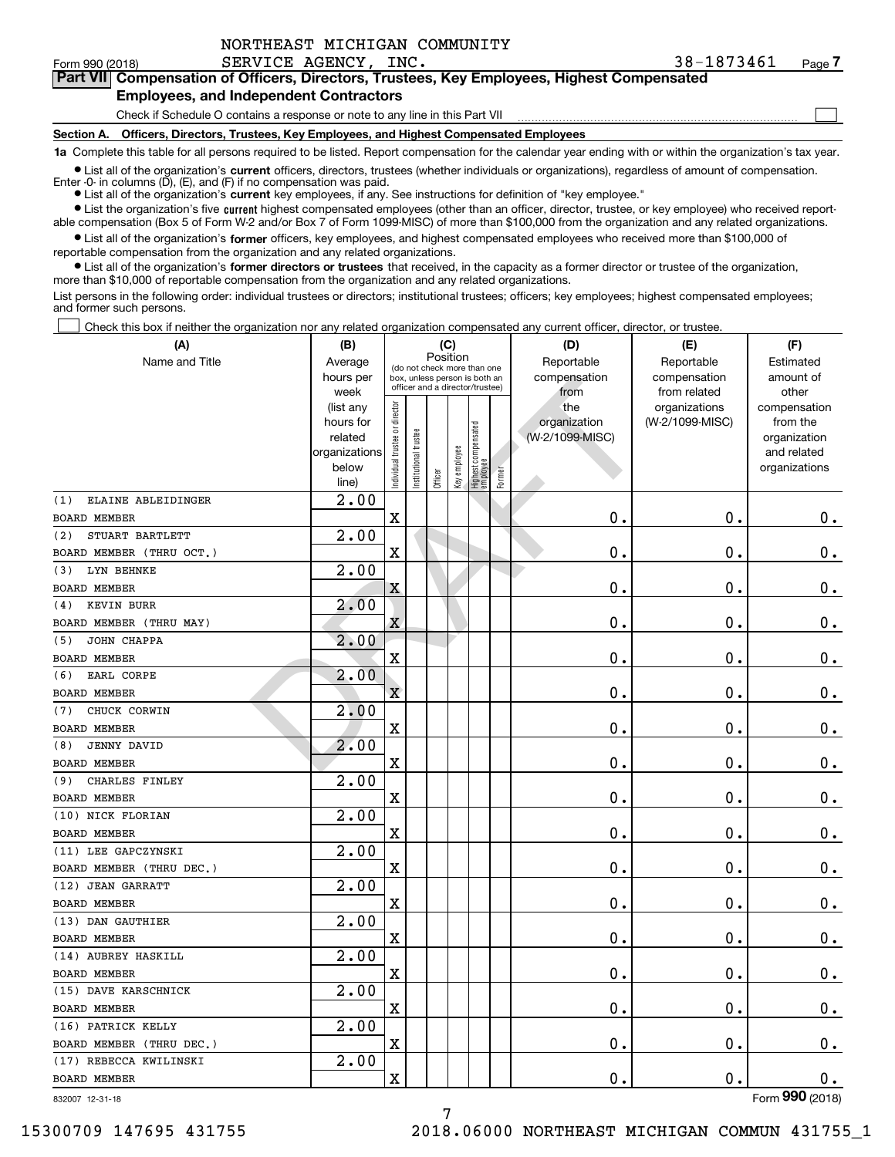$\mathcal{L}^{\text{max}}$ 

| Form 990 (2018) |                                                                                            | SERVICE AGENCY, INC. |  | 38-1873461 | Page / |
|-----------------|--------------------------------------------------------------------------------------------|----------------------|--|------------|--------|
|                 | Part VII Compensation of Officers, Directors, Trustees, Key Employees, Highest Compensated |                      |  |            |        |
|                 | <b>Employees, and Independent Contractors</b>                                              |                      |  |            |        |

## Check if Schedule O contains a response or note to any line in this Part VII

**Section A. Officers, Directors, Trustees, Key Employees, and Highest Compensated Employees**

**1a**  Complete this table for all persons required to be listed. Report compensation for the calendar year ending with or within the organization's tax year.

**•** List all of the organization's current officers, directors, trustees (whether individuals or organizations), regardless of amount of compensation. Enter -0- in columns  $(D)$ ,  $(E)$ , and  $(F)$  if no compensation was paid.

● List all of the organization's **current** key employees, if any. See instructions for definition of "key employee."

**•** List the organization's five current highest compensated employees (other than an officer, director, trustee, or key employee) who received report-<br>compensation (Box 5 of Form W-2 and/or Box 7 of Form 1099-MISC) of mor able compensation (Box 5 of Form W-2 and/or Box 7 of Form 1099-MISC) of more than \$100,000 from the organization and any related organizations.

 $\bullet$  List all of the organization's **former** officers, key employees, and highest compensated employees who received more than \$100,000 of reportable compensation from the organization and any related organizations.

**•** List all of the organization's former directors or trustees that received, in the capacity as a former director or trustee of the organization, more than \$10,000 of reportable compensation from the organization and any related organizations.

List persons in the following order: individual trustees or directors; institutional trustees; officers; key employees; highest compensated employees; and former such persons.

Check this box if neither the organization nor any related organization compensated any current officer, director, or trustee.  $\mathcal{L}^{\text{max}}$ 

| (A)                       | (C)<br>(B)<br>Position |                         |                      |                                                                  |              |                                   |        | (D)             | (E)                              | (F)                      |
|---------------------------|------------------------|-------------------------|----------------------|------------------------------------------------------------------|--------------|-----------------------------------|--------|-----------------|----------------------------------|--------------------------|
| Name and Title            | Average                |                         |                      | (do not check more than one                                      |              |                                   |        | Reportable      | Reportable                       | Estimated                |
|                           | hours per              |                         |                      | box, unless person is both an<br>officer and a director/trustee) |              |                                   |        | compensation    | compensation                     | amount of                |
|                           | week                   |                         |                      |                                                                  |              |                                   |        | from<br>the     | from related                     | other                    |
|                           | (list any<br>hours for |                         |                      |                                                                  |              |                                   |        | organization    | organizations<br>(W-2/1099-MISC) | compensation<br>from the |
|                           | related                |                         |                      |                                                                  |              |                                   |        | (W-2/1099-MISC) |                                  | organization             |
|                           | organizations          | trustee or director     |                      |                                                                  |              |                                   |        |                 |                                  | and related              |
|                           | below                  | ndividual               | nstitutional trustee |                                                                  | Key employee |                                   |        |                 |                                  | organizations            |
|                           | line)                  |                         |                      | Officer                                                          |              | Highest compensated<br>  employee | Former |                 |                                  |                          |
| ELAINE ABLEIDINGER<br>(1) | 2.00                   |                         |                      |                                                                  |              |                                   |        |                 |                                  |                          |
| <b>BOARD MEMBER</b>       |                        | $\mathbf X$             |                      |                                                                  |              |                                   |        | 0.              | $\mathbf 0$ .                    | $\mathbf 0$ .            |
| STUART BARTLETT<br>(2)    | 2.00                   |                         |                      |                                                                  |              |                                   |        |                 |                                  |                          |
| BOARD MEMBER (THRU OCT.)  |                        | $\mathbf X$             |                      |                                                                  |              |                                   |        | $\mathbf 0$ .   | 0.                               | $\mathbf 0$ .            |
| LYN BEHNKE<br>(3)         | 2.00                   |                         |                      |                                                                  |              |                                   |        |                 |                                  |                          |
| <b>BOARD MEMBER</b>       |                        | $\mathbf X$             |                      |                                                                  |              |                                   |        | 0.              | $\mathbf 0$ .                    | $\mathbf 0$ .            |
| <b>KEVIN BURR</b><br>(4)  | $\overline{2.00}$      |                         |                      |                                                                  |              |                                   |        |                 |                                  |                          |
| BOARD MEMBER (THRU MAY)   |                        | $\mathbf X$             |                      |                                                                  |              |                                   |        | 0.              | $\mathbf 0$ .                    | $\mathbf 0$ .            |
| JOHN CHAPPA<br>(5)        | 2.00                   |                         |                      |                                                                  |              |                                   |        |                 |                                  |                          |
| <b>BOARD MEMBER</b>       |                        | $\mathbf X$             |                      |                                                                  |              |                                   |        | $\mathbf 0$ .   | $\mathbf 0$ .                    | $\mathbf 0$ .            |
| EARL CORPE<br>(6)         | 2.00                   |                         |                      |                                                                  |              |                                   |        |                 |                                  |                          |
| <b>BOARD MEMBER</b>       |                        | $\mathbf X$             |                      |                                                                  |              |                                   |        | $0$ .           | $\mathbf 0$ .                    | $\mathbf 0$ .            |
| CHUCK CORWIN<br>(7)       | 2.00                   |                         |                      |                                                                  |              |                                   |        |                 |                                  |                          |
| <b>BOARD MEMBER</b>       |                        | $\mathbf X$             |                      |                                                                  |              |                                   |        | $\mathbf 0$ .   | $\mathbf 0$ .                    | $0$ .                    |
| <b>JENNY DAVID</b><br>(8) | 2.00                   |                         |                      |                                                                  |              |                                   |        |                 |                                  |                          |
| <b>BOARD MEMBER</b>       |                        | $\mathbf X$             |                      |                                                                  |              |                                   |        | 0.              | $\mathbf 0$ .                    | $\mathbf 0$ .            |
| CHARLES FINLEY<br>(9)     | 2.00                   |                         |                      |                                                                  |              |                                   |        |                 |                                  |                          |
| <b>BOARD MEMBER</b>       |                        | $\mathbf X$             |                      |                                                                  |              |                                   |        | $\mathbf 0$ .   | $\mathbf 0$ .                    | $\mathbf 0$ .            |
| (10) NICK FLORIAN         | 2.00                   |                         |                      |                                                                  |              |                                   |        |                 |                                  |                          |
| <b>BOARD MEMBER</b>       |                        | X                       |                      |                                                                  |              |                                   |        | $\mathbf 0$ .   | $\mathbf 0$ .                    | $\mathbf 0$ .            |
| (11) LEE GAPCZYNSKI       | 2.00                   |                         |                      |                                                                  |              |                                   |        |                 |                                  |                          |
| BOARD MEMBER (THRU DEC.)  |                        | $\mathbf X$             |                      |                                                                  |              |                                   |        | $\mathbf 0$ .   | $\mathbf 0$ .                    | 0.                       |
| (12) JEAN GARRATT         | 2.00                   |                         |                      |                                                                  |              |                                   |        |                 |                                  |                          |
| <b>BOARD MEMBER</b>       |                        | $\overline{\textbf{X}}$ |                      |                                                                  |              |                                   |        | $\mathbf 0$ .   | $\mathbf 0$ .                    | $0_{.}$                  |
| (13) DAN GAUTHIER         | $\overline{2.00}$      |                         |                      |                                                                  |              |                                   |        |                 |                                  |                          |
| <b>BOARD MEMBER</b>       |                        | $\mathbf X$             |                      |                                                                  |              |                                   |        | $\mathbf 0$ .   | $\mathbf 0$ .                    | $\mathbf 0$ .            |
| (14) AUBREY HASKILL       | 2.00                   |                         |                      |                                                                  |              |                                   |        |                 |                                  |                          |
| <b>BOARD MEMBER</b>       |                        | X                       |                      |                                                                  |              |                                   |        | 0.              | $\mathbf 0$ .                    | $\mathbf 0$ .            |
| (15) DAVE KARSCHNICK      | 2.00                   |                         |                      |                                                                  |              |                                   |        |                 |                                  |                          |
| <b>BOARD MEMBER</b>       |                        | $\mathbf X$             |                      |                                                                  |              |                                   |        | 0.              | 0.                               | $\mathbf 0$ .            |
| (16) PATRICK KELLY        | 2.00                   |                         |                      |                                                                  |              |                                   |        |                 |                                  |                          |
| BOARD MEMBER (THRU DEC.)  |                        | $\overline{\mathbf{X}}$ |                      |                                                                  |              |                                   |        | $\mathbf 0$ .   | $\mathbf 0$ .                    | $\mathbf 0$ .            |
| (17) REBECCA KWILINSKI    | 2.00                   |                         |                      |                                                                  |              |                                   |        |                 |                                  |                          |
| <b>BOARD MEMBER</b>       |                        | $\mathbf X$             |                      |                                                                  |              |                                   |        | 0.              | $\mathbf 0$ .                    | 0.                       |

832007 12-31-18

7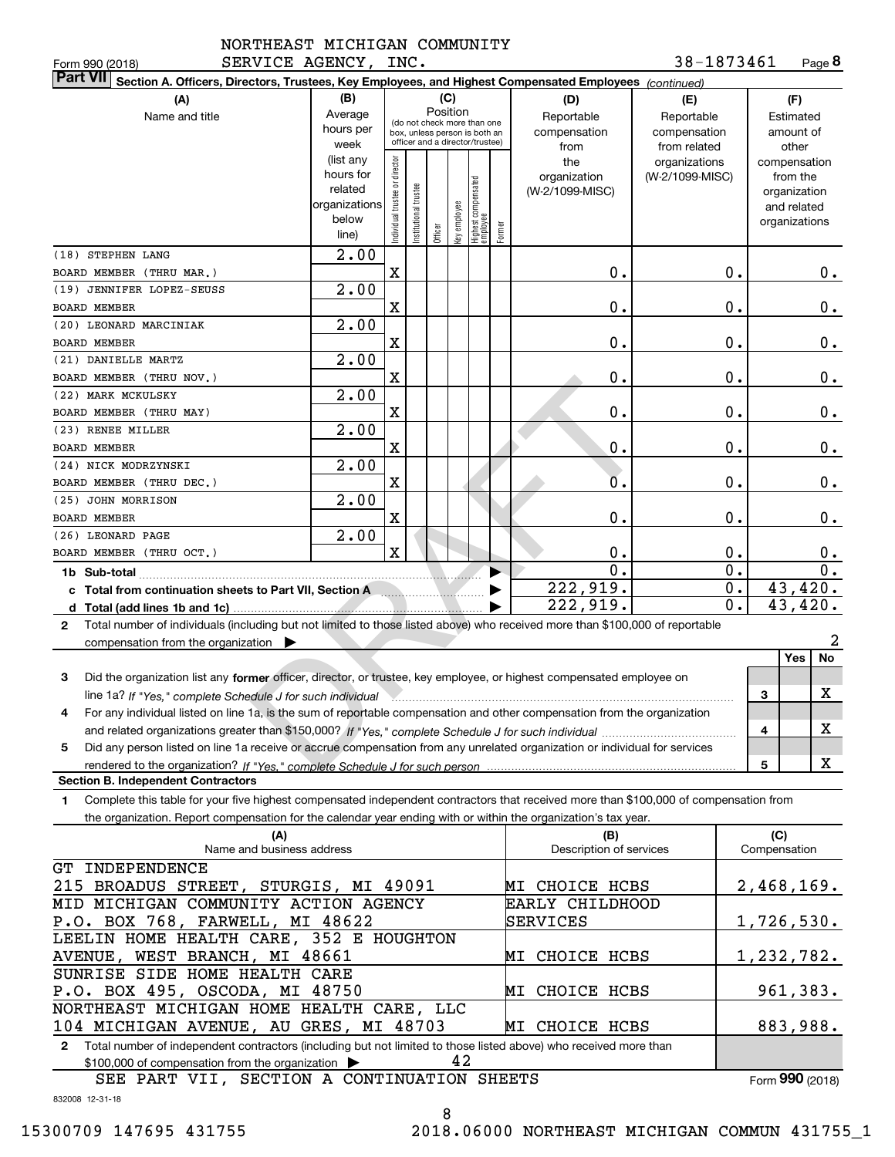| SERVICE AGENCY, INC.<br>Form 990 (2018)                                                                                                      |                   |                               |                                                              |          |     |                                                 |        |                         | 38-1873461      |                  |                   |               | Page 8 |
|----------------------------------------------------------------------------------------------------------------------------------------------|-------------------|-------------------------------|--------------------------------------------------------------|----------|-----|-------------------------------------------------|--------|-------------------------|-----------------|------------------|-------------------|---------------|--------|
| <b>Part VII</b><br>Section A. Officers, Directors, Trustees, Key Employees, and Highest Compensated Employees (continued)                    |                   |                               |                                                              |          |     |                                                 |        |                         |                 |                  |                   |               |        |
| (A)                                                                                                                                          | (B)               |                               |                                                              |          | (C) |                                                 |        | (D)                     | (E)             |                  |                   | (F)           |        |
| Name and title                                                                                                                               | Average           |                               |                                                              | Position |     |                                                 |        | Reportable              | Reportable      |                  |                   | Estimated     |        |
|                                                                                                                                              | hours per         |                               | (do not check more than one<br>box, unless person is both an |          |     |                                                 |        | compensation            | compensation    |                  |                   | amount of     |        |
|                                                                                                                                              | week              |                               | officer and a director/trustee)                              |          |     |                                                 |        | from                    | from related    |                  |                   | other         |        |
|                                                                                                                                              | (list any         |                               |                                                              |          |     |                                                 |        | the                     | organizations   |                  | compensation      |               |        |
|                                                                                                                                              | hours for         |                               |                                                              |          |     |                                                 |        | organization            | (W-2/1099-MISC) |                  |                   | from the      |        |
|                                                                                                                                              | related           |                               |                                                              |          |     |                                                 |        | (W-2/1099-MISC)         |                 |                  |                   | organization  |        |
|                                                                                                                                              | organizations     |                               |                                                              |          |     |                                                 |        |                         |                 |                  |                   | and related   |        |
|                                                                                                                                              | below             |                               |                                                              |          |     |                                                 |        |                         |                 |                  |                   | organizations |        |
|                                                                                                                                              | line)             | ndividual trustee or director | Institutional trustee                                        | Officer  |     | key employee<br>Highest compensated<br>employee | Former |                         |                 |                  |                   |               |        |
| (18) STEPHEN LANG                                                                                                                            | $\overline{2.00}$ |                               |                                                              |          |     |                                                 |        |                         |                 |                  |                   |               |        |
| BOARD MEMBER (THRU MAR.)                                                                                                                     |                   | X                             |                                                              |          |     |                                                 |        | 0.                      |                 | 0.               |                   |               | 0.     |
| (19) JENNIFER LOPEZ-SEUSS                                                                                                                    | 2.00              |                               |                                                              |          |     |                                                 |        |                         |                 |                  |                   |               |        |
| <b>BOARD MEMBER</b>                                                                                                                          |                   | X                             |                                                              |          |     |                                                 |        | 0.                      |                 | 0.               |                   |               | 0.     |
| (20) LEONARD MARCINIAK                                                                                                                       | 2.00              |                               |                                                              |          |     |                                                 |        |                         |                 |                  |                   |               |        |
| <b>BOARD MEMBER</b>                                                                                                                          |                   | X                             |                                                              |          |     |                                                 |        | 0.                      |                 | 0.               |                   |               | 0.     |
| (21) DANIELLE MARTZ                                                                                                                          |                   |                               |                                                              |          |     |                                                 |        |                         |                 |                  |                   |               |        |
|                                                                                                                                              | 2.00              |                               |                                                              |          |     |                                                 |        |                         |                 |                  |                   |               |        |
| BOARD MEMBER (THRU NOV.)                                                                                                                     |                   | X                             |                                                              |          |     |                                                 |        | 0.                      |                 | 0.               |                   |               | 0.     |
| (22) MARK MCKULSKY                                                                                                                           | 2.00              |                               |                                                              |          |     |                                                 |        |                         |                 |                  |                   |               |        |
| BOARD MEMBER (THRU MAY)                                                                                                                      |                   | X                             |                                                              |          |     |                                                 |        | 0.                      |                 | 0.               |                   |               | 0.     |
| (23) RENEE MILLER                                                                                                                            | 2.00              |                               |                                                              |          |     |                                                 |        |                         |                 |                  |                   |               |        |
| <b>BOARD MEMBER</b>                                                                                                                          |                   | X                             |                                                              |          |     |                                                 |        | 0.                      |                 | 0.               |                   |               | 0.     |
| (24) NICK MODRZYNSKI                                                                                                                         | 2.00              |                               |                                                              |          |     |                                                 |        |                         |                 |                  |                   |               |        |
| BOARD MEMBER (THRU DEC.)                                                                                                                     |                   | X                             |                                                              |          |     |                                                 |        | $\overline{0}$ .        |                 | 0.               |                   |               | 0.     |
| (25) JOHN MORRISON                                                                                                                           | 2.00              |                               |                                                              |          |     |                                                 |        |                         |                 |                  |                   |               |        |
| BOARD MEMBER                                                                                                                                 |                   | X                             |                                                              |          |     |                                                 |        | 0.                      |                 | 0.               |                   |               | 0.     |
| (26) LEONARD PAGE                                                                                                                            | 2.00              |                               |                                                              |          |     |                                                 |        |                         |                 |                  |                   |               |        |
| BOARD MEMBER (THRU OCT.)                                                                                                                     |                   | $\mathbf X$                   |                                                              |          |     |                                                 |        | 0.                      |                 | 0.               |                   |               | 0.     |
|                                                                                                                                              |                   |                               |                                                              |          |     |                                                 |        | $\overline{0}$ .        |                 | 0.               |                   |               | 0.     |
| 1b Sub-total                                                                                                                                 |                   |                               |                                                              |          |     |                                                 |        |                         |                 |                  |                   |               |        |
| c Total from continuation sheets to Part VII, Section A <b>Constitution</b> Contains a loss of                                               |                   |                               |                                                              |          |     |                                                 |        | 222,919.                |                 | $0$ .            |                   | 43, 420.      |        |
|                                                                                                                                              |                   |                               |                                                              |          |     |                                                 |        | 222,919.                |                 | $\overline{0}$ . |                   | 43,420.       |        |
| Total number of individuals (including but not limited to those listed above) who received more than \$100,000 of reportable<br>$\mathbf{2}$ |                   |                               |                                                              |          |     |                                                 |        |                         |                 |                  |                   |               |        |
| compensation from the organization $\blacktriangleright$                                                                                     |                   |                               |                                                              |          |     |                                                 |        |                         |                 |                  |                   |               | 2      |
|                                                                                                                                              |                   |                               |                                                              |          |     |                                                 |        |                         |                 |                  |                   | Yes           | No     |
| Did the organization list any former officer, director, or trustee, key employee, or highest compensated employee on<br>3                    |                   |                               |                                                              |          |     |                                                 |        |                         |                 |                  |                   |               |        |
|                                                                                                                                              |                   |                               |                                                              |          |     |                                                 |        |                         |                 |                  | 3                 |               | x      |
| For any individual listed on line 1a, is the sum of reportable compensation and other compensation from the organization                     |                   |                               |                                                              |          |     |                                                 |        |                         |                 |                  |                   |               |        |
|                                                                                                                                              |                   |                               |                                                              |          |     |                                                 |        |                         |                 |                  |                   |               | X      |
|                                                                                                                                              |                   |                               |                                                              |          |     |                                                 |        |                         |                 |                  | 4                 |               |        |
| Did any person listed on line 1a receive or accrue compensation from any unrelated organization or individual for services<br>5              |                   |                               |                                                              |          |     |                                                 |        |                         |                 |                  |                   |               |        |
|                                                                                                                                              |                   |                               |                                                              |          |     |                                                 |        |                         |                 |                  | 5                 |               | X      |
| <b>Section B. Independent Contractors</b>                                                                                                    |                   |                               |                                                              |          |     |                                                 |        |                         |                 |                  |                   |               |        |
| Complete this table for your five highest compensated independent contractors that received more than \$100,000 of compensation from<br>1.   |                   |                               |                                                              |          |     |                                                 |        |                         |                 |                  |                   |               |        |
| the organization. Report compensation for the calendar year ending with or within the organization's tax year.                               |                   |                               |                                                              |          |     |                                                 |        |                         |                 |                  |                   |               |        |
| (A)                                                                                                                                          |                   |                               |                                                              |          |     |                                                 |        | (B)                     |                 |                  | (C)               |               |        |
| Name and business address                                                                                                                    |                   |                               |                                                              |          |     |                                                 |        | Description of services |                 |                  | Compensation      |               |        |
| <b>GT INDEPENDENCE</b>                                                                                                                       |                   |                               |                                                              |          |     |                                                 |        |                         |                 |                  |                   |               |        |
| 215 BROADUS STREET, STURGIS, MI 49091                                                                                                        |                   |                               |                                                              |          |     |                                                 |        | MI CHOICE HCBS          |                 |                  | 2,468,169.        |               |        |
| MID MICHIGAN COMMUNITY ACTION AGENCY                                                                                                         |                   |                               |                                                              |          |     |                                                 |        | EARLY CHILDHOOD         |                 |                  |                   |               |        |
| P.O. BOX 768, FARWELL, MI 48622                                                                                                              |                   |                               |                                                              |          |     |                                                 |        | SERVICES                |                 |                  | <u>1,726,530.</u> |               |        |
| LEELIN HOME HEALTH CARE, 352 E HOUGHTON                                                                                                      |                   |                               |                                                              |          |     |                                                 |        |                         |                 |                  |                   |               |        |
| AVENUE, WEST BRANCH, MI 48661                                                                                                                |                   |                               |                                                              |          |     |                                                 |        | MI CHOICE HCBS          |                 |                  | <u>1,232,782.</u> |               |        |
| SUNRISE SIDE HOME HEALTH CARE                                                                                                                |                   |                               |                                                              |          |     |                                                 |        |                         |                 |                  |                   |               |        |
| P.O. BOX 495, OSCODA, MI 48750                                                                                                               |                   |                               |                                                              |          |     |                                                 |        | CHOICE HCBS<br>MI       |                 |                  | 961,383.          |               |        |
|                                                                                                                                              |                   |                               |                                                              |          |     |                                                 |        |                         |                 |                  |                   |               |        |
| NORTHEAST MICHIGAN HOME HEALTH CARE, LLC                                                                                                     |                   |                               |                                                              |          |     |                                                 |        |                         |                 |                  |                   |               |        |
| 104 MICHIGAN AVENUE, AU GRES, MI 48703                                                                                                       |                   |                               |                                                              |          |     |                                                 |        | MI CHOICE HCBS          |                 |                  | 883,988.          |               |        |

**2**Total number of independent contractors (including but not limited to those listed above) who received more than 42

<sup>832008 12-31-18</sup> \$100,000 of compensation from the organization <sup>|</sup> SEE PART VII, SECTION A CONTINUATION SHEETS Form (2018) **990**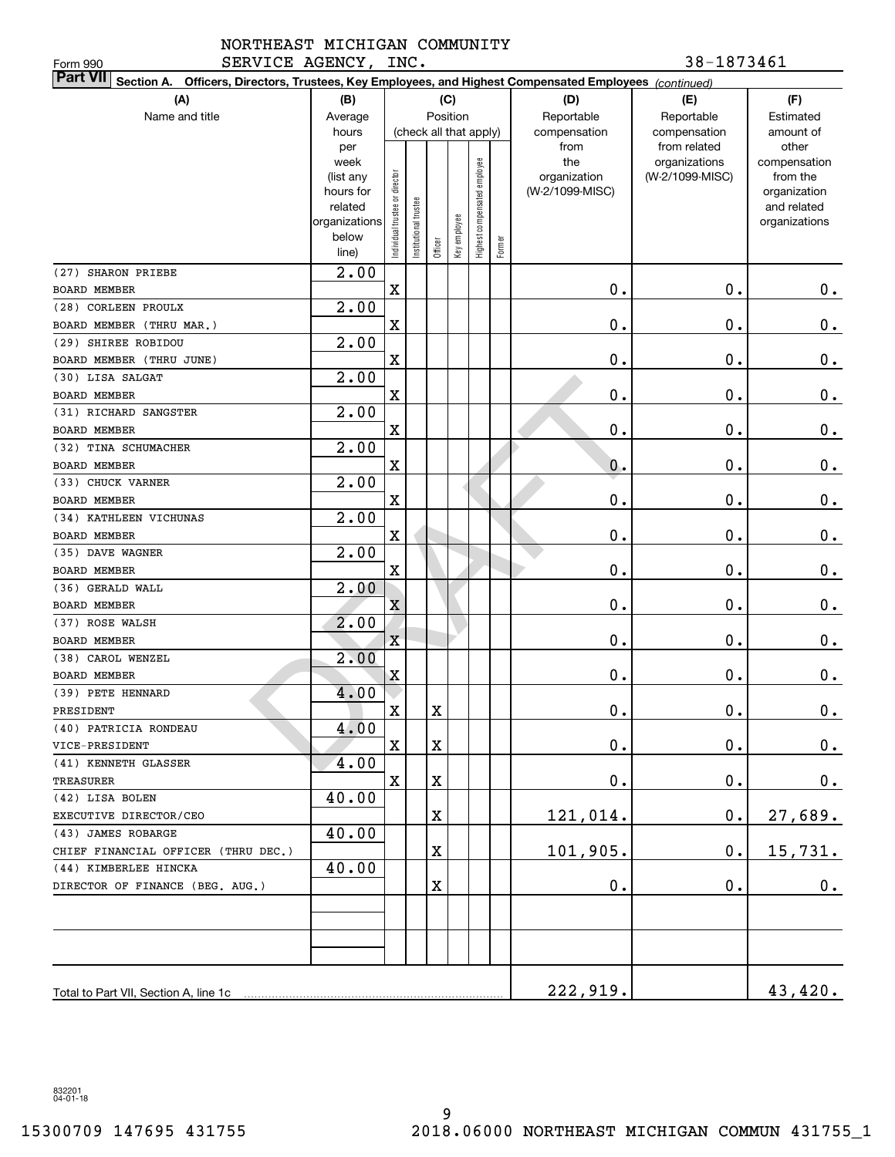SERVICE AGENCY, INC. 38-1873461

| SERVICE AGENCY, INC.<br>Form 990                                                                                          |                      |                               |                        |         |              |                              |        |                 | 38-1873461      |                             |
|---------------------------------------------------------------------------------------------------------------------------|----------------------|-------------------------------|------------------------|---------|--------------|------------------------------|--------|-----------------|-----------------|-----------------------------|
| <b>Part VII</b><br>Section A. Officers, Directors, Trustees, Key Employees, and Highest Compensated Employees (continued) |                      |                               |                        |         |              |                              |        |                 |                 |                             |
| (A)                                                                                                                       | (B)                  |                               |                        |         | (C)          |                              |        | (D)             | (E)             | (F)                         |
| Name and title                                                                                                            | Average              |                               |                        |         | Position     |                              |        | Reportable      | Reportable      | Estimated                   |
|                                                                                                                           | hours                |                               | (check all that apply) |         |              |                              |        | compensation    | compensation    | amount of                   |
|                                                                                                                           | per                  |                               |                        |         |              |                              |        | from            | from related    | other                       |
|                                                                                                                           | week                 |                               |                        |         |              |                              |        | the             | organizations   | compensation                |
|                                                                                                                           | (list any            |                               |                        |         |              |                              |        | organization    | (W-2/1099-MISC) | from the                    |
|                                                                                                                           | hours for<br>related |                               |                        |         |              |                              |        | (W-2/1099-MISC) |                 | organization<br>and related |
|                                                                                                                           | organizations        |                               |                        |         |              |                              |        |                 |                 | organizations               |
|                                                                                                                           | below                | ndividual trustee or director | nstitutional trustee   |         | Key employee | Highest compensated employee |        |                 |                 |                             |
|                                                                                                                           | line)                |                               |                        | Officer |              |                              | Former |                 |                 |                             |
| (27) SHARON PRIEBE                                                                                                        | 2.00                 |                               |                        |         |              |                              |        |                 |                 |                             |
| <b>BOARD MEMBER</b>                                                                                                       |                      | X                             |                        |         |              |                              |        | $\mathbf 0$ .   | $\mathbf 0$ .   | 0.                          |
| (28) CORLEEN PROULX                                                                                                       | $\overline{2.00}$    |                               |                        |         |              |                              |        |                 |                 |                             |
| BOARD MEMBER (THRU MAR.)                                                                                                  |                      | X                             |                        |         |              |                              |        | $\mathbf 0$ .   | $\mathbf 0$ .   | $\mathbf 0$ .               |
| (29) SHIREE ROBIDOU                                                                                                       | $\overline{2.00}$    |                               |                        |         |              |                              |        |                 |                 |                             |
| BOARD MEMBER (THRU JUNE)                                                                                                  |                      | X                             |                        |         |              |                              |        | $\mathbf 0$ .   | $\mathbf 0$ .   | $\mathbf 0$ .               |
| (30) LISA SALGAT                                                                                                          | $\overline{2.00}$    |                               |                        |         |              |                              |        |                 |                 |                             |
| <b>BOARD MEMBER</b>                                                                                                       |                      | X                             |                        |         |              |                              |        | 0.              | $\mathbf 0$ .   | $\mathbf 0$ .               |
| (31) RICHARD SANGSTER                                                                                                     | $\overline{2.00}$    |                               |                        |         |              |                              |        |                 |                 |                             |
| <b>BOARD MEMBER</b>                                                                                                       |                      | $\mathbf X$                   |                        |         |              |                              |        | $\mathbf 0$ .   | $\mathbf 0$ .   | $\mathbf 0$ .               |
| (32) TINA SCHUMACHER                                                                                                      | $\overline{2.00}$    |                               |                        |         |              |                              |        |                 |                 |                             |
| <b>BOARD MEMBER</b>                                                                                                       |                      | X                             |                        |         |              |                              |        | 0.              | $\mathbf 0$ .   | $\mathbf 0$ .               |
| (33) CHUCK VARNER                                                                                                         | $\overline{2.00}$    |                               |                        |         |              |                              |        |                 |                 |                             |
| <b>BOARD MEMBER</b>                                                                                                       |                      | X                             |                        |         |              |                              |        | $\mathbf 0$ .   | $\mathbf 0$ .   | $0$ .                       |
| (34) KATHLEEN VICHUNAS                                                                                                    | $\overline{2.00}$    |                               |                        |         |              |                              |        |                 |                 |                             |
| <b>BOARD MEMBER</b>                                                                                                       |                      | X                             |                        |         |              |                              |        | $\mathbf 0$ .   | $\mathbf 0$ .   | $\mathbf 0$ .               |
| (35) DAVE WAGNER                                                                                                          | $\overline{2.00}$    |                               |                        |         |              |                              |        |                 |                 |                             |
| <b>BOARD MEMBER</b>                                                                                                       |                      | X                             |                        |         |              |                              |        | $\mathbf 0$ .   | $\mathbf 0$ .   | $\mathbf 0$ .               |
| (36) GERALD WALL                                                                                                          | 2.00                 |                               |                        |         |              |                              |        |                 |                 |                             |
| BOARD MEMBER                                                                                                              |                      | $\overline{\textbf{X}}$       |                        |         |              |                              |        | 0.              | 0.              | 0.                          |
| (37) ROSE WALSH                                                                                                           | 2.00                 |                               |                        |         |              |                              |        |                 |                 |                             |
| BOARD MEMBER                                                                                                              |                      | $\mathbf X$                   |                        |         |              |                              |        | $\mathbf 0$ .   | 0.              | $\mathbf 0$ .               |
| (38) CAROL WENZEL                                                                                                         | 2.00                 |                               |                        |         |              |                              |        |                 |                 |                             |
| <b>BOARD MEMBER</b>                                                                                                       |                      | $\mathbf X$                   |                        |         |              |                              |        | $\mathbf 0$ .   | 0.              | 0.                          |
| (39) PETE HENNARD                                                                                                         | 4.00                 |                               |                        |         |              |                              |        |                 |                 |                             |
| PRESIDENT<br>(40) PATRICIA RONDEAU                                                                                        | 4.00                 | X                             |                        | X       |              |                              |        | $\mathbf 0$ .   | $\mathbf 0$ .   | 0.                          |
| VICE-PRESIDENT                                                                                                            |                      | X                             |                        | X       |              |                              |        | $\mathbf 0$ .   | 0.              | $0$ .                       |
| (41) KENNETH GLASSER                                                                                                      | 4.00                 |                               |                        |         |              |                              |        |                 |                 |                             |
| TREASURER                                                                                                                 |                      | $\mathbf X$                   |                        | X       |              |                              |        | $\mathbf 0$ .   | $\mathbf 0$ .   | 0.                          |
| (42) LISA BOLEN                                                                                                           | 40.00                |                               |                        |         |              |                              |        |                 |                 |                             |
| EXECUTIVE DIRECTOR/CEO                                                                                                    |                      |                               |                        | Χ       |              |                              |        | 121,014.        | 0.              | 27,689.                     |
| (43) JAMES ROBARGE                                                                                                        | 40.00                |                               |                        |         |              |                              |        |                 |                 |                             |
| CHIEF FINANCIAL OFFICER (THRU DEC.)                                                                                       |                      |                               |                        | Χ       |              |                              |        | 101,905.        | $\mathbf 0$ .   | <u>15,731.</u>              |
| (44) KIMBERLEE HINCKA                                                                                                     | 40.00                |                               |                        |         |              |                              |        |                 |                 |                             |
| DIRECTOR OF FINANCE (BEG. AUG.)                                                                                           |                      |                               |                        | Χ       |              |                              |        | $\mathbf 0$ .   | 0.              | 0.                          |
|                                                                                                                           |                      |                               |                        |         |              |                              |        |                 |                 |                             |
|                                                                                                                           |                      |                               |                        |         |              |                              |        |                 |                 |                             |
|                                                                                                                           |                      |                               |                        |         |              |                              |        |                 |                 |                             |
|                                                                                                                           |                      |                               |                        |         |              |                              |        |                 |                 |                             |
| Total to Part VII, Section A, line 1c                                                                                     |                      |                               |                        |         |              |                              |        | 222,919.        |                 | 43,420.                     |
|                                                                                                                           |                      |                               |                        |         |              |                              |        |                 |                 |                             |

832201 04-01-18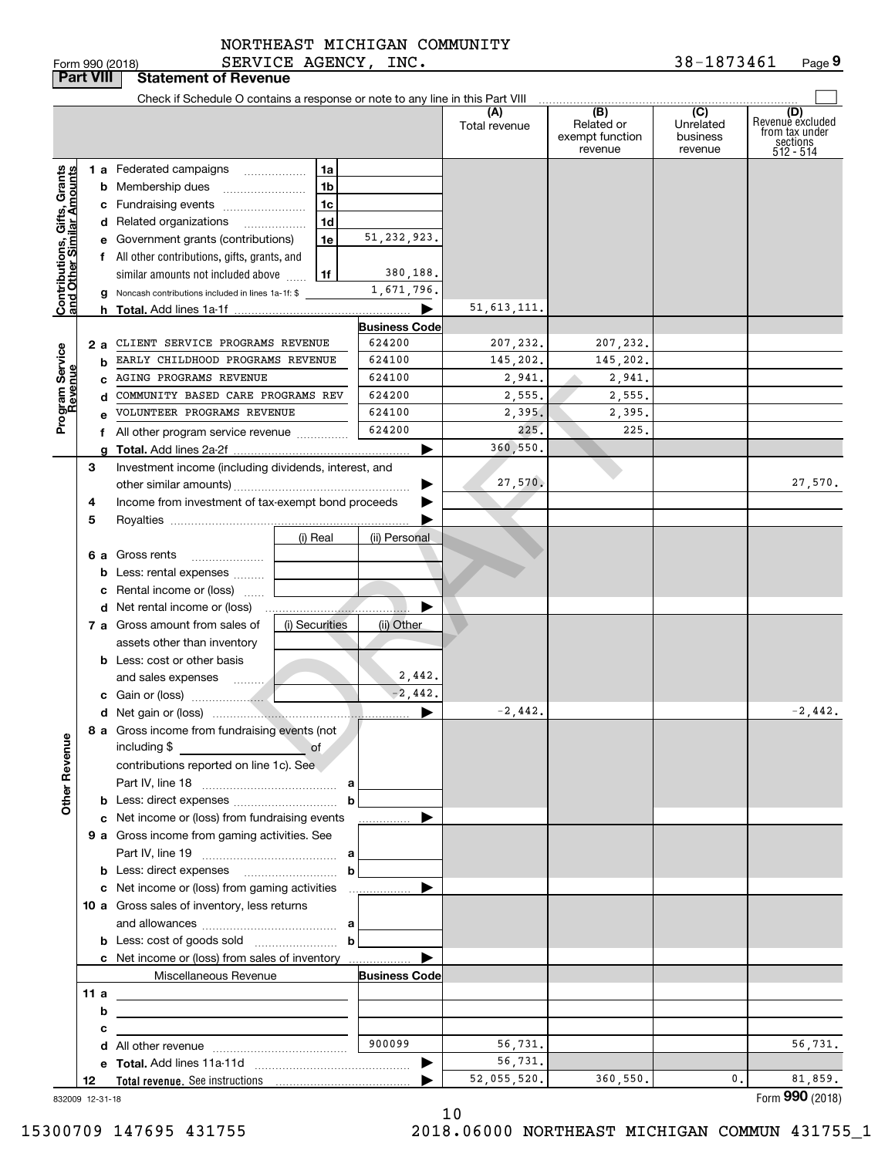**Porm 990 (2018)**<br>**Part VIII Statement** 

## NORTHEAST MICHIGAN COMMUNITY

|                                                           | Part VIII       | Statement of Revenue                                                                                                                                                                                                                                                               |                |                      |                      |                                                 |                                         |                                                                    |
|-----------------------------------------------------------|-----------------|------------------------------------------------------------------------------------------------------------------------------------------------------------------------------------------------------------------------------------------------------------------------------------|----------------|----------------------|----------------------|-------------------------------------------------|-----------------------------------------|--------------------------------------------------------------------|
|                                                           |                 | Check if Schedule O contains a response or note to any line in this Part VIII                                                                                                                                                                                                      |                |                      | (A)<br>Total revenue | (B)<br>Related or<br>exempt function<br>revenue | (C)<br>Unrelated<br>business<br>revenue | (D)<br>Revenuè excluded<br>from tax under<br>sections<br>512 - 514 |
|                                                           |                 | <b>1 a</b> Federated campaigns                                                                                                                                                                                                                                                     | 1a             |                      |                      |                                                 |                                         |                                                                    |
| Contributions, Gifts, Grants<br>and Other Similar Amounts |                 | <b>b</b> Membership dues                                                                                                                                                                                                                                                           | 1b             |                      |                      |                                                 |                                         |                                                                    |
|                                                           |                 | c Fundraising events                                                                                                                                                                                                                                                               | 1 <sub>c</sub> |                      |                      |                                                 |                                         |                                                                    |
|                                                           |                 | d Related organizations                                                                                                                                                                                                                                                            | 1d             |                      |                      |                                                 |                                         |                                                                    |
|                                                           |                 | e Government grants (contributions)                                                                                                                                                                                                                                                | 1e             | 51, 232, 923.        |                      |                                                 |                                         |                                                                    |
|                                                           |                 | f All other contributions, gifts, grants, and                                                                                                                                                                                                                                      |                |                      |                      |                                                 |                                         |                                                                    |
|                                                           |                 | similar amounts not included above                                                                                                                                                                                                                                                 | 1f             | 380,188.             |                      |                                                 |                                         |                                                                    |
|                                                           |                 | g Noncash contributions included in lines 1a-1f: \$                                                                                                                                                                                                                                |                | 1,671,796.           |                      |                                                 |                                         |                                                                    |
|                                                           |                 |                                                                                                                                                                                                                                                                                    |                |                      | 51,613,111.          |                                                 |                                         |                                                                    |
|                                                           |                 |                                                                                                                                                                                                                                                                                    |                | <b>Business Code</b> |                      |                                                 |                                         |                                                                    |
|                                                           | 2а              | CLIENT SERVICE PROGRAMS REVENUE                                                                                                                                                                                                                                                    |                | 624200               | 207,232.             | 207,232.                                        |                                         |                                                                    |
| Program Service<br>Revenue                                |                 | <b>b</b> EARLY CHILDHOOD PROGRAMS REVENUE                                                                                                                                                                                                                                          |                | 624100               | 145,202.             | 145,202.                                        |                                         |                                                                    |
|                                                           |                 | C AGING PROGRAMS REVENUE                                                                                                                                                                                                                                                           |                | 624100               | 2,941.               | 2,941.                                          |                                         |                                                                    |
|                                                           |                 | d COMMUNITY BASED CARE PROGRAMS REV                                                                                                                                                                                                                                                |                | 624200               | 2,555.               | 2,555.                                          |                                         |                                                                    |
|                                                           |                 | VOLUNTEER PROGRAMS REVENUE                                                                                                                                                                                                                                                         |                | 624100               | 2,395.               | 2,395.                                          |                                         |                                                                    |
|                                                           |                 | f All other program service revenue                                                                                                                                                                                                                                                |                | 624200               | 225.                 | 225.                                            |                                         |                                                                    |
|                                                           |                 |                                                                                                                                                                                                                                                                                    |                |                      | 360,550.             |                                                 |                                         |                                                                    |
|                                                           | 3               | Investment income (including dividends, interest, and                                                                                                                                                                                                                              |                |                      |                      |                                                 |                                         |                                                                    |
|                                                           |                 |                                                                                                                                                                                                                                                                                    |                | ▶                    | 27,570.              |                                                 |                                         | 27,570.                                                            |
|                                                           | 4               | Income from investment of tax-exempt bond proceeds                                                                                                                                                                                                                                 |                | ▶                    |                      |                                                 |                                         |                                                                    |
|                                                           | 5               |                                                                                                                                                                                                                                                                                    |                |                      |                      |                                                 |                                         |                                                                    |
|                                                           |                 |                                                                                                                                                                                                                                                                                    | (i) Real       | (ii) Personal        |                      |                                                 |                                         |                                                                    |
|                                                           |                 | 6 a Gross rents                                                                                                                                                                                                                                                                    |                |                      |                      |                                                 |                                         |                                                                    |
|                                                           |                 | <b>b</b> Less: rental expenses                                                                                                                                                                                                                                                     |                |                      |                      |                                                 |                                         |                                                                    |
|                                                           |                 | c Rental income or (loss)                                                                                                                                                                                                                                                          |                |                      |                      |                                                 |                                         |                                                                    |
|                                                           |                 |                                                                                                                                                                                                                                                                                    |                |                      |                      |                                                 |                                         |                                                                    |
|                                                           |                 | 7 a Gross amount from sales of                                                                                                                                                                                                                                                     | (i) Securities | (ii) Other           |                      |                                                 |                                         |                                                                    |
|                                                           |                 | assets other than inventory                                                                                                                                                                                                                                                        |                |                      |                      |                                                 |                                         |                                                                    |
|                                                           |                 | <b>b</b> Less: cost or other basis                                                                                                                                                                                                                                                 |                |                      |                      |                                                 |                                         |                                                                    |
|                                                           |                 | and sales expenses                                                                                                                                                                                                                                                                 |                | 2,442.               |                      |                                                 |                                         |                                                                    |
|                                                           |                 |                                                                                                                                                                                                                                                                                    |                | $-2,442.$            |                      |                                                 |                                         |                                                                    |
|                                                           |                 |                                                                                                                                                                                                                                                                                    |                |                      | $-2,442.$            |                                                 |                                         | $-2,442.$                                                          |
|                                                           |                 | <b>8 a</b> Gross income from fundraising events (not                                                                                                                                                                                                                               |                |                      |                      |                                                 |                                         |                                                                    |
|                                                           |                 | $\blacksquare$ including $\$\blacksquare$                                                                                                                                                                                                                                          | of .           |                      |                      |                                                 |                                         |                                                                    |
| <b>Other Revenue</b>                                      |                 | contributions reported on line 1c). See                                                                                                                                                                                                                                            |                |                      |                      |                                                 |                                         |                                                                    |
|                                                           |                 |                                                                                                                                                                                                                                                                                    |                |                      |                      |                                                 |                                         |                                                                    |
|                                                           |                 |                                                                                                                                                                                                                                                                                    |                | b                    |                      |                                                 |                                         |                                                                    |
|                                                           |                 | c Net income or (loss) from fundraising events                                                                                                                                                                                                                                     |                |                      |                      |                                                 |                                         |                                                                    |
|                                                           |                 | 9 a Gross income from gaming activities. See                                                                                                                                                                                                                                       |                |                      |                      |                                                 |                                         |                                                                    |
|                                                           |                 |                                                                                                                                                                                                                                                                                    |                | а                    |                      |                                                 |                                         |                                                                    |
|                                                           |                 |                                                                                                                                                                                                                                                                                    |                | b                    |                      |                                                 |                                         |                                                                    |
|                                                           |                 | c Net income or (loss) from gaming activities                                                                                                                                                                                                                                      |                |                      |                      |                                                 |                                         |                                                                    |
|                                                           |                 | 10 a Gross sales of inventory, less returns                                                                                                                                                                                                                                        |                |                      |                      |                                                 |                                         |                                                                    |
|                                                           |                 |                                                                                                                                                                                                                                                                                    |                |                      |                      |                                                 |                                         |                                                                    |
|                                                           |                 |                                                                                                                                                                                                                                                                                    |                | b                    |                      |                                                 |                                         |                                                                    |
|                                                           |                 | c Net income or (loss) from sales of inventory                                                                                                                                                                                                                                     |                |                      |                      |                                                 |                                         |                                                                    |
|                                                           |                 | Miscellaneous Revenue                                                                                                                                                                                                                                                              |                | <b>Business Code</b> |                      |                                                 |                                         |                                                                    |
|                                                           |                 | 11 a $\sqrt{2}$ and $\sqrt{2}$ and $\sqrt{2}$ and $\sqrt{2}$ and $\sqrt{2}$ and $\sqrt{2}$ and $\sqrt{2}$ and $\sqrt{2}$ and $\sqrt{2}$ and $\sqrt{2}$ and $\sqrt{2}$ and $\sqrt{2}$ and $\sqrt{2}$ and $\sqrt{2}$ and $\sqrt{2}$ and $\sqrt{2}$ and $\sqrt{2}$ and $\sqrt{2}$ and |                |                      |                      |                                                 |                                         |                                                                    |
|                                                           | b               | <u> 1989 - Andrea Andrew Maria (h. 1989).</u>                                                                                                                                                                                                                                      |                |                      |                      |                                                 |                                         |                                                                    |
|                                                           | с               |                                                                                                                                                                                                                                                                                    |                | 900099               |                      |                                                 |                                         |                                                                    |
|                                                           |                 |                                                                                                                                                                                                                                                                                    |                |                      | 56,731.<br>56,731.   |                                                 |                                         | 56,731.                                                            |
|                                                           |                 |                                                                                                                                                                                                                                                                                    |                |                      | 52,055,520.          | 360,550.                                        | $\mathbf{0}$ .                          | 81,859.                                                            |
|                                                           | 12              |                                                                                                                                                                                                                                                                                    |                |                      |                      |                                                 |                                         | Form 990 (2018)                                                    |
|                                                           | 832009 12-31-18 |                                                                                                                                                                                                                                                                                    |                |                      | 1 N                  |                                                 |                                         |                                                                    |

10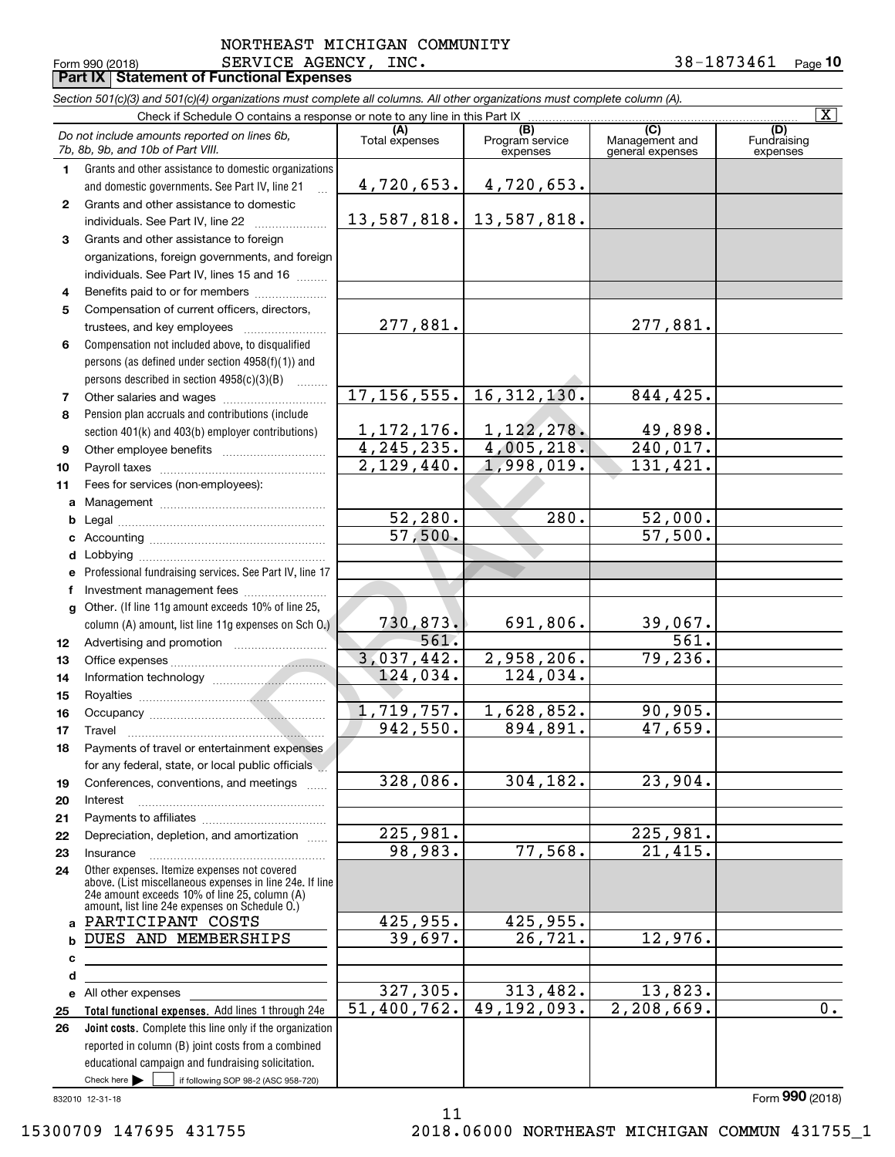### Form 990 (2018) Page **Part IX Statement of Functional Expenses**  $S\texttt{ERVICE}$   $\texttt{AGENT}$ ,  $\texttt{INC:}$   $38\texttt{-}1873461$ NORTHEAST MICHIGAN COMMUNITY

|                 | Section 501(c)(3) and 501(c)(4) organizations must complete all columns. All other organizations must complete column (A).                                                                                  |                           |                                    |                                                      |                                |
|-----------------|-------------------------------------------------------------------------------------------------------------------------------------------------------------------------------------------------------------|---------------------------|------------------------------------|------------------------------------------------------|--------------------------------|
|                 | Check if Schedule O contains a response or note to any line in this Part IX                                                                                                                                 |                           |                                    |                                                      | $\overline{\mathbf{X}}$        |
|                 | Do not include amounts reported on lines 6b,<br>7b, 8b, 9b, and 10b of Part VIII.                                                                                                                           | (A)<br>Total expenses     | (B)<br>Program service<br>expenses | $\overline{C}$<br>Management and<br>general expenses | (D)<br>Fundraising<br>expenses |
| 1.              | Grants and other assistance to domestic organizations                                                                                                                                                       |                           |                                    |                                                      |                                |
|                 | and domestic governments. See Part IV, line 21                                                                                                                                                              | 4,720,653.                | 4,720,653.                         |                                                      |                                |
| 2               | Grants and other assistance to domestic                                                                                                                                                                     |                           |                                    |                                                      |                                |
|                 | individuals. See Part IV, line 22                                                                                                                                                                           |                           | 13,587,818. 13,587,818.            |                                                      |                                |
| 3               | Grants and other assistance to foreign                                                                                                                                                                      |                           |                                    |                                                      |                                |
|                 | organizations, foreign governments, and foreign                                                                                                                                                             |                           |                                    |                                                      |                                |
|                 | individuals. See Part IV, lines 15 and 16                                                                                                                                                                   |                           |                                    |                                                      |                                |
| 4               | Benefits paid to or for members                                                                                                                                                                             |                           |                                    |                                                      |                                |
| 5               | Compensation of current officers, directors,                                                                                                                                                                |                           |                                    |                                                      |                                |
|                 | trustees, and key employees                                                                                                                                                                                 | 277,881.                  |                                    | 277,881.                                             |                                |
| 6               | Compensation not included above, to disqualified                                                                                                                                                            |                           |                                    |                                                      |                                |
|                 | persons (as defined under section 4958(f)(1)) and                                                                                                                                                           |                           |                                    |                                                      |                                |
|                 | persons described in section $4958(c)(3)(B)$<br>.                                                                                                                                                           |                           |                                    |                                                      |                                |
| 7               |                                                                                                                                                                                                             | 17, 156, 555.             | 16, 312, 130.                      | 844,425.                                             |                                |
| 8               | Pension plan accruals and contributions (include                                                                                                                                                            |                           |                                    |                                                      |                                |
|                 | section 401(k) and 403(b) employer contributions)                                                                                                                                                           | 1, 172, 176.              | 1,122,278.                         | 49,898.                                              |                                |
| 9               |                                                                                                                                                                                                             | 4, 245, 235.              | 4,005,218.                         | 240,017.                                             |                                |
| 10              |                                                                                                                                                                                                             | 2,129,440.                | 1,998,019.                         | 131,421.                                             |                                |
| 11              | Fees for services (non-employees):                                                                                                                                                                          |                           |                                    |                                                      |                                |
| а               |                                                                                                                                                                                                             |                           |                                    |                                                      |                                |
| b               |                                                                                                                                                                                                             | 52,280.                   | 280.                               | 52,000.                                              |                                |
| с               |                                                                                                                                                                                                             | 57,500.                   |                                    | $\overline{57,500}$ .                                |                                |
| d               |                                                                                                                                                                                                             |                           |                                    |                                                      |                                |
| е               | Professional fundraising services. See Part IV, line 17                                                                                                                                                     |                           |                                    |                                                      |                                |
| f               | Investment management fees                                                                                                                                                                                  |                           |                                    |                                                      |                                |
| g               | Other. (If line 11g amount exceeds 10% of line 25,                                                                                                                                                          |                           |                                    |                                                      |                                |
|                 | column (A) amount, list line 11g expenses on Sch 0.)                                                                                                                                                        | 730,873.                  | 691,806.                           | 39,067.                                              |                                |
| 12 <sub>2</sub> |                                                                                                                                                                                                             | 561.                      |                                    | $\overline{561}$ .                                   |                                |
| 13              |                                                                                                                                                                                                             | 3,037,442.                | 2,958,206.                         | 79,236.                                              |                                |
| 14              |                                                                                                                                                                                                             | 124,034.                  | 124,034.                           |                                                      |                                |
| 15              |                                                                                                                                                                                                             |                           |                                    |                                                      |                                |
| 16              |                                                                                                                                                                                                             | 1,719,757.                | 1,628,852.                         | 90,905.                                              |                                |
| 17              |                                                                                                                                                                                                             | 942,550.                  | 894,891.                           | 47,659.                                              |                                |
| 18              | Payments of travel or entertainment expenses                                                                                                                                                                |                           |                                    |                                                      |                                |
|                 | for any federal, state, or local public officials                                                                                                                                                           |                           |                                    |                                                      |                                |
| 19              | Conferences, conventions, and meetings                                                                                                                                                                      | 328,086.                  | 304,182.                           | 23,904.                                              |                                |
| 20              | Interest                                                                                                                                                                                                    |                           |                                    |                                                      |                                |
| 21              |                                                                                                                                                                                                             |                           |                                    |                                                      |                                |
| 22              | Depreciation, depletion, and amortization                                                                                                                                                                   | 225,981.                  |                                    | 225,981.                                             |                                |
| 23              | Insurance                                                                                                                                                                                                   | 98,983.                   | 77,568.                            | 21,415.                                              |                                |
| 24              | Other expenses. Itemize expenses not covered<br>above. (List miscellaneous expenses in line 24e. If line<br>24e amount exceeds 10% of line 25, column (A)<br>amount, list line 24e expenses on Schedule O.) |                           |                                    |                                                      |                                |
|                 | a PARTICIPANT COSTS                                                                                                                                                                                         | 425,955.                  | 425,955.                           |                                                      |                                |
| b               | DUES AND MEMBERSHIPS                                                                                                                                                                                        | 39,697.                   | 26, 721.                           | 12,976.                                              |                                |
| с               |                                                                                                                                                                                                             |                           |                                    |                                                      |                                |
| d               |                                                                                                                                                                                                             |                           |                                    |                                                      |                                |
| е               | All other expenses                                                                                                                                                                                          | 327,305.                  | 313,482.                           | 13,823.                                              |                                |
| 25              | Total functional expenses. Add lines 1 through 24e                                                                                                                                                          | $\overline{51,400,762}$ . | 49, 192, 093.                      | 2,208,669.                                           | $\mathbf 0$ .                  |
| 26              | Joint costs. Complete this line only if the organization                                                                                                                                                    |                           |                                    |                                                      |                                |
|                 | reported in column (B) joint costs from a combined                                                                                                                                                          |                           |                                    |                                                      |                                |
|                 | educational campaign and fundraising solicitation.                                                                                                                                                          |                           |                                    |                                                      |                                |
|                 | Check here $\blacktriangleright$<br>if following SOP 98-2 (ASC 958-720)                                                                                                                                     |                           |                                    |                                                      |                                |

11

832010 12-31-18

Form (2018) **990**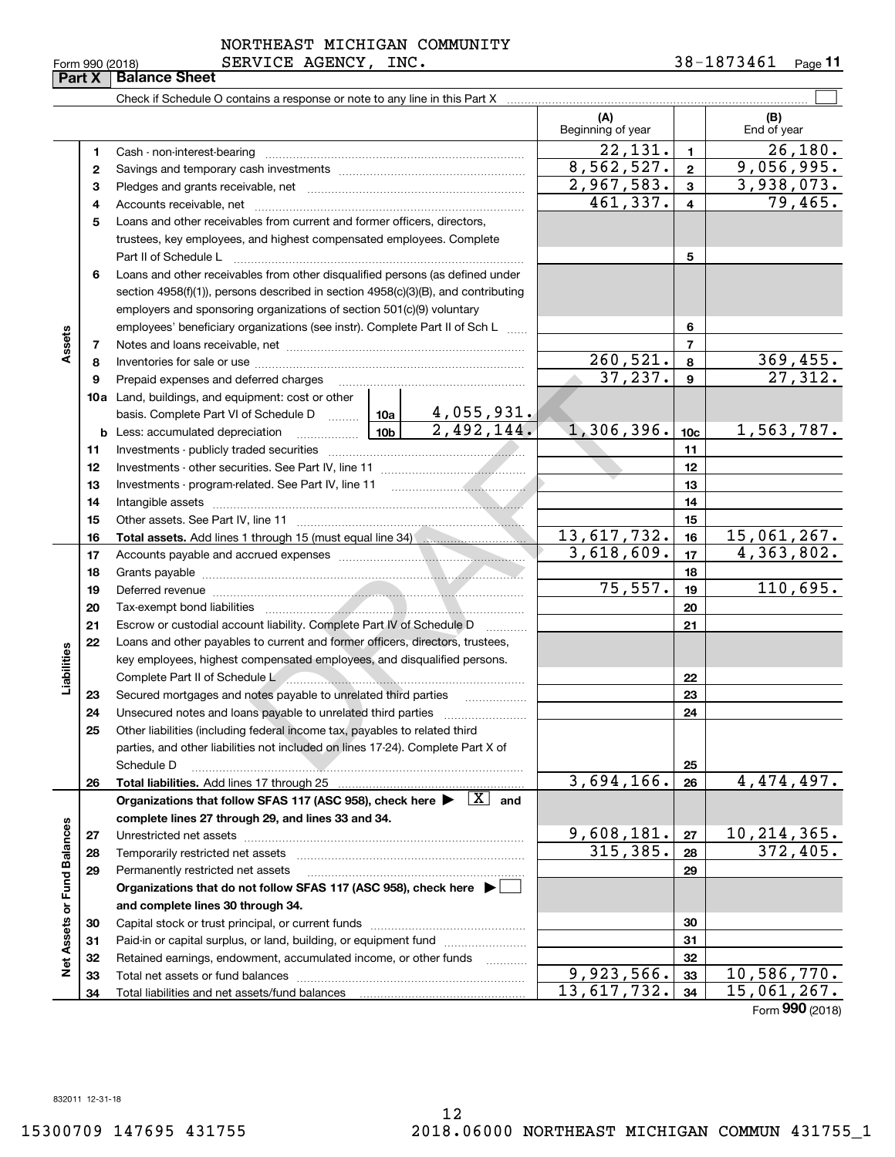#### $C$ ERVITCE ACENCY NORTHEAST MICHIGAN COMMUNITY

|        | Form 990 (2018) | SERVICE AGENCY, INC.                                                                                                                                                                                                                             |           |            |                          |                 | 38-1873461<br>$Page$ 11 |
|--------|-----------------|--------------------------------------------------------------------------------------------------------------------------------------------------------------------------------------------------------------------------------------------------|-----------|------------|--------------------------|-----------------|-------------------------|
|        | Part X          | <b>Balance Sheet</b>                                                                                                                                                                                                                             |           |            |                          |                 |                         |
|        |                 | Check if Schedule O contains a response or note to any line in this Part X                                                                                                                                                                       |           |            |                          |                 |                         |
|        |                 |                                                                                                                                                                                                                                                  |           |            | (A)<br>Beginning of year |                 | (B)<br>End of year      |
|        | 1               | Cash - non-interest-bearing                                                                                                                                                                                                                      |           |            | 22, 131.                 | $\blacksquare$  | 26, 180.                |
|        | 2               |                                                                                                                                                                                                                                                  |           |            | 8,562,527.               | $\overline{2}$  | 9,056,995.              |
|        | 3               |                                                                                                                                                                                                                                                  |           |            | 2,967,583.               | 3               | 3,938,073.              |
|        | 4               |                                                                                                                                                                                                                                                  |           |            | 461,337.                 | $\overline{4}$  | 79,465.                 |
|        | 5               | Loans and other receivables from current and former officers, directors,<br>trustees, key employees, and highest compensated employees. Complete                                                                                                 |           |            |                          |                 |                         |
|        |                 | Part II of Schedule L                                                                                                                                                                                                                            |           |            | 5                        |                 |                         |
|        | 6               | Loans and other receivables from other disqualified persons (as defined under<br>section $4958(f)(1)$ , persons described in section $4958(c)(3)(B)$ , and contributing<br>employers and sponsoring organizations of section 501(c)(9) voluntary |           |            |                          |                 |                         |
|        |                 | employees' beneficiary organizations (see instr). Complete Part II of Sch L                                                                                                                                                                      |           | 6          |                          |                 |                         |
| Assets | 7               |                                                                                                                                                                                                                                                  |           | 7          |                          |                 |                         |
|        | 8               |                                                                                                                                                                                                                                                  | 260, 521. | 8          | 369,455.                 |                 |                         |
|        | 9               |                                                                                                                                                                                                                                                  |           |            | 37, 237.                 | 9               | 27,312.                 |
|        | 10a             | Land, buildings, and equipment: cost or other<br>basis. Complete Part VI of Schedule D    10a   4, 055, 931.                                                                                                                                     |           |            |                          |                 |                         |
|        | b               |                                                                                                                                                                                                                                                  |           | 2,492,144. | 1,306,396.               | 10 <sub>c</sub> | 1,563,787.              |
|        | 11              |                                                                                                                                                                                                                                                  |           |            |                          | 11              |                         |
|        | 12              |                                                                                                                                                                                                                                                  |           | 12         |                          |                 |                         |
|        | 13              | Investments - program-related. See Part IV, line 11                                                                                                                                                                                              |           |            | 13                       |                 |                         |
|        | 14              | Intangible assets                                                                                                                                                                                                                                |           |            | 14                       |                 |                         |

| Prepaid expenses and deferred charges                                                                                     |                 |                   | $37,237$ .  | 9               | 27,312.                      |
|---------------------------------------------------------------------------------------------------------------------------|-----------------|-------------------|-------------|-----------------|------------------------------|
| Land, buildings, and equipment: cost or other                                                                             |                 |                   |             |                 |                              |
| basis. Complete Part VI of Schedule D  10a                                                                                |                 | <u>4,055,931.</u> |             |                 |                              |
| Less: accumulated depreciation                                                                                            | 10 <sub>b</sub> | 2,492,144.        | 1,306,396.  | 10 <sub>c</sub> | 1,563,787.                   |
|                                                                                                                           |                 |                   |             | 11              |                              |
|                                                                                                                           |                 |                   |             | 12              |                              |
| Investments - program-related. See Part IV, line 11                                                                       |                 |                   |             | 13              |                              |
|                                                                                                                           |                 |                   |             | 14              |                              |
|                                                                                                                           |                 |                   |             | 15              |                              |
|                                                                                                                           |                 |                   | 13,617,732. | 16              | 15,061,267.                  |
|                                                                                                                           |                 |                   | 3,618,609.  | 17              | 4,363,802.                   |
|                                                                                                                           |                 |                   |             | 18              |                              |
|                                                                                                                           |                 |                   | 75,557.     | 19              | 110,695.                     |
|                                                                                                                           |                 |                   |             | 20              |                              |
| Escrow or custodial account liability. Complete Part IV of Schedule D                                                     |                 |                   |             | 21              |                              |
| Loans and other payables to current and former officers, directors, trustees,                                             |                 |                   |             |                 |                              |
| key employees, highest compensated employees, and disqualified persons.                                                   |                 |                   |             |                 |                              |
| Complete Part II of Schedule Later and Complete Part II of Schedule Later and Complete Part II of Schedule Later          |                 |                   |             | 22              |                              |
| Secured mortgages and notes payable to unrelated third parties                                                            |                 |                   |             | 23              |                              |
|                                                                                                                           |                 |                   |             | 24              |                              |
| Other liabilities (including federal income tax, payables to related third                                                |                 |                   |             |                 |                              |
| parties, and other liabilities not included on lines 17-24). Complete Part X of                                           |                 |                   |             |                 |                              |
| Schedule D                                                                                                                |                 |                   |             | 25              |                              |
|                                                                                                                           |                 |                   | 3,694,166.  | 26              | 4,474,497.                   |
| Organizations that follow SFAS 117 (ASC 958), check here $\blacktriangleright \begin{array}{c} \boxed{X} \end{array}$ and |                 |                   |             |                 |                              |
| complete lines 27 through 29, and lines 33 and 34.                                                                        |                 |                   |             |                 |                              |
|                                                                                                                           |                 |                   | 9,608,181.  | 27              | $\frac{10,214,365}{372,405}$ |
|                                                                                                                           |                 |                   | 315,385.    | 28              |                              |
| Permanently restricted net assets                                                                                         |                 |                   |             | 29              |                              |
| Organizations that do not follow SFAS 117 (ASC 958), check here ▶                                                         |                 |                   |             |                 |                              |
| and complete lines 30 through 34.                                                                                         |                 |                   |             |                 |                              |
|                                                                                                                           |                 |                   |             | 30              |                              |
| Paid-in or capital surplus, or land, building, or equipment fund                                                          |                 |                   |             | 31              |                              |
| Retained earnings, endowment, accumulated income, or other funds                                                          |                 |                   |             | 32              |                              |
|                                                                                                                           |                 |                   | 9,923,566.  | 33              | 10,586,770.                  |
|                                                                                                                           |                 |                   | 13,617,732. | 34              | 15,061,267.                  |

12 15300709 147695 431755 2018.06000 NORTHEAST MICHIGAN COMMUN 431755\_1

**232425**

**Liabilities**

Liabilities

**26**

**272829**

**Net Assets or Fund Balances**

Net Assets or Fund Balances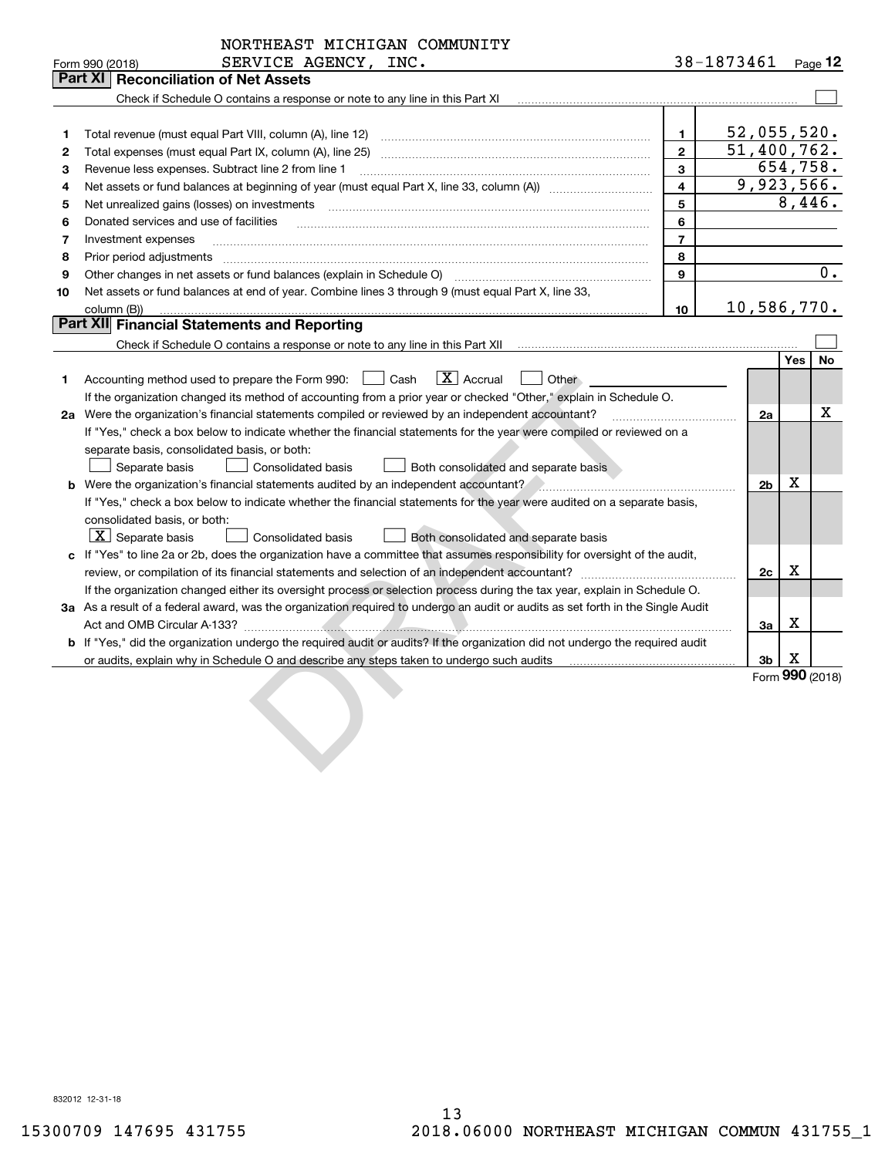|    | NORTHEAST MICHIGAN COMMUNITY                                                                                                                                                                                                                                                                                                                                                                                                                                                           |                |                |     |                  |
|----|----------------------------------------------------------------------------------------------------------------------------------------------------------------------------------------------------------------------------------------------------------------------------------------------------------------------------------------------------------------------------------------------------------------------------------------------------------------------------------------|----------------|----------------|-----|------------------|
|    | SERVICE AGENCY, INC.<br>Form 990 (2018)                                                                                                                                                                                                                                                                                                                                                                                                                                                |                | 38-1873461     |     | Page 12          |
|    | <b>Part XI   Reconciliation of Net Assets</b>                                                                                                                                                                                                                                                                                                                                                                                                                                          |                |                |     |                  |
|    | Check if Schedule O contains a response or note to any line in this Part XI                                                                                                                                                                                                                                                                                                                                                                                                            |                |                |     |                  |
|    |                                                                                                                                                                                                                                                                                                                                                                                                                                                                                        |                |                |     |                  |
| 1  | Total revenue (must equal Part VIII, column (A), line 12)                                                                                                                                                                                                                                                                                                                                                                                                                              | $\mathbf{1}$   | 52,055,520.    |     |                  |
| 2  | Total expenses (must equal Part IX, column (A), line 25)<br>$\overline{a_1, \ldots, a_n, \ldots, a_n, \ldots, a_n, \ldots, a_n, \ldots, a_n, \ldots, a_n, \ldots, a_n, \ldots, a_n, \ldots, a_n, \ldots, a_n, \ldots, a_n, \ldots, a_n, \ldots, a_n, \ldots, a_n, \ldots, a_n, \ldots, a_n, \ldots, a_n, \ldots, a_n, \ldots, a_n, \ldots, a_n, \ldots, a_n, \ldots, a_n, \ldots, a_n, \ldots, a_n, \ldots, a_n, \ldots, a_n, \ldots, a_n, \ldots, a_n, \ldots, a_n, \ldots, a_n, \ld$ | $\mathbf{2}$   | 51,400,762.    |     |                  |
| 3  | Revenue less expenses. Subtract line 2 from line 1                                                                                                                                                                                                                                                                                                                                                                                                                                     | 3              |                |     | 654,758.         |
| 4  |                                                                                                                                                                                                                                                                                                                                                                                                                                                                                        | 4              | 9,923,566.     |     |                  |
| 5  | Net unrealized gains (losses) on investments [11] matter continuum matter is a set of the set of the set of the                                                                                                                                                                                                                                                                                                                                                                        | 5              |                |     | 8,446.           |
| 6  | Donated services and use of facilities                                                                                                                                                                                                                                                                                                                                                                                                                                                 | 6              |                |     |                  |
| 7  | Investment expenses                                                                                                                                                                                                                                                                                                                                                                                                                                                                    | $\overline{7}$ |                |     |                  |
| 8  | Prior period adjustments measurements and contact the contract of the contract of the contract of the contract of the contract of the contract of the contract of the contract of the contract of the contract of the contract                                                                                                                                                                                                                                                         | 8              |                |     |                  |
| 9  | Other changes in net assets or fund balances (explain in Schedule O) [[[[[[[[[[[[[[[[[[[]]]]]]]]]]]]                                                                                                                                                                                                                                                                                                                                                                                   | 9              |                |     | $\overline{0}$ . |
| 10 | Net assets or fund balances at end of year. Combine lines 3 through 9 (must equal Part X, line 33,                                                                                                                                                                                                                                                                                                                                                                                     |                |                |     |                  |
|    | column (B))                                                                                                                                                                                                                                                                                                                                                                                                                                                                            | 10             | 10,586,770.    |     |                  |
|    | Part XII Financial Statements and Reporting                                                                                                                                                                                                                                                                                                                                                                                                                                            |                |                |     |                  |
|    | Check if Schedule O contains a response or note to any line in this Part XII [11] [12] Check if Schedule O contains a response or note to any line in this Part XII                                                                                                                                                                                                                                                                                                                    |                |                |     |                  |
|    |                                                                                                                                                                                                                                                                                                                                                                                                                                                                                        |                |                | Yes | No               |
| 1. | $\boxed{\text{X}}$ Accrual $\boxed{\phantom{1}}$ Other<br>Accounting method used to prepare the Form 990: [130] Cash                                                                                                                                                                                                                                                                                                                                                                   |                |                |     |                  |
|    | If the organization changed its method of accounting from a prior year or checked "Other," explain in Schedule O.                                                                                                                                                                                                                                                                                                                                                                      |                |                |     |                  |
|    | 2a Were the organization's financial statements compiled or reviewed by an independent accountant?                                                                                                                                                                                                                                                                                                                                                                                     |                | 2a             |     | x                |
|    | If "Yes," check a box below to indicate whether the financial statements for the year were compiled or reviewed on a                                                                                                                                                                                                                                                                                                                                                                   |                |                |     |                  |
|    | separate basis, consolidated basis, or both:                                                                                                                                                                                                                                                                                                                                                                                                                                           |                |                |     |                  |
|    | Separate basis<br>Consolidated basis<br>Both consolidated and separate basis                                                                                                                                                                                                                                                                                                                                                                                                           |                |                |     |                  |
|    | <b>b</b> Were the organization's financial statements audited by an independent accountant?                                                                                                                                                                                                                                                                                                                                                                                            |                | 2 <sub>b</sub> | x   |                  |
|    | If "Yes," check a box below to indicate whether the financial statements for the year were audited on a separate basis,                                                                                                                                                                                                                                                                                                                                                                |                |                |     |                  |
|    | consolidated basis, or both:                                                                                                                                                                                                                                                                                                                                                                                                                                                           |                |                |     |                  |
|    | $\boxed{\textbf{X}}$ Separate basis<br>Consolidated basis<br>Both consolidated and separate basis                                                                                                                                                                                                                                                                                                                                                                                      |                |                |     |                  |
|    | c If "Yes" to line 2a or 2b, does the organization have a committee that assumes responsibility for oversight of the audit,                                                                                                                                                                                                                                                                                                                                                            |                |                | х   |                  |
|    |                                                                                                                                                                                                                                                                                                                                                                                                                                                                                        |                | 2c             |     |                  |
|    | If the organization changed either its oversight process or selection process during the tax year, explain in Schedule O.                                                                                                                                                                                                                                                                                                                                                              |                |                |     |                  |
|    | 3a As a result of a federal award, was the organization required to undergo an audit or audits as set forth in the Single Audit                                                                                                                                                                                                                                                                                                                                                        |                | За             | X   |                  |
|    | b If "Yes," did the organization undergo the required audit or audits? If the organization did not undergo the required audit                                                                                                                                                                                                                                                                                                                                                          |                |                |     |                  |
|    |                                                                                                                                                                                                                                                                                                                                                                                                                                                                                        |                | 3b             | X   |                  |
|    |                                                                                                                                                                                                                                                                                                                                                                                                                                                                                        |                |                |     | Form 990 (2018)  |
|    |                                                                                                                                                                                                                                                                                                                                                                                                                                                                                        |                |                |     |                  |
|    |                                                                                                                                                                                                                                                                                                                                                                                                                                                                                        |                |                |     |                  |
|    |                                                                                                                                                                                                                                                                                                                                                                                                                                                                                        |                |                |     |                  |
|    |                                                                                                                                                                                                                                                                                                                                                                                                                                                                                        |                |                |     |                  |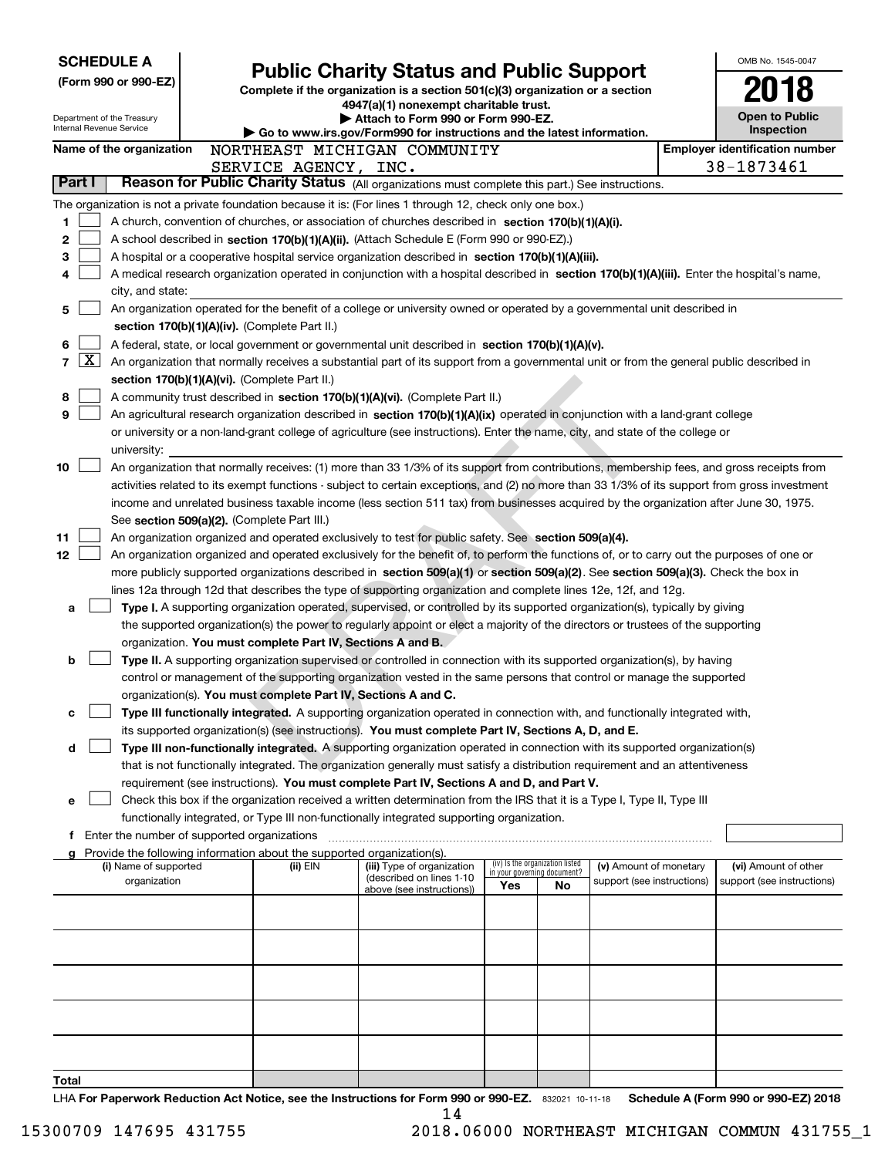|                          | <b>SCHEDULE A</b>                                    |                                                                        | <b>Public Charity Status and Public Support</b>                                                                                                                                                                     |     |                                                                |                            | OMB No. 1545-0047                                   |
|--------------------------|------------------------------------------------------|------------------------------------------------------------------------|---------------------------------------------------------------------------------------------------------------------------------------------------------------------------------------------------------------------|-----|----------------------------------------------------------------|----------------------------|-----------------------------------------------------|
|                          | (Form 990 or 990-EZ)                                 |                                                                        | Complete if the organization is a section 501(c)(3) organization or a section                                                                                                                                       |     |                                                                |                            |                                                     |
|                          |                                                      |                                                                        | 4947(a)(1) nonexempt charitable trust.                                                                                                                                                                              |     |                                                                |                            |                                                     |
| Internal Revenue Service | Department of the Treasury                           |                                                                        | Attach to Form 990 or Form 990-EZ.                                                                                                                                                                                  |     |                                                                |                            | <b>Open to Public</b><br><b>Inspection</b>          |
|                          |                                                      |                                                                        | ► Go to www.irs.gov/Form990 for instructions and the latest information.                                                                                                                                            |     |                                                                |                            |                                                     |
|                          | Name of the organization                             |                                                                        | NORTHEAST MICHIGAN COMMUNITY                                                                                                                                                                                        |     |                                                                |                            | <b>Employer identification number</b><br>38-1873461 |
| Part I                   |                                                      | SERVICE AGENCY, INC.                                                   | Reason for Public Charity Status (All organizations must complete this part.) See instructions.                                                                                                                     |     |                                                                |                            |                                                     |
|                          |                                                      |                                                                        |                                                                                                                                                                                                                     |     |                                                                |                            |                                                     |
| 1                        |                                                      |                                                                        | The organization is not a private foundation because it is: (For lines 1 through 12, check only one box.)<br>A church, convention of churches, or association of churches described in section 170(b)(1)(A)(i).     |     |                                                                |                            |                                                     |
| 2                        |                                                      |                                                                        | A school described in section 170(b)(1)(A)(ii). (Attach Schedule E (Form 990 or 990-EZ).)                                                                                                                           |     |                                                                |                            |                                                     |
| 3                        |                                                      |                                                                        | A hospital or a cooperative hospital service organization described in section 170(b)(1)(A)(iii).                                                                                                                   |     |                                                                |                            |                                                     |
|                          |                                                      |                                                                        | A medical research organization operated in conjunction with a hospital described in section 170(b)(1)(A)(iii). Enter the hospital's name,                                                                          |     |                                                                |                            |                                                     |
|                          | city, and state:                                     |                                                                        |                                                                                                                                                                                                                     |     |                                                                |                            |                                                     |
| 5                        |                                                      |                                                                        | An organization operated for the benefit of a college or university owned or operated by a governmental unit described in                                                                                           |     |                                                                |                            |                                                     |
|                          |                                                      | section 170(b)(1)(A)(iv). (Complete Part II.)                          |                                                                                                                                                                                                                     |     |                                                                |                            |                                                     |
| 6                        |                                                      |                                                                        | A federal, state, or local government or governmental unit described in section 170(b)(1)(A)(v).                                                                                                                    |     |                                                                |                            |                                                     |
| $\lfloor x \rfloor$<br>7 |                                                      |                                                                        | An organization that normally receives a substantial part of its support from a governmental unit or from the general public described in                                                                           |     |                                                                |                            |                                                     |
|                          |                                                      | section 170(b)(1)(A)(vi). (Complete Part II.)                          |                                                                                                                                                                                                                     |     |                                                                |                            |                                                     |
| 8                        |                                                      |                                                                        | A community trust described in section 170(b)(1)(A)(vi). (Complete Part II.)                                                                                                                                        |     |                                                                |                            |                                                     |
| 9                        |                                                      |                                                                        | An agricultural research organization described in section 170(b)(1)(A)(ix) operated in conjunction with a land-grant college                                                                                       |     |                                                                |                            |                                                     |
|                          |                                                      |                                                                        | or university or a non-land-grant college of agriculture (see instructions). Enter the name, city, and state of the college or                                                                                      |     |                                                                |                            |                                                     |
|                          | university:                                          |                                                                        |                                                                                                                                                                                                                     |     |                                                                |                            |                                                     |
| 10                       |                                                      |                                                                        | An organization that normally receives: (1) more than 33 1/3% of its support from contributions, membership fees, and gross receipts from                                                                           |     |                                                                |                            |                                                     |
|                          |                                                      |                                                                        | activities related to its exempt functions - subject to certain exceptions, and (2) no more than 33 1/3% of its support from gross investment                                                                       |     |                                                                |                            |                                                     |
|                          |                                                      | See section 509(a)(2). (Complete Part III.)                            | income and unrelated business taxable income (less section 511 tax) from businesses acquired by the organization after June 30, 1975.                                                                               |     |                                                                |                            |                                                     |
| 11                       |                                                      |                                                                        | An organization organized and operated exclusively to test for public safety. See section 509(a)(4).                                                                                                                |     |                                                                |                            |                                                     |
| 12                       |                                                      |                                                                        | An organization organized and operated exclusively for the benefit of, to perform the functions of, or to carry out the purposes of one or                                                                          |     |                                                                |                            |                                                     |
|                          |                                                      |                                                                        | more publicly supported organizations described in section 509(a)(1) or section 509(a)(2). See section 509(a)(3). Check the box in                                                                                  |     |                                                                |                            |                                                     |
|                          |                                                      |                                                                        | lines 12a through 12d that describes the type of supporting organization and complete lines 12e, 12f, and 12g.                                                                                                      |     |                                                                |                            |                                                     |
| а                        |                                                      |                                                                        | Type I. A supporting organization operated, supervised, or controlled by its supported organization(s), typically by giving                                                                                         |     |                                                                |                            |                                                     |
|                          |                                                      |                                                                        | the supported organization(s) the power to regularly appoint or elect a majority of the directors or trustees of the supporting                                                                                     |     |                                                                |                            |                                                     |
|                          |                                                      | organization. You must complete Part IV, Sections A and B.             |                                                                                                                                                                                                                     |     |                                                                |                            |                                                     |
| b                        |                                                      |                                                                        | Type II. A supporting organization supervised or controlled in connection with its supported organization(s), by having                                                                                             |     |                                                                |                            |                                                     |
|                          |                                                      |                                                                        | control or management of the supporting organization vested in the same persons that control or manage the supported                                                                                                |     |                                                                |                            |                                                     |
|                          |                                                      | organization(s). You must complete Part IV, Sections A and C.          |                                                                                                                                                                                                                     |     |                                                                |                            |                                                     |
| с                        |                                                      |                                                                        | Type III functionally integrated. A supporting organization operated in connection with, and functionally integrated with,                                                                                          |     |                                                                |                            |                                                     |
|                          |                                                      |                                                                        | its supported organization(s) (see instructions). You must complete Part IV, Sections A, D, and E.                                                                                                                  |     |                                                                |                            |                                                     |
| d                        |                                                      |                                                                        | Type III non-functionally integrated. A supporting organization operated in connection with its supported organization(s)                                                                                           |     |                                                                |                            |                                                     |
|                          |                                                      |                                                                        | that is not functionally integrated. The organization generally must satisfy a distribution requirement and an attentiveness                                                                                        |     |                                                                |                            |                                                     |
|                          |                                                      |                                                                        | requirement (see instructions). You must complete Part IV, Sections A and D, and Part V.<br>Check this box if the organization received a written determination from the IRS that it is a Type I, Type II, Type III |     |                                                                |                            |                                                     |
| е                        |                                                      |                                                                        | functionally integrated, or Type III non-functionally integrated supporting organization.                                                                                                                           |     |                                                                |                            |                                                     |
|                          | <b>f</b> Enter the number of supported organizations |                                                                        |                                                                                                                                                                                                                     |     |                                                                |                            |                                                     |
|                          |                                                      | Provide the following information about the supported organization(s). |                                                                                                                                                                                                                     |     |                                                                |                            |                                                     |
|                          | (i) Name of supported                                | (ii) EIN                                                               | (iii) Type of organization                                                                                                                                                                                          |     | (iv) Is the organization listed<br>in your governing document? | (v) Amount of monetary     | (vi) Amount of other                                |
|                          | organization                                         |                                                                        | (described on lines 1-10<br>above (see instructions))                                                                                                                                                               | Yes | No                                                             | support (see instructions) | support (see instructions)                          |
|                          |                                                      |                                                                        |                                                                                                                                                                                                                     |     |                                                                |                            |                                                     |
|                          |                                                      |                                                                        |                                                                                                                                                                                                                     |     |                                                                |                            |                                                     |
|                          |                                                      |                                                                        |                                                                                                                                                                                                                     |     |                                                                |                            |                                                     |
|                          |                                                      |                                                                        |                                                                                                                                                                                                                     |     |                                                                |                            |                                                     |
|                          |                                                      |                                                                        |                                                                                                                                                                                                                     |     |                                                                |                            |                                                     |
|                          |                                                      |                                                                        |                                                                                                                                                                                                                     |     |                                                                |                            |                                                     |
|                          |                                                      |                                                                        |                                                                                                                                                                                                                     |     |                                                                |                            |                                                     |
|                          |                                                      |                                                                        |                                                                                                                                                                                                                     |     |                                                                |                            |                                                     |
|                          |                                                      |                                                                        |                                                                                                                                                                                                                     |     |                                                                |                            |                                                     |
| Total                    |                                                      |                                                                        |                                                                                                                                                                                                                     |     |                                                                |                            |                                                     |
|                          |                                                      |                                                                        | I HA For Panerwork Reduction Act Notice see the Instructions for Form 990 or 990-FZ 022021 10-11-10 Schedule A (Form 990 or 990-FZ) 2018                                                                            |     |                                                                |                            |                                                     |

**or 990-EZ.** 832021 10-11-18 **For Paperwork Reduction Act Notice, see the Instructions for Form 990 or 990-EZ. Schedule A (Form 990 or 990-EZ) 2018 LHA For Paperwork Reduction A** 14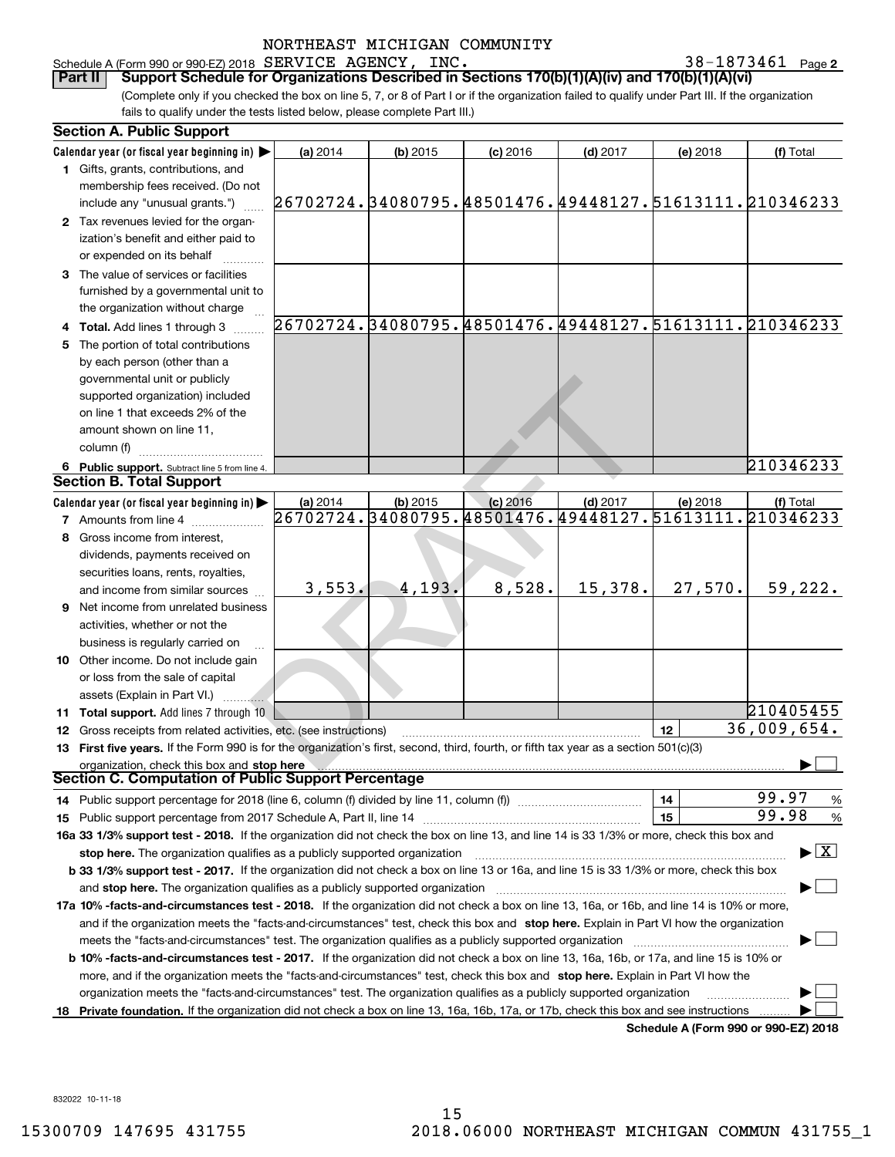| Schedule A (Form 990 or 990-EZ) 2018 SERVICE AGENCY, | INC. | $-1873461$<br>$38 -$<br>Page 2 |
|------------------------------------------------------|------|--------------------------------|
|------------------------------------------------------|------|--------------------------------|

**Part II Support Schedule for Organizations Described in Sections 170(b)(1)(A)(iv) and 170(b)(1)(A)(vi)**

(Complete only if you checked the box on line 5, 7, or 8 of Part I or if the organization failed to qualify under Part III. If the organization fails to qualify under the tests listed below, please complete Part III.)

|    | <b>Section A. Public Support</b>                                                                                                                                                                            |          |            |            |            |          |                                                        |
|----|-------------------------------------------------------------------------------------------------------------------------------------------------------------------------------------------------------------|----------|------------|------------|------------|----------|--------------------------------------------------------|
|    | Calendar year (or fiscal year beginning in)                                                                                                                                                                 | (a) 2014 | $(b)$ 2015 | $(c)$ 2016 | $(d)$ 2017 | (e) 2018 | (f) Total                                              |
|    | 1 Gifts, grants, contributions, and<br>membership fees received. (Do not                                                                                                                                    |          |            |            |            |          |                                                        |
|    | include any "unusual grants.")                                                                                                                                                                              |          |            |            |            |          | 26702724.34080795.48501476.49448127.51613111.210346233 |
|    | 2 Tax revenues levied for the organ-                                                                                                                                                                        |          |            |            |            |          |                                                        |
|    | ization's benefit and either paid to                                                                                                                                                                        |          |            |            |            |          |                                                        |
|    | or expended on its behalf                                                                                                                                                                                   |          |            |            |            |          |                                                        |
|    | 3 The value of services or facilities                                                                                                                                                                       |          |            |            |            |          |                                                        |
|    | furnished by a governmental unit to                                                                                                                                                                         |          |            |            |            |          |                                                        |
|    | the organization without charge                                                                                                                                                                             |          |            |            |            |          |                                                        |
|    | 4 Total. Add lines 1 through 3                                                                                                                                                                              |          |            |            |            |          | 26702724.34080795.48501476.49448127.51613111.210346233 |
|    | 5 The portion of total contributions                                                                                                                                                                        |          |            |            |            |          |                                                        |
|    | by each person (other than a                                                                                                                                                                                |          |            |            |            |          |                                                        |
|    | governmental unit or publicly                                                                                                                                                                               |          |            |            |            |          |                                                        |
|    | supported organization) included                                                                                                                                                                            |          |            |            |            |          |                                                        |
|    | on line 1 that exceeds 2% of the                                                                                                                                                                            |          |            |            |            |          |                                                        |
|    | amount shown on line 11,                                                                                                                                                                                    |          |            |            |            |          |                                                        |
|    | column (f)                                                                                                                                                                                                  |          |            |            |            |          |                                                        |
|    | 6 Public support. Subtract line 5 from line 4.                                                                                                                                                              |          |            |            |            |          | 210346233                                              |
|    | <b>Section B. Total Support</b>                                                                                                                                                                             |          |            |            |            |          |                                                        |
|    | Calendar year (or fiscal year beginning in)                                                                                                                                                                 | (a) 2014 | (b) 2015   | $(c)$ 2016 | $(d)$ 2017 | (e) 2018 | (f) Total                                              |
|    | <b>7</b> Amounts from line 4                                                                                                                                                                                |          |            |            |            |          | 26702724.34080795.48501476.49448127.51613111.210346233 |
|    | 8 Gross income from interest,                                                                                                                                                                               |          |            |            |            |          |                                                        |
|    | dividends, payments received on                                                                                                                                                                             |          |            |            |            |          |                                                        |
|    | securities loans, rents, royalties,                                                                                                                                                                         |          |            |            |            |          |                                                        |
|    | and income from similar sources                                                                                                                                                                             | 3,553.   | 4,193.     | 8,528.     | 15,378.    | 27,570.  | 59,222.                                                |
|    | <b>9</b> Net income from unrelated business                                                                                                                                                                 |          |            |            |            |          |                                                        |
|    | activities, whether or not the                                                                                                                                                                              |          |            |            |            |          |                                                        |
|    | business is regularly carried on                                                                                                                                                                            |          |            |            |            |          |                                                        |
|    | 10 Other income. Do not include gain                                                                                                                                                                        |          |            |            |            |          |                                                        |
|    | or loss from the sale of capital                                                                                                                                                                            |          |            |            |            |          |                                                        |
|    | assets (Explain in Part VI.)                                                                                                                                                                                |          |            |            |            |          | 210405455                                              |
|    | <b>11 Total support.</b> Add lines 7 through 10                                                                                                                                                             |          |            |            |            |          | 36,009,654.                                            |
|    | 12 Gross receipts from related activities, etc. (see instructions)<br>13 First five years. If the Form 990 is for the organization's first, second, third, fourth, or fifth tax year as a section 501(c)(3) |          |            |            |            | 12       |                                                        |
|    | organization, check this box and stop here                                                                                                                                                                  |          |            |            |            |          |                                                        |
|    | Section C. Computation of Public Support Percentage                                                                                                                                                         |          |            |            |            |          |                                                        |
|    | 14 Public support percentage for 2018 (line 6, column (f) divided by line 11, column (f) <i>manumeronominimi</i> ng                                                                                         |          |            |            |            | 14       | 99.97<br>%                                             |
|    |                                                                                                                                                                                                             |          |            |            |            | 15       | 99.98<br>%                                             |
|    | 16a 33 1/3% support test - 2018. If the organization did not check the box on line 13, and line 14 is 33 1/3% or more, check this box and                                                                   |          |            |            |            |          |                                                        |
|    | stop here. The organization qualifies as a publicly supported organization                                                                                                                                  |          |            |            |            |          | $\blacktriangleright$ $\mid$ X                         |
|    | b 33 1/3% support test - 2017. If the organization did not check a box on line 13 or 16a, and line 15 is 33 1/3% or more, check this box                                                                    |          |            |            |            |          |                                                        |
|    | and stop here. The organization qualifies as a publicly supported organization                                                                                                                              |          |            |            |            |          |                                                        |
|    | 17a 10% -facts-and-circumstances test - 2018. If the organization did not check a box on line 13, 16a, or 16b, and line 14 is 10% or more,                                                                  |          |            |            |            |          |                                                        |
|    | and if the organization meets the "facts-and-circumstances" test, check this box and stop here. Explain in Part VI how the organization                                                                     |          |            |            |            |          |                                                        |
|    | meets the "facts-and-circumstances" test. The organization qualifies as a publicly supported organization                                                                                                   |          |            |            |            |          |                                                        |
|    | b 10% -facts-and-circumstances test - 2017. If the organization did not check a box on line 13, 16a, 16b, or 17a, and line 15 is 10% or                                                                     |          |            |            |            |          |                                                        |
|    | more, and if the organization meets the "facts-and-circumstances" test, check this box and stop here. Explain in Part VI how the                                                                            |          |            |            |            |          |                                                        |
|    | organization meets the "facts-and-circumstances" test. The organization qualifies as a publicly supported organization                                                                                      |          |            |            |            |          |                                                        |
| 18 | Private foundation. If the organization did not check a box on line 13, 16a, 16b, 17a, or 17b, check this box and see instructions                                                                          |          |            |            |            |          |                                                        |
|    |                                                                                                                                                                                                             |          |            |            |            |          | Schedule A (Form 990 or 990-EZ) 2018                   |

832022 10-11-18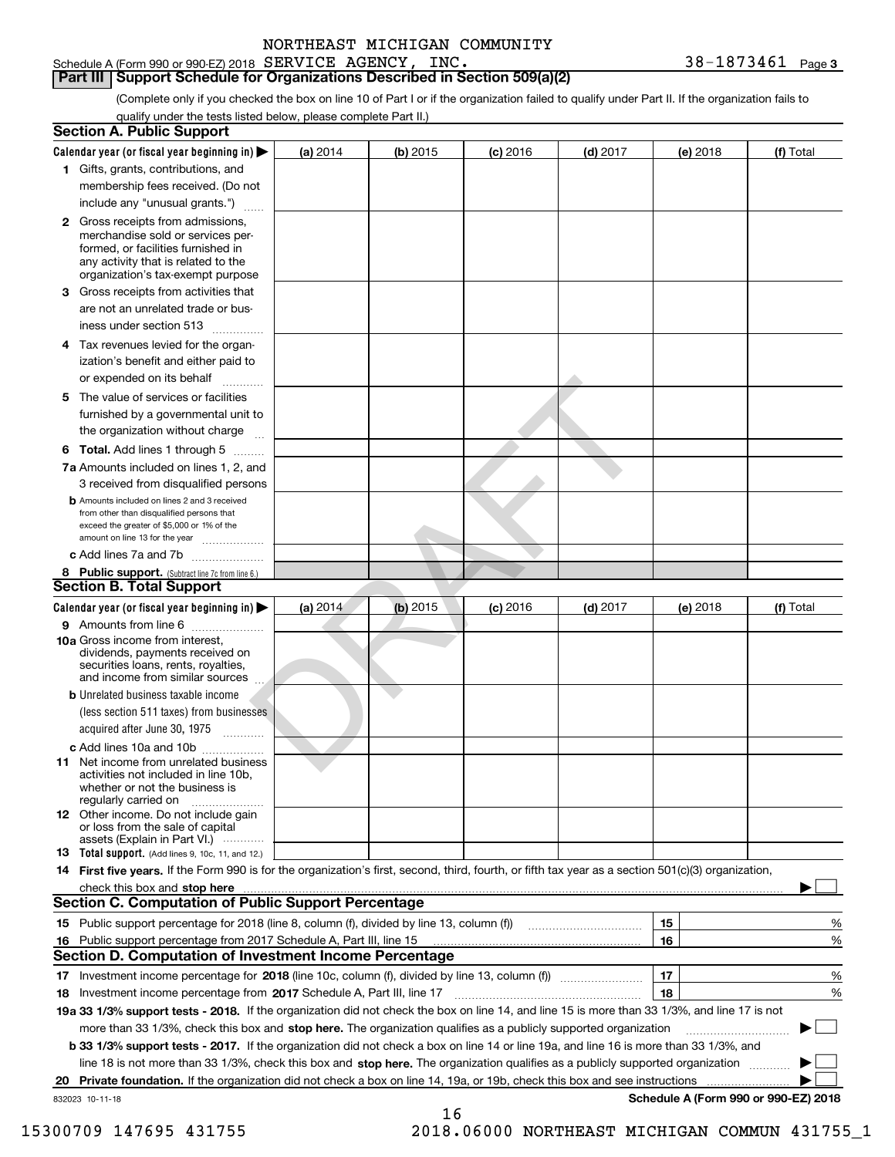**Part III** | Support Schedule for Organizations Described in Section 509(a)(2)

(Complete only if you checked the box on line 10 of Part I or if the organization failed to qualify under Part II. If the organization fails to qualify under the tests listed below, please complete Part II.)

|    | <b>Section A. Public Support</b>                                                                                                                                                                                                                                                                  |            |            |            |            |          |                                      |
|----|---------------------------------------------------------------------------------------------------------------------------------------------------------------------------------------------------------------------------------------------------------------------------------------------------|------------|------------|------------|------------|----------|--------------------------------------|
|    | Calendar year (or fiscal year beginning in) $\blacktriangleright$                                                                                                                                                                                                                                 | (a) 2014   | $(b)$ 2015 | $(c)$ 2016 | $(d)$ 2017 | (e) 2018 | (f) Total                            |
|    | 1 Gifts, grants, contributions, and                                                                                                                                                                                                                                                               |            |            |            |            |          |                                      |
|    | membership fees received. (Do not                                                                                                                                                                                                                                                                 |            |            |            |            |          |                                      |
|    | include any "unusual grants.")                                                                                                                                                                                                                                                                    |            |            |            |            |          |                                      |
|    | <b>2</b> Gross receipts from admissions,<br>merchandise sold or services per-<br>formed, or facilities furnished in<br>any activity that is related to the<br>organization's tax-exempt purpose                                                                                                   |            |            |            |            |          |                                      |
|    | 3 Gross receipts from activities that<br>are not an unrelated trade or bus-<br>iness under section 513                                                                                                                                                                                            |            |            |            |            |          |                                      |
|    | 4 Tax revenues levied for the organ-<br>ization's benefit and either paid to<br>or expended on its behalf                                                                                                                                                                                         |            |            |            |            |          |                                      |
|    | 5 The value of services or facilities<br>furnished by a governmental unit to<br>the organization without charge                                                                                                                                                                                   |            |            |            |            |          |                                      |
|    | <b>6 Total.</b> Add lines 1 through 5                                                                                                                                                                                                                                                             |            |            |            |            |          |                                      |
|    | 7a Amounts included on lines 1, 2, and<br>3 received from disqualified persons                                                                                                                                                                                                                    |            |            |            |            |          |                                      |
|    | <b>b</b> Amounts included on lines 2 and 3 received<br>from other than disqualified persons that<br>exceed the greater of \$5,000 or 1% of the<br>amount on line 13 for the year                                                                                                                  |            |            |            |            |          |                                      |
|    | c Add lines 7a and 7b                                                                                                                                                                                                                                                                             |            |            |            |            |          |                                      |
|    | 8 Public support. (Subtract line 7c from line 6.)                                                                                                                                                                                                                                                 |            |            |            |            |          |                                      |
|    | <b>Section B. Total Support</b>                                                                                                                                                                                                                                                                   |            |            |            |            |          |                                      |
|    | Calendar year (or fiscal year beginning in)                                                                                                                                                                                                                                                       | (a) $2014$ | $(b)$ 2015 | $(c)$ 2016 | $(d)$ 2017 | (e) 2018 | (f) Total                            |
|    | 9 Amounts from line 6<br><b>10a</b> Gross income from interest,<br>dividends, payments received on<br>securities loans, rents, royalties,<br>and income from similar sources                                                                                                                      |            |            |            |            |          |                                      |
|    | <b>b</b> Unrelated business taxable income<br>(less section 511 taxes) from businesses<br>acquired after June 30, 1975                                                                                                                                                                            |            |            |            |            |          |                                      |
|    | c Add lines 10a and 10b<br>11 Net income from unrelated business<br>activities not included in line 10b,<br>whether or not the business is<br>regularly carried on                                                                                                                                |            |            |            |            |          |                                      |
|    | <b>12</b> Other income. Do not include gain<br>or loss from the sale of capital<br>assets (Explain in Part VI.)                                                                                                                                                                                   |            |            |            |            |          |                                      |
|    | <b>13</b> Total support. (Add lines 9, 10c, 11, and 12.)                                                                                                                                                                                                                                          |            |            |            |            |          |                                      |
|    | 14 First five years. If the Form 990 is for the organization's first, second, third, fourth, or fifth tax year as a section 501(c)(3) organization,                                                                                                                                               |            |            |            |            |          |                                      |
|    | check this box and stop here <i>machine and content and a content and a content and a content and stop</i> here and and stop here and a content and a content and a content and a content and a content and a content and a content<br><b>Section C. Computation of Public Support Percentage</b> |            |            |            |            |          |                                      |
|    | 15 Public support percentage for 2018 (line 8, column (f), divided by line 13, column (f))                                                                                                                                                                                                        |            |            |            |            | 15       | %                                    |
|    | 16 Public support percentage from 2017 Schedule A, Part III, line 15                                                                                                                                                                                                                              |            |            |            |            | 16       | %                                    |
|    | <b>Section D. Computation of Investment Income Percentage</b>                                                                                                                                                                                                                                     |            |            |            |            |          |                                      |
|    | 17 Investment income percentage for 2018 (line 10c, column (f), divided by line 13, column (f))                                                                                                                                                                                                   |            |            |            |            | 17       | %                                    |
|    | 18 Investment income percentage from 2017 Schedule A, Part III, line 17                                                                                                                                                                                                                           |            |            |            |            | 18       | %                                    |
|    | 19a 33 1/3% support tests - 2018. If the organization did not check the box on line 14, and line 15 is more than 33 1/3%, and line 17 is not                                                                                                                                                      |            |            |            |            |          |                                      |
|    | more than 33 1/3%, check this box and stop here. The organization qualifies as a publicly supported organization                                                                                                                                                                                  |            |            |            |            |          | $\sim$                               |
|    | b 33 1/3% support tests - 2017. If the organization did not check a box on line 14 or line 19a, and line 16 is more than 33 1/3%, and                                                                                                                                                             |            |            |            |            |          |                                      |
|    | line 18 is not more than 33 1/3%, check this box and stop here. The organization qualifies as a publicly supported organization                                                                                                                                                                   |            |            |            |            |          |                                      |
| 20 | Private foundation. If the organization did not check a box on line 14, 19a, or 19b, check this box and see instructions                                                                                                                                                                          |            |            |            |            |          |                                      |
|    | 832023 10-11-18                                                                                                                                                                                                                                                                                   |            |            |            |            |          | Schedule A (Form 990 or 990-EZ) 2018 |
|    |                                                                                                                                                                                                                                                                                                   |            | 16         |            |            |          |                                      |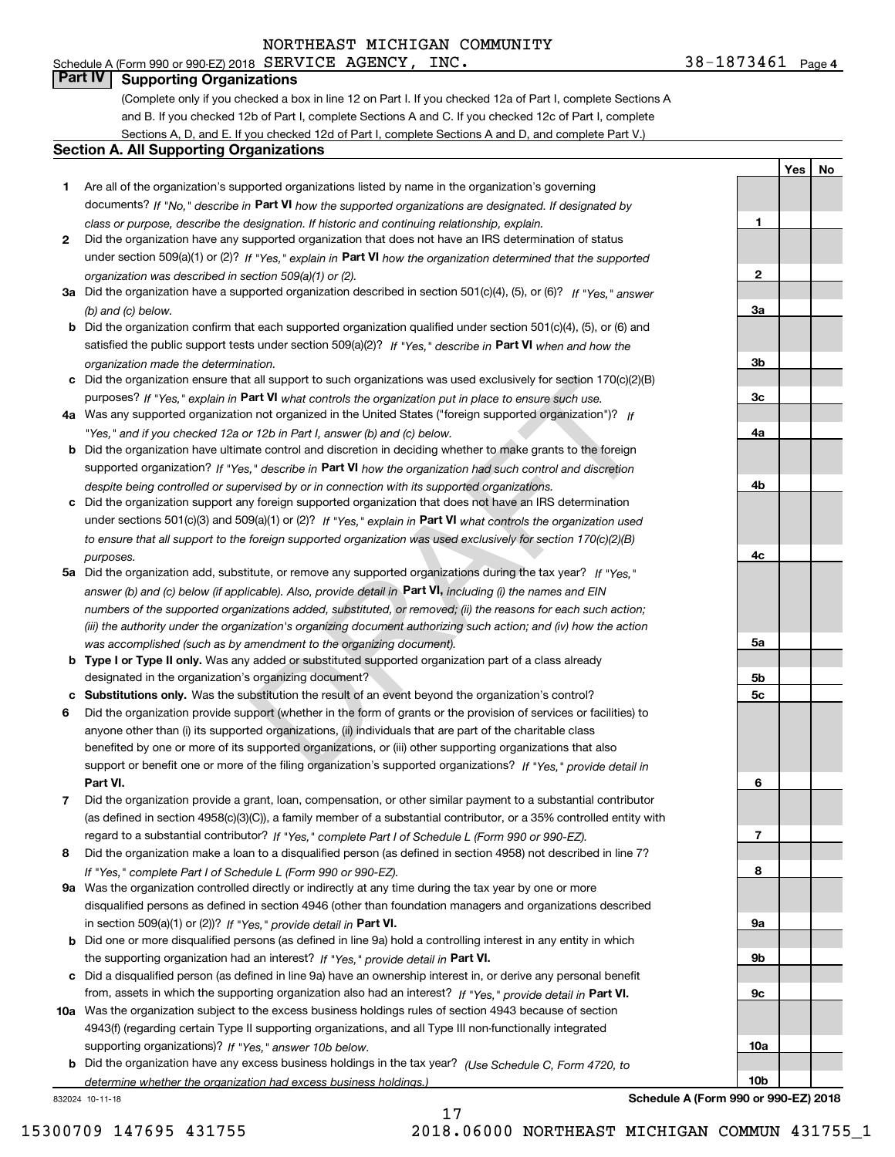# Schedule A (Form 990 or 990-EZ) 2018 Page SERVICE AGENCY, INC. 38-1873461

**Part IV Supporting Organizations**

(Complete only if you checked a box in line 12 on Part I. If you checked 12a of Part I, complete Sections A and B. If you checked 12b of Part I, complete Sections A and C. If you checked 12c of Part I, complete Sections A, D, and E. If you checked 12d of Part I, complete Sections A and D, and complete Part V.)

## **Section A. All Supporting Organizations**

- **1** Are all of the organization's supported organizations listed by name in the organization's governing documents? If "No," describe in **Part VI** how the supported organizations are designated. If designated by *class or purpose, describe the designation. If historic and continuing relationship, explain.*
- **2** Did the organization have any supported organization that does not have an IRS determination of status under section 509(a)(1) or (2)? If "Yes," explain in Part VI how the organization determined that the supported *organization was described in section 509(a)(1) or (2).*
- **3a** Did the organization have a supported organization described in section 501(c)(4), (5), or (6)? If "Yes," answer *(b) and (c) below.*
- **b** Did the organization confirm that each supported organization qualified under section 501(c)(4), (5), or (6) and satisfied the public support tests under section 509(a)(2)? If "Yes," describe in **Part VI** when and how the *organization made the determination.*
- **c**Did the organization ensure that all support to such organizations was used exclusively for section 170(c)(2)(B) purposes? If "Yes," explain in **Part VI** what controls the organization put in place to ensure such use.
- **4a***If* Was any supported organization not organized in the United States ("foreign supported organization")? *"Yes," and if you checked 12a or 12b in Part I, answer (b) and (c) below.*
- **b** Did the organization have ultimate control and discretion in deciding whether to make grants to the foreign supported organization? If "Yes," describe in **Part VI** how the organization had such control and discretion *despite being controlled or supervised by or in connection with its supported organizations.*
- **c** Did the organization support any foreign supported organization that does not have an IRS determination under sections 501(c)(3) and 509(a)(1) or (2)? If "Yes," explain in **Part VI** what controls the organization used *to ensure that all support to the foreign supported organization was used exclusively for section 170(c)(2)(B) purposes.*
- **5a** Did the organization add, substitute, or remove any supported organizations during the tax year? If "Yes," answer (b) and (c) below (if applicable). Also, provide detail in **Part VI,** including (i) the names and EIN *numbers of the supported organizations added, substituted, or removed; (ii) the reasons for each such action; (iii) the authority under the organization's organizing document authorizing such action; and (iv) how the action was accomplished (such as by amendment to the organizing document).* all support to such organizations was used exclusively for section 170(c)(2)(t<br>art **VI** what controls the organization put in place to ensure such use.<br>
not organization in the United States ("foreign supported organizati
- **b** Type I or Type II only. Was any added or substituted supported organization part of a class already designated in the organization's organizing document?
- **cSubstitutions only.**  Was the substitution the result of an event beyond the organization's control?
- **6** Did the organization provide support (whether in the form of grants or the provision of services or facilities) to **Part VI.** *If "Yes," provide detail in* support or benefit one or more of the filing organization's supported organizations? anyone other than (i) its supported organizations, (ii) individuals that are part of the charitable class benefited by one or more of its supported organizations, or (iii) other supporting organizations that also
- **7**Did the organization provide a grant, loan, compensation, or other similar payment to a substantial contributor *If "Yes," complete Part I of Schedule L (Form 990 or 990-EZ).* regard to a substantial contributor? (as defined in section 4958(c)(3)(C)), a family member of a substantial contributor, or a 35% controlled entity with
- **8** Did the organization make a loan to a disqualified person (as defined in section 4958) not described in line 7? *If "Yes," complete Part I of Schedule L (Form 990 or 990-EZ).*
- **9a** Was the organization controlled directly or indirectly at any time during the tax year by one or more in section 509(a)(1) or (2))? If "Yes," *provide detail in* <code>Part VI.</code> disqualified persons as defined in section 4946 (other than foundation managers and organizations described
- **b** Did one or more disqualified persons (as defined in line 9a) hold a controlling interest in any entity in which the supporting organization had an interest? If "Yes," provide detail in P**art VI**.
- **c**Did a disqualified person (as defined in line 9a) have an ownership interest in, or derive any personal benefit from, assets in which the supporting organization also had an interest? If "Yes," provide detail in P**art VI.**
- **10a** Was the organization subject to the excess business holdings rules of section 4943 because of section supporting organizations)? If "Yes," answer 10b below. 4943(f) (regarding certain Type II supporting organizations, and all Type III non-functionally integrated
- **b** Did the organization have any excess business holdings in the tax year? (Use Schedule C, Form 4720, to *determine whether the organization had excess business holdings.)*

17

832024 10-11-18

**10a10b**

**Schedule A (Form 990 or 990-EZ) 2018**

15300709 147695 431755 2018.06000 NORTHEAST MICHIGAN COMMUN 431755\_1

**1**

**2**

**3a**

**3b**

**3c**

**4a**

**4b**

**4c**

**5a**

**5b5c**

**6**

**7**

**8**

**9a**

**9b**

**9c**

**Yes No**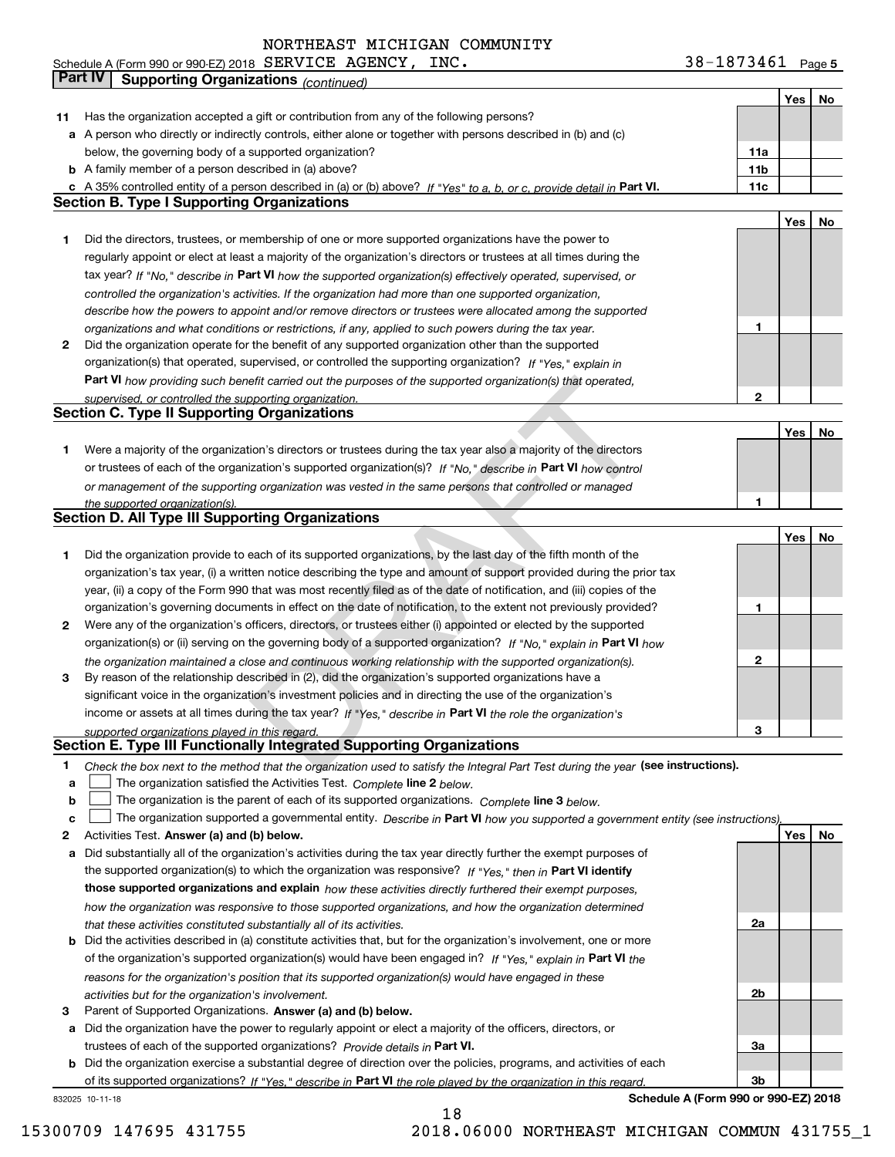**5** Schedule A (Form 990 or 990-EZ) 2018 Page SERVICE AGENCY, INC. 38-1873461

|     | <b>Part IV</b><br><b>Supporting Organizations (continued)</b>                                                                     |                 |     |    |
|-----|-----------------------------------------------------------------------------------------------------------------------------------|-----------------|-----|----|
|     |                                                                                                                                   |                 | Yes | No |
| 11. | Has the organization accepted a gift or contribution from any of the following persons?                                           |                 |     |    |
|     | a A person who directly or indirectly controls, either alone or together with persons described in (b) and (c)                    |                 |     |    |
|     | below, the governing body of a supported organization?                                                                            | 11a             |     |    |
|     | <b>b</b> A family member of a person described in (a) above?                                                                      | 11 <sub>b</sub> |     |    |
|     | c A 35% controlled entity of a person described in (a) or (b) above? If "Yes" to a, b, or c, provide detail in Part VI.           | 11c             |     |    |
|     | <b>Section B. Type I Supporting Organizations</b>                                                                                 |                 |     |    |
|     |                                                                                                                                   |                 | Yes | No |
| 1   | Did the directors, trustees, or membership of one or more supported organizations have the power to                               |                 |     |    |
|     | regularly appoint or elect at least a majority of the organization's directors or trustees at all times during the                |                 |     |    |
|     | tax year? If "No," describe in Part VI how the supported organization(s) effectively operated, supervised, or                     |                 |     |    |
|     | controlled the organization's activities. If the organization had more than one supported organization,                           |                 |     |    |
|     | describe how the powers to appoint and/or remove directors or trustees were allocated among the supported                         |                 |     |    |
|     | organizations and what conditions or restrictions, if any, applied to such powers during the tax year.                            | 1               |     |    |
| 2   | Did the organization operate for the benefit of any supported organization other than the supported                               |                 |     |    |
|     | organization(s) that operated, supervised, or controlled the supporting organization? If "Yes," explain in                        |                 |     |    |
|     | Part VI how providing such benefit carried out the purposes of the supported organization(s) that operated,                       |                 |     |    |
|     | supervised, or controlled the supporting organization.<br><b>Section C. Type II Supporting Organizations</b>                      | $\mathbf{2}$    |     |    |
|     |                                                                                                                                   |                 |     |    |
| 1.  | Were a majority of the organization's directors or trustees during the tax year also a majority of the directors                  |                 | Yes | No |
|     | or trustees of each of the organization's supported organization(s)? If "No," describe in Part VI how control                     |                 |     |    |
|     | or management of the supporting organization was vested in the same persons that controlled or managed                            |                 |     |    |
|     | the supported organization(s).                                                                                                    | 1               |     |    |
|     | <b>Section D. All Type III Supporting Organizations</b>                                                                           |                 |     |    |
|     |                                                                                                                                   |                 | Yes | No |
| 1   | Did the organization provide to each of its supported organizations, by the last day of the fifth month of the                    |                 |     |    |
|     | organization's tax year, (i) a written notice describing the type and amount of support provided during the prior tax             |                 |     |    |
|     | year, (ii) a copy of the Form 990 that was most recently filed as of the date of notification, and (iii) copies of the            |                 |     |    |
|     | organization's governing documents in effect on the date of notification, to the extent not previously provided?                  | 1               |     |    |
| 2   | Were any of the organization's officers, directors, or trustees either (i) appointed or elected by the supported                  |                 |     |    |
|     | organization(s) or (ii) serving on the governing body of a supported organization? If "No," explain in Part VI how                |                 |     |    |
|     | the organization maintained a close and continuous working relationship with the supported organization(s).                       | 2               |     |    |
| з   | By reason of the relationship described in (2), did the organization's supported organizations have a                             |                 |     |    |
|     | significant voice in the organization's investment policies and in directing the use of the organization's                        |                 |     |    |
|     | income or assets at all times during the tax year? If "Yes," describe in Part VI the role the organization's                      |                 |     |    |
|     | supported organizations played in this regard.                                                                                    | З               |     |    |
|     | Section E. Type III Functionally Integrated Supporting Organizations                                                              |                 |     |    |
| 1   | Check the box next to the method that the organization used to satisfy the Integral Part Test during the year (see instructions). |                 |     |    |
| a   | The organization satisfied the Activities Test. Complete line 2 below.                                                            |                 |     |    |
| b   | The organization is the parent of each of its supported organizations. Complete line 3 below.                                     |                 |     |    |
| c   | The organization supported a governmental entity. Describe in Part VI how you supported a government entity (see instructions).   |                 |     |    |
| 2   | Activities Test. Answer (a) and (b) below.                                                                                        |                 | Yes | No |
| a   | Did substantially all of the organization's activities during the tax year directly further the exempt purposes of                |                 |     |    |
|     | the supported organization(s) to which the organization was responsive? If "Yes." then in Part VI identify                        |                 |     |    |
|     | those supported organizations and explain how these activities directly furthered their exempt purposes,                          |                 |     |    |
|     | how the organization was responsive to those supported organizations, and how the organization determined                         |                 |     |    |
|     | that these activities constituted substantially all of its activities.                                                            | 2a              |     |    |
|     | <b>b</b> Did the activities described in (a) constitute activities that, but for the organization's involvement, one or more      |                 |     |    |
|     | of the organization's supported organization(s) would have been engaged in? If "Yes," explain in Part VI the                      |                 |     |    |
|     | reasons for the organization's position that its supported organization(s) would have engaged in these                            | 2b              |     |    |
| з   | activities but for the organization's involvement.<br>Parent of Supported Organizations. Answer (a) and (b) below.                |                 |     |    |
|     | a Did the organization have the power to regularly appoint or elect a majority of the officers, directors, or                     |                 |     |    |
|     | trustees of each of the supported organizations? Provide details in Part VI.                                                      | За              |     |    |
|     | <b>b</b> Did the organization exercise a substantial degree of direction over the policies, programs, and activities of each      |                 |     |    |
|     | of its supported organizations? If "Yes." describe in Part VI the role played by the organization in this regard.                 | 3b              |     |    |
|     |                                                                                                                                   |                 |     |    |

18

832025 10-11-18

**Schedule A (Form 990 or 990-EZ) 2018**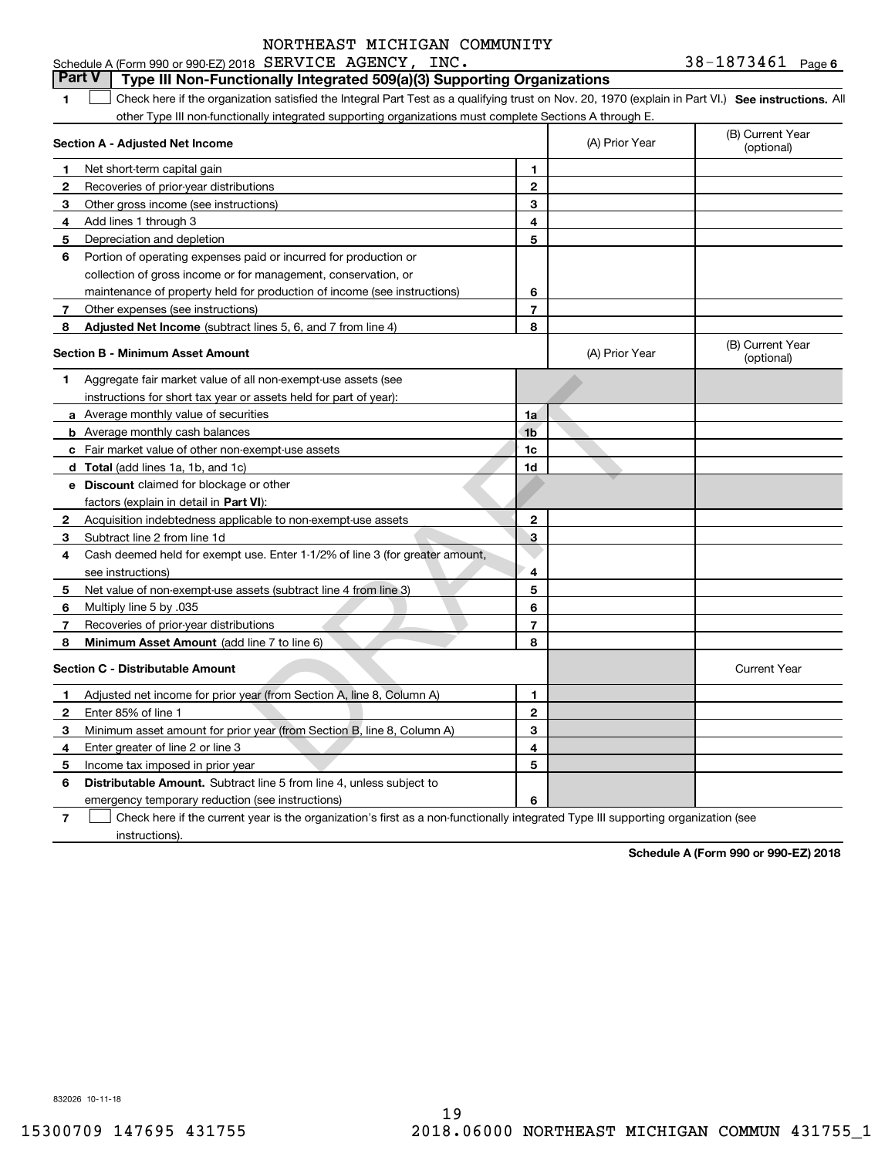#### **1SEP 10. See instructions.** All antegral Part Test as a qualifying trust on Nov. 20, 1970 (explain in Part VI.) See instructions. All **Section A - Adjusted Net Income 123** Other gross income (see instructions) **4**Add lines 1 through 3 **56** Portion of operating expenses paid or incurred for production or **7** Other expenses (see instructions) **8** Adjusted Net Income (subtract lines 5, 6, and 7 from line 4) **8 8 1234567Section B - Minimum Asset Amount 1**Aggregate fair market value of all non-exempt-use assets (see **2**Acquisition indebtedness applicable to non-exempt-use assets **3** Subtract line 2 from line 1d **4**Cash deemed held for exempt use. Enter 1-1/2% of line 3 (for greater amount, **5** Net value of non-exempt-use assets (subtract line 4 from line 3) **678a** Average monthly value of securities **b** Average monthly cash balances **c**Fair market value of other non-exempt-use assets **dTotal**  (add lines 1a, 1b, and 1c) **eDiscount** claimed for blockage or other **1a1b1c1d2345678**factors (explain in detail in **Part VI**): **Minimum Asset Amount**  (add line 7 to line 6) **Section C - Distributable Amount 123456123456Distributable Amount.** Subtract line 5 from line 4, unless subject to other Type III non-functionally integrated supporting organizations must complete Sections A through E. (B) Current Year (optional)(A) Prior Year Net short-term capital gain Recoveries of prior-year distributions Depreciation and depletion collection of gross income or for management, conservation, or maintenance of property held for production of income (see instructions) (B) Current Year (optional)(A) Prior Year instructions for short tax year or assets held for part of year): see instructions) Multiply line 5 by .035 Recoveries of prior-year distributions Current Year Adjusted net income for prior year (from Section A, line 8, Column A) Enter 85% of line 1 Minimum asset amount for prior year (from Section B, line 8, Column A) Enter greater of line 2 or line 3 Income tax imposed in prior year emergency temporary reduction (see instructions) **Part V** Type III Non-Functionally Integrated 509(a)(3) Supporting Organizations  $\mathcal{L}^{\text{max}}$ DRAFT

**7**Check here if the current year is the organization's first as a non-functionally integrated Type III supporting organization (see instructions). $\mathcal{L}^{\text{max}}$ 

**Schedule A (Form 990 or 990-EZ) 2018**

832026 10-11-18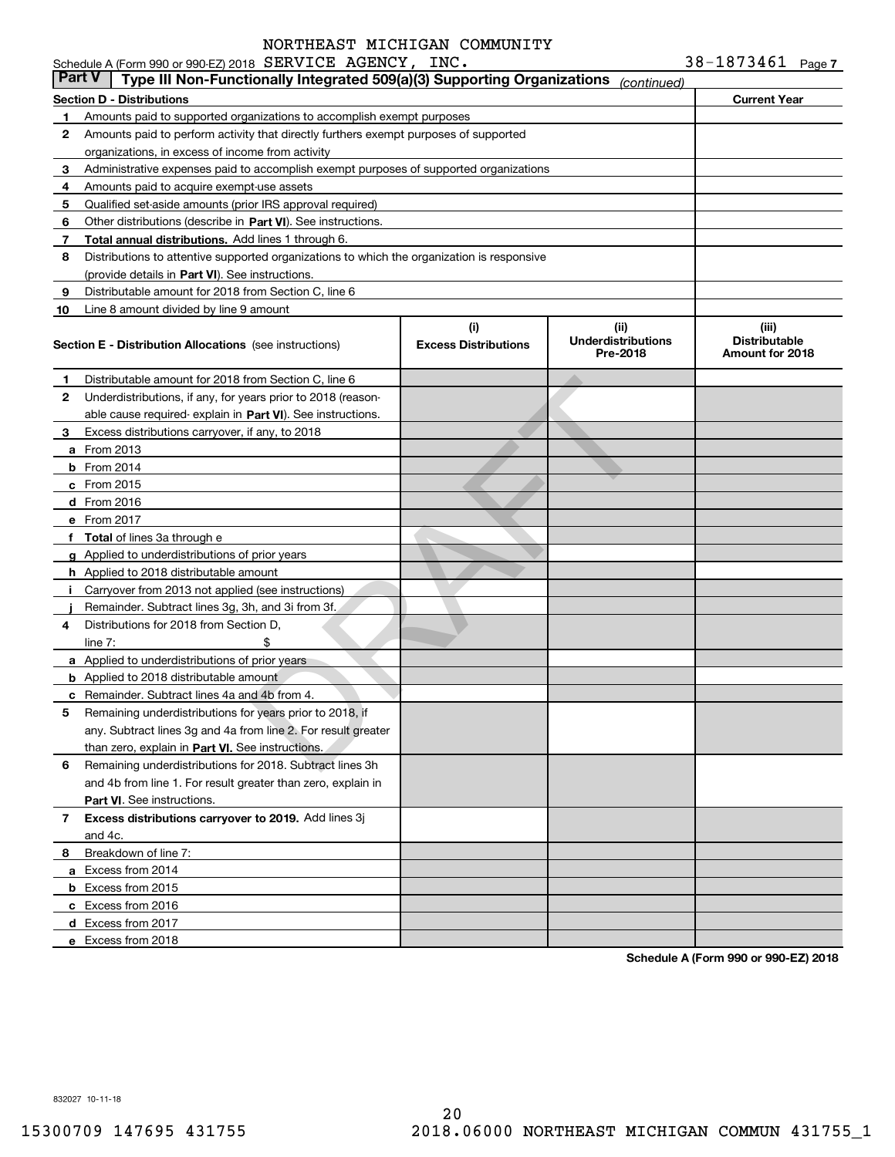| <b>Part V</b> | Schedule A (Form 990 or 990-EZ) 2018 SERVICE AGENCY, INC.<br>Type III Non-Functionally Integrated 509(a)(3) Supporting Organizations |                                    | (continued)                                   | 38-1873461 Page 7                                |
|---------------|--------------------------------------------------------------------------------------------------------------------------------------|------------------------------------|-----------------------------------------------|--------------------------------------------------|
|               | <b>Section D - Distributions</b>                                                                                                     |                                    |                                               | <b>Current Year</b>                              |
| -1            | Amounts paid to supported organizations to accomplish exempt purposes                                                                |                                    |                                               |                                                  |
| 2             | Amounts paid to perform activity that directly furthers exempt purposes of supported                                                 |                                    |                                               |                                                  |
|               | organizations, in excess of income from activity                                                                                     |                                    |                                               |                                                  |
| 3             | Administrative expenses paid to accomplish exempt purposes of supported organizations                                                |                                    |                                               |                                                  |
| 4             | Amounts paid to acquire exempt-use assets                                                                                            |                                    |                                               |                                                  |
| 5             | Qualified set-aside amounts (prior IRS approval required)                                                                            |                                    |                                               |                                                  |
| 6             | Other distributions (describe in Part VI). See instructions.                                                                         |                                    |                                               |                                                  |
| 7             | <b>Total annual distributions.</b> Add lines 1 through 6.                                                                            |                                    |                                               |                                                  |
| 8             | Distributions to attentive supported organizations to which the organization is responsive                                           |                                    |                                               |                                                  |
|               | (provide details in Part VI). See instructions.                                                                                      |                                    |                                               |                                                  |
| 9             | Distributable amount for 2018 from Section C, line 6                                                                                 |                                    |                                               |                                                  |
| 10            | Line 8 amount divided by line 9 amount                                                                                               |                                    |                                               |                                                  |
|               | <b>Section E - Distribution Allocations</b> (see instructions)                                                                       | (i)<br><b>Excess Distributions</b> | (ii)<br><b>Underdistributions</b><br>Pre-2018 | (iii)<br><b>Distributable</b><br>Amount for 2018 |
| 1             | Distributable amount for 2018 from Section C, line 6                                                                                 |                                    |                                               |                                                  |
| 2             | Underdistributions, if any, for years prior to 2018 (reason-                                                                         |                                    |                                               |                                                  |
|               | able cause required- explain in Part VI). See instructions.                                                                          |                                    |                                               |                                                  |
| З.            | Excess distributions carryover, if any, to 2018                                                                                      |                                    |                                               |                                                  |
|               | <b>a</b> From 2013                                                                                                                   |                                    |                                               |                                                  |
|               | <b>b</b> From 2014                                                                                                                   |                                    |                                               |                                                  |
|               | c From 2015                                                                                                                          |                                    |                                               |                                                  |
|               | d From 2016                                                                                                                          |                                    |                                               |                                                  |
|               | e From 2017                                                                                                                          |                                    |                                               |                                                  |
|               | f Total of lines 3a through e                                                                                                        |                                    |                                               |                                                  |
|               | g Applied to underdistributions of prior years                                                                                       |                                    |                                               |                                                  |
|               | <b>h</b> Applied to 2018 distributable amount                                                                                        |                                    |                                               |                                                  |
|               | i Carryover from 2013 not applied (see instructions)                                                                                 |                                    |                                               |                                                  |
|               | Remainder. Subtract lines 3g, 3h, and 3i from 3f.                                                                                    |                                    |                                               |                                                  |
| 4             | Distributions for 2018 from Section D,                                                                                               |                                    |                                               |                                                  |
|               | \$<br>line $7:$                                                                                                                      |                                    |                                               |                                                  |
|               | a Applied to underdistributions of prior years                                                                                       |                                    |                                               |                                                  |
|               | <b>b</b> Applied to 2018 distributable amount                                                                                        |                                    |                                               |                                                  |
|               | <b>c</b> Remainder. Subtract lines 4a and 4b from 4.                                                                                 |                                    |                                               |                                                  |
| 5             | Remaining underdistributions for years prior to 2018, if                                                                             |                                    |                                               |                                                  |
|               | any. Subtract lines 3g and 4a from line 2. For result greater                                                                        |                                    |                                               |                                                  |
|               | than zero, explain in Part VI. See instructions.                                                                                     |                                    |                                               |                                                  |
| 6             | Remaining underdistributions for 2018. Subtract lines 3h                                                                             |                                    |                                               |                                                  |
|               | and 4b from line 1. For result greater than zero, explain in                                                                         |                                    |                                               |                                                  |
|               | <b>Part VI.</b> See instructions.                                                                                                    |                                    |                                               |                                                  |
| 7             | Excess distributions carryover to 2019. Add lines 3j                                                                                 |                                    |                                               |                                                  |
|               | and 4c.                                                                                                                              |                                    |                                               |                                                  |
| 8             | Breakdown of line 7:                                                                                                                 |                                    |                                               |                                                  |
|               | a Excess from 2014                                                                                                                   |                                    |                                               |                                                  |
|               | <b>b</b> Excess from 2015                                                                                                            |                                    |                                               |                                                  |
|               | c Excess from 2016                                                                                                                   |                                    |                                               |                                                  |
|               | d Excess from 2017                                                                                                                   |                                    |                                               |                                                  |
|               | e Excess from 2018                                                                                                                   |                                    |                                               |                                                  |

**Schedule A (Form 990 or 990-EZ) 2018**

832027 10-11-18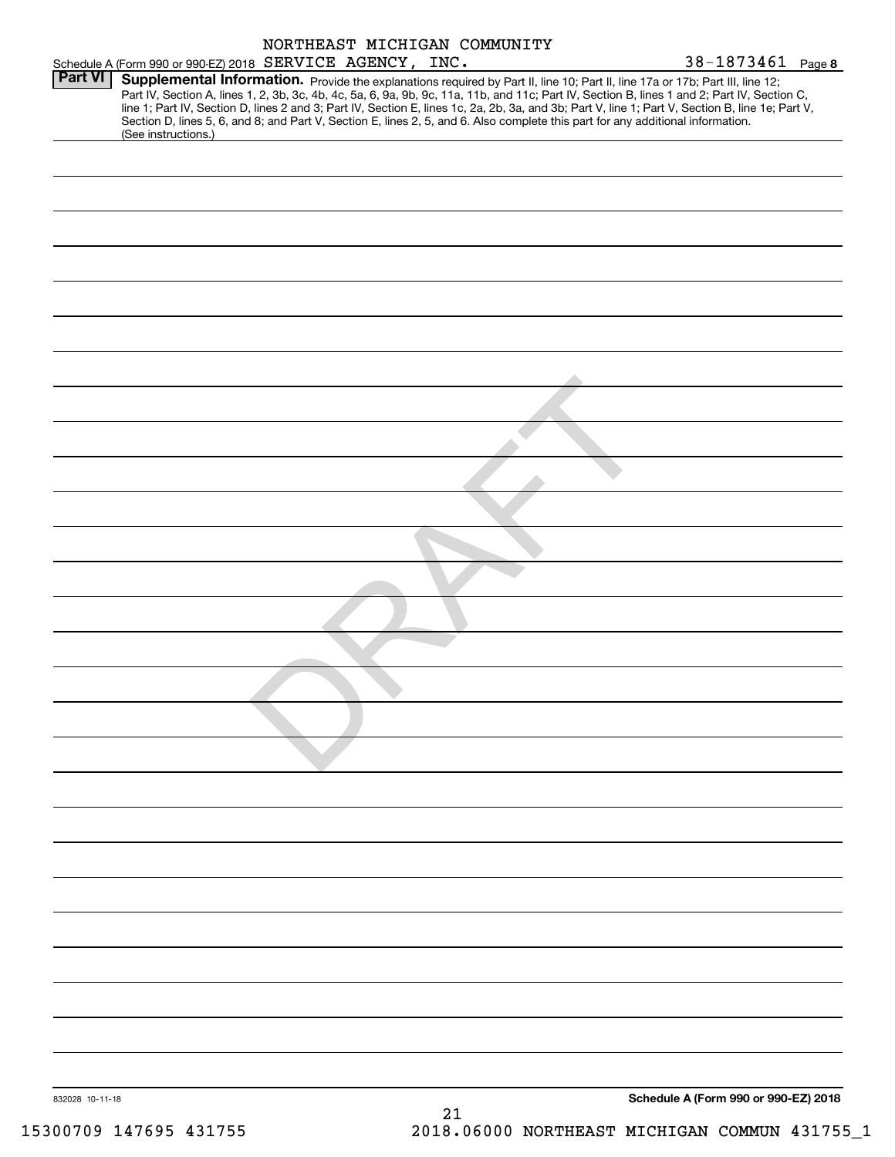|                |                                                           |  | NORTHEAST MICHIGAN COMMUNITY |                                                                                                                                                                                                                                                                                                                                                                                                                                                                                                                                                                      |
|----------------|-----------------------------------------------------------|--|------------------------------|----------------------------------------------------------------------------------------------------------------------------------------------------------------------------------------------------------------------------------------------------------------------------------------------------------------------------------------------------------------------------------------------------------------------------------------------------------------------------------------------------------------------------------------------------------------------|
|                | Schedule A (Form 990 or 990-EZ) 2018 SERVICE AGENCY, INC. |  |                              | 38-1873461 Page 8                                                                                                                                                                                                                                                                                                                                                                                                                                                                                                                                                    |
| <b>Part VI</b> | (See instructions.)                                       |  |                              | Supplemental Information. Provide the explanations required by Part II, line 10; Part II, line 17a or 17b; Part III, line 12;<br>Part IV, Section A, lines 1, 2, 3b, 3c, 4b, 4c, 5a, 6, 9a, 9b, 9c, 11a, 11b, and 11c; Part IV, Section B, lines 1 and 2; Part IV, Section C,<br>line 1; Part IV, Section D, lines 2 and 3; Part IV, Section E, lines 1c, 2a, 2b, 3a, and 3b; Part V, line 1; Part V, Section B, line 1e; Part V,<br>Section D, lines 5, 6, and 8; and Part V, Section E, lines 2, 5, and 6. Also complete this part for any additional information. |
|                |                                                           |  |                              |                                                                                                                                                                                                                                                                                                                                                                                                                                                                                                                                                                      |
|                |                                                           |  |                              |                                                                                                                                                                                                                                                                                                                                                                                                                                                                                                                                                                      |
|                |                                                           |  |                              |                                                                                                                                                                                                                                                                                                                                                                                                                                                                                                                                                                      |
|                |                                                           |  |                              |                                                                                                                                                                                                                                                                                                                                                                                                                                                                                                                                                                      |
|                |                                                           |  |                              |                                                                                                                                                                                                                                                                                                                                                                                                                                                                                                                                                                      |
|                |                                                           |  |                              |                                                                                                                                                                                                                                                                                                                                                                                                                                                                                                                                                                      |
|                |                                                           |  |                              |                                                                                                                                                                                                                                                                                                                                                                                                                                                                                                                                                                      |
|                |                                                           |  |                              |                                                                                                                                                                                                                                                                                                                                                                                                                                                                                                                                                                      |
|                |                                                           |  |                              |                                                                                                                                                                                                                                                                                                                                                                                                                                                                                                                                                                      |
|                |                                                           |  |                              |                                                                                                                                                                                                                                                                                                                                                                                                                                                                                                                                                                      |
|                |                                                           |  |                              |                                                                                                                                                                                                                                                                                                                                                                                                                                                                                                                                                                      |
|                |                                                           |  |                              |                                                                                                                                                                                                                                                                                                                                                                                                                                                                                                                                                                      |
|                |                                                           |  |                              |                                                                                                                                                                                                                                                                                                                                                                                                                                                                                                                                                                      |
|                |                                                           |  |                              |                                                                                                                                                                                                                                                                                                                                                                                                                                                                                                                                                                      |
|                |                                                           |  |                              |                                                                                                                                                                                                                                                                                                                                                                                                                                                                                                                                                                      |
|                |                                                           |  |                              |                                                                                                                                                                                                                                                                                                                                                                                                                                                                                                                                                                      |
|                |                                                           |  |                              |                                                                                                                                                                                                                                                                                                                                                                                                                                                                                                                                                                      |
|                |                                                           |  |                              |                                                                                                                                                                                                                                                                                                                                                                                                                                                                                                                                                                      |
|                |                                                           |  |                              |                                                                                                                                                                                                                                                                                                                                                                                                                                                                                                                                                                      |
|                |                                                           |  |                              |                                                                                                                                                                                                                                                                                                                                                                                                                                                                                                                                                                      |
|                |                                                           |  |                              |                                                                                                                                                                                                                                                                                                                                                                                                                                                                                                                                                                      |
|                |                                                           |  |                              |                                                                                                                                                                                                                                                                                                                                                                                                                                                                                                                                                                      |
|                |                                                           |  |                              |                                                                                                                                                                                                                                                                                                                                                                                                                                                                                                                                                                      |
|                |                                                           |  |                              |                                                                                                                                                                                                                                                                                                                                                                                                                                                                                                                                                                      |
|                |                                                           |  |                              |                                                                                                                                                                                                                                                                                                                                                                                                                                                                                                                                                                      |
|                |                                                           |  |                              |                                                                                                                                                                                                                                                                                                                                                                                                                                                                                                                                                                      |
|                |                                                           |  |                              |                                                                                                                                                                                                                                                                                                                                                                                                                                                                                                                                                                      |
|                |                                                           |  |                              |                                                                                                                                                                                                                                                                                                                                                                                                                                                                                                                                                                      |
|                |                                                           |  |                              |                                                                                                                                                                                                                                                                                                                                                                                                                                                                                                                                                                      |
|                |                                                           |  |                              |                                                                                                                                                                                                                                                                                                                                                                                                                                                                                                                                                                      |
|                |                                                           |  |                              |                                                                                                                                                                                                                                                                                                                                                                                                                                                                                                                                                                      |
|                |                                                           |  |                              | Schedule A (Form 990 or 990-EZ) 2018                                                                                                                                                                                                                                                                                                                                                                                                                                                                                                                                 |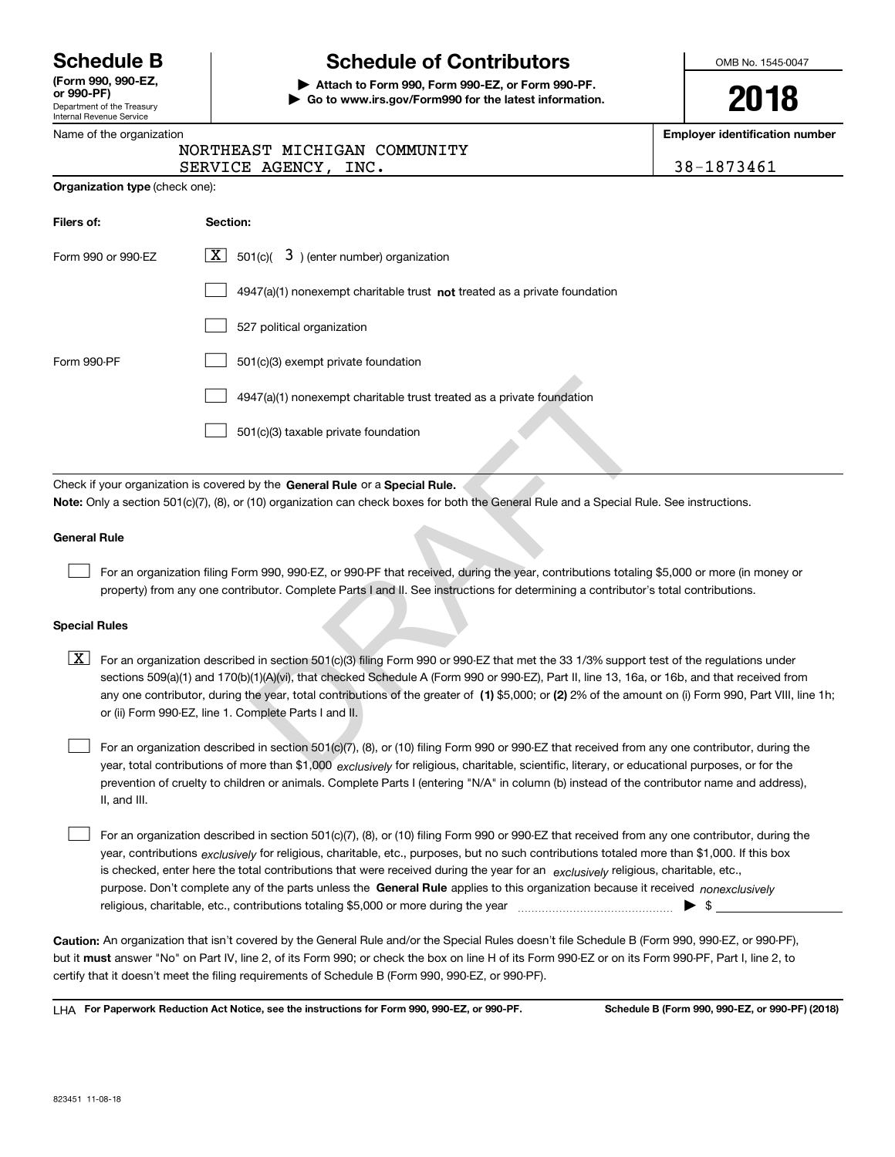Department of the Treasury Internal Revenue Service **(Form 990, 990-EZ, or 990-PF)**

# **Schedule B Schedule of Contributors**

**| Attach to Form 990, Form 990-EZ, or Form 990-PF. | Go to www.irs.gov/Form990 for the latest information.** OMB No. 1545-0047

**2018**

**Employer identification number**

SERVICE AGENCY, INC. 38-1873461

| Name of the organization<br>NORTHEAST MICHIGAN COMMUNITY<br>SERVICE AGENCY, INC. |                                                            |  |  |  |
|----------------------------------------------------------------------------------|------------------------------------------------------------|--|--|--|
| <b>Organization type (check one):</b>                                            |                                                            |  |  |  |
| Filers of:                                                                       | Section:                                                   |  |  |  |
| Form 990 or 990-EZ                                                               | $\lfloor x \rfloor$ 501(c)( 3) (enter number) organization |  |  |  |

| 4947(a)(1) nonexempt charitable trust not treated as a private foundation |  |
|---------------------------------------------------------------------------|--|
|                                                                           |  |

|  |  |  | 527 political organization |
|--|--|--|----------------------------|
|--|--|--|----------------------------|

|--|--|

4947(a)(1) nonexempt charitable trust treated as a private foundation  $\mathcal{L}^{\text{max}}$ 

501(c)(3) taxable private foundation  $\mathcal{L}^{\text{max}}$ 

Check if your organization is covered by the **General Rule** or a **Special Rule.**<br>Nota: Only a section 501(c)(7), (8), or (10) erganization can chock boxes for be **Note:**  Only a section 501(c)(7), (8), or (10) organization can check boxes for both the General Rule and a Special Rule. See instructions.

## **General Rule**

 $\mathcal{L}^{\text{max}}$ 

Form 990-PF

For an organization filing Form 990, 990-EZ, or 990-PF that received, during the year, contributions totaling \$5,000 or more (in money or property) from any one contributor. Complete Parts I and II. See instructions for determining a contributor's total contributions.

#### **Special Rules**

any one contributor, during the year, total contributions of the greater of  $\,$  (1) \$5,000; or **(2)** 2% of the amount on (i) Form 990, Part VIII, line 1h;  $\overline{\textbf{X}}$  For an organization described in section 501(c)(3) filing Form 990 or 990-EZ that met the 33 1/3% support test of the regulations under sections 509(a)(1) and 170(b)(1)(A)(vi), that checked Schedule A (Form 990 or 990-EZ), Part II, line 13, 16a, or 16b, and that received from or (ii) Form 990-EZ, line 1. Complete Parts I and II. 47(a)(1) nonexempt charitable trust treated as a private foundation<br>
11(c)(3) taxable private foundation<br>
by the General Rule or a Special Rule.<br>
10) organization can check boxes for both the General Rule and a Special Ru<br>

year, total contributions of more than \$1,000 *exclusively* for religious, charitable, scientific, literary, or educational purposes, or for the For an organization described in section 501(c)(7), (8), or (10) filing Form 990 or 990-EZ that received from any one contributor, during the prevention of cruelty to children or animals. Complete Parts I (entering "N/A" in column (b) instead of the contributor name and address), II, and III.  $\mathcal{L}^{\text{max}}$ 

purpose. Don't complete any of the parts unless the **General Rule** applies to this organization because it received *nonexclusively* year, contributions <sub>exclusively</sub> for religious, charitable, etc., purposes, but no such contributions totaled more than \$1,000. If this box is checked, enter here the total contributions that were received during the year for an  $\;$ exclusively religious, charitable, etc., For an organization described in section 501(c)(7), (8), or (10) filing Form 990 or 990-EZ that received from any one contributor, during the religious, charitable, etc., contributions totaling \$5,000 or more during the year  $\Box$ — $\Box$  =  $\Box$  $\mathcal{L}^{\text{max}}$ 

**Caution:**  An organization that isn't covered by the General Rule and/or the Special Rules doesn't file Schedule B (Form 990, 990-EZ, or 990-PF), but it **must** answer "No" on Part IV, line 2, of its Form 990; or check the box on line H of its Form 990-EZ or on its Form 990-PF, Part I, line 2, to<br>cortify that it doesn't meet the filipe requirements of Schodule B (Fer certify that it doesn't meet the filing requirements of Schedule B (Form 990, 990-EZ, or 990-PF).

**For Paperwork Reduction Act Notice, see the instructions for Form 990, 990-EZ, or 990-PF. Schedule B (Form 990, 990-EZ, or 990-PF) (2018)** LHA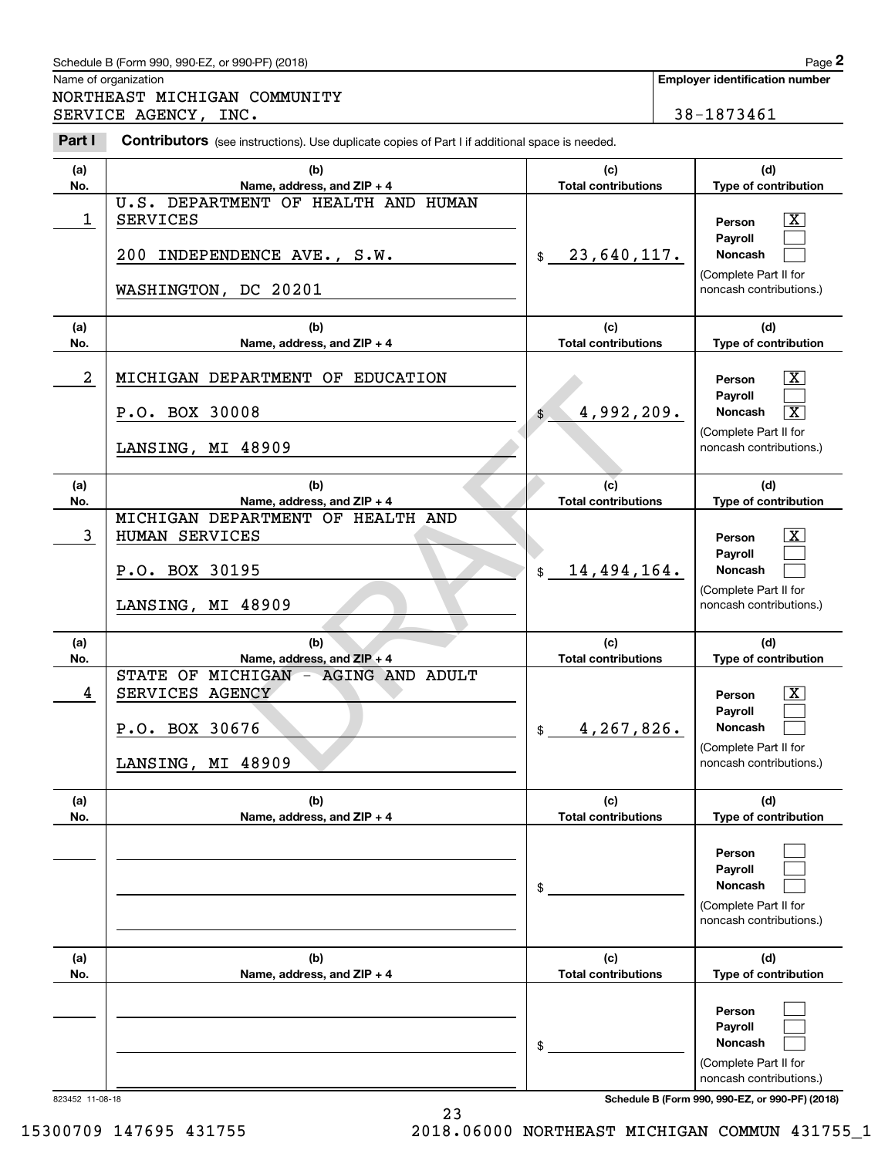## Schedule B (Form 990, 990-EZ, or 990-PF) (2018) **Page 2** Page 2

|                | Schedule B (Form 990, 990-EZ, or 990-PF) (2018)                                                       |                                   |  | Page 2                                           |  |
|----------------|-------------------------------------------------------------------------------------------------------|-----------------------------------|--|--------------------------------------------------|--|
|                | Name of organization                                                                                  |                                   |  | <b>Employer identification number</b>            |  |
|                | NORTHEAST MICHIGAN COMMUNITY                                                                          |                                   |  |                                                  |  |
|                | SERVICE AGENCY, INC.                                                                                  |                                   |  | 38-1873461                                       |  |
| Part I         | <b>Contributors</b> (see instructions). Use duplicate copies of Part I if additional space is needed. |                                   |  |                                                  |  |
| (a)            | (b)                                                                                                   | (c)                               |  | (d)                                              |  |
| No.            | Name, address, and ZIP + 4                                                                            | <b>Total contributions</b>        |  | Type of contribution                             |  |
|                | U.S. DEPARTMENT OF HEALTH AND HUMAN                                                                   |                                   |  |                                                  |  |
| 1              | <b>SERVICES</b>                                                                                       |                                   |  | $\vert$ X $\vert$<br>Person<br>Payroll           |  |
|                | 200 INDEPENDENCE AVE., S.W.                                                                           | 23,640,117.<br>\$                 |  | Noncash                                          |  |
|                |                                                                                                       |                                   |  | (Complete Part II for                            |  |
|                | WASHINGTON, DC 20201                                                                                  |                                   |  | noncash contributions.)                          |  |
|                |                                                                                                       |                                   |  |                                                  |  |
| (a)<br>No.     | (b)<br>Name, address, and ZIP + 4                                                                     | (c)<br><b>Total contributions</b> |  | (d)<br>Type of contribution                      |  |
|                |                                                                                                       |                                   |  |                                                  |  |
| $\overline{a}$ | MICHIGAN DEPARTMENT OF EDUCATION                                                                      |                                   |  | $\boxed{\text{X}}$<br>Person                     |  |
|                |                                                                                                       |                                   |  | Payroll<br>Noncash<br>$\boxed{\text{X}}$         |  |
|                | P.O. BOX 30008                                                                                        | 4,992,209.<br>\$                  |  | (Complete Part II for                            |  |
|                | LANSING, MI 48909                                                                                     |                                   |  | noncash contributions.)                          |  |
|                |                                                                                                       |                                   |  |                                                  |  |
| (a)            | (b)                                                                                                   | (c)                               |  | (d)                                              |  |
| No.            | Name, address, and ZIP + 4<br>MICHIGAN DEPARTMENT OF HEALTH AND                                       | <b>Total contributions</b>        |  | Type of contribution                             |  |
| 3              | HUMAN SERVICES                                                                                        |                                   |  | $\mathbf{X}$<br>Person                           |  |
|                |                                                                                                       |                                   |  | Payroll                                          |  |
|                | P.O. BOX 30195                                                                                        | 14,494,164.<br>\$                 |  | Noncash                                          |  |
|                | LANSING, MI 48909                                                                                     |                                   |  | (Complete Part II for<br>noncash contributions.) |  |
|                |                                                                                                       |                                   |  |                                                  |  |
| (a)            | (b)                                                                                                   | (c)                               |  | (d)                                              |  |
| No.            | Name, address, and ZIP + 4                                                                            | <b>Total contributions</b>        |  | Type of contribution                             |  |
| 4              | STATE OF MICHIGAN - AGING AND ADULT<br>SERVICES AGENCY                                                |                                   |  | $\vert$ X $\vert$<br>Person                      |  |
|                |                                                                                                       |                                   |  | <b>Payroll</b>                                   |  |
|                | P.O. BOX 30676                                                                                        | 4,267,826.<br>\$                  |  | Noncash                                          |  |
|                | LANSING, MI 48909                                                                                     |                                   |  | (Complete Part II for<br>noncash contributions.) |  |
|                |                                                                                                       |                                   |  |                                                  |  |
| (a)            | (b)                                                                                                   | (c)                               |  | (d)                                              |  |
| No.            | Name, address, and ZIP + 4                                                                            | <b>Total contributions</b>        |  | Type of contribution                             |  |
|                |                                                                                                       |                                   |  |                                                  |  |
|                |                                                                                                       |                                   |  | Person<br>Payroll                                |  |
|                |                                                                                                       | \$                                |  | Noncash                                          |  |
|                |                                                                                                       |                                   |  | (Complete Part II for                            |  |
|                |                                                                                                       |                                   |  | noncash contributions.)                          |  |
| (a)            | (b)                                                                                                   | (c)                               |  | (d)                                              |  |
| No.            | Name, address, and ZIP + 4                                                                            | <b>Total contributions</b>        |  | Type of contribution                             |  |
|                |                                                                                                       |                                   |  |                                                  |  |
|                |                                                                                                       |                                   |  | Person<br>Payroll                                |  |
|                |                                                                                                       | \$                                |  | Noncash                                          |  |
|                |                                                                                                       |                                   |  | (Complete Part II for                            |  |
|                |                                                                                                       |                                   |  | noncash contributions.)                          |  |

23 15300709 147695 431755 2018.06000 NORTHEAST MICHIGAN COMMUN 431755\_1

823452 11-08-18 **Schedule B (Form 990, 990-EZ, or 990-PF) (2018)**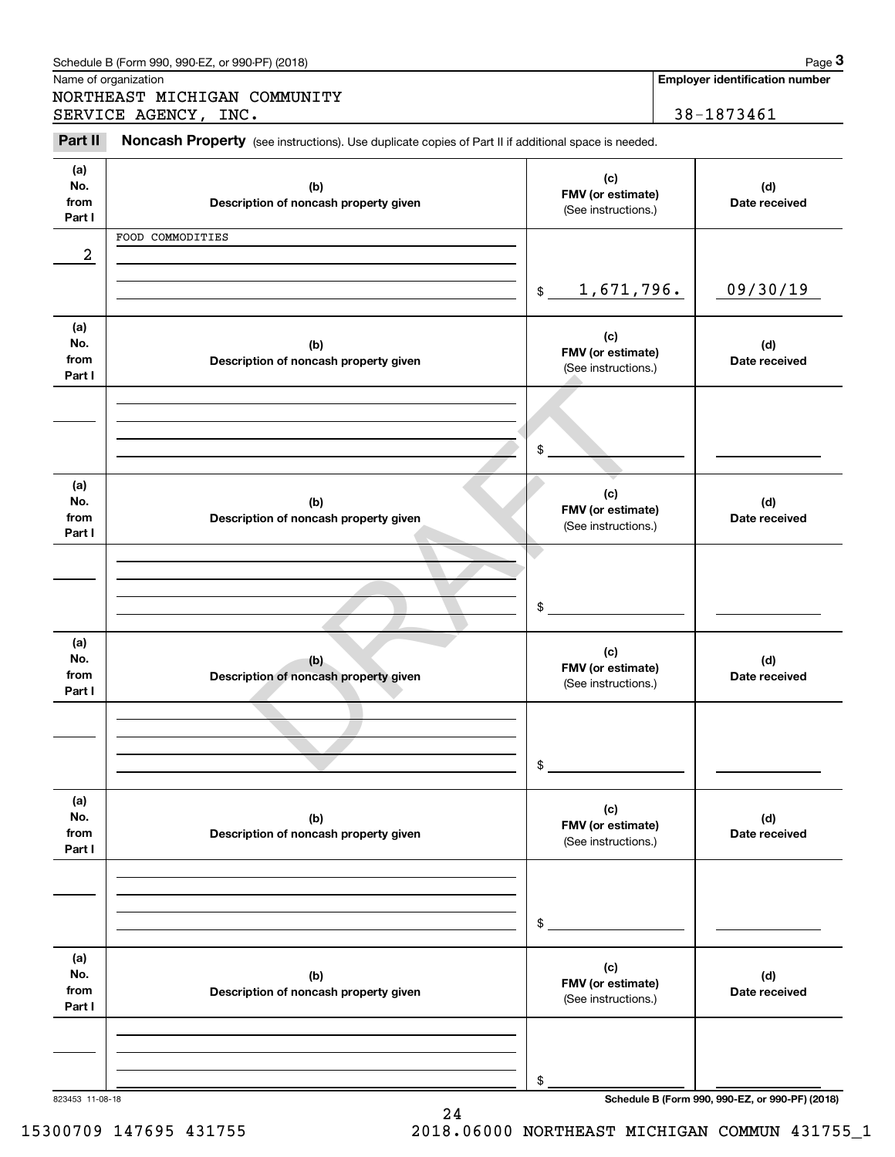|                              | Schedule B (Form 990, 990-EZ, or 990-PF) (2018)                                                     |                                                 |  | Page 3                                          |  |
|------------------------------|-----------------------------------------------------------------------------------------------------|-------------------------------------------------|--|-------------------------------------------------|--|
|                              | Name of organization<br>NORTHEAST MICHIGAN COMMUNITY                                                |                                                 |  | <b>Employer identification number</b>           |  |
|                              | SERVICE AGENCY, INC.                                                                                | 38-1873461                                      |  |                                                 |  |
| Part II                      | Noncash Property (see instructions). Use duplicate copies of Part II if additional space is needed. |                                                 |  |                                                 |  |
| (a)<br>No.<br>from<br>Part I | (b)<br>Description of noncash property given                                                        | (c)<br>FMV (or estimate)<br>(See instructions.) |  | (d)<br>Date received                            |  |
|                              | FOOD COMMODITIES                                                                                    |                                                 |  |                                                 |  |
| $\overline{\mathbf{c}}$      |                                                                                                     | 1,671,796.<br>\$                                |  | 09/30/19                                        |  |
|                              |                                                                                                     |                                                 |  |                                                 |  |
| (a)<br>No.<br>from<br>Part I | (b)<br>Description of noncash property given                                                        | (c)<br>FMV (or estimate)<br>(See instructions.) |  | (d)<br>Date received                            |  |
|                              |                                                                                                     | \$                                              |  |                                                 |  |
| (a)<br>No.<br>from<br>Part I | (b)<br>Description of noncash property given                                                        | (c)<br>FMV (or estimate)<br>(See instructions.) |  | (d)<br>Date received                            |  |
|                              |                                                                                                     | \$                                              |  |                                                 |  |
| (a)<br>No.<br>from<br>Part I | (b)<br>Description of noncash property given                                                        | (c)<br>FMV (or estimate)<br>(See instructions.) |  | (d)<br>Date received                            |  |
|                              |                                                                                                     | \$                                              |  |                                                 |  |
| (a)<br>No.<br>from<br>Part I | (b)<br>Description of noncash property given                                                        | (c)<br>FMV (or estimate)<br>(See instructions.) |  | (d)<br>Date received                            |  |
|                              |                                                                                                     | \$                                              |  |                                                 |  |
| (a)<br>No.<br>from<br>Part I | (b)<br>Description of noncash property given                                                        | (c)<br>FMV (or estimate)<br>(See instructions.) |  | (d)<br>Date received                            |  |
|                              |                                                                                                     | \$                                              |  |                                                 |  |
| 823453 11-08-18              |                                                                                                     |                                                 |  | Schedule B (Form 990, 990-EZ, or 990-PF) (2018) |  |

24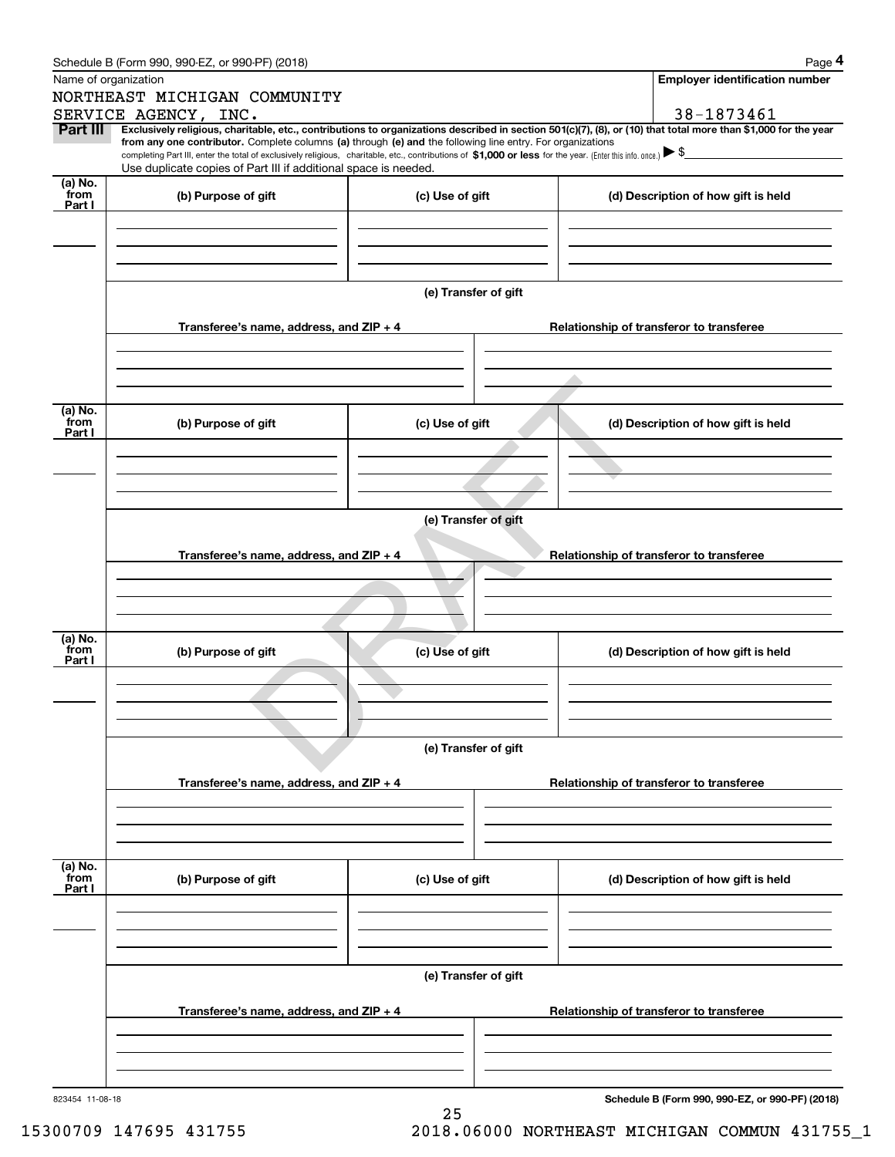|                 | Schedule B (Form 990, 990-EZ, or 990-PF) (2018)                                                                                                                                   |                      | Page 4                                                                                                                                                         |  |  |  |  |
|-----------------|-----------------------------------------------------------------------------------------------------------------------------------------------------------------------------------|----------------------|----------------------------------------------------------------------------------------------------------------------------------------------------------------|--|--|--|--|
|                 | Name of organization                                                                                                                                                              |                      | <b>Employer identification number</b>                                                                                                                          |  |  |  |  |
|                 | NORTHEAST MICHIGAN COMMUNITY                                                                                                                                                      |                      |                                                                                                                                                                |  |  |  |  |
|                 | SERVICE AGENCY, INC.                                                                                                                                                              |                      | 38-1873461                                                                                                                                                     |  |  |  |  |
| Part III        | from any one contributor. Complete columns (a) through (e) and the following line entry. For organizations                                                                        |                      | Exclusively religious, charitable, etc., contributions to organizations described in section 501(c)(7), (8), or (10) that total more than \$1,000 for the year |  |  |  |  |
|                 | completing Part III, enter the total of exclusively religious, charitable, etc., contributions of \$1,000 or less for the year. (Enter this info. once.) $\blacktriangleright$ \$ |                      |                                                                                                                                                                |  |  |  |  |
| $(a)$ No.       | Use duplicate copies of Part III if additional space is needed.                                                                                                                   |                      |                                                                                                                                                                |  |  |  |  |
| from<br>Part I  | (b) Purpose of gift                                                                                                                                                               | (c) Use of gift      | (d) Description of how gift is held                                                                                                                            |  |  |  |  |
|                 |                                                                                                                                                                                   |                      |                                                                                                                                                                |  |  |  |  |
|                 |                                                                                                                                                                                   |                      |                                                                                                                                                                |  |  |  |  |
|                 |                                                                                                                                                                                   |                      |                                                                                                                                                                |  |  |  |  |
|                 |                                                                                                                                                                                   |                      |                                                                                                                                                                |  |  |  |  |
|                 |                                                                                                                                                                                   | (e) Transfer of gift |                                                                                                                                                                |  |  |  |  |
|                 |                                                                                                                                                                                   |                      |                                                                                                                                                                |  |  |  |  |
|                 | Transferee's name, address, and ZIP + 4                                                                                                                                           |                      | Relationship of transferor to transferee                                                                                                                       |  |  |  |  |
|                 |                                                                                                                                                                                   |                      |                                                                                                                                                                |  |  |  |  |
|                 |                                                                                                                                                                                   |                      |                                                                                                                                                                |  |  |  |  |
|                 |                                                                                                                                                                                   |                      |                                                                                                                                                                |  |  |  |  |
| (a) No.<br>from | (b) Purpose of gift                                                                                                                                                               | (c) Use of gift      | (d) Description of how gift is held                                                                                                                            |  |  |  |  |
| Part I          |                                                                                                                                                                                   |                      |                                                                                                                                                                |  |  |  |  |
|                 |                                                                                                                                                                                   |                      |                                                                                                                                                                |  |  |  |  |
|                 |                                                                                                                                                                                   |                      |                                                                                                                                                                |  |  |  |  |
|                 |                                                                                                                                                                                   |                      |                                                                                                                                                                |  |  |  |  |
|                 | (e) Transfer of gift                                                                                                                                                              |                      |                                                                                                                                                                |  |  |  |  |
|                 |                                                                                                                                                                                   |                      |                                                                                                                                                                |  |  |  |  |
|                 | Transferee's name, address, and ZIP + 4<br>Relationship of transferor to transferee                                                                                               |                      |                                                                                                                                                                |  |  |  |  |
|                 |                                                                                                                                                                                   |                      |                                                                                                                                                                |  |  |  |  |
|                 |                                                                                                                                                                                   |                      |                                                                                                                                                                |  |  |  |  |
|                 |                                                                                                                                                                                   |                      |                                                                                                                                                                |  |  |  |  |
| (a) No.         |                                                                                                                                                                                   |                      |                                                                                                                                                                |  |  |  |  |
| from<br>Part I  | (b) Purpose of gift                                                                                                                                                               | (c) Use of gift      | (d) Description of how gift is held                                                                                                                            |  |  |  |  |
|                 |                                                                                                                                                                                   |                      |                                                                                                                                                                |  |  |  |  |
|                 |                                                                                                                                                                                   |                      |                                                                                                                                                                |  |  |  |  |
|                 |                                                                                                                                                                                   |                      |                                                                                                                                                                |  |  |  |  |
|                 |                                                                                                                                                                                   | (e) Transfer of gift |                                                                                                                                                                |  |  |  |  |
|                 |                                                                                                                                                                                   |                      |                                                                                                                                                                |  |  |  |  |
|                 | Transferee's name, address, and $ZIP + 4$                                                                                                                                         |                      | Relationship of transferor to transferee                                                                                                                       |  |  |  |  |
|                 |                                                                                                                                                                                   |                      |                                                                                                                                                                |  |  |  |  |
|                 |                                                                                                                                                                                   |                      |                                                                                                                                                                |  |  |  |  |
|                 |                                                                                                                                                                                   |                      |                                                                                                                                                                |  |  |  |  |
| (a) No.<br>from |                                                                                                                                                                                   |                      |                                                                                                                                                                |  |  |  |  |
| Part I          | (b) Purpose of gift                                                                                                                                                               | (c) Use of gift      | (d) Description of how gift is held                                                                                                                            |  |  |  |  |
|                 |                                                                                                                                                                                   |                      |                                                                                                                                                                |  |  |  |  |
|                 |                                                                                                                                                                                   |                      |                                                                                                                                                                |  |  |  |  |
|                 |                                                                                                                                                                                   |                      |                                                                                                                                                                |  |  |  |  |
|                 |                                                                                                                                                                                   |                      |                                                                                                                                                                |  |  |  |  |
|                 | (e) Transfer of gift                                                                                                                                                              |                      |                                                                                                                                                                |  |  |  |  |
|                 | Transferee's name, address, and ZIP + 4                                                                                                                                           |                      | Relationship of transferor to transferee                                                                                                                       |  |  |  |  |
|                 |                                                                                                                                                                                   |                      |                                                                                                                                                                |  |  |  |  |
|                 |                                                                                                                                                                                   |                      |                                                                                                                                                                |  |  |  |  |
|                 |                                                                                                                                                                                   |                      |                                                                                                                                                                |  |  |  |  |
| 823454 11-08-18 |                                                                                                                                                                                   |                      | Schedule B (Form 990, 990-EZ, or 990-PF) (2018)                                                                                                                |  |  |  |  |
|                 |                                                                                                                                                                                   | 25                   |                                                                                                                                                                |  |  |  |  |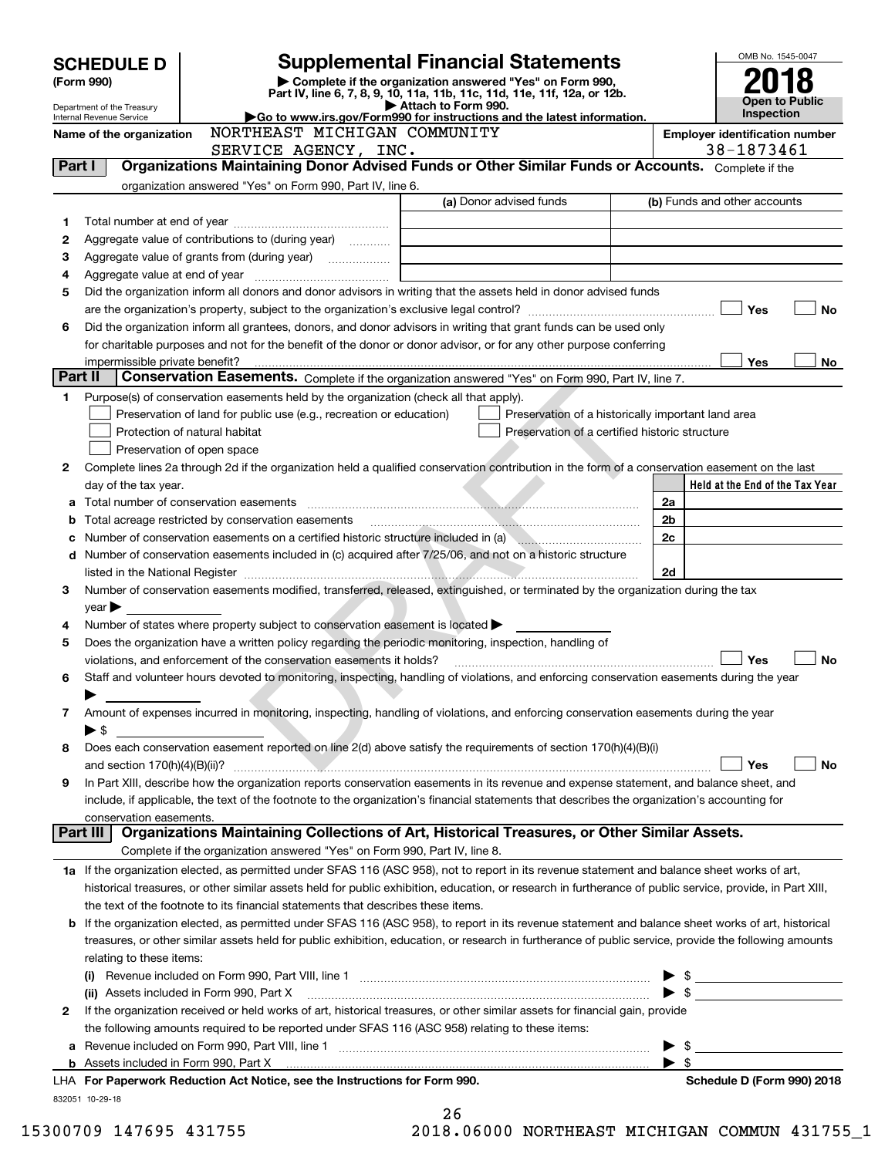|                            | <b>SCHEDULE D</b>                                                                    |                                                                                                                                                                           | <b>Supplemental Financial Statements</b>                 |  |                                       | OMB No. 1545-0047               |                |  |
|----------------------------|--------------------------------------------------------------------------------------|---------------------------------------------------------------------------------------------------------------------------------------------------------------------------|----------------------------------------------------------|--|---------------------------------------|---------------------------------|----------------|--|
|                            | (Form 990)                                                                           |                                                                                                                                                                           | Complete if the organization answered "Yes" on Form 990, |  |                                       |                                 |                |  |
| Department of the Treasury |                                                                                      | Part IV, line 6, 7, 8, 9, 10, 11a, 11b, 11c, 11d, 11e, 11f, 12a, or 12b.<br>Attach to Form 990.<br>Go to www.irs.gov/Form990 for instructions and the latest information. |                                                          |  |                                       |                                 | Open to Public |  |
|                            | Internal Revenue Service<br>NORTHEAST MICHIGAN COMMUNITY<br>Name of the organization |                                                                                                                                                                           |                                                          |  | <b>Employer identification number</b> | <b>Inspection</b>               |                |  |
|                            |                                                                                      | SERVICE AGENCY, INC.                                                                                                                                                      |                                                          |  |                                       | 38-1873461                      |                |  |
| Part I                     |                                                                                      | Organizations Maintaining Donor Advised Funds or Other Similar Funds or Accounts. Complete if the                                                                         |                                                          |  |                                       |                                 |                |  |
|                            |                                                                                      | organization answered "Yes" on Form 990, Part IV, line 6.                                                                                                                 |                                                          |  |                                       |                                 |                |  |
|                            |                                                                                      |                                                                                                                                                                           | (a) Donor advised funds                                  |  | (b) Funds and other accounts          |                                 |                |  |
| 1                          |                                                                                      |                                                                                                                                                                           |                                                          |  |                                       |                                 |                |  |
| 2                          |                                                                                      | Aggregate value of contributions to (during year)                                                                                                                         |                                                          |  |                                       |                                 |                |  |
| з                          |                                                                                      |                                                                                                                                                                           |                                                          |  |                                       |                                 |                |  |
| 4                          |                                                                                      |                                                                                                                                                                           |                                                          |  |                                       |                                 |                |  |
| 5                          |                                                                                      | Did the organization inform all donors and donor advisors in writing that the assets held in donor advised funds                                                          |                                                          |  |                                       | Yes                             | <b>No</b>      |  |
| 6                          |                                                                                      | Did the organization inform all grantees, donors, and donor advisors in writing that grant funds can be used only                                                         |                                                          |  |                                       |                                 |                |  |
|                            |                                                                                      | for charitable purposes and not for the benefit of the donor or donor advisor, or for any other purpose conferring                                                        |                                                          |  |                                       |                                 |                |  |
|                            |                                                                                      |                                                                                                                                                                           |                                                          |  |                                       | Yes                             | No             |  |
| Part II                    |                                                                                      | Conservation Easements. Complete if the organization answered "Yes" on Form 990, Part IV, line 7.                                                                         |                                                          |  |                                       |                                 |                |  |
| 1                          |                                                                                      | Purpose(s) of conservation easements held by the organization (check all that apply).                                                                                     |                                                          |  |                                       |                                 |                |  |
|                            |                                                                                      | Preservation of land for public use (e.g., recreation or education)                                                                                                       | Preservation of a historically important land area       |  |                                       |                                 |                |  |
|                            |                                                                                      | Protection of natural habitat                                                                                                                                             | Preservation of a certified historic structure           |  |                                       |                                 |                |  |
|                            |                                                                                      | Preservation of open space                                                                                                                                                |                                                          |  |                                       |                                 |                |  |
| 2                          |                                                                                      | Complete lines 2a through 2d if the organization held a qualified conservation contribution in the form of a conservation easement on the last                            |                                                          |  |                                       |                                 |                |  |
|                            | day of the tax year.                                                                 |                                                                                                                                                                           |                                                          |  |                                       | Held at the End of the Tax Year |                |  |
| а                          |                                                                                      |                                                                                                                                                                           |                                                          |  | 2a                                    |                                 |                |  |
| b                          |                                                                                      |                                                                                                                                                                           |                                                          |  | 2b                                    |                                 |                |  |
| c                          |                                                                                      | Number of conservation easements on a certified historic structure included in (a) manufacture included in (a)                                                            |                                                          |  | 2c                                    |                                 |                |  |
| d                          |                                                                                      | Number of conservation easements included in (c) acquired after 7/25/06, and not on a historic structure                                                                  |                                                          |  |                                       |                                 |                |  |
| 3                          |                                                                                      | Number of conservation easements modified, transferred, released, extinguished, or terminated by the organization during the tax                                          |                                                          |  | 2d                                    |                                 |                |  |
|                            | $year \blacktriangleright$                                                           |                                                                                                                                                                           |                                                          |  |                                       |                                 |                |  |
| 4                          |                                                                                      | Number of states where property subject to conservation easement is located $\blacktriangleright$                                                                         |                                                          |  |                                       |                                 |                |  |
| 5                          |                                                                                      | Does the organization have a written policy regarding the periodic monitoring, inspection, handling of                                                                    |                                                          |  |                                       |                                 |                |  |
|                            |                                                                                      | violations, and enforcement of the conservation easements it holds?                                                                                                       |                                                          |  |                                       | Yes                             | <b>No</b>      |  |
| 6                          |                                                                                      | Staff and volunteer hours devoted to monitoring, inspecting, handling of violations, and enforcing conservation easements during the year                                 |                                                          |  |                                       |                                 |                |  |
|                            |                                                                                      |                                                                                                                                                                           |                                                          |  |                                       |                                 |                |  |
| 7                          |                                                                                      | Amount of expenses incurred in monitoring, inspecting, handling of violations, and enforcing conservation easements during the year                                       |                                                          |  |                                       |                                 |                |  |
|                            | $\blacktriangleright$ \$                                                             |                                                                                                                                                                           |                                                          |  |                                       |                                 |                |  |
| 8                          |                                                                                      | Does each conservation easement reported on line 2(d) above satisfy the requirements of section 170(h)(4)(B)(i)                                                           |                                                          |  |                                       |                                 |                |  |
|                            |                                                                                      |                                                                                                                                                                           |                                                          |  |                                       | Yes                             | No             |  |
| 9                          |                                                                                      | In Part XIII, describe how the organization reports conservation easements in its revenue and expense statement, and balance sheet, and                                   |                                                          |  |                                       |                                 |                |  |
|                            |                                                                                      | include, if applicable, the text of the footnote to the organization's financial statements that describes the organization's accounting for                              |                                                          |  |                                       |                                 |                |  |
|                            | conservation easements.<br>Part III                                                  | Organizations Maintaining Collections of Art, Historical Treasures, or Other Similar Assets.                                                                              |                                                          |  |                                       |                                 |                |  |
|                            |                                                                                      | Complete if the organization answered "Yes" on Form 990, Part IV, line 8.                                                                                                 |                                                          |  |                                       |                                 |                |  |
|                            |                                                                                      | 1a If the organization elected, as permitted under SFAS 116 (ASC 958), not to report in its revenue statement and balance sheet works of art,                             |                                                          |  |                                       |                                 |                |  |
|                            |                                                                                      | historical treasures, or other similar assets held for public exhibition, education, or research in furtherance of public service, provide, in Part XIII,                 |                                                          |  |                                       |                                 |                |  |
|                            |                                                                                      | the text of the footnote to its financial statements that describes these items.                                                                                          |                                                          |  |                                       |                                 |                |  |
| b                          |                                                                                      | If the organization elected, as permitted under SFAS 116 (ASC 958), to report in its revenue statement and balance sheet works of art, historical                         |                                                          |  |                                       |                                 |                |  |
|                            |                                                                                      | treasures, or other similar assets held for public exhibition, education, or research in furtherance of public service, provide the following amounts                     |                                                          |  |                                       |                                 |                |  |
|                            | relating to these items:                                                             |                                                                                                                                                                           |                                                          |  |                                       |                                 |                |  |
|                            |                                                                                      |                                                                                                                                                                           |                                                          |  |                                       | $\sim$                          |                |  |
|                            |                                                                                      |                                                                                                                                                                           |                                                          |  | $\blacktriangleright$ \$              |                                 |                |  |
| 2                          |                                                                                      | If the organization received or held works of art, historical treasures, or other similar assets for financial gain, provide                                              |                                                          |  |                                       |                                 |                |  |
|                            |                                                                                      | the following amounts required to be reported under SFAS 116 (ASC 958) relating to these items:                                                                           |                                                          |  |                                       |                                 |                |  |
| а                          |                                                                                      |                                                                                                                                                                           |                                                          |  | \$                                    |                                 |                |  |
|                            |                                                                                      |                                                                                                                                                                           |                                                          |  | $\blacktriangleright$ s               |                                 |                |  |
|                            |                                                                                      | LHA For Paperwork Reduction Act Notice, see the Instructions for Form 990.                                                                                                |                                                          |  |                                       | Schedule D (Form 990) 2018      |                |  |
|                            | 832051 10-29-18                                                                      |                                                                                                                                                                           |                                                          |  |                                       |                                 |                |  |

| 26 |       |  |  |
|----|-------|--|--|
| 10 | 0.000 |  |  |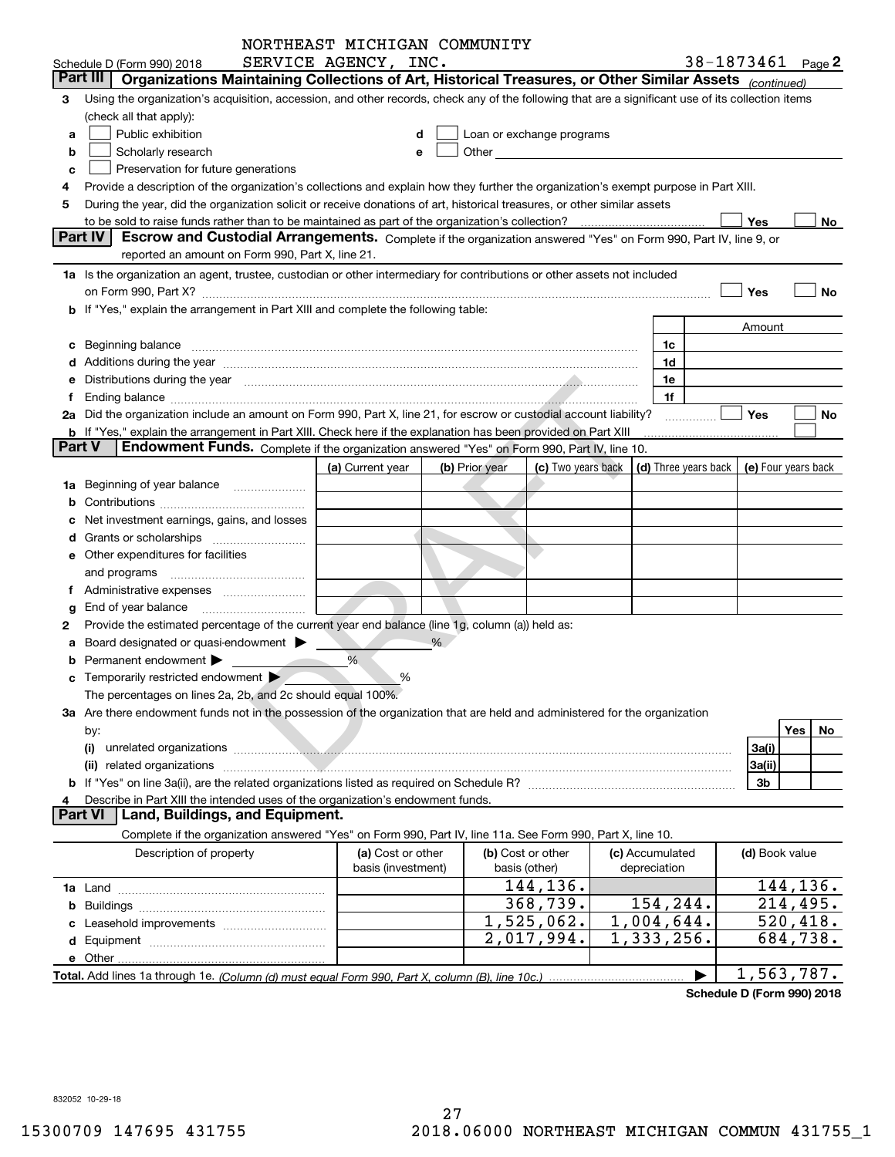|               |                                                                                                                                                                                                                                | NORTHEAST MICHIGAN COMMUNITY            |   |                |                                                                                                                                                                                                                               |                                 |                                            |           |
|---------------|--------------------------------------------------------------------------------------------------------------------------------------------------------------------------------------------------------------------------------|-----------------------------------------|---|----------------|-------------------------------------------------------------------------------------------------------------------------------------------------------------------------------------------------------------------------------|---------------------------------|--------------------------------------------|-----------|
|               | Schedule D (Form 990) 2018                                                                                                                                                                                                     | SERVICE AGENCY, INC.                    |   |                |                                                                                                                                                                                                                               |                                 | 38-1873461 $_{Page}$ 2                     |           |
|               | Part III   Organizations Maintaining Collections of Art, Historical Treasures, or Other Similar Assets (continued)                                                                                                             |                                         |   |                |                                                                                                                                                                                                                               |                                 |                                            |           |
| з             | Using the organization's acquisition, accession, and other records, check any of the following that are a significant use of its collection items                                                                              |                                         |   |                |                                                                                                                                                                                                                               |                                 |                                            |           |
|               | (check all that apply):                                                                                                                                                                                                        |                                         |   |                |                                                                                                                                                                                                                               |                                 |                                            |           |
| a             | Public exhibition                                                                                                                                                                                                              | d                                       |   |                | Loan or exchange programs                                                                                                                                                                                                     |                                 |                                            |           |
| b             | Scholarly research                                                                                                                                                                                                             |                                         |   |                | Other and the contract of the contract of the contract of the contract of the contract of the contract of the contract of the contract of the contract of the contract of the contract of the contract of the contract of the |                                 |                                            |           |
| с             | Preservation for future generations                                                                                                                                                                                            |                                         |   |                |                                                                                                                                                                                                                               |                                 |                                            |           |
|               | Provide a description of the organization's collections and explain how they further the organization's exempt purpose in Part XIII.                                                                                           |                                         |   |                |                                                                                                                                                                                                                               |                                 |                                            |           |
| 5             | During the year, did the organization solicit or receive donations of art, historical treasures, or other similar assets                                                                                                       |                                         |   |                |                                                                                                                                                                                                                               |                                 |                                            |           |
|               |                                                                                                                                                                                                                                |                                         |   |                |                                                                                                                                                                                                                               |                                 | Yes                                        | No        |
|               | <b>Part IV</b><br>Escrow and Custodial Arrangements. Complete if the organization answered "Yes" on Form 990, Part IV, line 9, or                                                                                              |                                         |   |                |                                                                                                                                                                                                                               |                                 |                                            |           |
|               | reported an amount on Form 990, Part X, line 21.                                                                                                                                                                               |                                         |   |                |                                                                                                                                                                                                                               |                                 |                                            |           |
|               | 1a Is the organization an agent, trustee, custodian or other intermediary for contributions or other assets not included                                                                                                       |                                         |   |                |                                                                                                                                                                                                                               |                                 |                                            |           |
|               | on Form 990, Part X? [11] matter continuum matter contract the contract of the contract of the contract of the                                                                                                                 |                                         |   |                |                                                                                                                                                                                                                               |                                 | Yes                                        | No        |
|               | <b>b</b> If "Yes," explain the arrangement in Part XIII and complete the following table:                                                                                                                                      |                                         |   |                |                                                                                                                                                                                                                               |                                 |                                            |           |
|               |                                                                                                                                                                                                                                |                                         |   |                |                                                                                                                                                                                                                               |                                 | Amount                                     |           |
|               | c Beginning balance measurements and the state of the state of the state of the state of the state of the state of the state of the state of the state of the state of the state of the state of the state of the state of the |                                         |   |                |                                                                                                                                                                                                                               | 1c                              |                                            |           |
|               |                                                                                                                                                                                                                                |                                         |   |                |                                                                                                                                                                                                                               | 1d                              |                                            |           |
|               | e Distributions during the year measurement contained and all the year of Distributions during the year measurement of the state of the state of the state of the state of the state of the state of the state of the state of |                                         |   |                |                                                                                                                                                                                                                               | 1e                              |                                            |           |
| Ť.            |                                                                                                                                                                                                                                |                                         |   |                |                                                                                                                                                                                                                               | 1f                              |                                            |           |
|               | 2a Did the organization include an amount on Form 990, Part X, line 21, for escrow or custodial account liability?                                                                                                             |                                         |   |                |                                                                                                                                                                                                                               | .                               | Yes                                        | No        |
|               | <b>b</b> If "Yes," explain the arrangement in Part XIII. Check here if the explanation has been provided on Part XIII                                                                                                          |                                         |   |                |                                                                                                                                                                                                                               |                                 |                                            |           |
| <b>Part V</b> | Endowment Funds. Complete if the organization answered "Yes" on Form 990, Part IV, line 10.                                                                                                                                    |                                         |   |                |                                                                                                                                                                                                                               |                                 |                                            |           |
|               |                                                                                                                                                                                                                                | (a) Current year                        |   | (b) Prior year | (c) Two years back                                                                                                                                                                                                            |                                 | (d) Three years back   (e) Four years back |           |
|               | 1a Beginning of year balance                                                                                                                                                                                                   |                                         |   |                |                                                                                                                                                                                                                               |                                 |                                            |           |
| b             |                                                                                                                                                                                                                                |                                         |   |                |                                                                                                                                                                                                                               |                                 |                                            |           |
|               | Net investment earnings, gains, and losses                                                                                                                                                                                     |                                         |   |                |                                                                                                                                                                                                                               |                                 |                                            |           |
|               |                                                                                                                                                                                                                                |                                         |   |                |                                                                                                                                                                                                                               |                                 |                                            |           |
|               | e Other expenditures for facilities                                                                                                                                                                                            |                                         |   |                |                                                                                                                                                                                                                               |                                 |                                            |           |
|               | and programs                                                                                                                                                                                                                   |                                         |   |                |                                                                                                                                                                                                                               |                                 |                                            |           |
|               | f Administrative expenses <i></i>                                                                                                                                                                                              |                                         |   |                |                                                                                                                                                                                                                               |                                 |                                            |           |
| g             | End of year balance <i>manually contained</i>                                                                                                                                                                                  |                                         |   |                |                                                                                                                                                                                                                               |                                 |                                            |           |
| 2             | Provide the estimated percentage of the current year end balance (line 1g, column (a)) held as:                                                                                                                                |                                         |   |                |                                                                                                                                                                                                                               |                                 |                                            |           |
|               | a Board designated or quasi-endowment >                                                                                                                                                                                        |                                         | % |                |                                                                                                                                                                                                                               |                                 |                                            |           |
|               | Permanent endowment >                                                                                                                                                                                                          | %                                       |   |                |                                                                                                                                                                                                                               |                                 |                                            |           |
|               | <b>c</b> Temporarily restricted endowment $\blacktriangleright$                                                                                                                                                                | %                                       |   |                |                                                                                                                                                                                                                               |                                 |                                            |           |
|               | The percentages on lines 2a, 2b, and 2c should equal 100%.                                                                                                                                                                     |                                         |   |                |                                                                                                                                                                                                                               |                                 |                                            |           |
|               | 3a Are there endowment funds not in the possession of the organization that are held and administered for the organization                                                                                                     |                                         |   |                |                                                                                                                                                                                                                               |                                 |                                            |           |
|               | by:                                                                                                                                                                                                                            |                                         |   |                |                                                                                                                                                                                                                               |                                 |                                            | Yes<br>No |
|               | (i)                                                                                                                                                                                                                            |                                         |   |                |                                                                                                                                                                                                                               |                                 | 3a(i)                                      |           |
|               | (ii)                                                                                                                                                                                                                           |                                         |   |                |                                                                                                                                                                                                                               |                                 | 3a(ii)                                     |           |
|               |                                                                                                                                                                                                                                |                                         |   |                |                                                                                                                                                                                                                               |                                 | 3b                                         |           |
|               | Describe in Part XIII the intended uses of the organization's endowment funds.                                                                                                                                                 |                                         |   |                |                                                                                                                                                                                                                               |                                 |                                            |           |
|               | Land, Buildings, and Equipment.<br><b>Part VI</b>                                                                                                                                                                              |                                         |   |                |                                                                                                                                                                                                                               |                                 |                                            |           |
|               | Complete if the organization answered "Yes" on Form 990, Part IV, line 11a. See Form 990, Part X, line 10.                                                                                                                     |                                         |   |                |                                                                                                                                                                                                                               |                                 |                                            |           |
|               | Description of property                                                                                                                                                                                                        | (a) Cost or other<br>basis (investment) |   |                | (b) Cost or other<br>basis (other)                                                                                                                                                                                            | (c) Accumulated<br>depreciation | (d) Book value                             |           |
|               |                                                                                                                                                                                                                                |                                         |   |                | 144,136.                                                                                                                                                                                                                      |                                 |                                            | 144,136.  |
|               |                                                                                                                                                                                                                                |                                         |   |                | 368,739.                                                                                                                                                                                                                      | 154,244.                        |                                            | 214,495.  |
|               |                                                                                                                                                                                                                                |                                         |   |                | 1,525,062.                                                                                                                                                                                                                    | 1,004,644.                      |                                            | 520,418.  |
|               |                                                                                                                                                                                                                                |                                         |   |                | $2,017,994$ .                                                                                                                                                                                                                 | 1,333,256.                      |                                            | 684,738.  |
|               |                                                                                                                                                                                                                                |                                         |   |                |                                                                                                                                                                                                                               |                                 |                                            |           |
|               |                                                                                                                                                                                                                                |                                         |   |                |                                                                                                                                                                                                                               | ▶                               | 1,563,787.                                 |           |
|               |                                                                                                                                                                                                                                |                                         |   |                |                                                                                                                                                                                                                               |                                 |                                            |           |

**Schedule D (Form 990) 2018**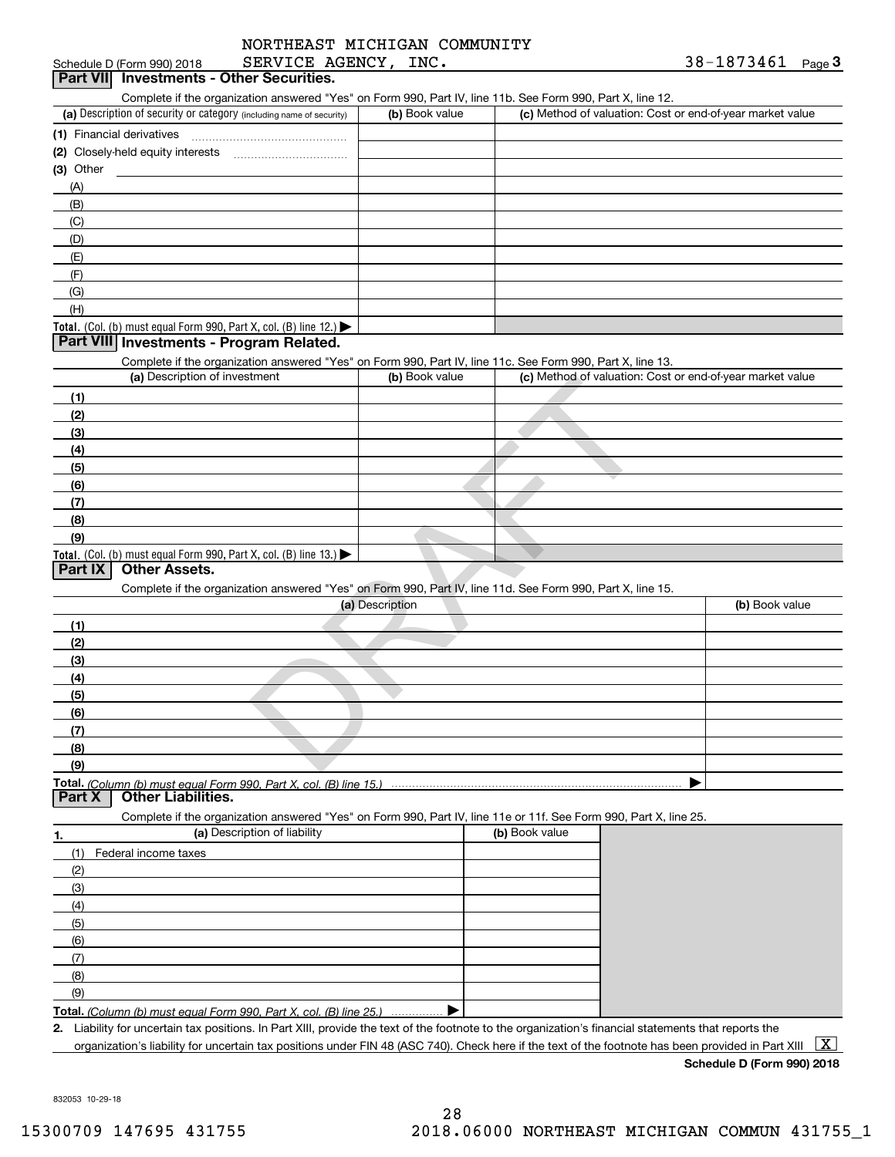|                      |  | NORTHEAST MICHIGAN COMMUNITY |
|----------------------|--|------------------------------|
| SERVICE AGENCY, INC. |  |                              |

## (a) Description of security or category (including name of security)  $\vert$  (b) Book value  $\vert$  (c) **(1)**ichedule D (Form 990) 2018 SERVICE AGENCY, INC **.**<br>**Part VII Investments - Other Securities.**<br>Complete if the organization answered "Yes" on Form 990, Part IV, line 11b. See Form 990, Part X, line 12. (b) Book value (c) Method of valuation: Cost or end-of-year market value Financial derivatives

|     | (1) Financial derivatives                                                              |  |
|-----|----------------------------------------------------------------------------------------|--|
|     | (2) Closely-held equity interests                                                      |  |
|     | $(3)$ Other                                                                            |  |
| (A) |                                                                                        |  |
|     | (B)                                                                                    |  |
|     | (C)                                                                                    |  |
| (D) |                                                                                        |  |
| (E) |                                                                                        |  |
| (F) |                                                                                        |  |
|     | (G)                                                                                    |  |
|     | (H)                                                                                    |  |
|     | Total. (Col. (b) must equal Form 990, Part X, col. (B) line 12.) $\blacktriangleright$ |  |

#### **Part VIII Investments - Program Related.**

Complete if the organization answered "Yes" on Form 990, Part IV, line 11c. See Form 990, Part X, line 13.

| (a) Description of investment                                                                                                                                                                                            | (b) Book value  | (c) Method of valuation: Cost or end-of-year market value |                |
|--------------------------------------------------------------------------------------------------------------------------------------------------------------------------------------------------------------------------|-----------------|-----------------------------------------------------------|----------------|
| (1)                                                                                                                                                                                                                      |                 |                                                           |                |
| (2)                                                                                                                                                                                                                      |                 |                                                           |                |
| (3)                                                                                                                                                                                                                      |                 |                                                           |                |
| (4)                                                                                                                                                                                                                      |                 |                                                           |                |
| (5)                                                                                                                                                                                                                      |                 |                                                           |                |
| (6)                                                                                                                                                                                                                      |                 |                                                           |                |
| (7)                                                                                                                                                                                                                      |                 |                                                           |                |
| (8)                                                                                                                                                                                                                      |                 |                                                           |                |
| (9)                                                                                                                                                                                                                      |                 |                                                           |                |
| Total. (Col. (b) must equal Form 990, Part X, col. (B) line 13.)<br><b>Part IX</b><br><b>Other Assets.</b><br>Complete if the organization answered "Yes" on Form 990, Part IV, line 11d. See Form 990, Part X, line 15. |                 |                                                           |                |
|                                                                                                                                                                                                                          | (a) Description |                                                           | (b) Book value |
| (1)                                                                                                                                                                                                                      |                 |                                                           |                |
| (2)                                                                                                                                                                                                                      |                 |                                                           |                |
| (3)                                                                                                                                                                                                                      |                 |                                                           |                |
| (4)                                                                                                                                                                                                                      |                 |                                                           |                |
| (5)                                                                                                                                                                                                                      |                 |                                                           |                |
| (6)                                                                                                                                                                                                                      |                 |                                                           |                |
| (7)                                                                                                                                                                                                                      |                 |                                                           |                |
| (8)                                                                                                                                                                                                                      |                 |                                                           |                |
| (9)                                                                                                                                                                                                                      |                 |                                                           |                |

#### **Part IX Other Assets.**

| (a) Description                                                 | (b) Book value |
|-----------------------------------------------------------------|----------------|
| (1)                                                             |                |
| (2)                                                             |                |
| (3)                                                             |                |
| (4)                                                             |                |
| (5)                                                             |                |
| (6)                                                             |                |
| (7)                                                             |                |
| (8)                                                             |                |
| (9)                                                             |                |
| Total, $(Column(h) must equal Form 990 Part X col (R) line 15)$ |                |

**Total.**  *(Column (b) must equal Form 990, Part X, col. (B) line 15.)* **Part X Other Liabilities.**

Complete if the organization answered "Yes" on Form 990, Part IV, line 11e or 11f. See Form 990, Part X, line 25.

| 1.  | (a) Description of liability                                            | (b) Book value |
|-----|-------------------------------------------------------------------------|----------------|
| (1) | Federal income taxes                                                    |                |
| (2) |                                                                         |                |
| (3) |                                                                         |                |
| (4) |                                                                         |                |
| (5) |                                                                         |                |
| (6) |                                                                         |                |
| (7) |                                                                         |                |
| (8) |                                                                         |                |
| (9) |                                                                         |                |
|     | Total. (Column (b) must equal Form 990, Part X, col. (B) line 25.)<br>. |                |

<mark>Total. (Column (b) must equal Form 990, Part X, col. (В) line 25.) …………… ▶ │<br>2. Liability for uncertain tax positions. In Part XIII, provide the text of the footnote to the organization's financial statements that rep</mark>

organization's liability for uncertain tax positions under FIN 48 (ASC 740). Check here if the text of the footnote has been provided in Part XIII  $~\boxed{\rm X}$ 

**Schedule D (Form 990) 2018**

832053 10-29-18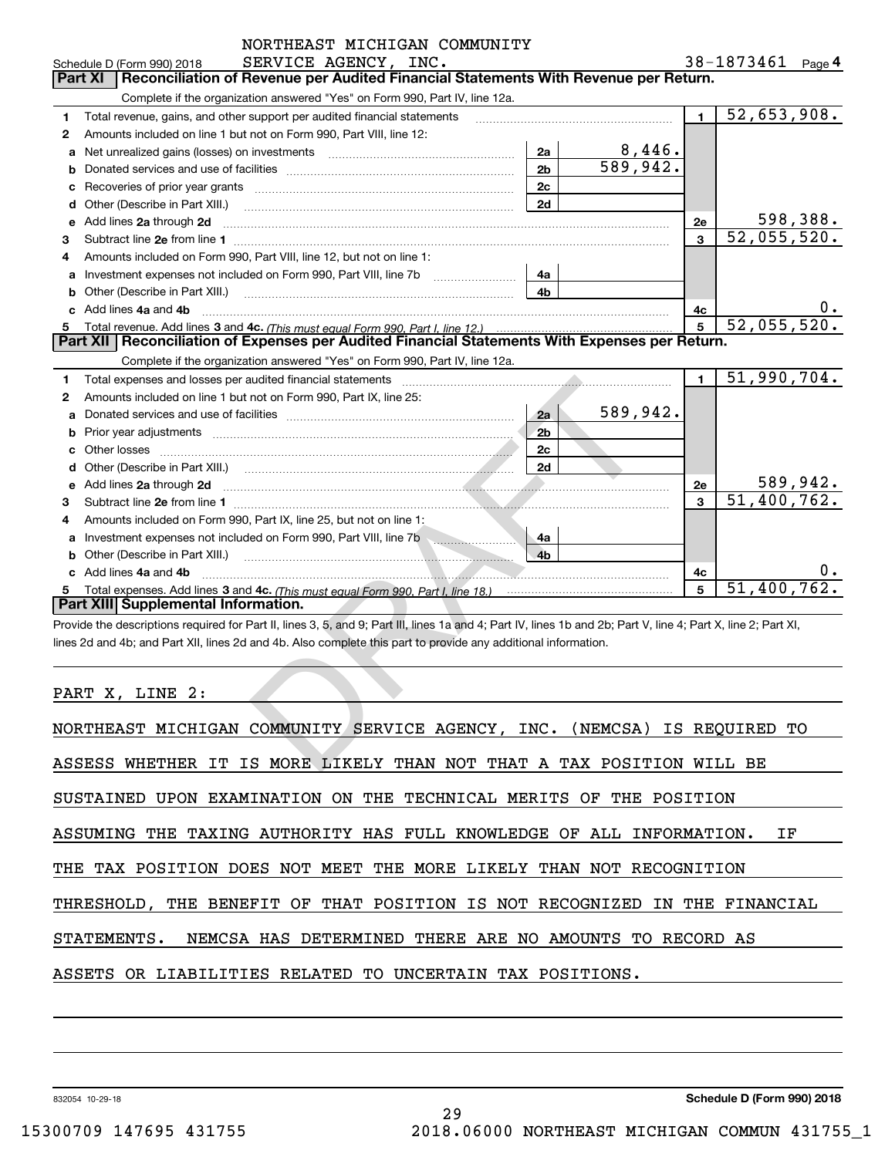|         | NORTHEAST MICHIGAN COMMUNITY                                                                                                                                                                                                         |                |                   |                |                |          |
|---------|--------------------------------------------------------------------------------------------------------------------------------------------------------------------------------------------------------------------------------------|----------------|-------------------|----------------|----------------|----------|
|         | SERVICE AGENCY, INC.<br>Schedule D (Form 990) 2018                                                                                                                                                                                   |                | 38-1873461 Page 4 |                |                |          |
| Part XI | Reconciliation of Revenue per Audited Financial Statements With Revenue per Return.                                                                                                                                                  |                |                   |                |                |          |
|         | Complete if the organization answered "Yes" on Form 990, Part IV, line 12a.                                                                                                                                                          |                |                   |                |                |          |
| 1       | Total revenue, gains, and other support per audited financial statements                                                                                                                                                             |                |                   | $\blacksquare$ | 52,653,908.    |          |
| 2       | Amounts included on line 1 but not on Form 990, Part VIII, line 12:                                                                                                                                                                  |                |                   |                |                |          |
| a       | Net unrealized gains (losses) on investments [11] matter contracts and in the unrealized saints (losses) on investments                                                                                                              | 2a             | 8,446.            |                |                |          |
| b       |                                                                                                                                                                                                                                      | 2 <sub>b</sub> | 589,942.          |                |                |          |
| с       |                                                                                                                                                                                                                                      | 2c             |                   |                |                |          |
| d       | Other (Describe in Part XIII.)                                                                                                                                                                                                       | 2d             |                   |                |                |          |
| е       | Add lines 2a through 2d                                                                                                                                                                                                              |                |                   | 2e             |                | 598,388. |
| 3       |                                                                                                                                                                                                                                      |                |                   | 3              | 52,055,520.    |          |
| 4       | Amounts included on Form 990, Part VIII, line 12, but not on line 1:                                                                                                                                                                 |                |                   |                |                |          |
| a       | Investment expenses not included on Form 990, Part VIII, line 7b                                                                                                                                                                     | 4a             |                   |                |                |          |
| b       | Other (Describe in Part XIII.)                                                                                                                                                                                                       | 4b             |                   |                |                |          |
|         | c Add lines 4a and 4b                                                                                                                                                                                                                |                |                   | 4c             |                |          |
| 5       | Total revenue. Add lines 3 and 4c. (This must equal Form 990. Part I. line 12.)                                                                                                                                                      |                |                   | 5              | 52,055,520.    |          |
|         | Part XII   Reconciliation of Expenses per Audited Financial Statements With Expenses per Return.                                                                                                                                     |                |                   |                |                |          |
|         | Complete if the organization answered "Yes" on Form 990, Part IV, line 12a.                                                                                                                                                          |                |                   |                |                |          |
| 1       | Total expenses and losses per audited financial statements                                                                                                                                                                           |                |                   | $\blacksquare$ | 51,990,704.    |          |
| 2       | Amounts included on line 1 but not on Form 990, Part IX, line 25:                                                                                                                                                                    |                |                   |                |                |          |
| a       |                                                                                                                                                                                                                                      | 2a             | 589,942.          |                |                |          |
| b       |                                                                                                                                                                                                                                      | 2 <sub>b</sub> |                   |                |                |          |
| c       |                                                                                                                                                                                                                                      | 2c             |                   |                |                |          |
| d       |                                                                                                                                                                                                                                      | 2d             |                   |                |                |          |
| е       | Add lines 2a through 2d <b>minimum contained a contract of the contract of the contract of the contract of the contract of the contract of the contract of the contract of the contract of the contract of the contract of the c</b> |                |                   | 2e             |                | 589,942. |
| 3       |                                                                                                                                                                                                                                      |                |                   | $\mathbf{a}$   | 51,400,762.    |          |
| 4       | Amounts included on Form 990, Part IX, line 25, but not on line 1:                                                                                                                                                                   |                |                   |                |                |          |
| a       | Investment expenses not included on Form 990, Part VIII, line 7b                                                                                                                                                                     | 4a             |                   |                |                |          |
| b       |                                                                                                                                                                                                                                      | 4 <sub>b</sub> |                   |                |                |          |
|         | c Add lines 4a and 4b                                                                                                                                                                                                                |                |                   | 4c             |                |          |
| 5.      |                                                                                                                                                                                                                                      |                |                   | 5              | 51,400,762.    |          |
|         | Part XIII Supplemental Information.                                                                                                                                                                                                  |                |                   |                |                |          |
|         | Provide the descriptions required for Part II, lines 3, 5, and 9; Part III, lines 1a and 4; Part IV, lines 1b and 2b; Part V, line 4; Part X, line 2; Part XI,                                                                       |                |                   |                |                |          |
|         | lines 2d and 4b; and Part XII, lines 2d and 4b. Also complete this part to provide any additional information.                                                                                                                       |                |                   |                |                |          |
|         |                                                                                                                                                                                                                                      |                |                   |                |                |          |
|         |                                                                                                                                                                                                                                      |                |                   |                |                |          |
|         | PART X, LINE 2:                                                                                                                                                                                                                      |                |                   |                |                |          |
|         |                                                                                                                                                                                                                                      |                |                   |                |                |          |
|         | NORTHEAST MICHIGAN COMMUNITY SERVICE AGENCY, INC.                                                                                                                                                                                    |                | (NEMCSA)          |                | IS REQUIRED TO |          |
|         |                                                                                                                                                                                                                                      |                |                   |                |                |          |
|         | ASSESS WHETHER IT IS MORE LIKELY THAN NOT THAT A TAX POSITION WILL BE                                                                                                                                                                |                |                   |                |                |          |

| NORTHEAST MICHIGAN COMMUNITY SERVICE AGENCY, INC. (NEMCSA) IS REQUIRED TO  |
|----------------------------------------------------------------------------|
| ASSESS WHETHER IT IS MORE LIKELY THAN NOT THAT A TAX POSITION WILL BE      |
| SUSTAINED UPON EXAMINATION ON THE TECHNICAL MERITS OF THE POSITION         |
| ASSUMING THE TAXING AUTHORITY HAS FULL KNOWLEDGE OF ALL INFORMATION.<br>IF |
| THE TAX POSITION DOES NOT MEET THE MORE LIKELY THAN NOT RECOGNITION        |
| THRESHOLD, THE BENEFIT OF THAT POSITION IS NOT RECOGNIZED IN THE FINANCIAL |
| STATEMENTS. NEMCSA HAS DETERMINED THERE ARE NO AMOUNTS TO RECORD AS        |
| ASSETS OR LIABILITIES RELATED TO UNCERTAIN TAX POSITIONS.                  |
|                                                                            |

832054 10-29-18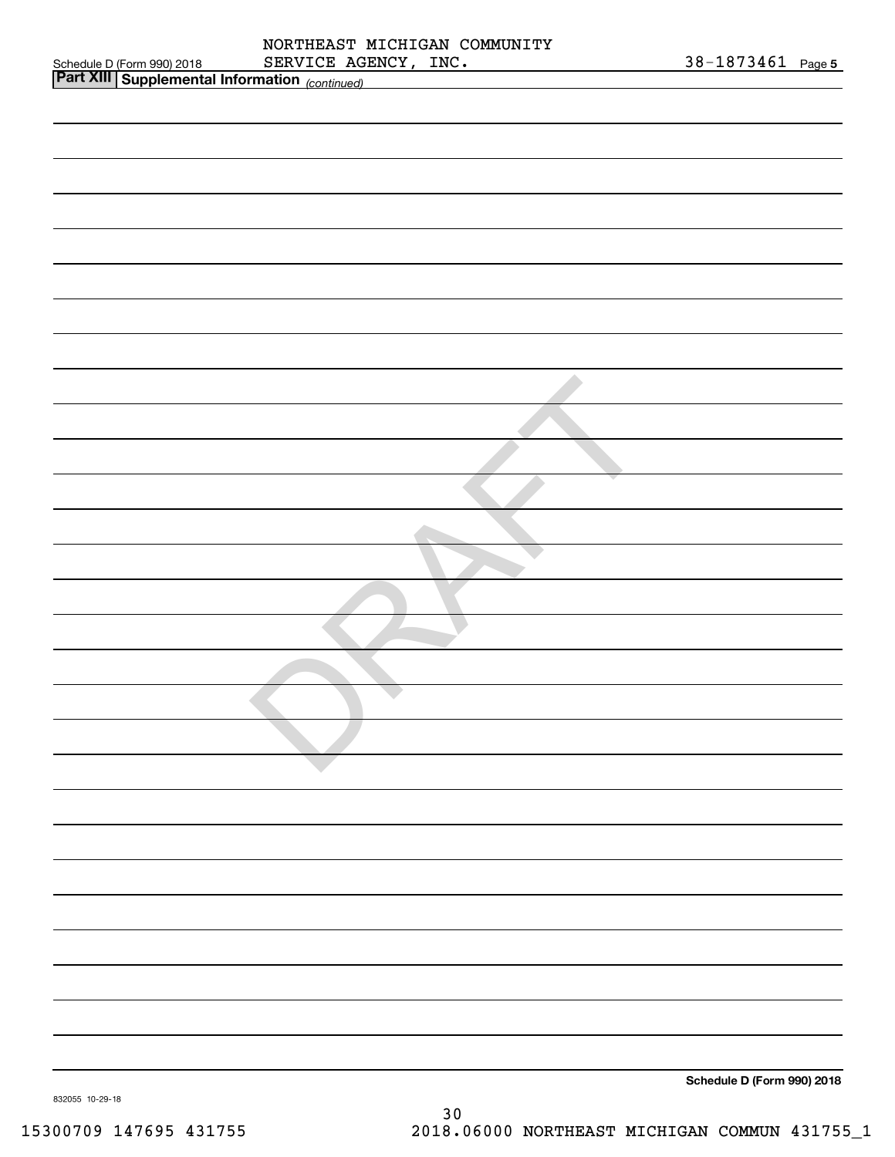|                                                                                            | NORTHEAST MICHIGAN COMMUNITY |                            |
|--------------------------------------------------------------------------------------------|------------------------------|----------------------------|
| Schedule D (Form 990) 2018 SERVICE AGE<br>Part XIII   Supplemental Information (continued) | SERVICE AGENCY, INC.         | 38-1873461 Page 5          |
|                                                                                            |                              |                            |
|                                                                                            |                              |                            |
|                                                                                            |                              |                            |
|                                                                                            |                              |                            |
|                                                                                            |                              |                            |
|                                                                                            |                              |                            |
|                                                                                            |                              |                            |
|                                                                                            |                              |                            |
|                                                                                            |                              |                            |
|                                                                                            |                              |                            |
|                                                                                            |                              |                            |
|                                                                                            |                              |                            |
|                                                                                            |                              |                            |
|                                                                                            |                              |                            |
|                                                                                            |                              |                            |
|                                                                                            |                              |                            |
|                                                                                            |                              |                            |
|                                                                                            |                              |                            |
|                                                                                            |                              |                            |
|                                                                                            |                              |                            |
|                                                                                            |                              |                            |
|                                                                                            |                              |                            |
|                                                                                            |                              |                            |
|                                                                                            |                              |                            |
|                                                                                            |                              |                            |
|                                                                                            |                              |                            |
|                                                                                            |                              |                            |
|                                                                                            |                              |                            |
|                                                                                            |                              |                            |
|                                                                                            |                              |                            |
|                                                                                            |                              |                            |
|                                                                                            |                              |                            |
|                                                                                            |                              |                            |
|                                                                                            |                              |                            |
|                                                                                            |                              |                            |
|                                                                                            |                              |                            |
|                                                                                            |                              |                            |
|                                                                                            |                              |                            |
|                                                                                            |                              |                            |
|                                                                                            |                              |                            |
|                                                                                            |                              |                            |
|                                                                                            |                              |                            |
|                                                                                            |                              |                            |
|                                                                                            |                              |                            |
|                                                                                            |                              |                            |
|                                                                                            |                              |                            |
|                                                                                            |                              |                            |
|                                                                                            |                              |                            |
|                                                                                            |                              |                            |
|                                                                                            |                              |                            |
|                                                                                            |                              | Schedule D (Form 990) 2018 |

832055 10-29-18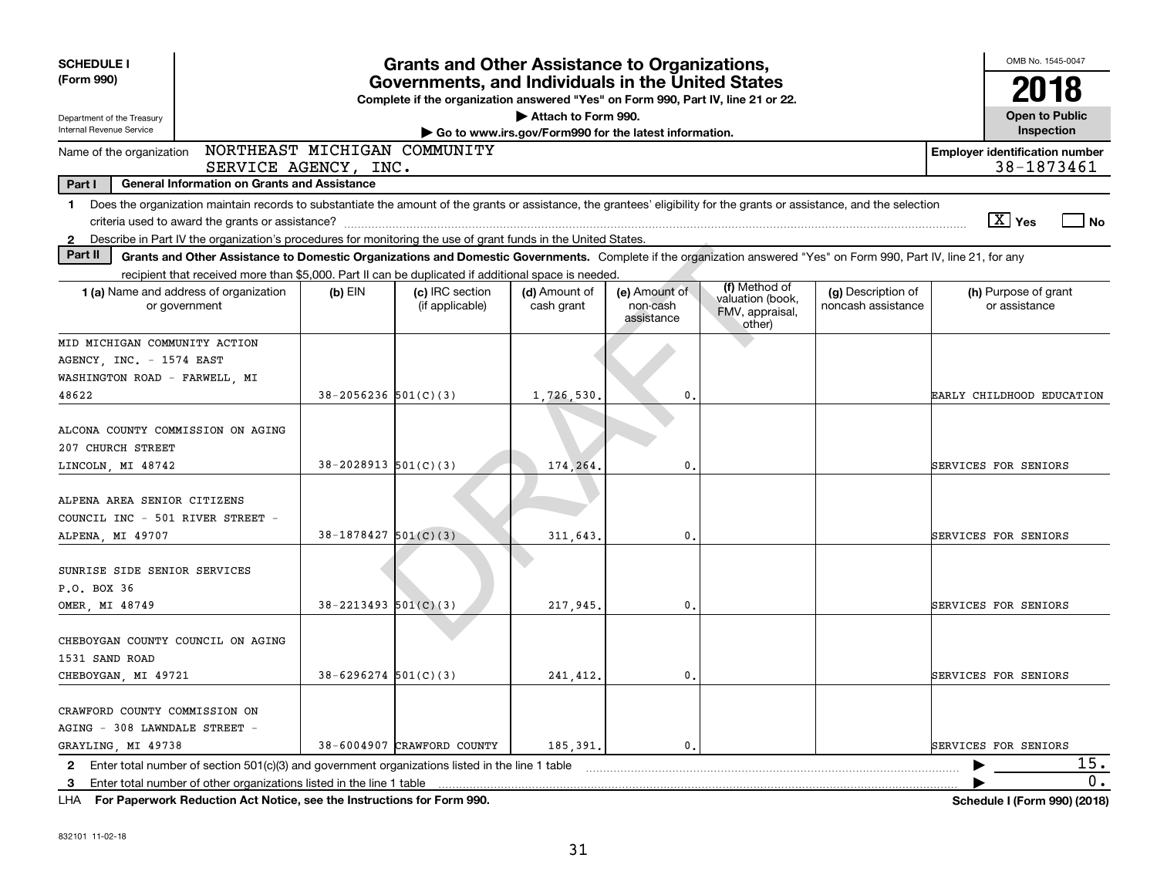| <b>SCHEDULE I</b><br><b>Grants and Other Assistance to Organizations,</b>                  |                                                                                                                                                                                                                                                                                                                                                    |                            |                                    |                             |                                         | OMB No. 1545-0047                             |                                          |  |                                                     |     |
|--------------------------------------------------------------------------------------------|----------------------------------------------------------------------------------------------------------------------------------------------------------------------------------------------------------------------------------------------------------------------------------------------------------------------------------------------------|----------------------------|------------------------------------|-----------------------------|-----------------------------------------|-----------------------------------------------|------------------------------------------|--|-----------------------------------------------------|-----|
| (Form 990)                                                                                 | Governments, and Individuals in the United States<br>Complete if the organization answered "Yes" on Form 990, Part IV, line 21 or 22.                                                                                                                                                                                                              |                            |                                    |                             |                                         |                                               |                                          |  | 2018                                                |     |
| Department of the Treasury<br>Internal Revenue Service                                     | Attach to Form 990.<br>Go to www.irs.gov/Form990 for the latest information.                                                                                                                                                                                                                                                                       |                            |                                    |                             |                                         |                                               |                                          |  | <b>Open to Public</b><br>Inspection                 |     |
| NORTHEAST MICHIGAN COMMUNITY<br>Name of the organization<br>SERVICE AGENCY, INC.           |                                                                                                                                                                                                                                                                                                                                                    |                            |                                    |                             |                                         |                                               |                                          |  | <b>Employer identification number</b><br>38-1873461 |     |
| Part I                                                                                     | <b>General Information on Grants and Assistance</b>                                                                                                                                                                                                                                                                                                |                            |                                    |                             |                                         |                                               |                                          |  |                                                     |     |
| $\mathbf{1}$<br>$\mathbf{2}$                                                               | Does the organization maintain records to substantiate the amount of the grants or assistance, the grantees' eligibility for the grants or assistance, and the selection<br>$\boxed{\text{X}}$ Yes<br>$\overline{\phantom{a}}$ No<br>Describe in Part IV the organization's procedures for monitoring the use of grant funds in the United States. |                            |                                    |                             |                                         |                                               |                                          |  |                                                     |     |
| Part II                                                                                    | Grants and Other Assistance to Domestic Organizations and Domestic Governments. Complete if the organization answered "Yes" on Form 990, Part IV, line 21, for any                                                                                                                                                                                 |                            |                                    |                             |                                         |                                               |                                          |  |                                                     |     |
|                                                                                            | recipient that received more than \$5,000. Part II can be duplicated if additional space is needed.                                                                                                                                                                                                                                                |                            |                                    |                             |                                         | (f) Method of                                 |                                          |  |                                                     |     |
|                                                                                            | 1 (a) Name and address of organization<br>or government                                                                                                                                                                                                                                                                                            | $(b)$ EIN                  | (c) IRC section<br>(if applicable) | (d) Amount of<br>cash grant | (e) Amount of<br>non-cash<br>assistance | valuation (book,<br>FMV, appraisal,<br>other) | (g) Description of<br>noncash assistance |  | (h) Purpose of grant<br>or assistance               |     |
| MID MICHIGAN COMMUNITY ACTION<br>AGENCY, INC. - 1574 EAST<br>WASHINGTON ROAD - FARWELL, MI |                                                                                                                                                                                                                                                                                                                                                    |                            |                                    |                             |                                         |                                               |                                          |  |                                                     |     |
| 48622                                                                                      |                                                                                                                                                                                                                                                                                                                                                    | $38 - 2056236$ $501(C)(3)$ |                                    | 1,726,530                   | 0                                       |                                               |                                          |  | EARLY CHILDHOOD EDUCATION                           |     |
| ALCONA COUNTY COMMISSION ON AGING<br>207 CHURCH STREET<br>LINCOLN, MI 48742                |                                                                                                                                                                                                                                                                                                                                                    | $38 - 2028913$ $501(C)(3)$ |                                    | 174,264                     | 0                                       |                                               |                                          |  | SERVICES FOR SENIORS                                |     |
| ALPENA AREA SENIOR CITIZENS<br>COUNCIL INC - 501 RIVER STREET -<br>ALPENA, MI 49707        |                                                                                                                                                                                                                                                                                                                                                    | $38-1878427$ $501(C)(3)$   |                                    | 311,643                     | $\mathbf{0}$                            |                                               |                                          |  | SERVICES FOR SENIORS                                |     |
| SUNRISE SIDE SENIOR SERVICES<br>P.O. BOX 36<br>OMER, MI 48749                              |                                                                                                                                                                                                                                                                                                                                                    | $38 - 2213493$ $501(C)(3)$ |                                    | 217,945.                    | 0.                                      |                                               |                                          |  | SERVICES FOR SENIORS                                |     |
| CHEBOYGAN COUNTY COUNCIL ON AGING<br>1531 SAND ROAD<br>CHEBOYGAN, MI 49721                 |                                                                                                                                                                                                                                                                                                                                                    | $38 - 6296274$ 501(C)(3)   |                                    | 241,412.                    | $\mathbf{0}$                            |                                               |                                          |  | SERVICES FOR SENIORS                                |     |
| CRAWFORD COUNTY COMMISSION ON<br>AGING - 308 LAWNDALE STREET -<br>GRAYLING, MI 49738       |                                                                                                                                                                                                                                                                                                                                                    |                            | 38-6004907 CRAWFORD COUNTY         | 185,391.                    | $\mathbf{0}$                            |                                               |                                          |  | SERVICES FOR SENIORS                                |     |
| $\mathbf{2}$                                                                               | Enter total number of section $501(c)(3)$ and government organizations listed in the line 1 table                                                                                                                                                                                                                                                  |                            |                                    |                             |                                         |                                               |                                          |  |                                                     | 15. |
| 3                                                                                          | 0.<br>Enter total number of other organizations listed in the line 1 table                                                                                                                                                                                                                                                                         |                            |                                    |                             |                                         |                                               |                                          |  |                                                     |     |

**For Paperwork Reduction Act Notice, see the Instructions for Form 990. Schedule I (Form 990) (2018)** LHA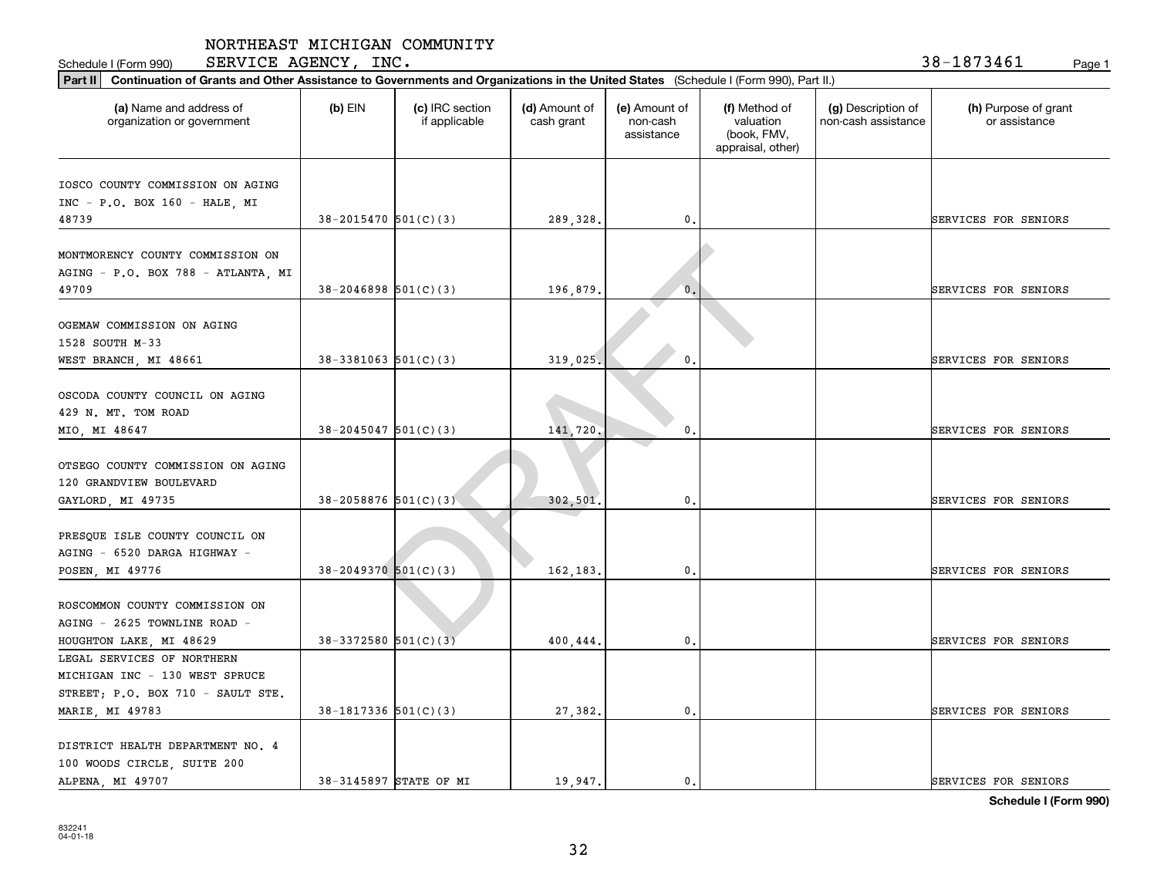Schedule I (Form 990) Page 1 SERVICE AGENCY, INC.

| Continuation of Grants and Other Assistance to Governments and Organizations in the United States (Schedule I (Form 990), Part II.)<br>Part II |                            |                                  |                             |                                         |                                                                |                                           |                                       |  |
|------------------------------------------------------------------------------------------------------------------------------------------------|----------------------------|----------------------------------|-----------------------------|-----------------------------------------|----------------------------------------------------------------|-------------------------------------------|---------------------------------------|--|
| (a) Name and address of<br>organization or government                                                                                          | $(b)$ EIN                  | (c) IRC section<br>if applicable | (d) Amount of<br>cash grant | (e) Amount of<br>non-cash<br>assistance | (f) Method of<br>valuation<br>(book, FMV,<br>appraisal, other) | (g) Description of<br>non-cash assistance | (h) Purpose of grant<br>or assistance |  |
| IOSCO COUNTY COMMISSION ON AGING<br>INC - P.O. BOX 160 - HALE, MI                                                                              |                            |                                  |                             |                                         |                                                                |                                           |                                       |  |
| 48739                                                                                                                                          | $38 - 2015470$ $501(C)(3)$ |                                  | 289,328.                    | 0.                                      |                                                                |                                           | SERVICES FOR SENIORS                  |  |
| MONTMORENCY COUNTY COMMISSION ON<br>AGING - P.O. BOX 788 - ATLANTA, MI                                                                         |                            |                                  |                             |                                         |                                                                |                                           |                                       |  |
| 49709                                                                                                                                          | $38 - 2046898$ 501(C)(3)   |                                  | 196,879.                    | $\mathbf{0}$ .                          |                                                                |                                           | SERVICES FOR SENIORS                  |  |
| OGEMAW COMMISSION ON AGING<br>1528 SOUTH M-33                                                                                                  |                            |                                  |                             |                                         |                                                                |                                           |                                       |  |
| WEST BRANCH, MI 48661                                                                                                                          | $38-3381063$ $501(C)(3)$   |                                  | 319,025.                    | $\mathbf{0}$                            |                                                                |                                           | SERVICES FOR SENIORS                  |  |
| OSCODA COUNTY COUNCIL ON AGING<br>429 N. MT. TOM ROAD                                                                                          |                            |                                  |                             |                                         |                                                                |                                           |                                       |  |
| MIO, MI 48647                                                                                                                                  | $38 - 2045047$ 501(C)(3)   |                                  | 141,720                     | $\mathbf 0$ .                           |                                                                |                                           | SERVICES FOR SENIORS                  |  |
| OTSEGO COUNTY COMMISSION ON AGING<br>120 GRANDVIEW BOULEVARD                                                                                   |                            |                                  |                             |                                         |                                                                |                                           |                                       |  |
| GAYLORD, MI 49735                                                                                                                              | $38 - 2058876$ 501(C)(3)   |                                  | 302,501                     | $\mathfrak{o}$ .                        |                                                                |                                           | SERVICES FOR SENIORS                  |  |
| PRESQUE ISLE COUNTY COUNCIL ON<br>AGING - 6520 DARGA HIGHWAY -                                                                                 |                            |                                  |                             |                                         |                                                                |                                           |                                       |  |
| POSEN, MI 49776                                                                                                                                | $38 - 2049370$ 501(C)(3)   |                                  | 162,183                     | 0                                       |                                                                |                                           | SERVICES FOR SENIORS                  |  |
| ROSCOMMON COUNTY COMMISSION ON<br>AGING - 2625 TOWNLINE ROAD -                                                                                 |                            |                                  |                             |                                         |                                                                |                                           |                                       |  |
| HOUGHTON LAKE, MI 48629                                                                                                                        | $38-3372580$ $501(C)(3)$   |                                  | 400,444.                    | $\mathfrak o$ .                         |                                                                |                                           | SERVICES FOR SENIORS                  |  |
| LEGAL SERVICES OF NORTHERN<br>MICHIGAN INC - 130 WEST SPRUCE                                                                                   |                            |                                  |                             |                                         |                                                                |                                           |                                       |  |
| STREET; P.O. BOX 710 - SAULT STE.<br>MARIE, MI 49783                                                                                           | $38-1817336$ $501(C)(3)$   |                                  | 27,382.                     | $\mathbf{0}$ .                          |                                                                |                                           | SERVICES FOR SENIORS                  |  |
|                                                                                                                                                |                            |                                  |                             |                                         |                                                                |                                           |                                       |  |
| DISTRICT HEALTH DEPARTMENT NO. 4<br>100 WOODS CIRCLE, SUITE 200                                                                                |                            |                                  |                             |                                         |                                                                |                                           |                                       |  |
| ALPENA, MI 49707                                                                                                                               | 38-3145897 STATE OF MI     |                                  | 19.947.                     | $\mathfrak{o}$ .                        |                                                                |                                           | <b>SERVICES FOR SENIORS</b>           |  |

**Schedule I (Form 990)**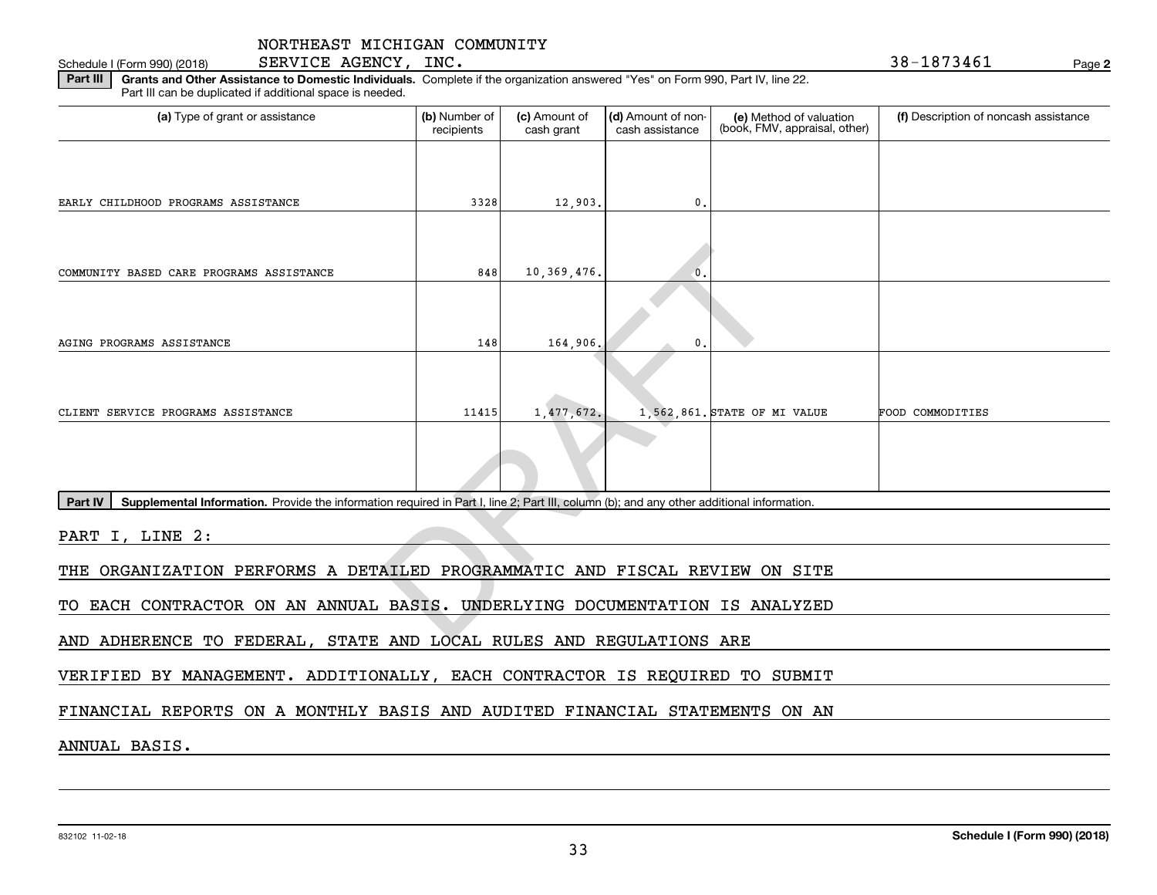**2**Schedule I (Form 990) (2018) Page SERVICE AGENCY, INC. 38-1873461

**Part III** | Grants and Other Assistance to Domestic Individuals. Complete if the organization answered "Yes" on Form 990, Part IV, line 22. Part III can be duplicated if additional space is needed.

| (a) Type of grant or assistance                                                                                                                      | (b) Number of<br>recipients                                         | (c) Amount of<br>cash grant | (d) Amount of non-<br>cash assistance | (e) Method of valuation<br>(book, FMV, appraisal, other) | (f) Description of noncash assistance |  |  |  |
|------------------------------------------------------------------------------------------------------------------------------------------------------|---------------------------------------------------------------------|-----------------------------|---------------------------------------|----------------------------------------------------------|---------------------------------------|--|--|--|
|                                                                                                                                                      |                                                                     |                             |                                       |                                                          |                                       |  |  |  |
| EARLY CHILDHOOD PROGRAMS ASSISTANCE                                                                                                                  | 3328                                                                | 12,903.                     | $\mathbf{0}$                          |                                                          |                                       |  |  |  |
|                                                                                                                                                      |                                                                     |                             |                                       |                                                          |                                       |  |  |  |
| COMMUNITY BASED CARE PROGRAMS ASSISTANCE                                                                                                             | 848                                                                 | 10,369,476.                 | $\mathfrak{o}$ .                      |                                                          |                                       |  |  |  |
|                                                                                                                                                      |                                                                     |                             |                                       |                                                          |                                       |  |  |  |
| AGING PROGRAMS ASSISTANCE                                                                                                                            | 148                                                                 | 164,906.                    | $\,0$ .                               |                                                          |                                       |  |  |  |
|                                                                                                                                                      |                                                                     |                             |                                       |                                                          |                                       |  |  |  |
| CLIENT SERVICE PROGRAMS ASSISTANCE                                                                                                                   | 11415                                                               | 1,477,672.                  |                                       | 1,562,861. STATE OF MI VALUE                             | FOOD COMMODITIES                      |  |  |  |
|                                                                                                                                                      |                                                                     |                             |                                       |                                                          |                                       |  |  |  |
| Supplemental Information. Provide the information required in Part I, line 2; Part III, column (b); and any other additional information.<br>Part IV |                                                                     |                             |                                       |                                                          |                                       |  |  |  |
| PART I, LINE 2:                                                                                                                                      |                                                                     |                             |                                       |                                                          |                                       |  |  |  |
| THE ORGANIZATION PERFORMS A DETAILED PROGRAMMATIC AND FISCAL REVIEW ON SITE                                                                          |                                                                     |                             |                                       |                                                          |                                       |  |  |  |
| TO EACH CONTRACTOR ON AN ANNUAL BASIS. UNDERLYING DOCUMENTATION IS ANALYZED                                                                          |                                                                     |                             |                                       |                                                          |                                       |  |  |  |
|                                                                                                                                                      | AND ADHERENCE TO FEDERAL, STATE AND LOCAL RULES AND REGULATIONS ARE |                             |                                       |                                                          |                                       |  |  |  |
| VERIFIED BY MANAGEMENT. ADDITIONALLY, EACH CONTRACTOR IS REQUIRED TO SUBMIT                                                                          |                                                                     |                             |                                       |                                                          |                                       |  |  |  |

FINANCIAL REPORTS ON A MONTHLY BASIS AND AUDITED FINANCIAL STATEMENTS ON AN

ANNUAL BASIS.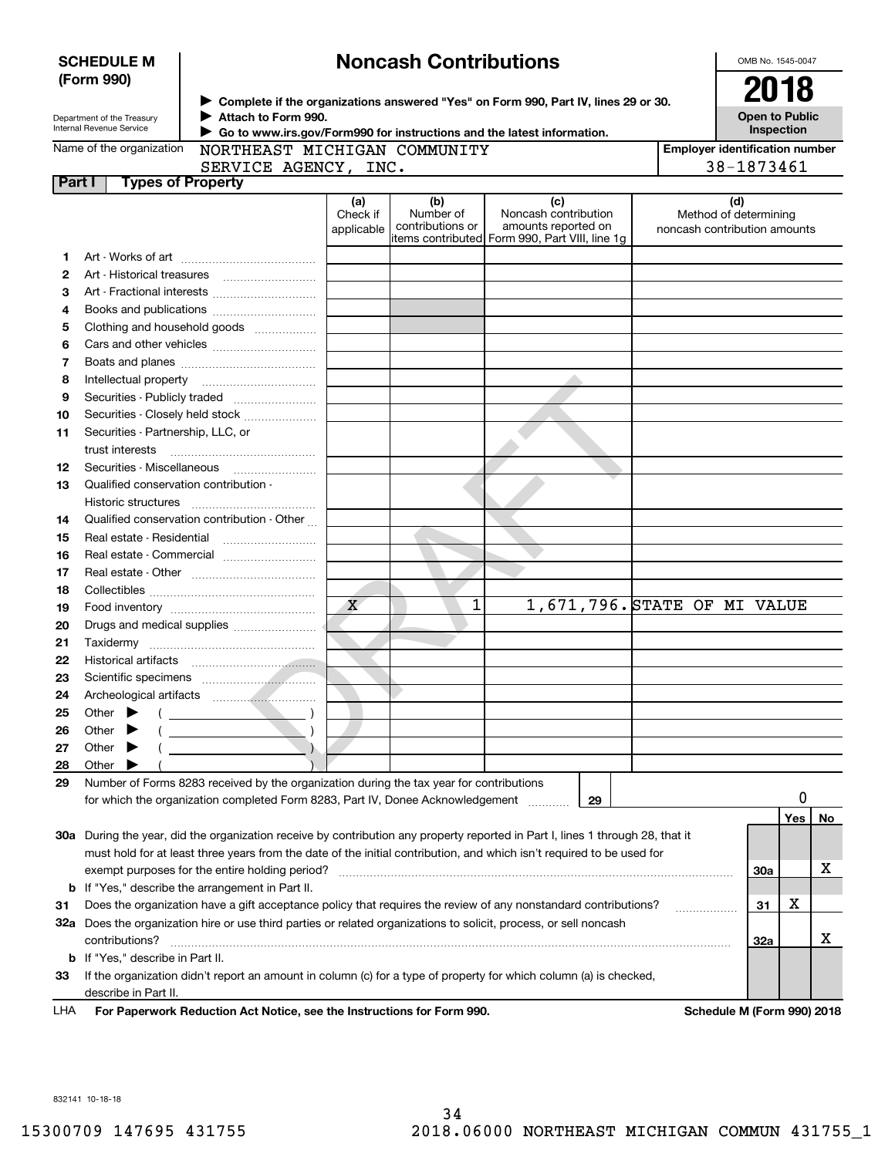|        | <b>SCHEDULE M</b><br><b>Noncash Contributions</b>                                |                                                                                                                   |                         | OMB No. 1545-0047 |                                                                                                                                |                                       |                              |            |    |  |
|--------|----------------------------------------------------------------------------------|-------------------------------------------------------------------------------------------------------------------|-------------------------|-------------------|--------------------------------------------------------------------------------------------------------------------------------|---------------------------------------|------------------------------|------------|----|--|
|        | (Form 990)                                                                       |                                                                                                                   |                         |                   |                                                                                                                                |                                       |                              |            |    |  |
|        |                                                                                  |                                                                                                                   |                         |                   | > Complete if the organizations answered "Yes" on Form 990, Part IV, lines 29 or 30.                                           |                                       |                              | 2018       |    |  |
|        | Department of the Treasury<br>Internal Revenue Service                           | Attach to Form 990.                                                                                               |                         |                   |                                                                                                                                |                                       | <b>Open to Public</b>        |            |    |  |
|        | Go to www.irs.gov/Form990 for instructions and the latest information.           |                                                                                                                   |                         |                   |                                                                                                                                | Inspection                            |                              |            |    |  |
|        | Name of the organization<br>NORTHEAST MICHIGAN COMMUNITY<br>SERVICE AGENCY, INC. |                                                                                                                   |                         |                   |                                                                                                                                | <b>Employer identification number</b> |                              |            |    |  |
| Part I |                                                                                  | <b>Types of Property</b>                                                                                          |                         |                   |                                                                                                                                |                                       | 38-1873461                   |            |    |  |
|        |                                                                                  |                                                                                                                   | (a)                     | (b)               | (c)                                                                                                                            |                                       | (d)                          |            |    |  |
|        |                                                                                  |                                                                                                                   | Check if                | Number of         | Noncash contribution                                                                                                           |                                       | Method of determining        |            |    |  |
|        |                                                                                  |                                                                                                                   | applicable              | contributions or  | amounts reported on<br>litems contributed  Form 990, Part VIII, line 1g                                                        |                                       | noncash contribution amounts |            |    |  |
| 1      |                                                                                  |                                                                                                                   |                         |                   |                                                                                                                                |                                       |                              |            |    |  |
| 2      |                                                                                  |                                                                                                                   |                         |                   |                                                                                                                                |                                       |                              |            |    |  |
| з      |                                                                                  | Art - Fractional interests                                                                                        |                         |                   |                                                                                                                                |                                       |                              |            |    |  |
| 4      |                                                                                  |                                                                                                                   |                         |                   |                                                                                                                                |                                       |                              |            |    |  |
| 5      |                                                                                  | Clothing and household goods                                                                                      |                         |                   |                                                                                                                                |                                       |                              |            |    |  |
| 6      |                                                                                  |                                                                                                                   |                         |                   |                                                                                                                                |                                       |                              |            |    |  |
| 7      |                                                                                  |                                                                                                                   |                         |                   |                                                                                                                                |                                       |                              |            |    |  |
| 8      |                                                                                  |                                                                                                                   |                         |                   |                                                                                                                                |                                       |                              |            |    |  |
| 9      |                                                                                  |                                                                                                                   |                         |                   |                                                                                                                                |                                       |                              |            |    |  |
| 10     |                                                                                  | Securities - Closely held stock                                                                                   |                         |                   |                                                                                                                                |                                       |                              |            |    |  |
| 11     | Securities - Partnership, LLC, or                                                |                                                                                                                   |                         |                   |                                                                                                                                |                                       |                              |            |    |  |
|        |                                                                                  |                                                                                                                   |                         |                   |                                                                                                                                |                                       |                              |            |    |  |
| 12     |                                                                                  |                                                                                                                   |                         |                   |                                                                                                                                |                                       |                              |            |    |  |
| 13     | Qualified conservation contribution -                                            |                                                                                                                   |                         |                   |                                                                                                                                |                                       |                              |            |    |  |
|        | Historic structures                                                              |                                                                                                                   |                         |                   |                                                                                                                                |                                       |                              |            |    |  |
| 14     |                                                                                  | Qualified conservation contribution - Other                                                                       |                         |                   |                                                                                                                                |                                       |                              |            |    |  |
| 15     |                                                                                  |                                                                                                                   |                         |                   |                                                                                                                                |                                       |                              |            |    |  |
| 16     |                                                                                  | Real estate - Commercial                                                                                          |                         |                   |                                                                                                                                |                                       |                              |            |    |  |
| 17     |                                                                                  |                                                                                                                   |                         |                   |                                                                                                                                |                                       |                              |            |    |  |
| 18     |                                                                                  |                                                                                                                   |                         |                   |                                                                                                                                |                                       |                              |            |    |  |
| 19     |                                                                                  |                                                                                                                   | $\overline{\mathbf{x}}$ | 1                 | 1,671,796. STATE OF MI VALUE                                                                                                   |                                       |                              |            |    |  |
| 20     |                                                                                  |                                                                                                                   |                         |                   |                                                                                                                                |                                       |                              |            |    |  |
| 21     |                                                                                  |                                                                                                                   |                         |                   |                                                                                                                                |                                       |                              |            |    |  |
| 22     |                                                                                  |                                                                                                                   |                         |                   |                                                                                                                                |                                       |                              |            |    |  |
| 23     |                                                                                  |                                                                                                                   |                         |                   |                                                                                                                                |                                       |                              |            |    |  |
| 24     |                                                                                  |                                                                                                                   |                         |                   |                                                                                                                                |                                       |                              |            |    |  |
| 25     | Other                                                                            |                                                                                                                   |                         |                   |                                                                                                                                |                                       |                              |            |    |  |
| 26     | Other                                                                            |                                                                                                                   |                         |                   |                                                                                                                                |                                       |                              |            |    |  |
| 27     | Other                                                                            |                                                                                                                   |                         |                   |                                                                                                                                |                                       |                              |            |    |  |
| 28     | Other                                                                            |                                                                                                                   |                         |                   |                                                                                                                                |                                       |                              |            |    |  |
| 29     |                                                                                  | Number of Forms 8283 received by the organization during the tax year for contributions                           |                         |                   |                                                                                                                                |                                       |                              |            |    |  |
|        |                                                                                  | for which the organization completed Form 8283, Part IV, Donee Acknowledgement                                    |                         |                   | 29                                                                                                                             |                                       |                              | 0          |    |  |
|        |                                                                                  |                                                                                                                   |                         |                   |                                                                                                                                |                                       |                              | <b>Yes</b> | No |  |
|        |                                                                                  |                                                                                                                   |                         |                   | 30a During the year, did the organization receive by contribution any property reported in Part I, lines 1 through 28, that it |                                       |                              |            |    |  |
|        |                                                                                  |                                                                                                                   |                         |                   | must hold for at least three years from the date of the initial contribution, and which isn't required to be used for          |                                       |                              |            |    |  |
|        |                                                                                  | exempt purposes for the entire holding period?                                                                    |                         |                   |                                                                                                                                |                                       | 30a                          |            | х  |  |
|        |                                                                                  | <b>b</b> If "Yes," describe the arrangement in Part II.                                                           |                         |                   |                                                                                                                                |                                       |                              |            |    |  |
| 31     |                                                                                  |                                                                                                                   |                         |                   | Does the organization have a gift acceptance policy that requires the review of any nonstandard contributions?                 |                                       | 31                           | х          |    |  |
|        |                                                                                  | 32a Does the organization hire or use third parties or related organizations to solicit, process, or sell noncash |                         |                   |                                                                                                                                |                                       |                              |            |    |  |
|        | contributions?                                                                   |                                                                                                                   |                         |                   |                                                                                                                                |                                       | 32a                          |            | х  |  |
|        | <b>b</b> If "Yes," describe in Part II.                                          |                                                                                                                   |                         |                   |                                                                                                                                |                                       |                              |            |    |  |
| 33     |                                                                                  |                                                                                                                   |                         |                   | If the organization didn't report an amount in column (c) for a type of property for which column (a) is checked,              |                                       |                              |            |    |  |
|        | describe in Part II.                                                             |                                                                                                                   |                         |                   |                                                                                                                                |                                       |                              |            |    |  |

**For Paperwork Reduction Act Notice, see the Instructions for Form 990. Schedule M (Form 990) 2018** LHA

832141 10-18-18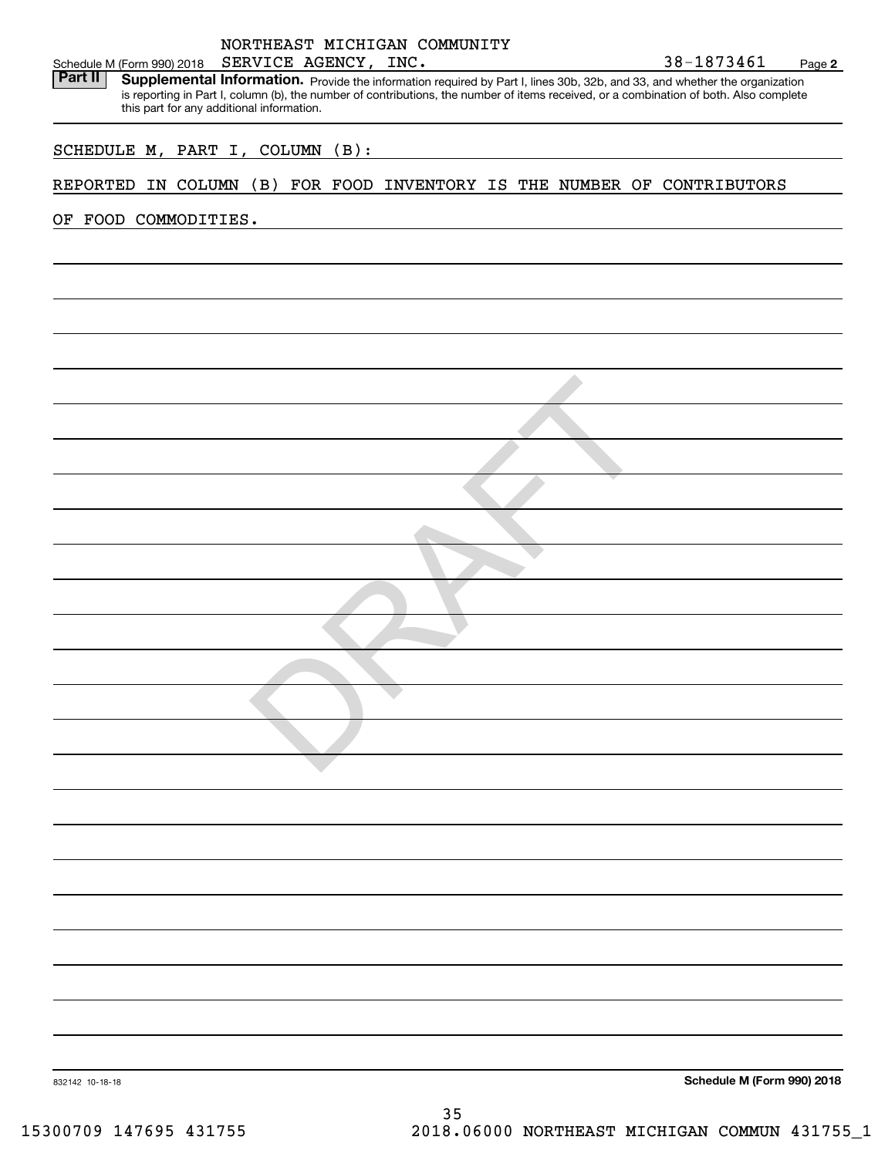| NORTHEAST MICHIGAN COMMUNITY                                                                                                                                                                                                                                                    |                            |
|---------------------------------------------------------------------------------------------------------------------------------------------------------------------------------------------------------------------------------------------------------------------------------|----------------------------|
| SERVICE AGENCY, INC.<br>Schedule M (Form 990) 2018                                                                                                                                                                                                                              | 38-1873461<br>Page 2       |
| Part II<br>Supplemental Information. Provide the information required by Part I, lines 30b, 32b, and 33, and whether the organization<br>is reporting in Part I, column (b), the number of contributions, the number of items received, or a combination of both. Also complete |                            |
| this part for any additional information.                                                                                                                                                                                                                                       |                            |
|                                                                                                                                                                                                                                                                                 |                            |
| SCHEDULE M, PART I, COLUMN (B):                                                                                                                                                                                                                                                 |                            |
| REPORTED IN COLUMN (B) FOR FOOD INVENTORY IS THE NUMBER OF CONTRIBUTORS                                                                                                                                                                                                         |                            |
|                                                                                                                                                                                                                                                                                 |                            |
| OF FOOD COMMODITIES.                                                                                                                                                                                                                                                            |                            |
|                                                                                                                                                                                                                                                                                 |                            |
|                                                                                                                                                                                                                                                                                 |                            |
|                                                                                                                                                                                                                                                                                 |                            |
|                                                                                                                                                                                                                                                                                 |                            |
|                                                                                                                                                                                                                                                                                 |                            |
|                                                                                                                                                                                                                                                                                 |                            |
|                                                                                                                                                                                                                                                                                 |                            |
|                                                                                                                                                                                                                                                                                 |                            |
|                                                                                                                                                                                                                                                                                 |                            |
|                                                                                                                                                                                                                                                                                 |                            |
|                                                                                                                                                                                                                                                                                 |                            |
|                                                                                                                                                                                                                                                                                 |                            |
|                                                                                                                                                                                                                                                                                 |                            |
|                                                                                                                                                                                                                                                                                 |                            |
|                                                                                                                                                                                                                                                                                 |                            |
|                                                                                                                                                                                                                                                                                 |                            |
|                                                                                                                                                                                                                                                                                 |                            |
|                                                                                                                                                                                                                                                                                 |                            |
|                                                                                                                                                                                                                                                                                 |                            |
|                                                                                                                                                                                                                                                                                 |                            |
|                                                                                                                                                                                                                                                                                 |                            |
|                                                                                                                                                                                                                                                                                 |                            |
|                                                                                                                                                                                                                                                                                 |                            |
|                                                                                                                                                                                                                                                                                 |                            |
|                                                                                                                                                                                                                                                                                 |                            |
|                                                                                                                                                                                                                                                                                 |                            |
|                                                                                                                                                                                                                                                                                 |                            |
|                                                                                                                                                                                                                                                                                 |                            |
|                                                                                                                                                                                                                                                                                 |                            |
|                                                                                                                                                                                                                                                                                 |                            |
|                                                                                                                                                                                                                                                                                 |                            |
|                                                                                                                                                                                                                                                                                 |                            |
|                                                                                                                                                                                                                                                                                 |                            |
|                                                                                                                                                                                                                                                                                 |                            |
|                                                                                                                                                                                                                                                                                 |                            |
|                                                                                                                                                                                                                                                                                 |                            |
|                                                                                                                                                                                                                                                                                 |                            |
|                                                                                                                                                                                                                                                                                 |                            |
| 832142 10-18-18                                                                                                                                                                                                                                                                 | Schedule M (Form 990) 2018 |
| 35                                                                                                                                                                                                                                                                              |                            |
|                                                                                                                                                                                                                                                                                 |                            |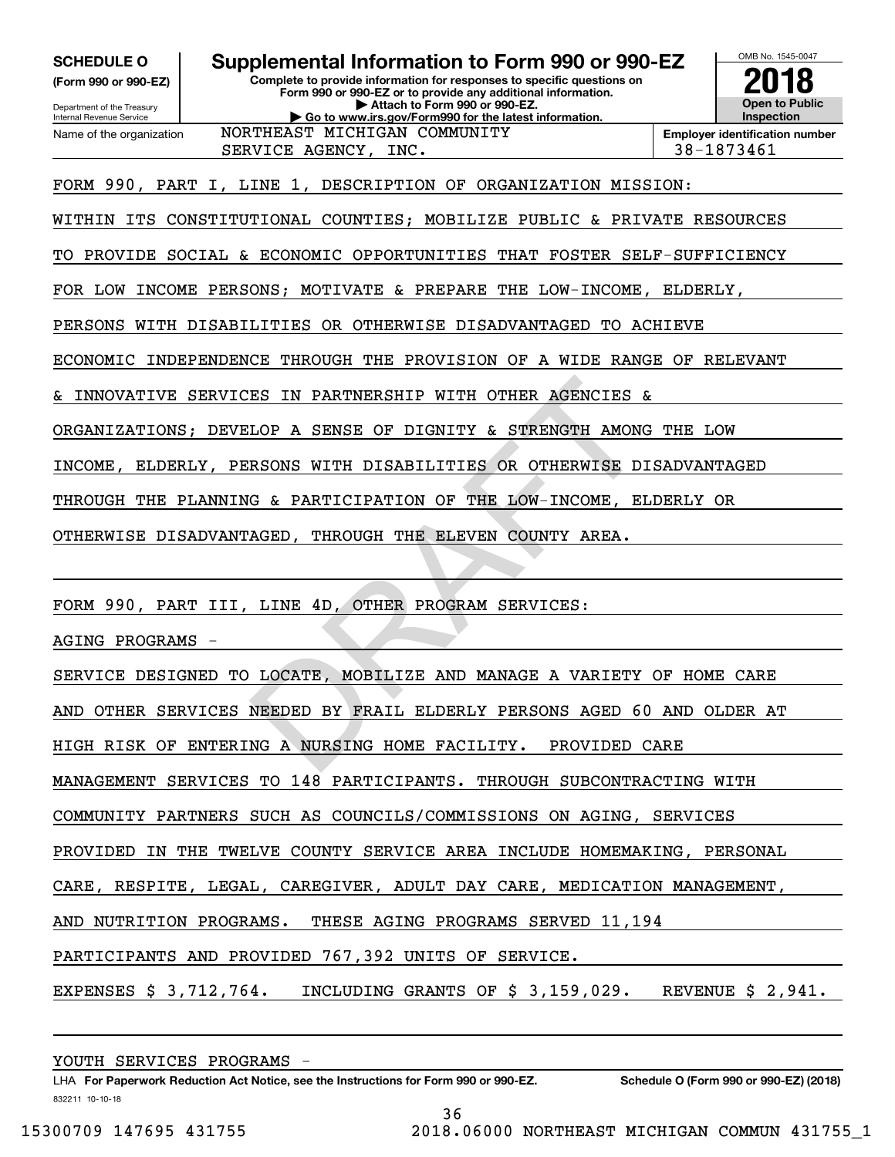**(Form 990 or 990-EZ)**

Department of the Treasury Internal Revenue Service Name of the organization

## **SCHEDULE O Supplemental Information to Form 990 or 990-EZ**

**Complete to provide information for responses to specific questions on Form 990 or 990-EZ or to provide any additional information. | Attach to Form 990 or 990-EZ. | Go to www.irs.gov/Form990 for the latest information.**



**Employer identification number** SERVICE AGENCY, INC.  $\vert$  38-1873461

FORM 990, PART I, LINE 1, DESCRIPTION OF ORGANIZATION MISSION:

NORTHEAST MICHIGAN COMMUNITY

WITHIN ITS CONSTITUTIONAL COUNTIES; MOBILIZE PUBLIC & PRIVATE RESOURCES

TO PROVIDE SOCIAL & ECONOMIC OPPORTUNITIES THAT FOSTER SELF-SUFFICIENCY

FOR LOW INCOME PERSONS; MOTIVATE & PREPARE THE LOW-INCOME, ELDERLY,

PERSONS WITH DISABILITIES OR OTHERWISE DISADVANTAGED TO ACHIEVE

ECONOMIC INDEPENDENCE THROUGH THE PROVISION OF A WIDE RANGE OF RELEVANT

& INNOVATIVE SERVICES IN PARTNERSHIP WITH OTHER AGENCIES &

ORGANIZATIONS; DEVELOP A SENSE OF DIGNITY & STRENGTH AMONG THE LOW

INCOME, ELDERLY, PERSONS WITH DISABILITIES OR OTHERWISE DISADVANTAGED ES IN PARTNERSHIP WITH OTHER AGENCIES &<br>LOP A SENSE OF DIGNITY & STRENGTH AMONO<br>RSONS WITH DISABILITIES OR OTHERWISE DI<br>G & PARTICIPATION OF THE LOW-INCOME, EI<br>AGED, THROUGH THE ELEVEN COUNTY AREA.<br>LINE 4D, OTHER PROGRAM S

THROUGH THE PLANNING & PARTICIPATION OF THE LOW-INCOME, ELDERLY OR

OTHERWISE DISADVANTAGED, THROUGH THE ELEVEN COUNTY AREA.

FORM 990, PART III, LINE 4D, OTHER PROGRAM SERVICES:

AGING PROGRAMS -

SERVICE DESIGNED TO LOCATE, MOBILIZE AND MANAGE A VARIETY OF HOME CARE

AND OTHER SERVICES NEEDED BY FRAIL ELDERLY PERSONS AGED 60 AND OLDER AT

HIGH RISK OF ENTERING A NURSING HOME FACILITY. PROVIDED CARE

MANAGEMENT SERVICES TO 148 PARTICIPANTS. THROUGH SUBCONTRACTING WITH

COMMUNITY PARTNERS SUCH AS COUNCILS/COMMISSIONS ON AGING, SERVICES

PROVIDED IN THE TWELVE COUNTY SERVICE AREA INCLUDE HOMEMAKING, PERSONAL

CARE, RESPITE, LEGAL, CAREGIVER, ADULT DAY CARE, MEDICATION MANAGEMENT,

AND NUTRITION PROGRAMS. THESE AGING PROGRAMS SERVED 11,194

PARTICIPANTS AND PROVIDED 767,392 UNITS OF SERVICE.

EXPENSES \$ 3,712,764. INCLUDING GRANTS OF \$ 3,159,029. REVENUE \$ 2,941.

YOUTH SERVICES PROGRAMS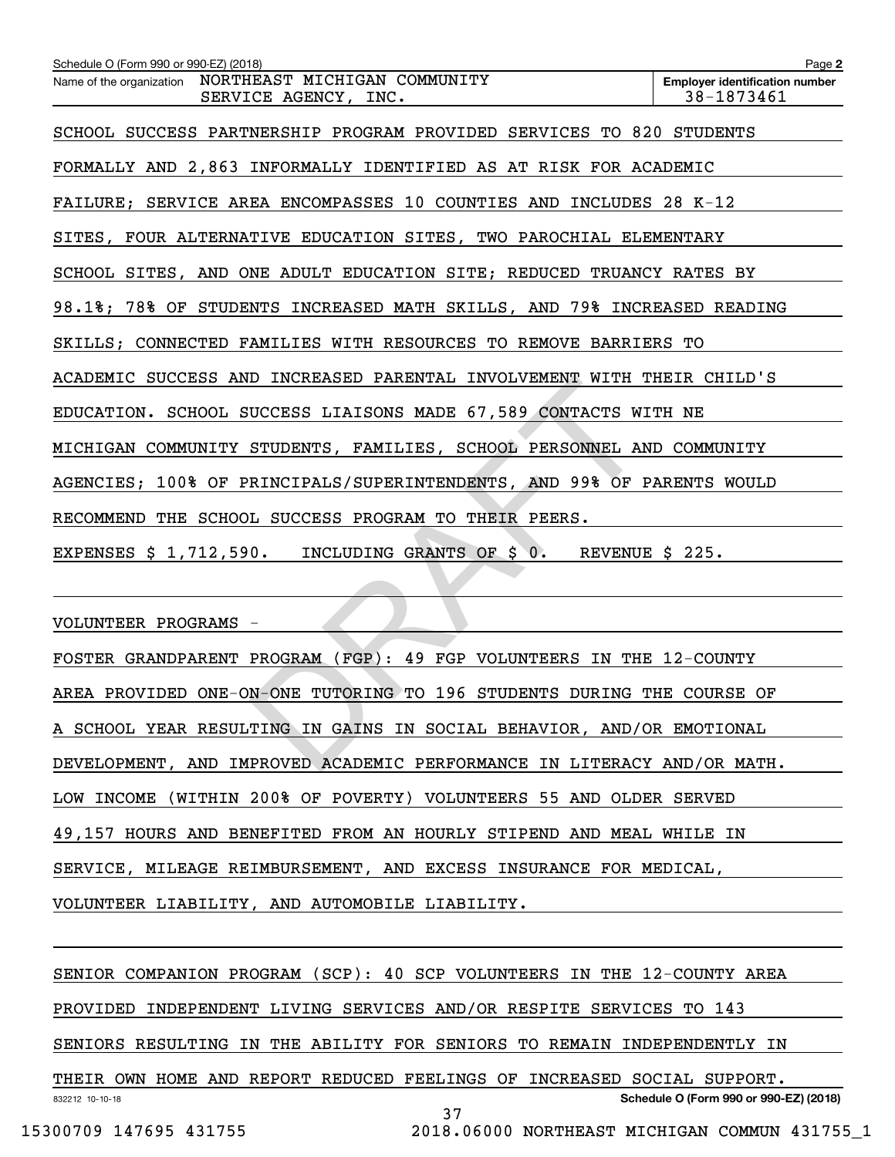| Schedule O (Form 990 or 990-EZ) (2018)                                                    | Page 2                                              |
|-------------------------------------------------------------------------------------------|-----------------------------------------------------|
| Name of the organization  NORTHEAST  MICHIGAN  COMMUNITY<br>SERVICE AGENCY, INC.          | <b>Employer identification number</b><br>38-1873461 |
| SCHOOL SUCCESS PARTNERSHIP PROGRAM PROVIDED SERVICES TO 820 STUDENTS                      |                                                     |
| FORMALLY AND 2,863 INFORMALLY IDENTIFIED AS AT RISK FOR ACADEMIC                          |                                                     |
| FAILURE; SERVICE AREA ENCOMPASSES 10 COUNTIES AND INCLUDES 28 K-12                        |                                                     |
| SITES, FOUR ALTERNATIVE EDUCATION SITES, TWO PAROCHIAL ELEMENTARY                         |                                                     |
| SCHOOL SITES, AND ONE ADULT EDUCATION SITE; REDUCED TRUANCY RATES BY                      |                                                     |
| 98.1%; 78% OF STUDENTS INCREASED MATH SKILLS, AND 79% INCREASED READING                   |                                                     |
| SKILLS; CONNECTED FAMILIES WITH RESOURCES TO REMOVE BARRIERS TO                           |                                                     |
| ACADEMIC SUCCESS AND INCREASED PARENTAL INVOLVEMENT WITH THEIR CHILD'S                    |                                                     |
| EDUCATION. SCHOOL SUCCESS LIAISONS MADE 67,589 CONTACTS WITH NE                           |                                                     |
| MICHIGAN COMMUNITY STUDENTS, FAMILIES, SCHOOL PERSONNEL AND COMMUNITY                     |                                                     |
| AGENCIES; 100% OF PRINCIPALS/SUPERINTENDENTS, AND 99% OF PARENTS WOULD                    |                                                     |
| RECOMMEND THE SCHOOL SUCCESS PROGRAM TO THEIR PEERS.                                      |                                                     |
| EXPENSES $\frac{1}{5}$ 1,712,590. INCLUDING GRANTS OF $\frac{1}{5}$ 0.<br>REVENUE \$ 225. |                                                     |
|                                                                                           |                                                     |
| VOLUNTEER PROGRAMS -                                                                      |                                                     |
| FOSTER GRANDPARENT PROGRAM (FGP): 49 FGP VOLUNTEERS IN THE 12-COUNTY                      |                                                     |
| AREA PROVIDED ONE-ON-ONE TUTORING TO 196 STUDENTS DURING THE COURSE OF                    |                                                     |
| A SCHOOL YEAR RESULTING IN GAINS IN SOCIAL BEHAVIOR, AND/OR EMOTIONAL                     |                                                     |
| DEVELOPMENT, AND IMPROVED ACADEMIC PERFORMANCE IN LITERACY AND/OR MATH.                   |                                                     |

FOSTER GRANDPARENT PROGRAM (FGP): 49 FGP VOLUNTEERS IN THE 12-COUNTY AREA PROVIDED ONE-ON-ONE TUTORING TO 196 STUDENTS DURING THE COURSE OF A SCHOOL YEAR RESULTING IN GAINS IN SOCIAL BEHAVIOR, AND/OR EMOTIONAL DEVELOPMENT, AND IMPROVED ACADEMIC PERFORMANCE IN LITERACY AND/OR MATH. LOW INCOME (WITHIN 200% OF POVERTY) VOLUNTEERS 55 AND OLDER SERVED 49,157 HOURS AND BENEFITED FROM AN HOURLY STIPEND AND MEAL WHILE IN SERVICE, MILEAGE REIMBURSEMENT, AND EXCESS INSURANCE FOR MEDICAL, VOLUNTEER LIABILITY, AND AUTOMOBILE LIABILITY.

832212 10-10-18 **Schedule O (Form 990 or 990-EZ) (2018)** SENIOR COMPANION PROGRAM (SCP): 40 SCP VOLUNTEERS IN THE 12-COUNTY AREA PROVIDED INDEPENDENT LIVING SERVICES AND/OR RESPITE SERVICES TO 143 SENIORS RESULTING IN THE ABILITY FOR SENIORS TO REMAIN INDEPENDENTLY IN THEIR OWN HOME AND REPORT REDUCED FEELINGS OF INCREASED SOCIAL SUPPORT. 37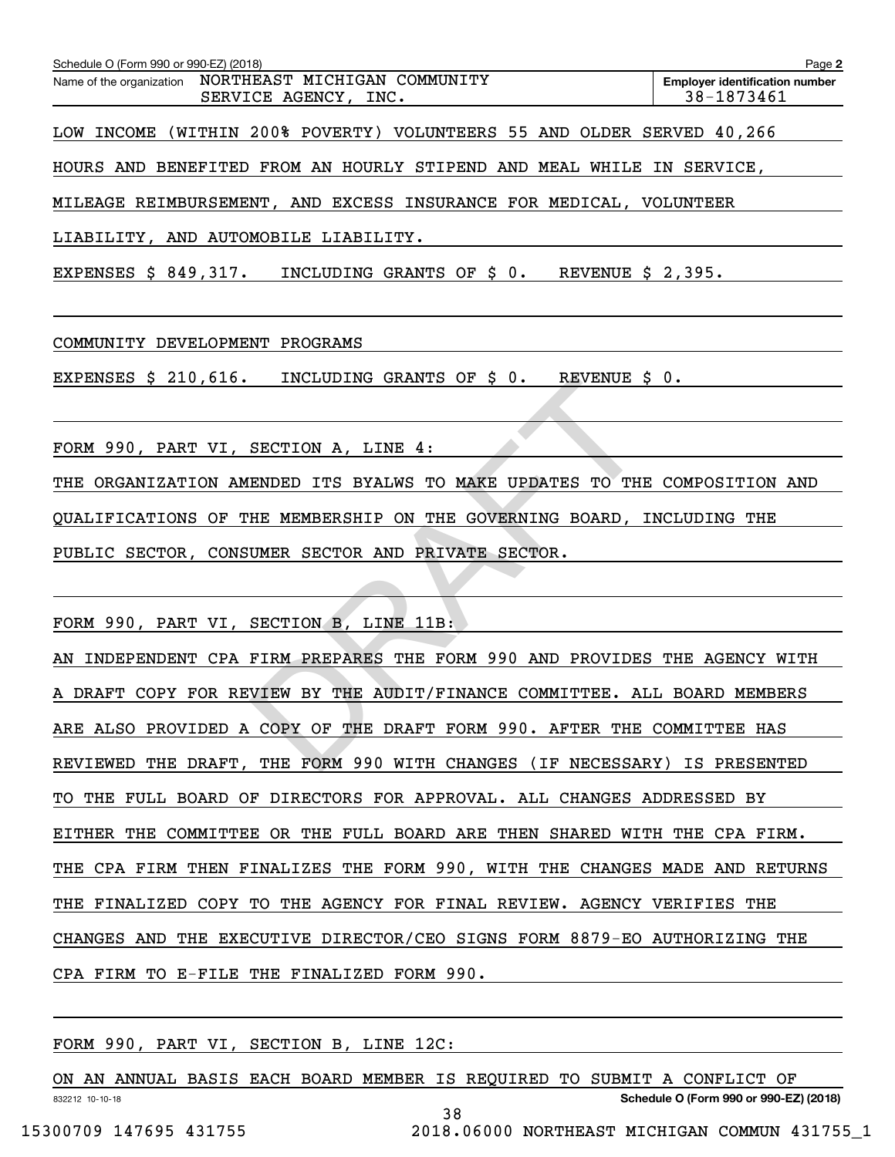| Name of the organization  NORTHEAST MICHIGAN COMMUNITY | <b>Employer identification number</b> |
|--------------------------------------------------------|---------------------------------------|
| SERVICE AGENCY, INC.                                   | 38-1873461                            |

LOW INCOME (WITHIN 200% POVERTY) VOLUNTEERS 55 AND OLDER SERVED 40,266

HOURS AND BENEFITED FROM AN HOURLY STIPEND AND MEAL WHILE IN SERVICE,

MILEAGE REIMBURSEMENT, AND EXCESS INSURANCE FOR MEDICAL, VOLUNTEER

LIABILITY, AND AUTOMOBILE LIABILITY.

EXPENSES \$ 849,317. INCLUDING GRANTS OF \$ 0. REVENUE \$ 2,395.

COMMUNITY DEVELOPMENT PROGRAMS

EXPENSES \$ 210,616. INCLUDING GRANTS OF \$ 0. REVENUE \$ 0.

FORM 990, PART VI, SECTION A, LINE 4:

THE ORGANIZATION AMENDED ITS BYALWS TO MAKE UPDATES TO THE COMPOSITION AND QUALIFICATIONS OF THE MEMBERSHIP ON THE GOVERNING BOARD, INCLUDING THE PUBLIC SECTOR, CONSUMER SECTOR AND PRIVATE SECTOR.

FORM 990, PART VI, SECTION B, LINE 11B:

AN INDEPENDENT CPA FIRM PREPARES THE FORM 990 AND PROVIDES THE AGENCY WITH A DRAFT COPY FOR REVIEW BY THE AUDIT/FINANCE COMMITTEE. ALL BOARD MEMBERS ARE ALSO PROVIDED A COPY OF THE DRAFT FORM 990. AFTER THE COMMITTEE HAS REVIEWED THE DRAFT, THE FORM 990 WITH CHANGES (IF NECESSARY) IS PRESENTED TO THE FULL BOARD OF DIRECTORS FOR APPROVAL. ALL CHANGES ADDRESSED BY EITHER THE COMMITTEE OR THE FULL BOARD ARE THEN SHARED WITH THE CPA FIRM. THE CPA FIRM THEN FINALIZES THE FORM 990, WITH THE CHANGES MADE AND RETURNS THE FINALIZED COPY TO THE AGENCY FOR FINAL REVIEW. AGENCY VERIFIES THE CHANGES AND THE EXECUTIVE DIRECTOR/CEO SIGNS FORM 8879-EO AUTHORIZING THE CPA FIRM TO E-FILE THE FINALIZED FORM 990. INCLUDING GRANTS OF \$ 0. REVENUE \$<br>SECTION A, LINE 4:<br>ENDED ITS BYALWS TO MAKE UPDATES TO THE<br>HE MEMBERSHIP ON THE GOVERNING BOARD, I<br>UMER SECTOR AND PRIVATE SECTOR.<br>SECTION B, LINE 11B:<br>FIRM PREPARES THE FORM 990 AND PROV

FORM 990, PART VI, SECTION B, LINE 12C:

832212 10-10-18 **Schedule O (Form 990 or 990-EZ) (2018)** ON AN ANNUAL BASIS EACH BOARD MEMBER IS REQUIRED TO SUBMIT A CONFLICT OF 38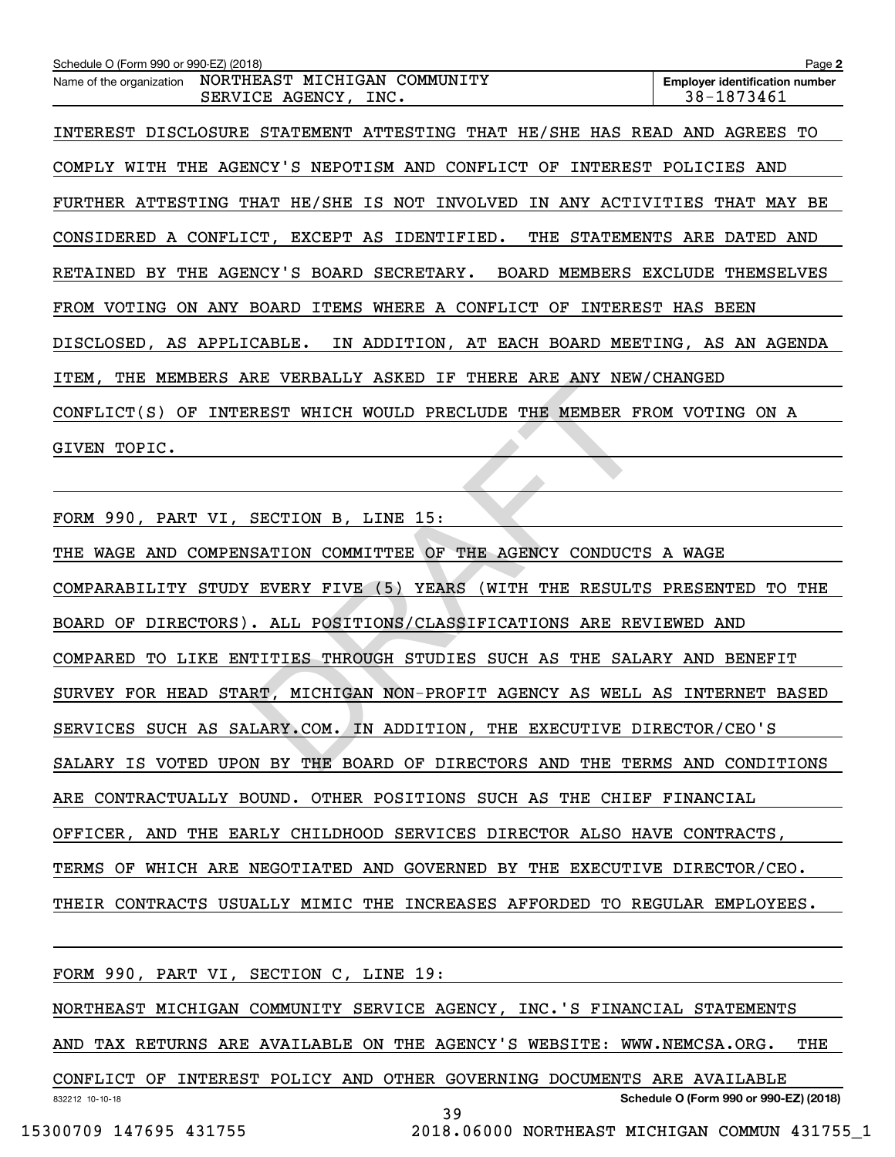| Schedule O (Form 990 or 990-EZ) (2018)                                           | Page 2                                              |
|----------------------------------------------------------------------------------|-----------------------------------------------------|
| NORTHEAST MICHIGAN COMMUNITY<br>Name of the organization<br>SERVICE AGENCY, INC. | <b>Employer identification number</b><br>38-1873461 |
| INTEREST DISCLOSURE STATEMENT ATTESTING THAT HE/SHE HAS READ AND AGREES TO       |                                                     |
| COMPLY WITH THE AGENCY'S NEPOTISM AND CONFLICT OF INTEREST POLICIES AND          |                                                     |
| FURTHER ATTESTING THAT HE/SHE IS NOT INVOLVED IN ANY ACTIVITIES THAT MAY BE      |                                                     |
| CONSIDERED A CONFLICT, EXCEPT AS IDENTIFIED. THE STATEMENTS ARE                  | DATED<br>AND                                        |
| RETAINED BY THE AGENCY'S BOARD SECRETARY. BOARD MEMBERS EXCLUDE THEMSELVES       |                                                     |
| FROM VOTING ON ANY BOARD ITEMS WHERE A CONFLICT OF INTEREST HAS BEEN             |                                                     |
| DISCLOSED, AS APPLICABLE. IN ADDITION, AT EACH BOARD MEETING, AS AN AGENDA       |                                                     |
| ITEM, THE MEMBERS ARE VERBALLY ASKED IF THERE ARE ANY NEW/CHANGED                |                                                     |
| CONFLICT(S) OF INTEREST WHICH WOULD PRECLUDE THE MEMBER FROM VOTING ON A         |                                                     |
| GIVEN TOPIC.                                                                     |                                                     |

FORM 990, PART VI, SECTION B, LINE 15:

THE WAGE AND COMPENSATION COMMITTEE OF THE AGENCY CONDUCTS A WAGE COMPARABILITY STUDY EVERY FIVE (5) YEARS (WITH THE RESULTS PRESENTED TO THE BOARD OF DIRECTORS). ALL POSITIONS/CLASSIFICATIONS ARE REVIEWED AND COMPARED TO LIKE ENTITIES THROUGH STUDIES SUCH AS THE SALARY AND BENEFIT SURVEY FOR HEAD START, MICHIGAN NON-PROFIT AGENCY AS WELL AS INTERNET BASED SERVICES SUCH AS SALARY.COM. IN ADDITION, THE EXECUTIVE DIRECTOR/CEO'S SALARY IS VOTED UPON BY THE BOARD OF DIRECTORS AND THE TERMS AND CONDITIONS ARE CONTRACTUALLY BOUND. OTHER POSITIONS SUCH AS THE CHIEF FINANCIAL OFFICER, AND THE EARLY CHILDHOOD SERVICES DIRECTOR ALSO HAVE CONTRACTS, TERMS OF WHICH ARE NEGOTIATED AND GOVERNED BY THE EXECUTIVE DIRECTOR/CEO. THEIR CONTRACTS USUALLY MIMIC THE INCREASES AFFORDED TO REGULAR EMPLOYEES. RE VERBALLY ASKED IF THERE ARE ANY NEW,<br>REST WHICH WOULD PRECLUDE THE MEMBER FI<br>SECTION B, LINE 15:<br>SECTION B, LINE 15:<br>SECTION B, LINE 15:<br>SECTION B, LINE 15:<br>SECTION B, LINE 15:<br>SECTION COMMITTEE OF THE AGENCY CONDUCTS<br>E

832212 10-10-18 **Schedule O (Form 990 or 990-EZ) (2018)** FORM 990, PART VI, SECTION C, LINE 19: NORTHEAST MICHIGAN COMMUNITY SERVICE AGENCY, INC.'S FINANCIAL STATEMENTS AND TAX RETURNS ARE AVAILABLE ON THE AGENCY'S WEBSITE: WWW.NEMCSA.ORG. THE CONFLICT OF INTEREST POLICY AND OTHER GOVERNING DOCUMENTS ARE AVAILABLE 39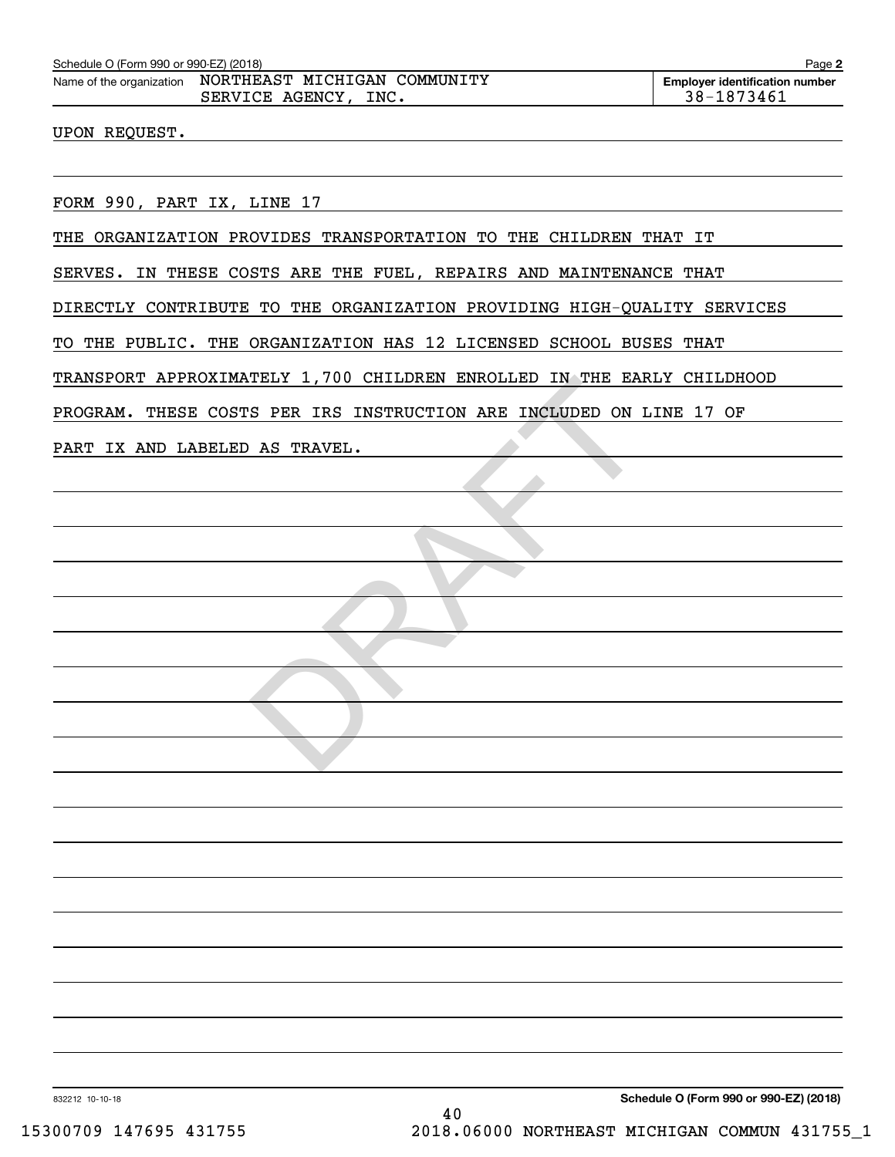UPON REQUEST.

FORM 990, PART IX, LINE 17

THE ORGANIZATION PROVIDES TRANSPORTATION TO THE CHILDREN THAT IT

SERVES. IN THESE COSTS ARE THE FUEL, REPAIRS AND MAINTENANCE THAT

DIRECTLY CONTRIBUTE TO THE ORGANIZATION PROVIDING HIGH-QUALITY SERVICES

TO THE PUBLIC. THE ORGANIZATION HAS 12 LICENSED SCHOOL BUSES THAT

TRANSPORT APPROXIMATELY 1,700 CHILDREN ENROLLED IN THE EARLY CHILDHOOD

PROGRAM. THESE COSTS PER IRS INSTRUCTION ARE INCLUDED ON LINE 17 OF TELY 1,700 CHILDREN ENROLLED IN THE EARST SPER IRS INSTRUCTION ARE INCLUDED ON I

PART IX AND LABELED AS TRAVEL.